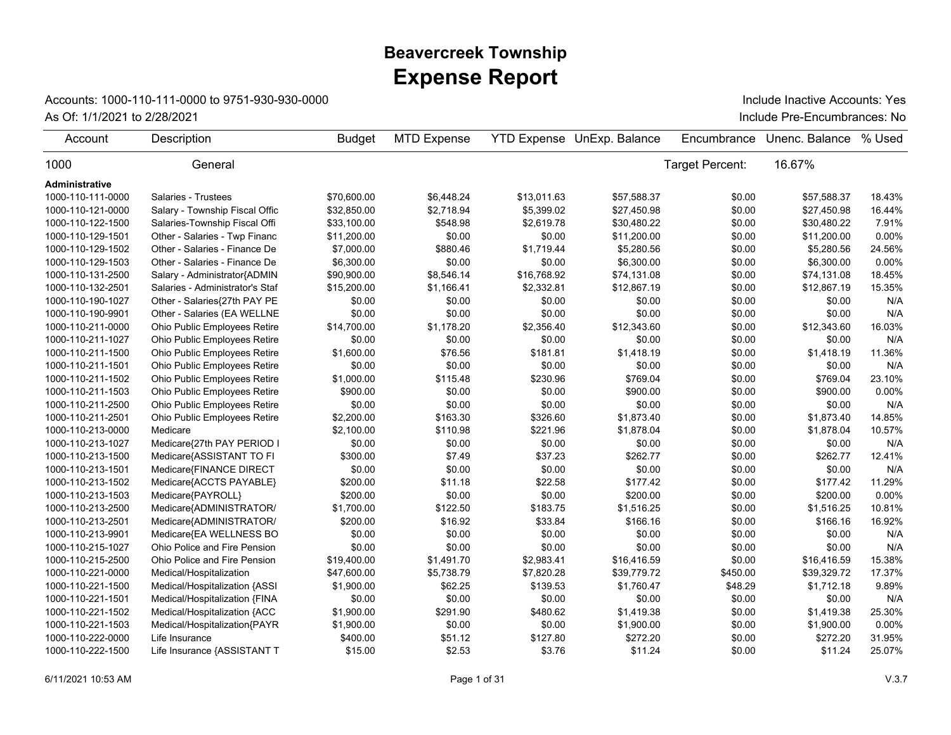## **Expense Report Beavercreek Township**

## Accounts: 1000-110-111-0000 to 9751-930-930-0000

As Of: 1/1/2021 to 2/28/2021 **Include Pre-Encumbrances: No** Include Inactive Accounts: Yes

| Account           | Description                     | <b>Budget</b> | <b>MTD Expense</b> |             | YTD Expense UnExp. Balance | Encumbrance     | Unenc. Balance | % Used   |
|-------------------|---------------------------------|---------------|--------------------|-------------|----------------------------|-----------------|----------------|----------|
| 1000              | General                         |               |                    |             |                            | Target Percent: | 16.67%         |          |
| Administrative    |                                 |               |                    |             |                            |                 |                |          |
| 1000-110-111-0000 | Salaries - Trustees             | \$70,600.00   | \$6,448.24         | \$13,011.63 | \$57,588.37                | \$0.00          | \$57,588.37    | 18.43%   |
| 1000-110-121-0000 | Salary - Township Fiscal Offic  | \$32,850.00   | \$2,718.94         | \$5,399.02  | \$27,450.98                | \$0.00          | \$27,450.98    | 16.44%   |
| 1000-110-122-1500 | Salaries-Township Fiscal Offi   | \$33,100.00   | \$548.98           | \$2,619.78  | \$30,480.22                | \$0.00          | \$30,480.22    | 7.91%    |
| 1000-110-129-1501 | Other - Salaries - Twp Financ   | \$11,200.00   | \$0.00             | \$0.00      | \$11,200.00                | \$0.00          | \$11,200.00    | 0.00%    |
| 1000-110-129-1502 | Other - Salaries - Finance De   | \$7,000.00    | \$880.46           | \$1,719.44  | \$5,280.56                 | \$0.00          | \$5,280.56     | 24.56%   |
| 1000-110-129-1503 | Other - Salaries - Finance De   | \$6,300.00    | \$0.00             | \$0.00      | \$6,300.00                 | \$0.00          | \$6,300.00     | $0.00\%$ |
| 1000-110-131-2500 | Salary - Administrator{ADMIN    | \$90,900.00   | \$8,546.14         | \$16,768.92 | \$74,131.08                | \$0.00          | \$74,131.08    | 18.45%   |
| 1000-110-132-2501 | Salaries - Administrator's Staf | \$15,200.00   | \$1,166.41         | \$2,332.81  | \$12,867.19                | \$0.00          | \$12,867.19    | 15.35%   |
| 1000-110-190-1027 | Other - Salaries{27th PAY PE    | \$0.00        | \$0.00             | \$0.00      | \$0.00                     | \$0.00          | \$0.00         | N/A      |
| 1000-110-190-9901 | Other - Salaries (EA WELLNE     | \$0.00        | \$0.00             | \$0.00      | \$0.00                     | \$0.00          | \$0.00         | N/A      |
| 1000-110-211-0000 | Ohio Public Employees Retire    | \$14,700.00   | \$1,178.20         | \$2,356.40  | \$12,343.60                | \$0.00          | \$12,343.60    | 16.03%   |
| 1000-110-211-1027 | Ohio Public Employees Retire    | \$0.00        | \$0.00             | \$0.00      | \$0.00                     | \$0.00          | \$0.00         | N/A      |
| 1000-110-211-1500 | Ohio Public Employees Retire    | \$1,600.00    | \$76.56            | \$181.81    | \$1,418.19                 | \$0.00          | \$1,418.19     | 11.36%   |
| 1000-110-211-1501 | Ohio Public Employees Retire    | \$0.00        | \$0.00             | \$0.00      | \$0.00                     | \$0.00          | \$0.00         | N/A      |
| 1000-110-211-1502 | Ohio Public Employees Retire    | \$1,000.00    | \$115.48           | \$230.96    | \$769.04                   | \$0.00          | \$769.04       | 23.10%   |
| 1000-110-211-1503 | Ohio Public Employees Retire    | \$900.00      | \$0.00             | \$0.00      | \$900.00                   | \$0.00          | \$900.00       | 0.00%    |
| 1000-110-211-2500 | Ohio Public Employees Retire    | \$0.00        | \$0.00             | \$0.00      | \$0.00                     | \$0.00          | \$0.00         | N/A      |
| 1000-110-211-2501 | Ohio Public Employees Retire    | \$2,200.00    | \$163.30           | \$326.60    | \$1,873.40                 | \$0.00          | \$1.873.40     | 14.85%   |
| 1000-110-213-0000 | Medicare                        | \$2,100.00    | \$110.98           | \$221.96    | \$1,878.04                 | \$0.00          | \$1,878.04     | 10.57%   |
| 1000-110-213-1027 | Medicare{27th PAY PERIOD I      | \$0.00        | \$0.00             | \$0.00      | \$0.00                     | \$0.00          | \$0.00         | N/A      |
| 1000-110-213-1500 | Medicare{ASSISTANT TO FI        | \$300.00      | \$7.49             | \$37.23     | \$262.77                   | \$0.00          | \$262.77       | 12.41%   |
| 1000-110-213-1501 | Medicare{FINANCE DIRECT         | \$0.00        | \$0.00             | \$0.00      | \$0.00                     | \$0.00          | \$0.00         | N/A      |
| 1000-110-213-1502 | Medicare{ACCTS PAYABLE}         | \$200.00      | \$11.18            | \$22.58     | \$177.42                   | \$0.00          | \$177.42       | 11.29%   |
| 1000-110-213-1503 | Medicare{PAYROLL}               | \$200.00      | \$0.00             | \$0.00      | \$200.00                   | \$0.00          | \$200.00       | 0.00%    |
| 1000-110-213-2500 | Medicare{ADMINISTRATOR/         | \$1,700.00    | \$122.50           | \$183.75    | \$1,516.25                 | \$0.00          | \$1,516.25     | 10.81%   |
| 1000-110-213-2501 | Medicare{ADMINISTRATOR/         | \$200.00      | \$16.92            | \$33.84     | \$166.16                   | \$0.00          | \$166.16       | 16.92%   |
| 1000-110-213-9901 | Medicare{EA WELLNESS BO         | \$0.00        | \$0.00             | \$0.00      | \$0.00                     | \$0.00          | \$0.00         | N/A      |
| 1000-110-215-1027 | Ohio Police and Fire Pension    | \$0.00        | \$0.00             | \$0.00      | \$0.00                     | \$0.00          | \$0.00         | N/A      |
| 1000-110-215-2500 | Ohio Police and Fire Pension    | \$19,400.00   | \$1,491.70         | \$2,983.41  | \$16,416.59                | \$0.00          | \$16,416.59    | 15.38%   |
| 1000-110-221-0000 | Medical/Hospitalization         | \$47,600.00   | \$5,738.79         | \$7,820.28  | \$39,779.72                | \$450.00        | \$39,329.72    | 17.37%   |
| 1000-110-221-1500 | Medical/Hospitalization {ASSI   | \$1,900.00    | \$62.25            | \$139.53    | \$1,760.47                 | \$48.29         | \$1,712.18     | 9.89%    |
| 1000-110-221-1501 | Medical/Hospitalization {FINA   | \$0.00        | \$0.00             | \$0.00      | \$0.00                     | \$0.00          | \$0.00         | N/A      |
| 1000-110-221-1502 | Medical/Hospitalization {ACC    | \$1,900.00    | \$291.90           | \$480.62    | \$1,419.38                 | \$0.00          | \$1,419.38     | 25.30%   |
| 1000-110-221-1503 | Medical/Hospitalization{PAYR    | \$1,900.00    | \$0.00             | \$0.00      | \$1,900.00                 | \$0.00          | \$1,900.00     | 0.00%    |
| 1000-110-222-0000 | Life Insurance                  | \$400.00      | \$51.12            | \$127.80    | \$272.20                   | \$0.00          | \$272.20       | 31.95%   |
| 1000-110-222-1500 | Life Insurance {ASSISTANT T     | \$15.00       | \$2.53             | \$3.76      | \$11.24                    | \$0.00          | \$11.24        | 25.07%   |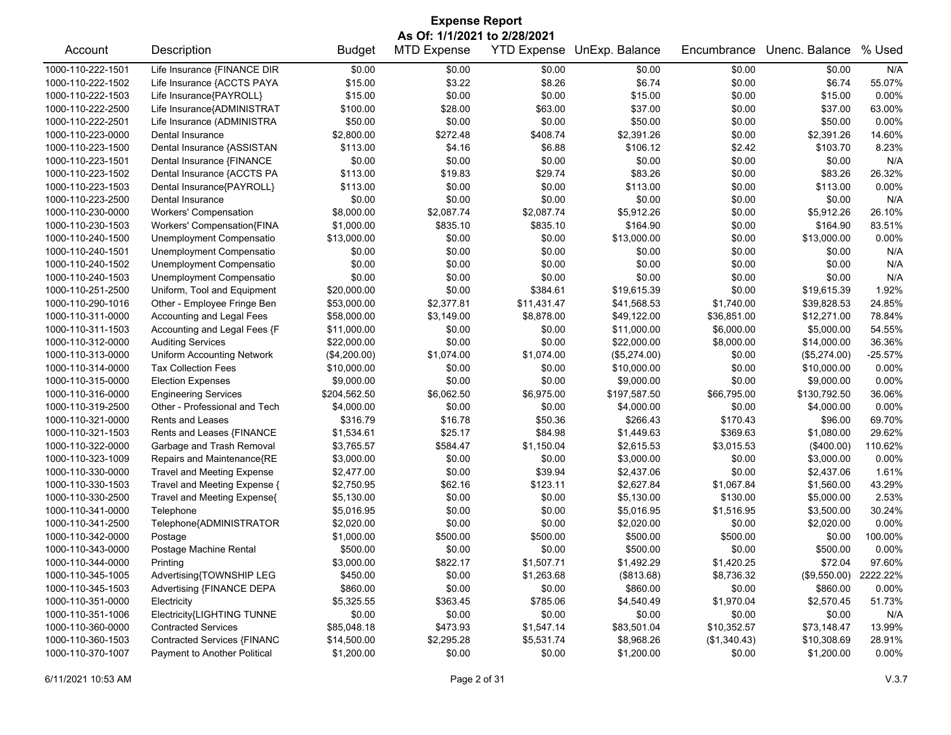| <b>Expense Report</b>        |                                   |               |                    |                    |                |              |                |           |  |
|------------------------------|-----------------------------------|---------------|--------------------|--------------------|----------------|--------------|----------------|-----------|--|
| As Of: 1/1/2021 to 2/28/2021 |                                   |               |                    |                    |                |              |                |           |  |
| Account                      | Description                       | <b>Budget</b> | <b>MTD Expense</b> | <b>YTD Expense</b> | UnExp. Balance | Encumbrance  | Unenc. Balance | % Used    |  |
| 1000-110-222-1501            | Life Insurance {FINANCE DIR       | \$0.00        | \$0.00             | \$0.00             | \$0.00         | \$0.00       | \$0.00         | N/A       |  |
| 1000-110-222-1502            | Life Insurance {ACCTS PAYA        | \$15.00       | \$3.22             | \$8.26             | \$6.74         | \$0.00       | \$6.74         | 55.07%    |  |
| 1000-110-222-1503            | Life Insurance{PAYROLL}           | \$15.00       | \$0.00             | \$0.00             | \$15.00        | \$0.00       | \$15.00        | 0.00%     |  |
| 1000-110-222-2500            | Life Insurance{ADMINISTRAT        | \$100.00      | \$28.00            | \$63.00            | \$37.00        | \$0.00       | \$37.00        | 63.00%    |  |
| 1000-110-222-2501            | Life Insurance (ADMINISTRA        | \$50.00       | \$0.00             | \$0.00             | \$50.00        | \$0.00       | \$50.00        | 0.00%     |  |
| 1000-110-223-0000            | Dental Insurance                  | \$2,800.00    | \$272.48           | \$408.74           | \$2,391.26     | \$0.00       | \$2,391.26     | 14.60%    |  |
| 1000-110-223-1500            | Dental Insurance {ASSISTAN        | \$113.00      | \$4.16             | \$6.88             | \$106.12       | \$2.42       | \$103.70       | 8.23%     |  |
| 1000-110-223-1501            | Dental Insurance {FINANCE         | \$0.00        | \$0.00             | \$0.00             | \$0.00         | \$0.00       | \$0.00         | N/A       |  |
| 1000-110-223-1502            | Dental Insurance {ACCTS PA        | \$113.00      | \$19.83            | \$29.74            | \$83.26        | \$0.00       | \$83.26        | 26.32%    |  |
| 1000-110-223-1503            | Dental Insurance{PAYROLL}         | \$113.00      | \$0.00             | \$0.00             | \$113.00       | \$0.00       | \$113.00       | 0.00%     |  |
| 1000-110-223-2500            | Dental Insurance                  | \$0.00        | \$0.00             | \$0.00             | \$0.00         | \$0.00       | \$0.00         | N/A       |  |
| 1000-110-230-0000            | <b>Workers' Compensation</b>      | \$8,000.00    | \$2,087.74         | \$2,087.74         | \$5,912.26     | \$0.00       | \$5,912.26     | 26.10%    |  |
| 1000-110-230-1503            | Workers' Compensation{FINA        | \$1,000.00    | \$835.10           | \$835.10           | \$164.90       | \$0.00       | \$164.90       | 83.51%    |  |
| 1000-110-240-1500            | Unemployment Compensatio          | \$13,000.00   | \$0.00             | \$0.00             | \$13,000.00    | \$0.00       | \$13,000.00    | 0.00%     |  |
| 1000-110-240-1501            | Unemployment Compensatio          | \$0.00        | \$0.00             | \$0.00             | \$0.00         | \$0.00       | \$0.00         | N/A       |  |
| 1000-110-240-1502            | Unemployment Compensatio          | \$0.00        | \$0.00             | \$0.00             | \$0.00         | \$0.00       | \$0.00         | N/A       |  |
| 1000-110-240-1503            | Unemployment Compensatio          | \$0.00        | \$0.00             | \$0.00             | \$0.00         | \$0.00       | \$0.00         | N/A       |  |
| 1000-110-251-2500            | Uniform, Tool and Equipment       | \$20,000.00   | \$0.00             | \$384.61           | \$19,615.39    | \$0.00       | \$19,615.39    | 1.92%     |  |
| 1000-110-290-1016            | Other - Employee Fringe Ben       | \$53,000.00   | \$2,377.81         | \$11,431.47        | \$41,568.53    | \$1,740.00   | \$39,828.53    | 24.85%    |  |
| 1000-110-311-0000            | Accounting and Legal Fees         | \$58,000.00   | \$3,149.00         | \$8,878.00         | \$49,122.00    | \$36,851.00  | \$12,271.00    | 78.84%    |  |
| 1000-110-311-1503            | Accounting and Legal Fees {F      | \$11,000.00   | \$0.00             | \$0.00             | \$11,000.00    | \$6,000.00   | \$5,000.00     | 54.55%    |  |
| 1000-110-312-0000            | <b>Auditing Services</b>          | \$22,000.00   | \$0.00             | \$0.00             | \$22,000.00    | \$8,000.00   | \$14,000.00    | 36.36%    |  |
| 1000-110-313-0000            | <b>Uniform Accounting Network</b> | (\$4,200.00)  | \$1,074.00         | \$1,074.00         | (\$5,274.00)   | \$0.00       | (\$5,274.00)   | $-25.57%$ |  |
| 1000-110-314-0000            | <b>Tax Collection Fees</b>        | \$10,000.00   | \$0.00             | \$0.00             | \$10,000.00    | \$0.00       | \$10,000.00    | 0.00%     |  |
| 1000-110-315-0000            | <b>Election Expenses</b>          | \$9,000.00    | \$0.00             | \$0.00             | \$9,000.00     | \$0.00       | \$9,000.00     | 0.00%     |  |
| 1000-110-316-0000            | <b>Engineering Services</b>       | \$204,562.50  | \$6,062.50         | \$6,975.00         | \$197,587.50   | \$66,795.00  | \$130,792.50   | 36.06%    |  |
| 1000-110-319-2500            | Other - Professional and Tech     | \$4,000.00    | \$0.00             | \$0.00             | \$4,000.00     | \$0.00       | \$4,000.00     | 0.00%     |  |
| 1000-110-321-0000            | Rents and Leases                  | \$316.79      | \$16.78            | \$50.36            | \$266.43       | \$170.43     | \$96.00        | 69.70%    |  |
| 1000-110-321-1503            | Rents and Leases {FINANCE         | \$1,534.61    | \$25.17            | \$84.98            | \$1,449.63     | \$369.63     | \$1,080.00     | 29.62%    |  |
| 1000-110-322-0000            | Garbage and Trash Removal         | \$3,765.57    | \$584.47           | \$1,150.04         | \$2,615.53     | \$3,015.53   | $(\$400.00)$   | 110.62%   |  |
| 1000-110-323-1009            | Repairs and Maintenance{RE        | \$3,000.00    | \$0.00             | \$0.00             | \$3,000.00     | \$0.00       | \$3,000.00     | 0.00%     |  |
| 1000-110-330-0000            | <b>Travel and Meeting Expense</b> | \$2,477.00    | \$0.00             | \$39.94            | \$2,437.06     | \$0.00       | \$2,437.06     | 1.61%     |  |
| 1000-110-330-1503            | Travel and Meeting Expense {      | \$2,750.95    | \$62.16            | \$123.11           | \$2,627.84     | \$1,067.84   | \$1,560.00     | 43.29%    |  |
| 1000-110-330-2500            | Travel and Meeting Expense{       | \$5,130.00    | \$0.00             | \$0.00             | \$5,130.00     | \$130.00     | \$5,000.00     | 2.53%     |  |
| 1000-110-341-0000            | Telephone                         | \$5,016.95    | \$0.00             | \$0.00             | \$5,016.95     | \$1,516.95   | \$3,500.00     | 30.24%    |  |
| 1000-110-341-2500            | Telephone{ADMINISTRATOR           | \$2,020.00    | \$0.00             | \$0.00             | \$2,020.00     | \$0.00       | \$2,020.00     | 0.00%     |  |
| 1000-110-342-0000            | Postage                           | \$1,000.00    | \$500.00           | \$500.00           | \$500.00       | \$500.00     | \$0.00         | 100.00%   |  |
| 1000-110-343-0000            | Postage Machine Rental            | \$500.00      | \$0.00             | \$0.00             | \$500.00       | \$0.00       | \$500.00       | $0.00\%$  |  |
| 1000-110-344-0000            | Printing                          | \$3,000.00    | \$822.17           | \$1,507.71         | \$1,492.29     | \$1,420.25   | \$72.04        | 97.60%    |  |
| 1000-110-345-1005            | Advertising{TOWNSHIP LEG          | \$450.00      | \$0.00             | \$1,263.68         | (\$813.68)     | \$8,736.32   | (\$9,550.00)   | 2222.22%  |  |
| 1000-110-345-1503            | Advertising {FINANCE DEPA         | \$860.00      | \$0.00             | \$0.00             | \$860.00       | \$0.00       | \$860.00       | 0.00%     |  |
| 1000-110-351-0000            | Electricity                       | \$5,325.55    | \$363.45           | \$785.06           | \$4,540.49     | \$1,970.04   | \$2,570.45     | 51.73%    |  |
| 1000-110-351-1006            | Electricity{LIGHTING TUNNE        | \$0.00        | \$0.00             | \$0.00             | \$0.00         | \$0.00       | \$0.00         | N/A       |  |
| 1000-110-360-0000            | <b>Contracted Services</b>        | \$85,048.18   | \$473.93           | \$1,547.14         | \$83,501.04    | \$10,352.57  | \$73,148.47    | 13.99%    |  |
| 1000-110-360-1503            | Contracted Services {FINANC       | \$14,500.00   | \$2,295.28         | \$5,531.74         | \$8,968.26     | (\$1,340.43) | \$10,308.69    | 28.91%    |  |
| 1000-110-370-1007            | Payment to Another Political      | \$1,200.00    | \$0.00             | \$0.00             | \$1,200.00     | \$0.00       | \$1,200.00     | 0.00%     |  |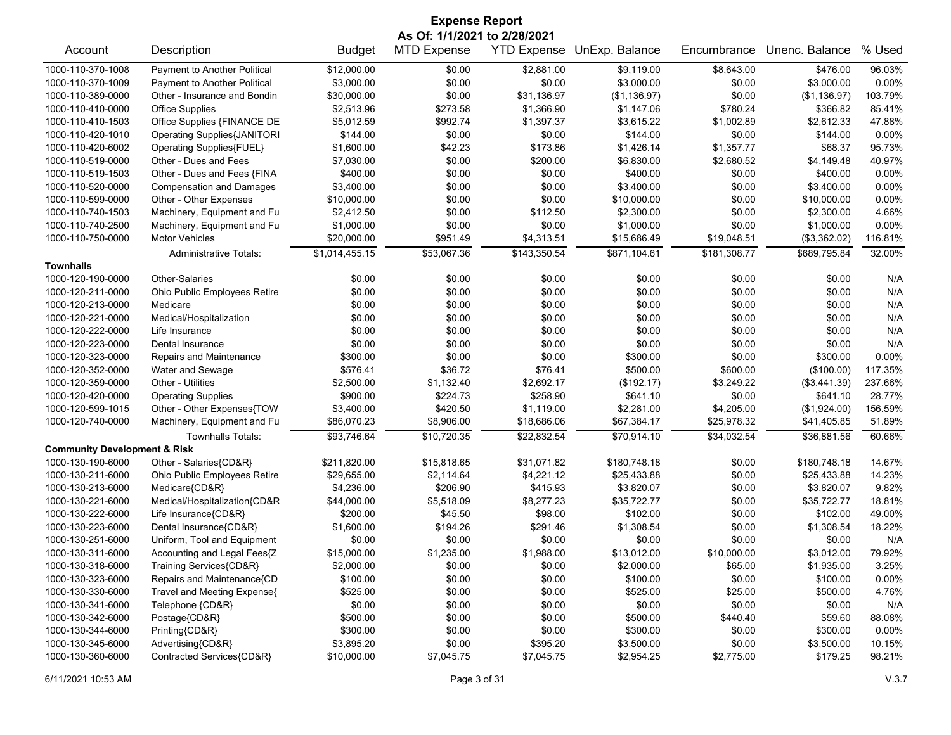| <b>Expense Report</b>                   |                                    |                |                              |              |                            |              |                |         |
|-----------------------------------------|------------------------------------|----------------|------------------------------|--------------|----------------------------|--------------|----------------|---------|
|                                         |                                    |                | As Of: 1/1/2021 to 2/28/2021 |              |                            |              |                |         |
| Account                                 | Description                        | <b>Budget</b>  | <b>MTD Expense</b>           |              | YTD Expense UnExp. Balance | Encumbrance  | Unenc. Balance | % Used  |
| 1000-110-370-1008                       | Payment to Another Political       | \$12,000.00    | \$0.00                       | \$2,881.00   | \$9,119.00                 | \$8,643.00   | \$476.00       | 96.03%  |
| 1000-110-370-1009                       | Payment to Another Political       | \$3,000.00     | \$0.00                       | \$0.00       | \$3,000.00                 | \$0.00       | \$3,000.00     | 0.00%   |
| 1000-110-389-0000                       | Other - Insurance and Bondin       | \$30,000.00    | \$0.00                       | \$31,136.97  | (\$1,136.97)               | \$0.00       | (\$1,136.97)   | 103.79% |
| 1000-110-410-0000                       | <b>Office Supplies</b>             | \$2,513.96     | \$273.58                     | \$1,366.90   | \$1,147.06                 | \$780.24     | \$366.82       | 85.41%  |
| 1000-110-410-1503                       | Office Supplies {FINANCE DE        | \$5,012.59     | \$992.74                     | \$1,397.37   | \$3,615.22                 | \$1,002.89   | \$2,612.33     | 47.88%  |
| 1000-110-420-1010                       | <b>Operating Supplies{JANITORI</b> | \$144.00       | \$0.00                       | \$0.00       | \$144.00                   | \$0.00       | \$144.00       | 0.00%   |
| 1000-110-420-6002                       | Operating Supplies{FUEL}           | \$1,600.00     | \$42.23                      | \$173.86     | \$1,426.14                 | \$1,357.77   | \$68.37        | 95.73%  |
| 1000-110-519-0000                       | Other - Dues and Fees              | \$7,030.00     | \$0.00                       | \$200.00     | \$6,830.00                 | \$2,680.52   | \$4,149.48     | 40.97%  |
| 1000-110-519-1503                       | Other - Dues and Fees {FINA        | \$400.00       | \$0.00                       | \$0.00       | \$400.00                   | \$0.00       | \$400.00       | 0.00%   |
| 1000-110-520-0000                       | <b>Compensation and Damages</b>    | \$3,400.00     | \$0.00                       | \$0.00       | \$3,400.00                 | \$0.00       | \$3,400.00     | 0.00%   |
| 1000-110-599-0000                       | Other - Other Expenses             | \$10,000.00    | \$0.00                       | \$0.00       | \$10,000.00                | \$0.00       | \$10,000.00    | 0.00%   |
| 1000-110-740-1503                       | Machinery, Equipment and Fu        | \$2,412.50     | \$0.00                       | \$112.50     | \$2,300.00                 | \$0.00       | \$2,300.00     | 4.66%   |
| 1000-110-740-2500                       | Machinery, Equipment and Fu        | \$1,000.00     | \$0.00                       | \$0.00       | \$1,000.00                 | \$0.00       | \$1,000.00     | 0.00%   |
| 1000-110-750-0000                       | <b>Motor Vehicles</b>              | \$20,000.00    | \$951.49                     | \$4,313.51   | \$15,686.49                | \$19,048.51  | (\$3,362.02)   | 116.81% |
|                                         | <b>Administrative Totals:</b>      | \$1,014,455.15 | \$53,067.36                  | \$143,350.54 | \$871.104.61               | \$181,308.77 | \$689,795.84   | 32.00%  |
| <b>Townhalls</b>                        |                                    |                |                              |              |                            |              |                |         |
| 1000-120-190-0000                       | Other-Salaries                     | \$0.00         | \$0.00                       | \$0.00       | \$0.00                     | \$0.00       | \$0.00         | N/A     |
| 1000-120-211-0000                       | Ohio Public Employees Retire       | \$0.00         | \$0.00                       | \$0.00       | \$0.00                     | \$0.00       | \$0.00         | N/A     |
| 1000-120-213-0000                       | Medicare                           | \$0.00         | \$0.00                       | \$0.00       | \$0.00                     | \$0.00       | \$0.00         | N/A     |
| 1000-120-221-0000                       | Medical/Hospitalization            | \$0.00         | \$0.00                       | \$0.00       | \$0.00                     | \$0.00       | \$0.00         | N/A     |
| 1000-120-222-0000                       | Life Insurance                     | \$0.00         | \$0.00                       | \$0.00       | \$0.00                     | \$0.00       | \$0.00         | N/A     |
| 1000-120-223-0000                       | Dental Insurance                   | \$0.00         | \$0.00                       | \$0.00       | \$0.00                     | \$0.00       | \$0.00         | N/A     |
| 1000-120-323-0000                       | Repairs and Maintenance            | \$300.00       | \$0.00                       | \$0.00       | \$300.00                   | \$0.00       | \$300.00       | 0.00%   |
| 1000-120-352-0000                       | Water and Sewage                   | \$576.41       | \$36.72                      | \$76.41      | \$500.00                   | \$600.00     | (\$100.00)     | 117.35% |
| 1000-120-359-0000                       | Other - Utilities                  | \$2,500.00     | \$1,132.40                   | \$2,692.17   | (\$192.17)                 | \$3,249.22   | (\$3,441.39)   | 237.66% |
| 1000-120-420-0000                       | <b>Operating Supplies</b>          | \$900.00       | \$224.73                     | \$258.90     | \$641.10                   | \$0.00       | \$641.10       | 28.77%  |
| 1000-120-599-1015                       | Other - Other Expenses{TOW         | \$3,400.00     | \$420.50                     | \$1,119.00   | \$2,281.00                 | \$4,205.00   | (\$1,924.00)   | 156.59% |
| 1000-120-740-0000                       | Machinery, Equipment and Fu        | \$86,070.23    | \$8,906.00                   | \$18,686.06  | \$67,384.17                | \$25,978.32  | \$41,405.85    | 51.89%  |
|                                         | <b>Townhalls Totals:</b>           | \$93,746.64    | \$10,720.35                  | \$22,832.54  | \$70,914.10                | \$34,032.54  | \$36,881.56    | 60.66%  |
| <b>Community Development &amp; Risk</b> |                                    |                |                              |              |                            |              |                |         |
| 1000-130-190-6000                       | Other - Salaries{CD&R}             | \$211,820.00   | \$15,818.65                  | \$31,071.82  | \$180,748.18               | \$0.00       | \$180,748.18   | 14.67%  |
| 1000-130-211-6000                       | Ohio Public Employees Retire       | \$29,655.00    | \$2,114.64                   | \$4,221.12   | \$25,433.88                | \$0.00       | \$25,433.88    | 14.23%  |
| 1000-130-213-6000                       | Medicare{CD&R}                     | \$4,236.00     | \$206.90                     | \$415.93     | \$3,820.07                 | \$0.00       | \$3,820.07     | 9.82%   |
| 1000-130-221-6000                       | Medical/Hospitalization{CD&R       | \$44,000.00    | \$5,518.09                   | \$8,277.23   | \$35,722.77                | \$0.00       | \$35,722.77    | 18.81%  |
| 1000-130-222-6000                       | Life Insurance{CD&R}               | \$200.00       | \$45.50                      | \$98.00      | \$102.00                   | \$0.00       | \$102.00       | 49.00%  |
| 1000-130-223-6000                       | Dental Insurance{CD&R}             | \$1,600.00     | \$194.26                     | \$291.46     | \$1,308.54                 | \$0.00       | \$1,308.54     | 18.22%  |
| 1000-130-251-6000                       | Uniform, Tool and Equipment        | \$0.00         | \$0.00                       | \$0.00       | \$0.00                     | \$0.00       | \$0.00         | N/A     |
| 1000-130-311-6000                       | Accounting and Legal Fees{Z        | \$15,000.00    | \$1,235.00                   | \$1,988.00   | \$13,012.00                | \$10,000.00  | \$3,012.00     | 79.92%  |
| 1000-130-318-6000                       | Training Services{CD&R}            | \$2,000.00     | \$0.00                       | \$0.00       | \$2,000.00                 | \$65.00      | \$1,935.00     | 3.25%   |
| 1000-130-323-6000                       | Repairs and Maintenance{CD         | \$100.00       | \$0.00                       | \$0.00       | \$100.00                   | \$0.00       | \$100.00       | 0.00%   |
| 1000-130-330-6000                       | Travel and Meeting Expense{        | \$525.00       | \$0.00                       | \$0.00       | \$525.00                   | \$25.00      | \$500.00       | 4.76%   |
| 1000-130-341-6000                       | Telephone {CD&R}                   | \$0.00         | \$0.00                       | \$0.00       | \$0.00                     | \$0.00       | \$0.00         | N/A     |
| 1000-130-342-6000                       | Postage{CD&R}                      | \$500.00       | \$0.00                       | \$0.00       | \$500.00                   | \$440.40     | \$59.60        | 88.08%  |
| 1000-130-344-6000                       | Printing{CD&R}                     | \$300.00       | \$0.00                       | \$0.00       | \$300.00                   | \$0.00       | \$300.00       | 0.00%   |
| 1000-130-345-6000                       | Advertising{CD&R}                  | \$3,895.20     | \$0.00                       | \$395.20     | \$3,500.00                 | \$0.00       | \$3,500.00     | 10.15%  |
| 1000-130-360-6000                       | Contracted Services{CD&R}          | \$10,000.00    | \$7,045.75                   | \$7,045.75   | \$2,954.25                 | \$2,775.00   | \$179.25       | 98.21%  |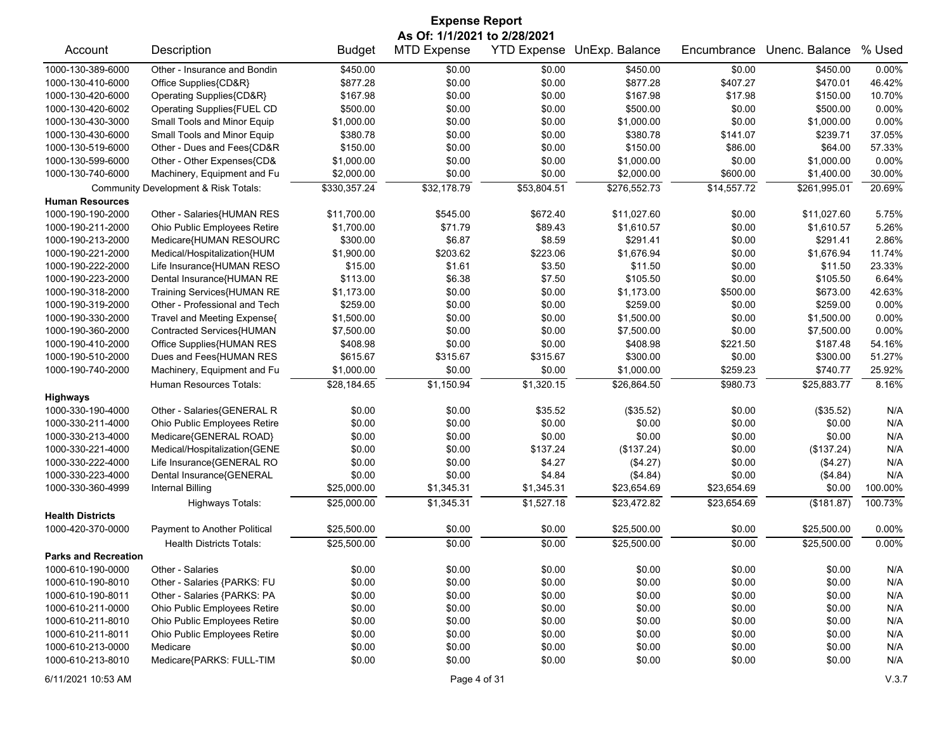| <b>Expense Report</b>       |                                      |               |                              |                    |                |             |                |         |  |
|-----------------------------|--------------------------------------|---------------|------------------------------|--------------------|----------------|-------------|----------------|---------|--|
|                             |                                      |               | As Of: 1/1/2021 to 2/28/2021 |                    |                |             |                |         |  |
| Account                     | Description                          | <b>Budget</b> | <b>MTD Expense</b>           | <b>YTD Expense</b> | UnExp. Balance | Encumbrance | Unenc. Balance | % Used  |  |
| 1000-130-389-6000           | Other - Insurance and Bondin         | \$450.00      | \$0.00                       | \$0.00             | \$450.00       | \$0.00      | \$450.00       | 0.00%   |  |
| 1000-130-410-6000           | Office Supplies{CD&R}                | \$877.28      | \$0.00                       | \$0.00             | \$877.28       | \$407.27    | \$470.01       | 46.42%  |  |
| 1000-130-420-6000           | Operating Supplies{CD&R}             | \$167.98      | \$0.00                       | \$0.00             | \$167.98       | \$17.98     | \$150.00       | 10.70%  |  |
| 1000-130-420-6002           | Operating Supplies{FUEL CD           | \$500.00      | \$0.00                       | \$0.00             | \$500.00       | \$0.00      | \$500.00       | 0.00%   |  |
| 1000-130-430-3000           | Small Tools and Minor Equip          | \$1,000.00    | \$0.00                       | \$0.00             | \$1,000.00     | \$0.00      | \$1,000.00     | 0.00%   |  |
| 1000-130-430-6000           | Small Tools and Minor Equip          | \$380.78      | \$0.00                       | \$0.00             | \$380.78       | \$141.07    | \$239.71       | 37.05%  |  |
| 1000-130-519-6000           | Other - Dues and Fees{CD&R           | \$150.00      | \$0.00                       | \$0.00             | \$150.00       | \$86.00     | \$64.00        | 57.33%  |  |
| 1000-130-599-6000           | Other - Other Expenses{CD&           | \$1,000.00    | \$0.00                       | \$0.00             | \$1,000.00     | \$0.00      | \$1,000.00     | 0.00%   |  |
| 1000-130-740-6000           | Machinery, Equipment and Fu          | \$2,000.00    | \$0.00                       | \$0.00             | \$2,000.00     | \$600.00    | \$1,400.00     | 30.00%  |  |
|                             | Community Development & Risk Totals: | \$330,357.24  | \$32,178.79                  | \$53,804.51        | \$276,552.73   | \$14,557.72 | \$261,995.01   | 20.69%  |  |
| <b>Human Resources</b>      |                                      |               |                              |                    |                |             |                |         |  |
| 1000-190-190-2000           | Other - Salaries{HUMAN RES           | \$11,700.00   | \$545.00                     | \$672.40           | \$11,027.60    | \$0.00      | \$11,027.60    | 5.75%   |  |
| 1000-190-211-2000           | Ohio Public Employees Retire         | \$1,700.00    | \$71.79                      | \$89.43            | \$1,610.57     | \$0.00      | \$1,610.57     | 5.26%   |  |
| 1000-190-213-2000           | Medicare{HUMAN RESOURC               | \$300.00      | \$6.87                       | \$8.59             | \$291.41       | \$0.00      | \$291.41       | 2.86%   |  |
| 1000-190-221-2000           | Medical/Hospitalization{HUM          | \$1,900.00    | \$203.62                     | \$223.06           | \$1.676.94     | \$0.00      | \$1,676.94     | 11.74%  |  |
| 1000-190-222-2000           | Life Insurance{HUMAN RESO            | \$15.00       | \$1.61                       | \$3.50             | \$11.50        | \$0.00      | \$11.50        | 23.33%  |  |
| 1000-190-223-2000           | Dental Insurance{HUMAN RE            | \$113.00      | \$6.38                       | \$7.50             | \$105.50       | \$0.00      | \$105.50       | 6.64%   |  |
| 1000-190-318-2000           | Training Services{HUMAN RE           | \$1,173.00    | \$0.00                       | \$0.00             | \$1,173.00     | \$500.00    | \$673.00       | 42.63%  |  |
| 1000-190-319-2000           | Other - Professional and Tech        | \$259.00      | \$0.00                       | \$0.00             | \$259.00       | \$0.00      | \$259.00       | 0.00%   |  |
| 1000-190-330-2000           | Travel and Meeting Expense{          | \$1,500.00    | \$0.00                       | \$0.00             | \$1,500.00     | \$0.00      | \$1,500.00     | 0.00%   |  |
| 1000-190-360-2000           | Contracted Services{HUMAN            | \$7,500.00    | \$0.00                       | \$0.00             | \$7,500.00     | \$0.00      | \$7,500.00     | 0.00%   |  |
| 1000-190-410-2000           | Office Supplies{HUMAN RES            | \$408.98      | \$0.00                       | \$0.00             | \$408.98       | \$221.50    | \$187.48       | 54.16%  |  |
| 1000-190-510-2000           | Dues and Fees{HUMAN RES              | \$615.67      | \$315.67                     | \$315.67           | \$300.00       | \$0.00      | \$300.00       | 51.27%  |  |
| 1000-190-740-2000           | Machinery, Equipment and Fu          | \$1,000.00    | \$0.00                       | \$0.00             | \$1,000.00     | \$259.23    | \$740.77       | 25.92%  |  |
|                             | Human Resources Totals:              | \$28,184.65   | \$1,150.94                   | \$1,320.15         | \$26,864.50    | \$980.73    | \$25,883.77    | 8.16%   |  |
| <b>Highways</b>             |                                      |               |                              |                    |                |             |                |         |  |
| 1000-330-190-4000           | Other - Salaries{GENERAL R           | \$0.00        | \$0.00                       | \$35.52            | (\$35.52)      | \$0.00      | (\$35.52)      | N/A     |  |
| 1000-330-211-4000           | Ohio Public Employees Retire         | \$0.00        | \$0.00                       | \$0.00             | \$0.00         | \$0.00      | \$0.00         | N/A     |  |
| 1000-330-213-4000           | Medicare{GENERAL ROAD}               | \$0.00        | \$0.00                       | \$0.00             | \$0.00         | \$0.00      | \$0.00         | N/A     |  |
| 1000-330-221-4000           | Medical/Hospitalization{GENE         | \$0.00        | \$0.00                       | \$137.24           | (\$137.24)     | \$0.00      | (\$137.24)     | N/A     |  |
| 1000-330-222-4000           | Life Insurance{GENERAL RO            | \$0.00        | \$0.00                       | \$4.27             | (\$4.27)       | \$0.00      | (\$4.27)       | N/A     |  |
| 1000-330-223-4000           | Dental Insurance{GENERAL             | \$0.00        | \$0.00                       | \$4.84             | (\$4.84)       | \$0.00      | (\$4.84)       | N/A     |  |
| 1000-330-360-4999           | <b>Internal Billing</b>              | \$25,000.00   | \$1,345.31                   | \$1,345.31         | \$23,654.69    | \$23,654.69 | \$0.00         | 100.00% |  |
|                             | Highways Totals:                     | \$25,000.00   | \$1,345.31                   | \$1,527.18         | \$23,472.82    | \$23,654.69 | (\$181.87)     | 100.73% |  |
| <b>Health Districts</b>     |                                      |               |                              |                    |                |             |                |         |  |
| 1000-420-370-0000           | Payment to Another Political         | \$25,500.00   | \$0.00                       | \$0.00             | \$25,500.00    | \$0.00      | \$25,500.00    | 0.00%   |  |
|                             | <b>Health Districts Totals:</b>      | \$25,500.00   | \$0.00                       | \$0.00             | \$25,500.00    | \$0.00      | \$25,500.00    | 0.00%   |  |
| <b>Parks and Recreation</b> |                                      |               |                              |                    |                |             |                |         |  |
| 1000-610-190-0000           | Other - Salaries                     | \$0.00        | \$0.00                       | \$0.00             | \$0.00         | \$0.00      | \$0.00         | N/A     |  |
| 1000-610-190-8010           | Other - Salaries {PARKS: FU          | \$0.00        | \$0.00                       | \$0.00             | \$0.00         | \$0.00      | \$0.00         | N/A     |  |
| 1000-610-190-8011           | Other - Salaries {PARKS: PA          | \$0.00        | \$0.00                       | \$0.00             | \$0.00         | \$0.00      | \$0.00         | N/A     |  |
| 1000-610-211-0000           | Ohio Public Employees Retire         | \$0.00        | \$0.00                       | \$0.00             | \$0.00         | \$0.00      | \$0.00         | N/A     |  |
| 1000-610-211-8010           | Ohio Public Employees Retire         | \$0.00        | \$0.00                       | \$0.00             | \$0.00         | \$0.00      | \$0.00         | N/A     |  |
| 1000-610-211-8011           | Ohio Public Employees Retire         | \$0.00        | \$0.00                       | \$0.00             | \$0.00         | \$0.00      | \$0.00         | N/A     |  |
| 1000-610-213-0000           | Medicare                             | \$0.00        | \$0.00                       | \$0.00             | \$0.00         | \$0.00      | \$0.00         | N/A     |  |
| 1000-610-213-8010           | Medicare{PARKS: FULL-TIM             | \$0.00        | \$0.00                       | \$0.00             | \$0.00         | \$0.00      | \$0.00         | N/A     |  |
| 6/11/2021 10:53 AM          |                                      |               | Page 4 of 31                 |                    |                |             |                | V.3.7   |  |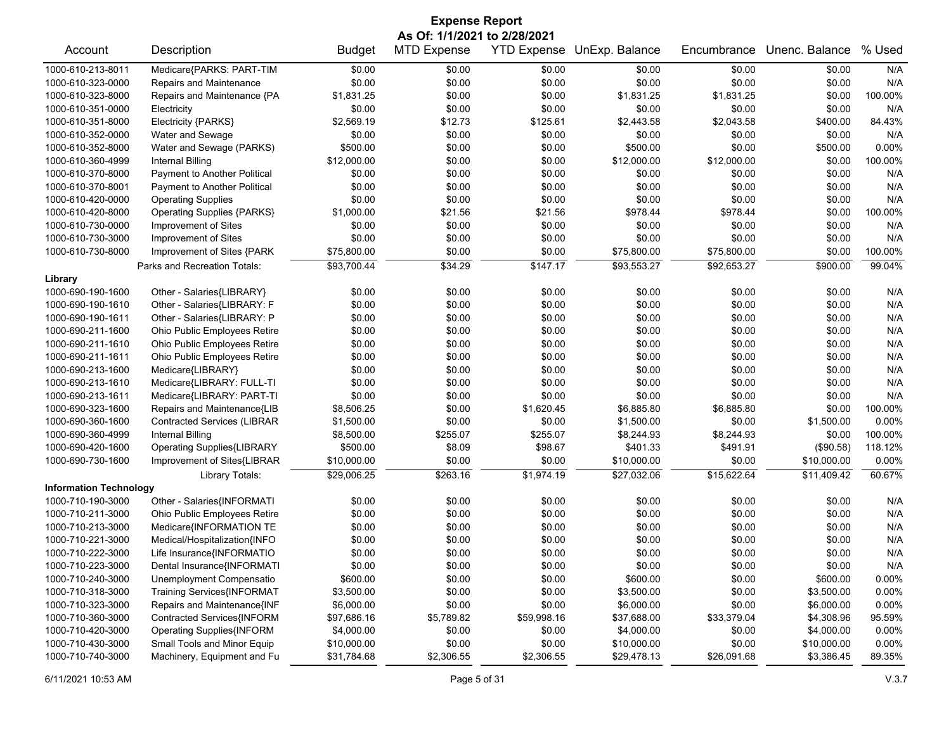| <b>Expense Report</b>         |                                    |               |                    |             |                            |             |                |         |  |  |
|-------------------------------|------------------------------------|---------------|--------------------|-------------|----------------------------|-------------|----------------|---------|--|--|
|                               | As Of: 1/1/2021 to 2/28/2021       |               |                    |             |                            |             |                |         |  |  |
| Account                       | Description                        | <b>Budget</b> | <b>MTD Expense</b> |             | YTD Expense UnExp. Balance | Encumbrance | Unenc. Balance | % Used  |  |  |
| 1000-610-213-8011             | Medicare{PARKS: PART-TIM           | \$0.00        | \$0.00             | \$0.00      | \$0.00                     | \$0.00      | \$0.00         | N/A     |  |  |
| 1000-610-323-0000             | Repairs and Maintenance            | \$0.00        | \$0.00             | \$0.00      | \$0.00                     | \$0.00      | \$0.00         | N/A     |  |  |
| 1000-610-323-8000             | Repairs and Maintenance {PA        | \$1,831.25    | \$0.00             | \$0.00      | \$1,831.25                 | \$1,831.25  | \$0.00         | 100.00% |  |  |
| 1000-610-351-0000             | Electricity                        | \$0.00        | \$0.00             | \$0.00      | \$0.00                     | \$0.00      | \$0.00         | N/A     |  |  |
| 1000-610-351-8000             | Electricity {PARKS}                | \$2,569.19    | \$12.73            | \$125.61    | \$2,443.58                 | \$2,043.58  | \$400.00       | 84.43%  |  |  |
| 1000-610-352-0000             | Water and Sewage                   | \$0.00        | \$0.00             | \$0.00      | \$0.00                     | \$0.00      | \$0.00         | N/A     |  |  |
| 1000-610-352-8000             | Water and Sewage (PARKS)           | \$500.00      | \$0.00             | \$0.00      | \$500.00                   | \$0.00      | \$500.00       | 0.00%   |  |  |
| 1000-610-360-4999             | <b>Internal Billing</b>            | \$12,000.00   | \$0.00             | \$0.00      | \$12,000.00                | \$12,000.00 | \$0.00         | 100.00% |  |  |
| 1000-610-370-8000             | Payment to Another Political       | \$0.00        | \$0.00             | \$0.00      | \$0.00                     | \$0.00      | \$0.00         | N/A     |  |  |
| 1000-610-370-8001             | Payment to Another Political       | \$0.00        | \$0.00             | \$0.00      | \$0.00                     | \$0.00      | \$0.00         | N/A     |  |  |
| 1000-610-420-0000             | <b>Operating Supplies</b>          | \$0.00        | \$0.00             | \$0.00      | \$0.00                     | \$0.00      | \$0.00         | N/A     |  |  |
| 1000-610-420-8000             | <b>Operating Supplies {PARKS}</b>  | \$1,000.00    | \$21.56            | \$21.56     | \$978.44                   | \$978.44    | \$0.00         | 100.00% |  |  |
| 1000-610-730-0000             | Improvement of Sites               | \$0.00        | \$0.00             | \$0.00      | \$0.00                     | \$0.00      | \$0.00         | N/A     |  |  |
| 1000-610-730-3000             | Improvement of Sites               | \$0.00        | \$0.00             | \$0.00      | \$0.00                     | \$0.00      | \$0.00         | N/A     |  |  |
| 1000-610-730-8000             | Improvement of Sites {PARK         | \$75,800.00   | \$0.00             | \$0.00      | \$75,800.00                | \$75,800.00 | \$0.00         | 100.00% |  |  |
|                               | Parks and Recreation Totals:       | \$93,700.44   | \$34.29            | \$147.17    | \$93,553.27                | \$92,653.27 | \$900.00       | 99.04%  |  |  |
| Library                       |                                    |               |                    |             |                            |             |                |         |  |  |
| 1000-690-190-1600             | Other - Salaries{LIBRARY}          | \$0.00        | \$0.00             | \$0.00      | \$0.00                     | \$0.00      | \$0.00         | N/A     |  |  |
| 1000-690-190-1610             | Other - Salaries{LIBRARY: F        | \$0.00        | \$0.00             | \$0.00      | \$0.00                     | \$0.00      | \$0.00         | N/A     |  |  |
| 1000-690-190-1611             | Other - Salaries{LIBRARY: P        | \$0.00        | \$0.00             | \$0.00      | \$0.00                     | \$0.00      | \$0.00         | N/A     |  |  |
| 1000-690-211-1600             | Ohio Public Employees Retire       | \$0.00        | \$0.00             | \$0.00      | \$0.00                     | \$0.00      | \$0.00         | N/A     |  |  |
| 1000-690-211-1610             | Ohio Public Employees Retire       | \$0.00        | \$0.00             | \$0.00      | \$0.00                     | \$0.00      | \$0.00         | N/A     |  |  |
| 1000-690-211-1611             | Ohio Public Employees Retire       | \$0.00        | \$0.00             | \$0.00      | \$0.00                     | \$0.00      | \$0.00         | N/A     |  |  |
| 1000-690-213-1600             | Medicare{LIBRARY}                  | \$0.00        | \$0.00             | \$0.00      | \$0.00                     | \$0.00      | \$0.00         | N/A     |  |  |
| 1000-690-213-1610             | Medicare{LIBRARY: FULL-TI          | \$0.00        | \$0.00             | \$0.00      | \$0.00                     | \$0.00      | \$0.00         | N/A     |  |  |
| 1000-690-213-1611             | Medicare{LIBRARY: PART-TI          | \$0.00        | \$0.00             | \$0.00      | \$0.00                     | \$0.00      | \$0.00         | N/A     |  |  |
| 1000-690-323-1600             | Repairs and Maintenance{LIB        | \$8,506.25    | \$0.00             | \$1,620.45  | \$6,885.80                 | \$6,885.80  | \$0.00         | 100.00% |  |  |
| 1000-690-360-1600             | <b>Contracted Services (LIBRAR</b> | \$1,500.00    | \$0.00             | \$0.00      | \$1,500.00                 | \$0.00      | \$1,500.00     | 0.00%   |  |  |
| 1000-690-360-4999             | <b>Internal Billing</b>            | \$8,500.00    | \$255.07           | \$255.07    | \$8,244.93                 | \$8,244.93  | \$0.00         | 100.00% |  |  |
| 1000-690-420-1600             | <b>Operating Supplies{LIBRARY</b>  | \$500.00      | \$8.09             | \$98.67     | \$401.33                   | \$491.91    | (\$90.58)      | 118.12% |  |  |
| 1000-690-730-1600             | Improvement of Sites{LIBRAR        | \$10,000.00   | \$0.00             | \$0.00      | \$10,000.00                | \$0.00      | \$10,000.00    | 0.00%   |  |  |
|                               | Library Totals:                    | \$29,006.25   | \$263.16           | \$1,974.19  | \$27,032.06                | \$15,622.64 | \$11,409.42    | 60.67%  |  |  |
| <b>Information Technology</b> |                                    |               |                    |             |                            |             |                |         |  |  |
| 1000-710-190-3000             | Other - Salaries{INFORMATI         | \$0.00        | \$0.00             | \$0.00      | \$0.00                     | \$0.00      | \$0.00         | N/A     |  |  |
| 1000-710-211-3000             | Ohio Public Employees Retire       | \$0.00        | \$0.00             | \$0.00      | \$0.00                     | \$0.00      | \$0.00         | N/A     |  |  |
| 1000-710-213-3000             | Medicare{INFORMATION TE            | \$0.00        | \$0.00             | \$0.00      | \$0.00                     | \$0.00      | \$0.00         | N/A     |  |  |
| 1000-710-221-3000             | Medical/Hospitalization{INFO       | \$0.00        | \$0.00             | \$0.00      | \$0.00                     | \$0.00      | \$0.00         | N/A     |  |  |
| 1000-710-222-3000             | Life Insurance{INFORMATIO          | \$0.00        | \$0.00             | \$0.00      | \$0.00                     | \$0.00      | \$0.00         | N/A     |  |  |
| 1000-710-223-3000             | Dental Insurance{INFORMATI         | \$0.00        | \$0.00             | \$0.00      | \$0.00                     | \$0.00      | \$0.00         | N/A     |  |  |
| 1000-710-240-3000             | Unemployment Compensatio           | \$600.00      | \$0.00             | \$0.00      | \$600.00                   | \$0.00      | \$600.00       | 0.00%   |  |  |
| 1000-710-318-3000             | Training Services{INFORMAT         | \$3,500.00    | \$0.00             | \$0.00      | \$3,500.00                 | \$0.00      | \$3,500.00     | 0.00%   |  |  |
| 1000-710-323-3000             | Repairs and Maintenance{INF        | \$6,000.00    | \$0.00             | \$0.00      | \$6,000.00                 | \$0.00      | \$6,000.00     | 0.00%   |  |  |
| 1000-710-360-3000             | Contracted Services{INFORM         | \$97,686.16   | \$5,789.82         | \$59,998.16 | \$37,688.00                | \$33,379.04 | \$4,308.96     | 95.59%  |  |  |
| 1000-710-420-3000             | <b>Operating Supplies{INFORM</b>   | \$4,000.00    | \$0.00             | \$0.00      | \$4,000.00                 | \$0.00      | \$4,000.00     | 0.00%   |  |  |
| 1000-710-430-3000             | Small Tools and Minor Equip        | \$10,000.00   | \$0.00             | \$0.00      | \$10,000.00                | \$0.00      | \$10,000.00    | 0.00%   |  |  |
| 1000-710-740-3000             | Machinery, Equipment and Fu        | \$31,784.68   | \$2,306.55         | \$2,306.55  | \$29,478.13                | \$26,091.68 | \$3,386.45     | 89.35%  |  |  |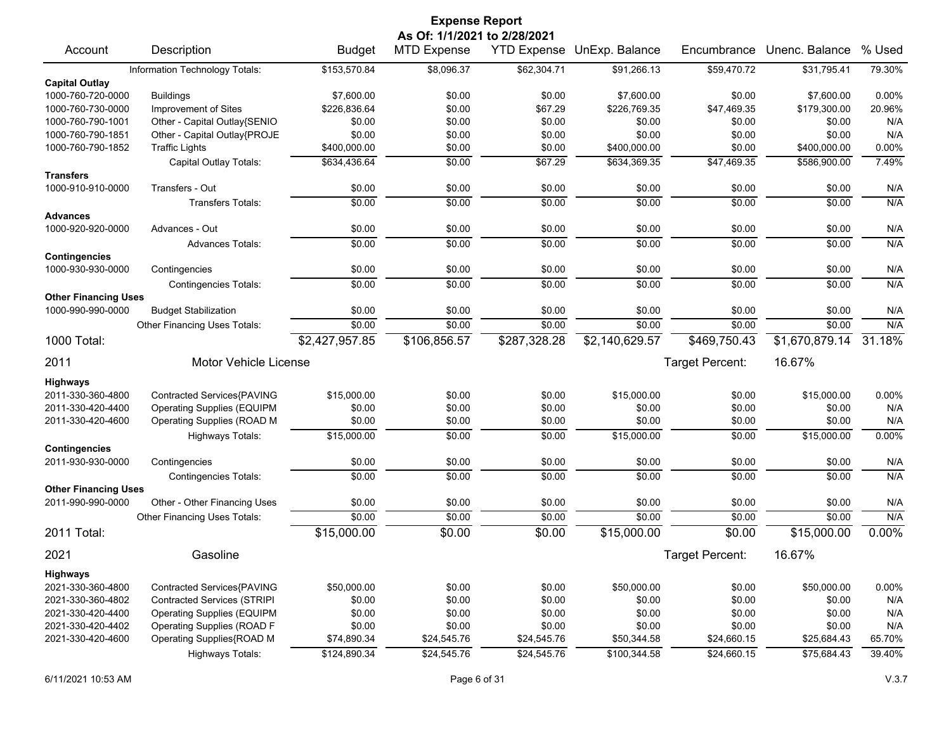| <b>Expense Report</b>                |                                    |                |                              |              |                            |                 |                |          |  |  |
|--------------------------------------|------------------------------------|----------------|------------------------------|--------------|----------------------------|-----------------|----------------|----------|--|--|
|                                      |                                    |                | As Of: 1/1/2021 to 2/28/2021 |              |                            |                 |                |          |  |  |
| Account                              | Description                        | <b>Budget</b>  | <b>MTD Expense</b>           |              | YTD Expense UnExp. Balance | Encumbrance     | Unenc. Balance | % Used   |  |  |
|                                      | Information Technology Totals:     | \$153,570.84   | \$8,096.37                   | \$62,304.71  | \$91,266.13                | \$59,470.72     | \$31,795.41    | 79.30%   |  |  |
| <b>Capital Outlay</b>                |                                    |                |                              |              |                            |                 |                |          |  |  |
| 1000-760-720-0000                    | <b>Buildings</b>                   | \$7,600.00     | \$0.00                       | \$0.00       | \$7,600.00                 | \$0.00          | \$7,600.00     | 0.00%    |  |  |
| 1000-760-730-0000                    | Improvement of Sites               | \$226,836.64   | \$0.00                       | \$67.29      | \$226,769.35               | \$47,469.35     | \$179,300.00   | 20.96%   |  |  |
| 1000-760-790-1001                    | Other - Capital Outlay{SENIO       | \$0.00         | \$0.00                       | \$0.00       | \$0.00                     | \$0.00          | \$0.00         | N/A      |  |  |
| 1000-760-790-1851                    | Other - Capital Outlay{PROJE       | \$0.00         | \$0.00                       | \$0.00       | \$0.00                     | \$0.00          | \$0.00         | N/A      |  |  |
| 1000-760-790-1852                    | <b>Traffic Lights</b>              | \$400,000.00   | \$0.00                       | \$0.00       | \$400,000.00               | \$0.00          | \$400,000.00   | 0.00%    |  |  |
|                                      | Capital Outlay Totals:             | \$634,436.64   | \$0.00                       | \$67.29      | \$634,369.35               | \$47,469.35     | \$586,900.00   | 7.49%    |  |  |
| <b>Transfers</b>                     |                                    |                |                              |              |                            |                 |                |          |  |  |
| 1000-910-910-0000                    | Transfers - Out                    | \$0.00         | \$0.00                       | \$0.00       | \$0.00                     | \$0.00          | \$0.00         | N/A      |  |  |
|                                      | <b>Transfers Totals:</b>           | \$0.00         | \$0.00                       | \$0.00       | \$0.00                     | \$0.00          | \$0.00         | N/A      |  |  |
| <b>Advances</b><br>1000-920-920-0000 | Advances - Out                     | \$0.00         | \$0.00                       | \$0.00       | \$0.00                     | \$0.00          | \$0.00         | N/A      |  |  |
|                                      | <b>Advances Totals:</b>            | \$0.00         | \$0.00                       | \$0.00       | \$0.00                     | \$0.00          | \$0.00         | N/A      |  |  |
| <b>Contingencies</b>                 |                                    |                |                              |              |                            |                 |                |          |  |  |
| 1000-930-930-0000                    | Contingencies                      | \$0.00         | \$0.00                       | \$0.00       | \$0.00                     | \$0.00          | \$0.00         | N/A      |  |  |
|                                      | <b>Contingencies Totals:</b>       | \$0.00         | \$0.00                       | \$0.00       | \$0.00                     | \$0.00          | \$0.00         | N/A      |  |  |
| <b>Other Financing Uses</b>          |                                    |                |                              |              |                            |                 |                |          |  |  |
| 1000-990-990-0000                    | <b>Budget Stabilization</b>        | \$0.00         | \$0.00                       | \$0.00       | \$0.00                     | \$0.00          | \$0.00         | N/A      |  |  |
|                                      | Other Financing Uses Totals:       | \$0.00         | \$0.00                       | \$0.00       | \$0.00                     | \$0.00          | \$0.00         | N/A      |  |  |
| 1000 Total:                          |                                    | \$2,427,957.85 | \$106,856.57                 | \$287,328.28 | \$2,140,629.57             | \$469,750.43    | \$1,670,879.14 | 31.18%   |  |  |
| 2011                                 | <b>Motor Vehicle License</b>       |                |                              |              |                            | Target Percent: | 16.67%         |          |  |  |
| <b>Highways</b>                      |                                    |                |                              |              |                            |                 |                |          |  |  |
| 2011-330-360-4800                    | Contracted Services{PAVING         | \$15,000.00    | \$0.00                       | \$0.00       | \$15,000.00                | \$0.00          | \$15,000.00    | 0.00%    |  |  |
| 2011-330-420-4400                    | <b>Operating Supplies (EQUIPM</b>  | \$0.00         | \$0.00                       | \$0.00       | \$0.00                     | \$0.00          | \$0.00         | N/A      |  |  |
| 2011-330-420-4600                    | Operating Supplies (ROAD M         | \$0.00         | \$0.00                       | \$0.00       | \$0.00                     | \$0.00          | \$0.00         | N/A      |  |  |
|                                      | <b>Highways Totals:</b>            | \$15,000.00    | \$0.00                       | \$0.00       | \$15,000.00                | \$0.00          | \$15,000.00    | 0.00%    |  |  |
| <b>Contingencies</b>                 |                                    |                |                              |              |                            |                 |                |          |  |  |
| 2011-930-930-0000                    | Contingencies                      | \$0.00         | \$0.00                       | \$0.00       | \$0.00                     | \$0.00          | \$0.00         | N/A      |  |  |
|                                      | <b>Contingencies Totals:</b>       | \$0.00         | \$0.00                       | \$0.00       | \$0.00                     | \$0.00          | \$0.00         | N/A      |  |  |
| <b>Other Financing Uses</b>          |                                    |                |                              |              |                            |                 |                |          |  |  |
| 2011-990-990-0000                    | Other - Other Financing Uses       | \$0.00         | \$0.00                       | \$0.00       | \$0.00                     | \$0.00          | \$0.00         | N/A      |  |  |
|                                      | Other Financing Uses Totals:       | \$0.00         | \$0.00                       | \$0.00       | \$0.00                     | \$0.00          | \$0.00         | N/A      |  |  |
| 2011 Total:                          |                                    | \$15,000.00    | \$0.00                       | \$0.00       | \$15,000.00                | \$0.00          | \$15,000.00    | $0.00\%$ |  |  |
| 2021                                 | Gasoline                           |                |                              |              |                            | Target Percent: | 16.67%         |          |  |  |
| <b>Highways</b>                      |                                    |                |                              |              |                            |                 |                |          |  |  |
| 2021-330-360-4800                    | Contracted Services{PAVING         | \$50,000.00    | \$0.00                       | \$0.00       | \$50,000.00                | \$0.00          | \$50,000.00    | 0.00%    |  |  |
| 2021-330-360-4802                    | <b>Contracted Services (STRIPI</b> | \$0.00         | \$0.00                       | \$0.00       | \$0.00                     | \$0.00          | \$0.00         | N/A      |  |  |
| 2021-330-420-4400                    | <b>Operating Supplies (EQUIPM</b>  | \$0.00         | \$0.00                       | \$0.00       | \$0.00                     | \$0.00          | \$0.00         | N/A      |  |  |
| 2021-330-420-4402                    | <b>Operating Supplies (ROAD F</b>  | \$0.00         | \$0.00                       | \$0.00       | \$0.00                     | \$0.00          | \$0.00         | N/A      |  |  |
| 2021-330-420-4600                    | Operating Supplies{ROAD M          | \$74,890.34    | \$24,545.76                  | \$24,545.76  | \$50,344.58                | \$24,660.15     | \$25,684.43    | 65.70%   |  |  |
|                                      | Highways Totals:                   | \$124,890.34   | \$24,545.76                  | \$24,545.76  | \$100,344.58               | \$24,660.15     | \$75,684.43    | 39.40%   |  |  |
|                                      |                                    |                |                              |              |                            |                 |                |          |  |  |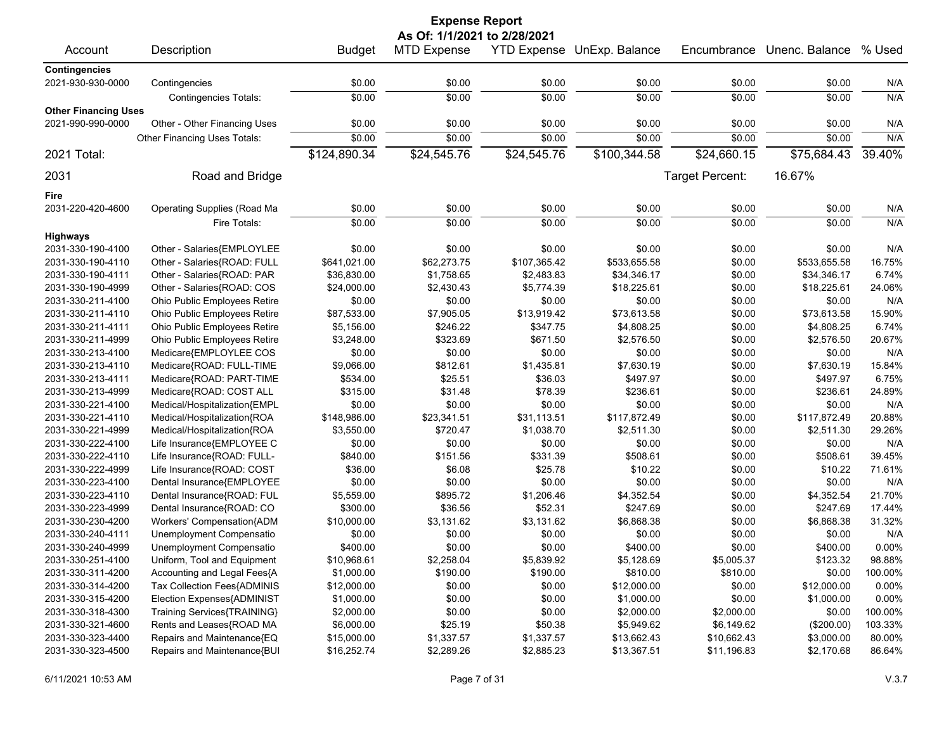| <b>Expense Report</b>       |                                    |               |                              |              |                            |                 |                |               |  |  |
|-----------------------------|------------------------------------|---------------|------------------------------|--------------|----------------------------|-----------------|----------------|---------------|--|--|
|                             |                                    |               | As Of: 1/1/2021 to 2/28/2021 |              |                            |                 |                |               |  |  |
| Account                     | Description                        | <b>Budget</b> | <b>MTD Expense</b>           |              | YTD Expense UnExp. Balance | Encumbrance     | Unenc. Balance | % Used        |  |  |
| <b>Contingencies</b>        |                                    |               |                              |              |                            |                 |                |               |  |  |
| 2021-930-930-0000           | Contingencies                      | \$0.00        | \$0.00                       | \$0.00       | \$0.00                     | \$0.00          | \$0.00         | N/A           |  |  |
|                             | Contingencies Totals:              | \$0.00        | \$0.00                       | \$0.00       | \$0.00                     | \$0.00          | \$0.00         | N/A           |  |  |
| <b>Other Financing Uses</b> |                                    |               |                              |              |                            |                 |                |               |  |  |
| 2021-990-990-0000           | Other - Other Financing Uses       | \$0.00        | \$0.00                       | \$0.00       | \$0.00                     | \$0.00          | \$0.00         | N/A           |  |  |
|                             | Other Financing Uses Totals:       | \$0.00        | \$0.00                       | \$0.00       | \$0.00                     | \$0.00          | \$0.00         | N/A           |  |  |
| 2021 Total:                 |                                    | \$124,890.34  | \$24,545.76                  | \$24,545.76  | \$100,344.58               | \$24,660.15     | \$75,684.43    | 39.40%        |  |  |
| 2031                        | Road and Bridge                    |               |                              |              |                            | Target Percent: | 16.67%         |               |  |  |
| Fire                        |                                    |               |                              |              |                            |                 |                |               |  |  |
| 2031-220-420-4600           | <b>Operating Supplies (Road Ma</b> | \$0.00        | \$0.00                       | \$0.00       | \$0.00                     | \$0.00          | \$0.00         | N/A           |  |  |
|                             | Fire Totals:                       | \$0.00        | \$0.00                       | \$0.00       | \$0.00                     | \$0.00          | \$0.00         | N/A           |  |  |
| <b>Highways</b>             |                                    |               |                              |              |                            |                 |                |               |  |  |
| 2031-330-190-4100           | Other - Salaries{EMPLOYLEE         | \$0.00        | \$0.00                       | \$0.00       | \$0.00                     | \$0.00          | \$0.00         | N/A           |  |  |
| 2031-330-190-4110           | Other - Salaries{ROAD: FULL        | \$641,021.00  | \$62,273.75                  | \$107,365.42 | \$533,655.58               | \$0.00          | \$533,655.58   | 16.75%        |  |  |
| 2031-330-190-4111           | Other - Salaries{ROAD: PAR         | \$36,830.00   | \$1,758.65                   | \$2,483.83   | \$34,346.17                | \$0.00          | \$34,346.17    | 6.74%         |  |  |
|                             |                                    |               | \$2,430.43                   |              |                            |                 |                |               |  |  |
| 2031-330-190-4999           | Other - Salaries{ROAD: COS         | \$24,000.00   |                              | \$5,774.39   | \$18,225.61                | \$0.00          | \$18,225.61    | 24.06%<br>N/A |  |  |
| 2031-330-211-4100           | Ohio Public Employees Retire       | \$0.00        | \$0.00                       | \$0.00       | \$0.00                     | \$0.00          | \$0.00         |               |  |  |
| 2031-330-211-4110           | Ohio Public Employees Retire       | \$87,533.00   | \$7,905.05                   | \$13,919.42  | \$73,613.58                | \$0.00          | \$73,613.58    | 15.90%        |  |  |
| 2031-330-211-4111           | Ohio Public Employees Retire       | \$5,156.00    | \$246.22                     | \$347.75     | \$4,808.25                 | \$0.00          | \$4,808.25     | 6.74%         |  |  |
| 2031-330-211-4999           | Ohio Public Employees Retire       | \$3,248.00    | \$323.69                     | \$671.50     | \$2,576.50                 | \$0.00          | \$2,576.50     | 20.67%        |  |  |
| 2031-330-213-4100           | Medicare{EMPLOYLEE COS             | \$0.00        | \$0.00                       | \$0.00       | \$0.00                     | \$0.00          | \$0.00         | N/A           |  |  |
| 2031-330-213-4110           | Medicare{ROAD: FULL-TIME           | \$9,066.00    | \$812.61                     | \$1,435.81   | \$7,630.19                 | \$0.00          | \$7,630.19     | 15.84%        |  |  |
| 2031-330-213-4111           | Medicare{ROAD: PART-TIME           | \$534.00      | \$25.51                      | \$36.03      | \$497.97                   | \$0.00          | \$497.97       | 6.75%         |  |  |
| 2031-330-213-4999           | Medicare{ROAD: COST ALL            | \$315.00      | \$31.48                      | \$78.39      | \$236.61                   | \$0.00          | \$236.61       | 24.89%        |  |  |
| 2031-330-221-4100           | Medical/Hospitalization{EMPL       | \$0.00        | \$0.00                       | \$0.00       | \$0.00                     | \$0.00          | \$0.00         | N/A           |  |  |
| 2031-330-221-4110           | Medical/Hospitalization{ROA        | \$148,986.00  | \$23,341.51                  | \$31,113.51  | \$117,872.49               | \$0.00          | \$117,872.49   | 20.88%        |  |  |
| 2031-330-221-4999           | Medical/Hospitalization{ROA        | \$3,550.00    | \$720.47                     | \$1,038.70   | \$2,511.30                 | \$0.00          | \$2,511.30     | 29.26%        |  |  |
| 2031-330-222-4100           | Life Insurance{EMPLOYEE C          | \$0.00        | \$0.00                       | \$0.00       | \$0.00                     | \$0.00          | \$0.00         | N/A           |  |  |
| 2031-330-222-4110           | Life Insurance{ROAD: FULL-         | \$840.00      | \$151.56                     | \$331.39     | \$508.61                   | \$0.00          | \$508.61       | 39.45%        |  |  |
| 2031-330-222-4999           | Life Insurance{ROAD: COST          | \$36.00       | \$6.08                       | \$25.78      | \$10.22                    | \$0.00          | \$10.22        | 71.61%        |  |  |
| 2031-330-223-4100           | Dental Insurance{EMPLOYEE          | \$0.00        | \$0.00                       | \$0.00       | \$0.00                     | \$0.00          | \$0.00         | N/A           |  |  |
| 2031-330-223-4110           | Dental Insurance{ROAD: FUL         | \$5,559.00    | \$895.72                     | \$1,206.46   | \$4,352.54                 | \$0.00          | \$4,352.54     | 21.70%        |  |  |
| 2031-330-223-4999           | Dental Insurance{ROAD: CO          | \$300.00      | \$36.56                      | \$52.31      | \$247.69                   | \$0.00          | \$247.69       | 17.44%        |  |  |
| 2031-330-230-4200           | Workers' Compensation{ADM          | \$10,000.00   | \$3,131.62                   | \$3,131.62   | \$6,868.38                 | \$0.00          | \$6,868.38     | 31.32%        |  |  |
| 2031-330-240-4111           | Unemployment Compensatio           | \$0.00        | \$0.00                       | \$0.00       | \$0.00                     | \$0.00          | \$0.00         | N/A           |  |  |
| 2031-330-240-4999           | Unemployment Compensatio           | \$400.00      | \$0.00                       | \$0.00       | \$400.00                   | \$0.00          | \$400.00       | 0.00%         |  |  |
| 2031-330-251-4100           | Uniform, Tool and Equipment        | \$10,968.61   | \$2,258.04                   | \$5,839.92   | \$5,128.69                 | \$5,005.37      | \$123.32       | 98.88%        |  |  |
| 2031-330-311-4200           | Accounting and Legal Fees{A        | \$1,000.00    | \$190.00                     | \$190.00     | \$810.00                   | \$810.00        | \$0.00         | 100.00%       |  |  |
| 2031-330-314-4200           | Tax Collection Fees{ADMINIS        | \$12,000.00   | \$0.00                       | \$0.00       | \$12,000.00                | \$0.00          | \$12,000.00    | 0.00%         |  |  |
| 2031-330-315-4200           | Election Expenses{ADMINIST         | \$1,000.00    | \$0.00                       | \$0.00       | \$1,000.00                 | \$0.00          | \$1,000.00     | 0.00%         |  |  |
| 2031-330-318-4300           | Training Services{TRAINING}        | \$2,000.00    | \$0.00                       | \$0.00       | \$2,000.00                 | \$2,000.00      | \$0.00         | 100.00%       |  |  |
| 2031-330-321-4600           | Rents and Leases{ROAD MA           | \$6,000.00    | \$25.19                      | \$50.38      | \$5,949.62                 | \$6,149.62      | (\$200.00)     | 103.33%       |  |  |
| 2031-330-323-4400           | Repairs and Maintenance{EQ         | \$15,000.00   | \$1,337.57                   | \$1,337.57   | \$13,662.43                | \$10,662.43     | \$3,000.00     | 80.00%        |  |  |
| 2031-330-323-4500           | Repairs and Maintenance{BUI        | \$16,252.74   | \$2,289.26                   | \$2,885.23   | \$13,367.51                | \$11,196.83     | \$2,170.68     | 86.64%        |  |  |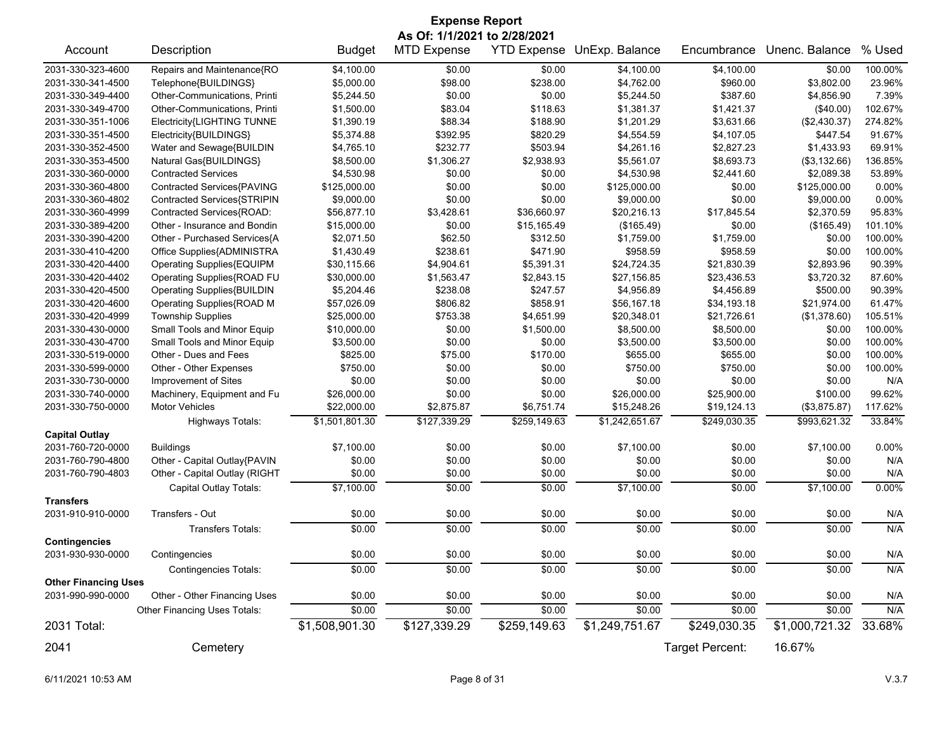| <b>Expense Report</b>       |                                   |                |                              |              |                            |                 |                |          |  |
|-----------------------------|-----------------------------------|----------------|------------------------------|--------------|----------------------------|-----------------|----------------|----------|--|
|                             |                                   |                | As Of: 1/1/2021 to 2/28/2021 |              |                            |                 |                |          |  |
| Account                     | Description                       | <b>Budget</b>  | <b>MTD Expense</b>           |              | YTD Expense UnExp. Balance | Encumbrance     | Unenc. Balance | % Used   |  |
| 2031-330-323-4600           | Repairs and Maintenance{RO        | \$4,100.00     | \$0.00                       | \$0.00       | \$4,100.00                 | \$4,100.00      | \$0.00         | 100.00%  |  |
| 2031-330-341-4500           | Telephone{BUILDINGS}              | \$5,000.00     | \$98.00                      | \$238.00     | \$4,762.00                 | \$960.00        | \$3,802.00     | 23.96%   |  |
| 2031-330-349-4400           | Other-Communications, Printi      | \$5,244.50     | \$0.00                       | \$0.00       | \$5,244.50                 | \$387.60        | \$4,856.90     | 7.39%    |  |
| 2031-330-349-4700           | Other-Communications, Printi      | \$1,500.00     | \$83.04                      | \$118.63     | \$1,381.37                 | \$1,421.37      | (\$40.00)      | 102.67%  |  |
| 2031-330-351-1006           | Electricity{LIGHTING TUNNE        | \$1,390.19     | \$88.34                      | \$188.90     | \$1,201.29                 | \$3,631.66      | (\$2,430.37)   | 274.82%  |  |
| 2031-330-351-4500           | Electricity{BUILDINGS}            | \$5,374.88     | \$392.95                     | \$820.29     | \$4,554.59                 | \$4,107.05      | \$447.54       | 91.67%   |  |
| 2031-330-352-4500           | Water and Sewage{BUILDIN          | \$4,765.10     | \$232.77                     | \$503.94     | \$4,261.16                 | \$2,827.23      | \$1,433.93     | 69.91%   |  |
| 2031-330-353-4500           | Natural Gas{BUILDINGS}            | \$8,500.00     | \$1,306.27                   | \$2,938.93   | \$5,561.07                 | \$8,693.73      | (\$3,132.66)   | 136.85%  |  |
| 2031-330-360-0000           | <b>Contracted Services</b>        | \$4,530.98     | \$0.00                       | \$0.00       | \$4,530.98                 | \$2,441.60      | \$2,089.38     | 53.89%   |  |
| 2031-330-360-4800           | Contracted Services{PAVING        | \$125,000.00   | \$0.00                       | \$0.00       | \$125,000.00               | \$0.00          | \$125,000.00   | $0.00\%$ |  |
| 2031-330-360-4802           | Contracted Services{STRIPIN       | \$9,000.00     | \$0.00                       | \$0.00       | \$9,000.00                 | \$0.00          | \$9,000.00     | 0.00%    |  |
| 2031-330-360-4999           | Contracted Services{ROAD:         | \$56,877.10    | \$3,428.61                   | \$36,660.97  | \$20,216.13                | \$17,845.54     | \$2,370.59     | 95.83%   |  |
| 2031-330-389-4200           | Other - Insurance and Bondin      | \$15,000.00    | \$0.00                       | \$15,165.49  | (\$165.49)                 | \$0.00          | (\$165.49)     | 101.10%  |  |
| 2031-330-390-4200           | Other - Purchased Services{A      | \$2,071.50     | \$62.50                      | \$312.50     | \$1,759.00                 | \$1,759.00      | \$0.00         | 100.00%  |  |
| 2031-330-410-4200           | Office Supplies{ADMINISTRA        | \$1,430.49     | \$238.61                     | \$471.90     | \$958.59                   | \$958.59        | \$0.00         | 100.00%  |  |
| 2031-330-420-4400           | Operating Supplies{EQUIPM         | \$30,115.66    | \$4,904.61                   | \$5,391.31   | \$24,724.35                | \$21,830.39     | \$2,893.96     | 90.39%   |  |
| 2031-330-420-4402           | Operating Supplies{ROAD FU        | \$30,000.00    | \$1,563.47                   | \$2,843.15   | \$27,156.85                | \$23,436.53     | \$3,720.32     | 87.60%   |  |
| 2031-330-420-4500           | <b>Operating Supplies{BUILDIN</b> | \$5,204.46     | \$238.08                     | \$247.57     | \$4,956.89                 | \$4,456.89      | \$500.00       | 90.39%   |  |
| 2031-330-420-4600           | Operating Supplies{ROAD M         | \$57,026.09    | \$806.82                     | \$858.91     | \$56,167.18                | \$34,193.18     | \$21,974.00    | 61.47%   |  |
| 2031-330-420-4999           | <b>Township Supplies</b>          | \$25,000.00    | \$753.38                     | \$4,651.99   | \$20,348.01                | \$21,726.61     | (\$1,378.60)   | 105.51%  |  |
| 2031-330-430-0000           | Small Tools and Minor Equip       | \$10,000.00    | \$0.00                       | \$1,500.00   | \$8,500.00                 | \$8,500.00      | \$0.00         | 100.00%  |  |
| 2031-330-430-4700           | Small Tools and Minor Equip       | \$3,500.00     | \$0.00                       | \$0.00       | \$3,500.00                 | \$3,500.00      | \$0.00         | 100.00%  |  |
| 2031-330-519-0000           | Other - Dues and Fees             | \$825.00       | \$75.00                      | \$170.00     | \$655.00                   | \$655.00        | \$0.00         | 100.00%  |  |
| 2031-330-599-0000           | Other - Other Expenses            | \$750.00       | \$0.00                       | \$0.00       | \$750.00                   | \$750.00        | \$0.00         | 100.00%  |  |
| 2031-330-730-0000           | Improvement of Sites              | \$0.00         | \$0.00                       | \$0.00       | \$0.00                     | \$0.00          | \$0.00         | N/A      |  |
| 2031-330-740-0000           | Machinery, Equipment and Fu       | \$26,000.00    | \$0.00                       | \$0.00       | \$26,000.00                | \$25,900.00     | \$100.00       | 99.62%   |  |
| 2031-330-750-0000           | <b>Motor Vehicles</b>             | \$22,000.00    | \$2,875.87                   | \$6,751.74   | \$15,248.26                | \$19,124.13     | (\$3,875.87)   | 117.62%  |  |
|                             | <b>Highways Totals:</b>           | \$1,501,801.30 | \$127,339.29                 | \$259,149.63 | \$1,242,651.67             | \$249,030.35    | \$993,621.32   | 33.84%   |  |
| <b>Capital Outlay</b>       |                                   |                |                              |              |                            |                 |                |          |  |
| 2031-760-720-0000           | <b>Buildings</b>                  | \$7,100.00     | \$0.00                       | \$0.00       | \$7,100.00                 | \$0.00          | \$7,100.00     | 0.00%    |  |
| 2031-760-790-4800           | Other - Capital Outlay{PAVIN      | \$0.00         | \$0.00                       | \$0.00       | \$0.00                     | \$0.00          | \$0.00         | N/A      |  |
| 2031-760-790-4803           | Other - Capital Outlay (RIGHT     | \$0.00         | \$0.00                       | \$0.00       | \$0.00                     | \$0.00          | \$0.00         | N/A      |  |
|                             | Capital Outlay Totals:            | \$7,100.00     | $\sqrt{$0.00}$               | \$0.00       | \$7,100.00                 | \$0.00          | \$7,100.00     | 0.00%    |  |
| <b>Transfers</b>            |                                   |                |                              |              |                            |                 |                |          |  |
| 2031-910-910-0000           | Transfers - Out                   | \$0.00         | \$0.00                       | \$0.00       | \$0.00                     | \$0.00          | \$0.00         | N/A      |  |
|                             | <b>Transfers Totals:</b>          | \$0.00         | \$0.00                       | \$0.00       | \$0.00                     | \$0.00          | \$0.00         | N/A      |  |
| <b>Contingencies</b>        |                                   |                |                              |              |                            |                 |                |          |  |
| 2031-930-930-0000           | Contingencies                     | \$0.00         | \$0.00                       | \$0.00       | \$0.00                     | \$0.00          | \$0.00         | N/A      |  |
|                             | <b>Contingencies Totals:</b>      | \$0.00         | \$0.00                       | \$0.00       | \$0.00                     | \$0.00          | \$0.00         | N/A      |  |
| <b>Other Financing Uses</b> |                                   |                |                              |              |                            |                 |                |          |  |
| 2031-990-990-0000           | Other - Other Financing Uses      | \$0.00         | \$0.00                       | \$0.00       | \$0.00                     |                 | \$0.00         |          |  |
|                             |                                   |                |                              |              |                            | \$0.00          |                | N/A      |  |
|                             | Other Financing Uses Totals:      | \$0.00         | \$0.00                       | \$0.00       | \$0.00                     | \$0.00          | \$0.00         | N/A      |  |
| 2031 Total:                 |                                   | \$1,508,901.30 | \$127,339.29                 | \$259,149.63 | \$1,249,751.67             | \$249,030.35    | \$1,000,721.32 | 33.68%   |  |
| 2041                        | Cemetery                          |                |                              |              |                            | Target Percent: | 16.67%         |          |  |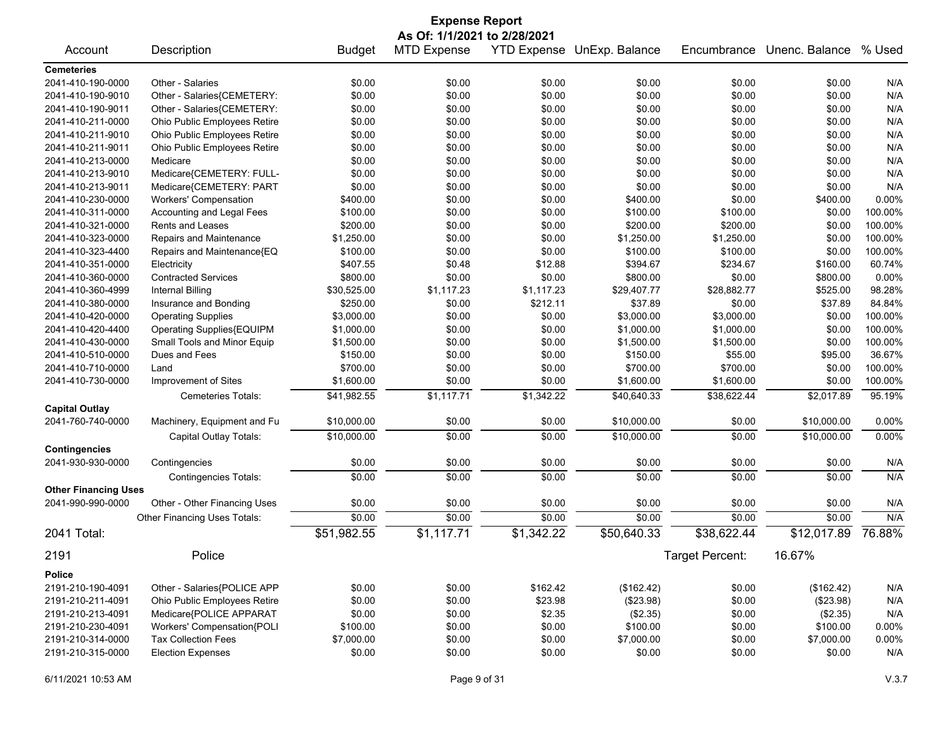| <b>Expense Report</b>                  |                              |                      |                    |            |                            |                  |                        |                   |
|----------------------------------------|------------------------------|----------------------|--------------------|------------|----------------------------|------------------|------------------------|-------------------|
|                                        | As Of: 1/1/2021 to 2/28/2021 |                      |                    |            |                            |                  |                        |                   |
| Account                                | Description                  | <b>Budget</b>        | <b>MTD Expense</b> |            | YTD Expense UnExp. Balance | Encumbrance      | Unenc. Balance         | % Used            |
| <b>Cemeteries</b>                      |                              |                      |                    |            |                            |                  |                        |                   |
| 2041-410-190-0000                      | Other - Salaries             | \$0.00               | \$0.00             | \$0.00     | \$0.00                     | \$0.00           | \$0.00                 | N/A               |
| 2041-410-190-9010                      | Other - Salaries{CEMETERY:   | \$0.00               | \$0.00             | \$0.00     | \$0.00                     | \$0.00           | \$0.00                 | N/A               |
| 2041-410-190-9011                      | Other - Salaries{CEMETERY:   | \$0.00               | \$0.00             | \$0.00     | \$0.00                     | \$0.00           | \$0.00                 | N/A               |
| 2041-410-211-0000                      | Ohio Public Employees Retire | \$0.00               | \$0.00             | \$0.00     | \$0.00                     | \$0.00           | \$0.00                 | N/A               |
| 2041-410-211-9010                      | Ohio Public Employees Retire | \$0.00               | \$0.00             | \$0.00     | \$0.00                     | \$0.00           | \$0.00                 | N/A               |
| 2041-410-211-9011                      | Ohio Public Employees Retire | \$0.00               | \$0.00             | \$0.00     | \$0.00                     | \$0.00           | \$0.00                 | N/A               |
| 2041-410-213-0000                      | Medicare                     | \$0.00               | \$0.00             | \$0.00     | \$0.00                     | \$0.00           | \$0.00                 | N/A               |
| 2041-410-213-9010                      | Medicare{CEMETERY: FULL-     | \$0.00               | \$0.00             | \$0.00     | \$0.00                     | \$0.00           | \$0.00                 | N/A               |
| 2041-410-213-9011                      | Medicare{CEMETERY: PART      | \$0.00               | \$0.00             | \$0.00     | \$0.00                     | \$0.00           | \$0.00                 | N/A               |
| 2041-410-230-0000                      | <b>Workers' Compensation</b> | \$400.00             | \$0.00             | \$0.00     | \$400.00                   | \$0.00           | \$400.00               | 0.00%             |
| 2041-410-311-0000                      | Accounting and Legal Fees    | \$100.00             | \$0.00             | \$0.00     | \$100.00                   | \$100.00         | \$0.00                 | 100.00%           |
| 2041-410-321-0000                      | Rents and Leases             | \$200.00             | \$0.00             | \$0.00     | \$200.00                   | \$200.00         | \$0.00                 | 100.00%           |
| 2041-410-323-0000                      | Repairs and Maintenance      | \$1,250.00           | \$0.00             | \$0.00     | \$1,250.00                 | \$1,250.00       | \$0.00                 | 100.00%           |
| 2041-410-323-4400                      | Repairs and Maintenance{EQ   | \$100.00             | \$0.00             | \$0.00     | \$100.00                   | \$100.00         | \$0.00                 | 100.00%           |
| 2041-410-351-0000                      | Electricity                  | \$407.55             | \$0.48             | \$12.88    | \$394.67                   | \$234.67         | \$160.00               | 60.74%            |
| 2041-410-360-0000                      | <b>Contracted Services</b>   | \$800.00             | \$0.00             | \$0.00     | \$800.00                   | \$0.00           | \$800.00               | 0.00%             |
| 2041-410-360-4999                      | Internal Billing             | \$30,525.00          | \$1,117.23         | \$1,117.23 | \$29,407.77                | \$28,882.77      | \$525.00               | 98.28%            |
| 2041-410-380-0000                      | Insurance and Bonding        | \$250.00             | \$0.00             | \$212.11   | \$37.89                    | \$0.00           | \$37.89                | 84.84%            |
| 2041-410-420-0000                      | <b>Operating Supplies</b>    | \$3,000.00           | \$0.00             | \$0.00     | \$3,000.00                 | \$3,000.00       | \$0.00                 | 100.00%           |
| 2041-410-420-4400                      | Operating Supplies{EQUIPM    | \$1,000.00           | \$0.00             | \$0.00     | \$1,000.00                 | \$1,000.00       | \$0.00                 | 100.00%           |
| 2041-410-430-0000                      | Small Tools and Minor Equip  | \$1,500.00           | \$0.00             | \$0.00     | \$1,500.00                 | \$1,500.00       | \$0.00                 | 100.00%           |
| 2041-410-510-0000                      | Dues and Fees                | \$150.00             | \$0.00             | \$0.00     | \$150.00                   | \$55.00          | \$95.00                | 36.67%            |
| 2041-410-710-0000                      | Land                         | \$700.00             | \$0.00             | \$0.00     | \$700.00                   | \$700.00         | \$0.00                 | 100.00%           |
| 2041-410-730-0000                      | Improvement of Sites         | \$1,600.00           | \$0.00             | \$0.00     | \$1,600.00                 | \$1,600.00       | \$0.00                 | 100.00%           |
|                                        | Cemeteries Totals:           | \$41,982.55          | \$1,117.71         | \$1,342.22 | \$40,640.33                | \$38,622.44      | \$2,017.89             | 95.19%            |
| <b>Capital Outlay</b>                  |                              |                      |                    |            |                            |                  |                        |                   |
| 2041-760-740-0000                      | Machinery, Equipment and Fu  | \$10,000.00          | \$0.00             | \$0.00     | \$10,000.00                | \$0.00           | \$10,000.00            | 0.00%             |
|                                        |                              |                      |                    |            |                            |                  |                        |                   |
|                                        | Capital Outlay Totals:       | \$10,000.00          | \$0.00             | \$0.00     | \$10,000.00                | \$0.00           | \$10,000.00            | 0.00%             |
| <b>Contingencies</b>                   |                              |                      |                    |            |                            |                  |                        |                   |
| 2041-930-930-0000                      | Contingencies                | \$0.00               | \$0.00             | \$0.00     | \$0.00                     | \$0.00           | \$0.00                 | N/A               |
|                                        | <b>Contingencies Totals:</b> | $\sqrt{$0.00}$       | \$0.00             | \$0.00     | \$0.00                     | \$0.00           | \$0.00                 | N/A               |
| <b>Other Financing Uses</b>            |                              |                      |                    |            |                            |                  |                        |                   |
| 2041-990-990-0000                      | Other - Other Financing Uses | \$0.00               | \$0.00             | \$0.00     | \$0.00                     | \$0.00           | \$0.00                 | N/A               |
|                                        | Other Financing Uses Totals: | \$0.00               | \$0.00             | \$0.00     | \$0.00                     | \$0.00           | \$0.00                 | N/A               |
| 2041 Total:                            |                              | \$51,982.55          | \$1,117.71         | \$1,342.22 | \$50,640.33                | \$38,622.44      | \$12,017.89            | 76.88%            |
| 2191                                   | Police                       |                      |                    |            |                            | Target Percent:  | 16.67%                 |                   |
| Police                                 |                              |                      |                    |            |                            |                  |                        |                   |
| 2191-210-190-4091                      | Other - Salaries{POLICE APP  | \$0.00               | \$0.00             | \$162.42   | (\$162.42)                 | \$0.00           | (\$162.42)             | N/A               |
|                                        | Ohio Public Employees Retire | \$0.00               | \$0.00             | \$23.98    |                            |                  |                        |                   |
| 2191-210-211-4091<br>2191-210-213-4091 | Medicare{POLICE APPARAT      | \$0.00               | \$0.00             | \$2.35     | (\$23.98)<br>(\$2.35)      | \$0.00<br>\$0.00 | (\$23.98)<br>(\$2.35)  | N/A<br>N/A        |
| 2191-210-230-4091                      | Workers' Compensation{POLI   |                      | \$0.00             | \$0.00     | \$100.00                   |                  |                        |                   |
| 2191-210-314-0000                      | <b>Tax Collection Fees</b>   | \$100.00             | \$0.00             | \$0.00     | \$7,000.00                 | \$0.00           | \$100.00<br>\$7,000.00 | 0.00%<br>$0.00\%$ |
| 2191-210-315-0000                      | <b>Election Expenses</b>     | \$7,000.00<br>\$0.00 | \$0.00             | \$0.00     | \$0.00                     | \$0.00<br>\$0.00 | \$0.00                 | N/A               |
|                                        |                              |                      |                    |            |                            |                  |                        |                   |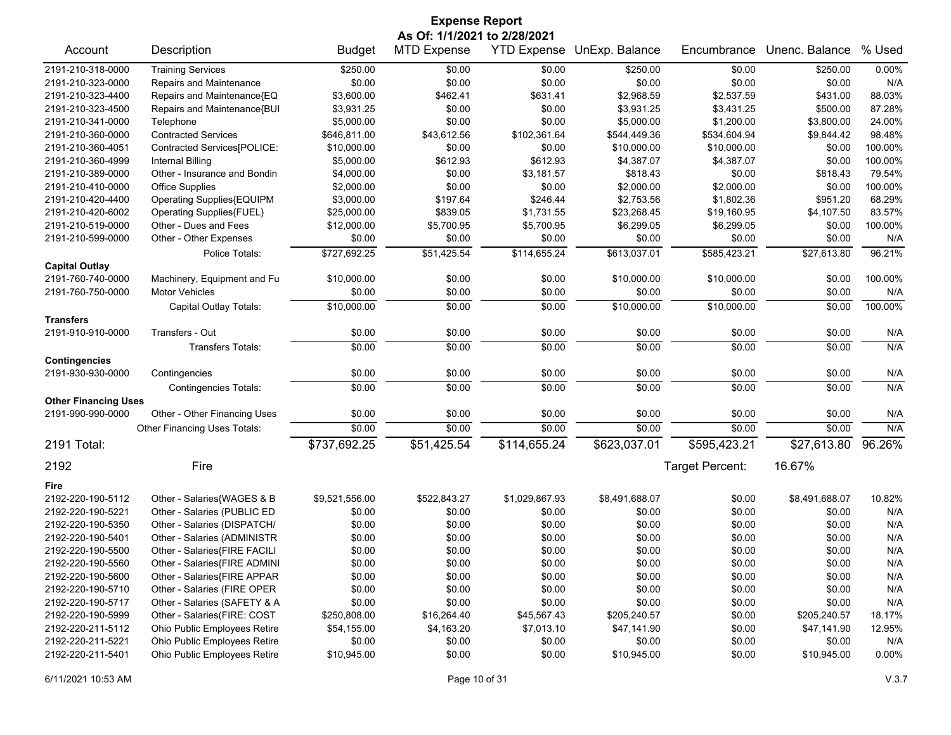| <b>Expense Report</b>       |                              |                |                              |                    |                |                 |                |         |
|-----------------------------|------------------------------|----------------|------------------------------|--------------------|----------------|-----------------|----------------|---------|
|                             |                              |                | As Of: 1/1/2021 to 2/28/2021 |                    |                |                 |                |         |
| Account                     | Description                  | <b>Budget</b>  | <b>MTD Expense</b>           | <b>YTD Expense</b> | UnExp. Balance | Encumbrance     | Unenc. Balance | % Used  |
| 2191-210-318-0000           | <b>Training Services</b>     | \$250.00       | \$0.00                       | \$0.00             | \$250.00       | \$0.00          | \$250.00       | 0.00%   |
| 2191-210-323-0000           | Repairs and Maintenance      | \$0.00         | \$0.00                       | \$0.00             | \$0.00         | \$0.00          | \$0.00         | N/A     |
| 2191-210-323-4400           | Repairs and Maintenance{EQ   | \$3,600.00     | \$462.41                     | \$631.41           | \$2,968.59     | \$2,537.59      | \$431.00       | 88.03%  |
| 2191-210-323-4500           | Repairs and Maintenance{BUI  | \$3,931.25     | \$0.00                       | \$0.00             | \$3,931.25     | \$3,431.25      | \$500.00       | 87.28%  |
| 2191-210-341-0000           | Telephone                    | \$5,000.00     | \$0.00                       | \$0.00             | \$5,000.00     | \$1,200.00      | \$3,800.00     | 24.00%  |
| 2191-210-360-0000           | <b>Contracted Services</b>   | \$646,811.00   | \$43,612.56                  | \$102,361.64       | \$544,449.36   | \$534,604.94    | \$9,844.42     | 98.48%  |
| 2191-210-360-4051           | Contracted Services[POLICE:  | \$10,000.00    | \$0.00                       | \$0.00             | \$10,000.00    | \$10,000.00     | \$0.00         | 100.00% |
| 2191-210-360-4999           | Internal Billing             | \$5,000.00     | \$612.93                     | \$612.93           | \$4,387.07     | \$4,387.07      | \$0.00         | 100.00% |
| 2191-210-389-0000           | Other - Insurance and Bondin | \$4,000.00     | \$0.00                       | \$3,181.57         | \$818.43       | \$0.00          | \$818.43       | 79.54%  |
| 2191-210-410-0000           | <b>Office Supplies</b>       | \$2,000.00     | \$0.00                       | \$0.00             | \$2,000.00     | \$2,000.00      | \$0.00         | 100.00% |
| 2191-210-420-4400           | Operating Supplies{EQUIPM    | \$3,000.00     | \$197.64                     | \$246.44           | \$2,753.56     | \$1,802.36      | \$951.20       | 68.29%  |
| 2191-210-420-6002           | Operating Supplies{FUEL}     | \$25,000.00    | \$839.05                     | \$1,731.55         | \$23,268.45    | \$19,160.95     | \$4,107.50     | 83.57%  |
| 2191-210-519-0000           | Other - Dues and Fees        | \$12,000.00    | \$5,700.95                   | \$5,700.95         | \$6,299.05     | \$6,299.05      | \$0.00         | 100.00% |
| 2191-210-599-0000           | Other - Other Expenses       | \$0.00         | \$0.00                       | \$0.00             | \$0.00         | \$0.00          | \$0.00         | N/A     |
|                             | Police Totals:               | \$727,692.25   | \$51,425.54                  | \$114,655.24       | \$613,037.01   | \$585,423.21    | \$27,613.80    | 96.21%  |
| <b>Capital Outlay</b>       |                              |                |                              |                    |                |                 |                |         |
| 2191-760-740-0000           | Machinery, Equipment and Fu  | \$10,000.00    | \$0.00                       | \$0.00             | \$10,000.00    | \$10,000.00     | \$0.00         | 100.00% |
| 2191-760-750-0000           | <b>Motor Vehicles</b>        | \$0.00         | \$0.00                       | \$0.00             | \$0.00         | \$0.00          | \$0.00         | N/A     |
|                             | Capital Outlay Totals:       | \$10,000.00    | \$0.00                       | \$0.00             | \$10.000.00    | \$10.000.00     | \$0.00         | 100.00% |
| <b>Transfers</b>            |                              |                |                              |                    |                |                 |                |         |
| 2191-910-910-0000           | Transfers - Out              | \$0.00         | \$0.00                       | \$0.00             | \$0.00         | \$0.00          | \$0.00         | N/A     |
|                             | <b>Transfers Totals:</b>     | \$0.00         | \$0.00                       | \$0.00             | \$0.00         | \$0.00          | \$0.00         | N/A     |
| <b>Contingencies</b>        |                              |                |                              |                    |                |                 |                |         |
| 2191-930-930-0000           | Contingencies                | \$0.00         | \$0.00                       | \$0.00             | \$0.00         | \$0.00          | \$0.00         | N/A     |
|                             | <b>Contingencies Totals:</b> | $\sqrt{$0.00}$ | \$0.00                       | \$0.00             | \$0.00         | \$0.00          | \$0.00         | N/A     |
| <b>Other Financing Uses</b> |                              |                |                              |                    |                |                 |                |         |
| 2191-990-990-0000           | Other - Other Financing Uses | \$0.00         | \$0.00                       | \$0.00             | \$0.00         | \$0.00          | \$0.00         | N/A     |
|                             | Other Financing Uses Totals: | \$0.00         | \$0.00                       | \$0.00             | \$0.00         | \$0.00          | \$0.00         | N/A     |
| 2191 Total:                 |                              | \$737,692.25   | \$51,425.54                  | \$114,655.24       | \$623,037.01   | \$595,423.21    | \$27,613.80    | 96.26%  |
| 2192                        | Fire                         |                |                              |                    |                | Target Percent: | 16.67%         |         |
| Fire                        |                              |                |                              |                    |                |                 |                |         |
| 2192-220-190-5112           | Other - Salaries{WAGES & B   | \$9,521,556.00 | \$522,843.27                 | \$1,029,867.93     | \$8,491,688.07 | \$0.00          | \$8,491,688.07 | 10.82%  |
| 2192-220-190-5221           | Other - Salaries (PUBLIC ED  | \$0.00         | \$0.00                       | \$0.00             | \$0.00         | \$0.00          | \$0.00         | N/A     |
| 2192-220-190-5350           | Other - Salaries (DISPATCH/  | \$0.00         | \$0.00                       | \$0.00             | \$0.00         | \$0.00          | \$0.00         | N/A     |
| 2192-220-190-5401           | Other - Salaries (ADMINISTR  | \$0.00         | \$0.00                       | \$0.00             | \$0.00         | \$0.00          | \$0.00         | N/A     |
| 2192-220-190-5500           | Other - Salaries{FIRE FACILI | \$0.00         | \$0.00                       | \$0.00             | \$0.00         | \$0.00          | \$0.00         | N/A     |
| 2192-220-190-5560           | Other - Salaries{FIRE ADMINI | \$0.00         | \$0.00                       | \$0.00             | \$0.00         | \$0.00          | \$0.00         | N/A     |
| 2192-220-190-5600           | Other - Salaries{FIRE APPAR  | \$0.00         | \$0.00                       | \$0.00             | \$0.00         | \$0.00          | \$0.00         | N/A     |
| 2192-220-190-5710           | Other - Salaries (FIRE OPER  | \$0.00         | \$0.00                       | \$0.00             | \$0.00         | \$0.00          | \$0.00         | N/A     |
| 2192-220-190-5717           | Other - Salaries (SAFETY & A | \$0.00         | \$0.00                       | \$0.00             | \$0.00         | \$0.00          | \$0.00         | N/A     |
| 2192-220-190-5999           | Other - Salaries(FIRE: COST  | \$250,808.00   | \$16,264.40                  | \$45,567.43        | \$205,240.57   | \$0.00          | \$205,240.57   | 18.17%  |
| 2192-220-211-5112           | Ohio Public Employees Retire | \$54,155.00    | \$4,163.20                   | \$7,013.10         | \$47,141.90    | \$0.00          | \$47,141.90    | 12.95%  |
| 2192-220-211-5221           | Ohio Public Employees Retire | \$0.00         | \$0.00                       | \$0.00             | \$0.00         | \$0.00          | \$0.00         | N/A     |
| 2192-220-211-5401           | Ohio Public Employees Retire | \$10,945.00    | \$0.00                       | \$0.00             | \$10,945.00    | \$0.00          | \$10,945.00    | 0.00%   |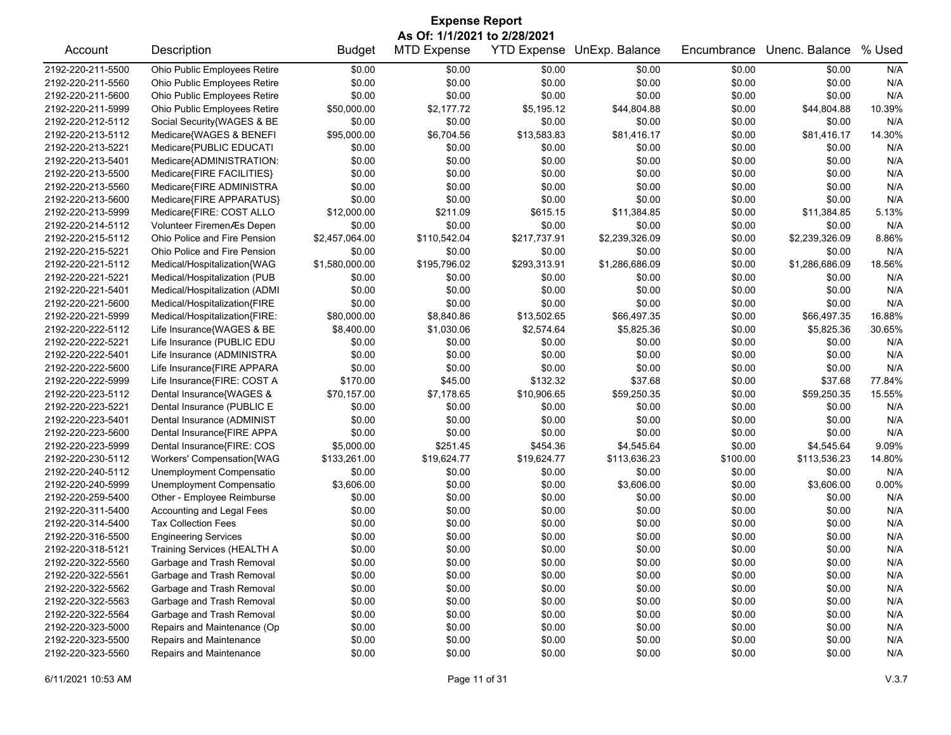| <b>Expense Report</b><br>As Of: 1/1/2021 to 2/28/2021 |                               |                |                    |              |                            |             |                |        |  |
|-------------------------------------------------------|-------------------------------|----------------|--------------------|--------------|----------------------------|-------------|----------------|--------|--|
| Account                                               | Description                   | <b>Budget</b>  | <b>MTD Expense</b> |              | YTD Expense UnExp. Balance | Encumbrance | Unenc. Balance | % Used |  |
| 2192-220-211-5500                                     | Ohio Public Employees Retire  | \$0.00         | \$0.00             | \$0.00       | \$0.00                     | \$0.00      | \$0.00         | N/A    |  |
| 2192-220-211-5560                                     | Ohio Public Employees Retire  | \$0.00         | \$0.00             | \$0.00       | \$0.00                     | \$0.00      | \$0.00         | N/A    |  |
| 2192-220-211-5600                                     | Ohio Public Employees Retire  | \$0.00         | \$0.00             | \$0.00       | \$0.00                     | \$0.00      | \$0.00         | N/A    |  |
| 2192-220-211-5999                                     | Ohio Public Employees Retire  | \$50,000.00    | \$2,177.72         | \$5,195.12   | \$44,804.88                | \$0.00      | \$44,804.88    | 10.39% |  |
| 2192-220-212-5112                                     | Social Security{WAGES & BE    | \$0.00         | \$0.00             | \$0.00       | \$0.00                     | \$0.00      | \$0.00         | N/A    |  |
| 2192-220-213-5112                                     | Medicare{WAGES & BENEFI       | \$95,000.00    | \$6,704.56         | \$13,583.83  | \$81,416.17                | \$0.00      | \$81,416.17    | 14.30% |  |
| 2192-220-213-5221                                     | Medicare{PUBLIC EDUCATI       | \$0.00         | \$0.00             | \$0.00       | \$0.00                     | \$0.00      | \$0.00         | N/A    |  |
| 2192-220-213-5401                                     | Medicare{ADMINISTRATION:      | \$0.00         | \$0.00             | \$0.00       | \$0.00                     | \$0.00      | \$0.00         | N/A    |  |
| 2192-220-213-5500                                     | Medicare{FIRE FACILITIES}     | \$0.00         | \$0.00             | \$0.00       | \$0.00                     | \$0.00      | \$0.00         | N/A    |  |
| 2192-220-213-5560                                     | Medicare{FIRE ADMINISTRA      | \$0.00         | \$0.00             | \$0.00       | \$0.00                     | \$0.00      | \$0.00         | N/A    |  |
| 2192-220-213-5600                                     | Medicare{FIRE APPARATUS}      | \$0.00         | \$0.00             | \$0.00       | \$0.00                     | \$0.00      | \$0.00         | N/A    |  |
| 2192-220-213-5999                                     | Medicare{FIRE: COST ALLO      | \$12,000.00    | \$211.09           | \$615.15     | \$11,384.85                | \$0.00      | \$11,384.85    | 5.13%  |  |
| 2192-220-214-5112                                     | Volunteer FiremenÆs Depen     | \$0.00         | \$0.00             | \$0.00       | \$0.00                     | \$0.00      | \$0.00         | N/A    |  |
| 2192-220-215-5112                                     | Ohio Police and Fire Pension  | \$2,457,064.00 | \$110,542.04       | \$217,737.91 | \$2,239,326.09             | \$0.00      | \$2,239,326.09 | 8.86%  |  |
| 2192-220-215-5221                                     | Ohio Police and Fire Pension  | \$0.00         | \$0.00             | \$0.00       | \$0.00                     | \$0.00      | \$0.00         | N/A    |  |
| 2192-220-221-5112                                     | Medical/Hospitalization{WAG   | \$1,580,000.00 | \$195,796.02       | \$293,313.91 | \$1,286,686.09             | \$0.00      | \$1,286,686.09 | 18.56% |  |
| 2192-220-221-5221                                     | Medical/Hospitalization (PUB  | \$0.00         | \$0.00             | \$0.00       | \$0.00                     | \$0.00      | \$0.00         | N/A    |  |
| 2192-220-221-5401                                     | Medical/Hospitalization (ADMI | \$0.00         | \$0.00             | \$0.00       | \$0.00                     | \$0.00      | \$0.00         | N/A    |  |
| 2192-220-221-5600                                     | Medical/Hospitalization{FIRE  | \$0.00         | \$0.00             | \$0.00       | \$0.00                     | \$0.00      | \$0.00         | N/A    |  |
| 2192-220-221-5999                                     | Medical/Hospitalization{FIRE: | \$80,000.00    | \$8,840.86         | \$13,502.65  | \$66,497.35                | \$0.00      | \$66,497.35    | 16.88% |  |
| 2192-220-222-5112                                     | Life Insurance{WAGES & BE     | \$8,400.00     | \$1,030.06         | \$2,574.64   | \$5,825.36                 | \$0.00      | \$5,825.36     | 30.65% |  |
| 2192-220-222-5221                                     | Life Insurance (PUBLIC EDU    | \$0.00         | \$0.00             | \$0.00       | \$0.00                     | \$0.00      | \$0.00         | N/A    |  |
| 2192-220-222-5401                                     | Life Insurance (ADMINISTRA    | \$0.00         | \$0.00             | \$0.00       | \$0.00                     | \$0.00      | \$0.00         | N/A    |  |
| 2192-220-222-5600                                     | Life Insurance{FIRE APPARA    | \$0.00         | \$0.00             | \$0.00       | \$0.00                     | \$0.00      | \$0.00         | N/A    |  |
| 2192-220-222-5999                                     | Life Insurance{FIRE: COST A   | \$170.00       | \$45.00            | \$132.32     | \$37.68                    | \$0.00      | \$37.68        | 77.84% |  |
| 2192-220-223-5112                                     | Dental Insurance{WAGES &      | \$70,157.00    | \$7,178.65         | \$10,906.65  | \$59,250.35                | \$0.00      | \$59,250.35    | 15.55% |  |
| 2192-220-223-5221                                     | Dental Insurance (PUBLIC E    | \$0.00         | \$0.00             | \$0.00       | \$0.00                     | \$0.00      | \$0.00         | N/A    |  |
| 2192-220-223-5401                                     | Dental Insurance (ADMINIST    | \$0.00         | \$0.00             | \$0.00       | \$0.00                     | \$0.00      | \$0.00         | N/A    |  |
| 2192-220-223-5600                                     | Dental Insurance{FIRE APPA    | \$0.00         | \$0.00             | \$0.00       | \$0.00                     | \$0.00      | \$0.00         | N/A    |  |
| 2192-220-223-5999                                     | Dental Insurance{FIRE: COS    | \$5,000.00     | \$251.45           | \$454.36     | \$4,545.64                 | \$0.00      | \$4,545.64     | 9.09%  |  |
| 2192-220-230-5112                                     | Workers' Compensation{WAG     | \$133,261.00   | \$19,624.77        | \$19,624.77  | \$113,636.23               | \$100.00    | \$113,536.23   | 14.80% |  |
| 2192-220-240-5112                                     | Unemployment Compensatio      | \$0.00         | \$0.00             | \$0.00       | \$0.00                     | \$0.00      | \$0.00         | N/A    |  |
| 2192-220-240-5999                                     | Unemployment Compensatio      | \$3,606.00     | \$0.00             | \$0.00       | \$3,606.00                 | \$0.00      | \$3,606.00     | 0.00%  |  |
| 2192-220-259-5400                                     | Other - Employee Reimburse    | \$0.00         | \$0.00             | \$0.00       | \$0.00                     | \$0.00      | \$0.00         | N/A    |  |
| 2192-220-311-5400                                     | Accounting and Legal Fees     | \$0.00         | \$0.00             | \$0.00       | \$0.00                     | \$0.00      | \$0.00         | N/A    |  |
| 2192-220-314-5400                                     | <b>Tax Collection Fees</b>    | \$0.00         | \$0.00             | \$0.00       | \$0.00                     | \$0.00      | \$0.00         | N/A    |  |
| 2192-220-316-5500                                     | <b>Engineering Services</b>   | \$0.00         | \$0.00             | \$0.00       | \$0.00                     | \$0.00      | \$0.00         | N/A    |  |
| 2192-220-318-5121                                     | Training Services (HEALTH A   | \$0.00         | \$0.00             | \$0.00       | \$0.00                     | \$0.00      | \$0.00         | N/A    |  |
| 2192-220-322-5560                                     | Garbage and Trash Removal     | \$0.00         | \$0.00             | \$0.00       | \$0.00                     | \$0.00      | \$0.00         | N/A    |  |
| 2192-220-322-5561                                     | Garbage and Trash Removal     | \$0.00         | \$0.00             | \$0.00       | \$0.00                     | \$0.00      | \$0.00         | N/A    |  |
| 2192-220-322-5562                                     | Garbage and Trash Removal     | \$0.00         | \$0.00             | \$0.00       | \$0.00                     | \$0.00      | \$0.00         | N/A    |  |
| 2192-220-322-5563                                     | Garbage and Trash Removal     | \$0.00         | \$0.00             | \$0.00       | \$0.00                     | \$0.00      | \$0.00         | N/A    |  |
| 2192-220-322-5564                                     | Garbage and Trash Removal     | \$0.00         | \$0.00             | \$0.00       | \$0.00                     | \$0.00      | \$0.00         | N/A    |  |
| 2192-220-323-5000                                     | Repairs and Maintenance (Op   | \$0.00         | \$0.00             | \$0.00       | \$0.00                     | \$0.00      | \$0.00         | N/A    |  |
| 2192-220-323-5500                                     | Repairs and Maintenance       | \$0.00         | \$0.00             | \$0.00       | \$0.00                     | \$0.00      | \$0.00         | N/A    |  |
| 2192-220-323-5560                                     | Repairs and Maintenance       | \$0.00         | \$0.00             | \$0.00       | \$0.00                     | \$0.00      | \$0.00         | N/A    |  |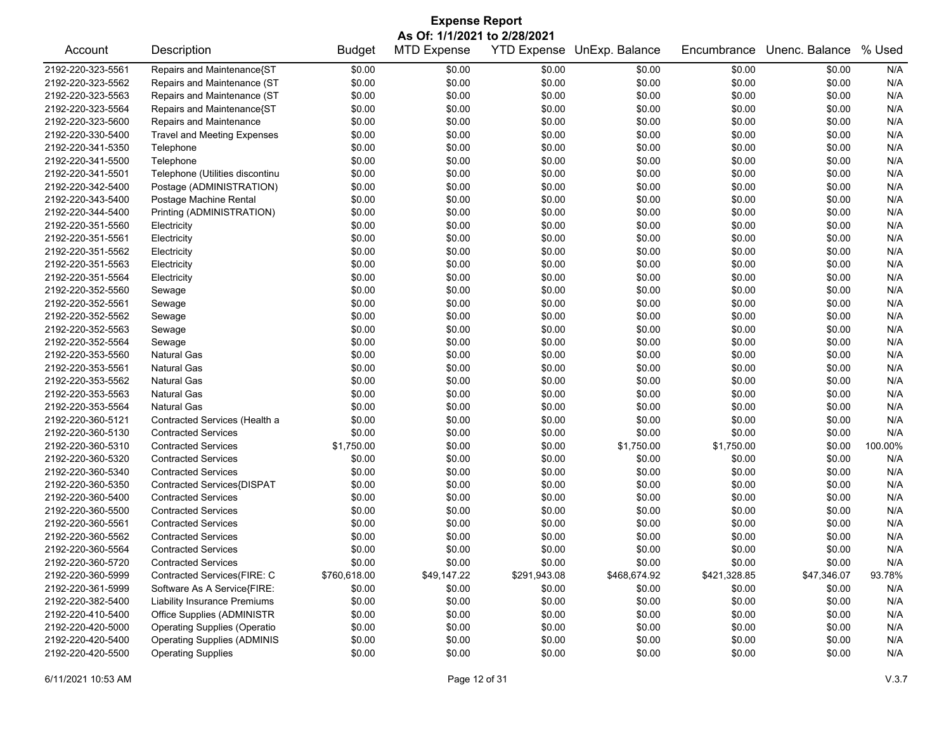| <b>Expense Report</b><br>As Of: 1/1/2021 to 2/28/2021 |                                     |               |                    |              |                            |              |                |         |
|-------------------------------------------------------|-------------------------------------|---------------|--------------------|--------------|----------------------------|--------------|----------------|---------|
| Account                                               | Description                         | <b>Budget</b> | <b>MTD Expense</b> |              | YTD Expense UnExp. Balance | Encumbrance  | Unenc. Balance | % Used  |
| 2192-220-323-5561                                     | Repairs and Maintenance{ST          | \$0.00        | \$0.00             | \$0.00       | \$0.00                     | \$0.00       | \$0.00         | N/A     |
| 2192-220-323-5562                                     | Repairs and Maintenance (ST         | \$0.00        | \$0.00             | \$0.00       | \$0.00                     | \$0.00       | \$0.00         | N/A     |
| 2192-220-323-5563                                     | Repairs and Maintenance (ST         | \$0.00        | \$0.00             | \$0.00       | \$0.00                     | \$0.00       | \$0.00         | N/A     |
| 2192-220-323-5564                                     | Repairs and Maintenance{ST          | \$0.00        | \$0.00             | \$0.00       | \$0.00                     | \$0.00       | \$0.00         | N/A     |
| 2192-220-323-5600                                     | Repairs and Maintenance             | \$0.00        | \$0.00             | \$0.00       | \$0.00                     | \$0.00       | \$0.00         | N/A     |
| 2192-220-330-5400                                     | <b>Travel and Meeting Expenses</b>  | \$0.00        | \$0.00             | \$0.00       | \$0.00                     | \$0.00       | \$0.00         | N/A     |
| 2192-220-341-5350                                     | Telephone                           | \$0.00        | \$0.00             | \$0.00       | \$0.00                     | \$0.00       | \$0.00         | N/A     |
| 2192-220-341-5500                                     | Telephone                           | \$0.00        | \$0.00             | \$0.00       | \$0.00                     | \$0.00       | \$0.00         | N/A     |
| 2192-220-341-5501                                     | Telephone (Utilities discontinu     | \$0.00        | \$0.00             | \$0.00       | \$0.00                     | \$0.00       | \$0.00         | N/A     |
| 2192-220-342-5400                                     | Postage (ADMINISTRATION)            | \$0.00        | \$0.00             | \$0.00       | \$0.00                     | \$0.00       | \$0.00         | N/A     |
| 2192-220-343-5400                                     | Postage Machine Rental              | \$0.00        | \$0.00             | \$0.00       | \$0.00                     | \$0.00       | \$0.00         | N/A     |
| 2192-220-344-5400                                     | Printing (ADMINISTRATION)           | \$0.00        | \$0.00             | \$0.00       | \$0.00                     | \$0.00       | \$0.00         | N/A     |
| 2192-220-351-5560                                     | Electricity                         | \$0.00        | \$0.00             | \$0.00       | \$0.00                     | \$0.00       | \$0.00         | N/A     |
| 2192-220-351-5561                                     | Electricity                         | \$0.00        | \$0.00             | \$0.00       | \$0.00                     | \$0.00       | \$0.00         | N/A     |
| 2192-220-351-5562                                     | Electricity                         | \$0.00        | \$0.00             | \$0.00       | \$0.00                     | \$0.00       | \$0.00         | N/A     |
| 2192-220-351-5563                                     | Electricity                         | \$0.00        | \$0.00             | \$0.00       | \$0.00                     | \$0.00       | \$0.00         | N/A     |
| 2192-220-351-5564                                     | Electricity                         | \$0.00        | \$0.00             | \$0.00       | \$0.00                     | \$0.00       | \$0.00         | N/A     |
| 2192-220-352-5560                                     | Sewage                              | \$0.00        | \$0.00             | \$0.00       | \$0.00                     | \$0.00       | \$0.00         | N/A     |
| 2192-220-352-5561                                     | Sewage                              | \$0.00        | \$0.00             | \$0.00       | \$0.00                     | \$0.00       | \$0.00         | N/A     |
| 2192-220-352-5562                                     | Sewage                              | \$0.00        | \$0.00             | \$0.00       | \$0.00                     | \$0.00       | \$0.00         | N/A     |
| 2192-220-352-5563                                     | Sewage                              | \$0.00        | \$0.00             | \$0.00       | \$0.00                     | \$0.00       | \$0.00         | N/A     |
| 2192-220-352-5564                                     | Sewage                              | \$0.00        | \$0.00             | \$0.00       | \$0.00                     | \$0.00       | \$0.00         | N/A     |
| 2192-220-353-5560                                     | <b>Natural Gas</b>                  | \$0.00        | \$0.00             | \$0.00       | \$0.00                     | \$0.00       | \$0.00         | N/A     |
| 2192-220-353-5561                                     | <b>Natural Gas</b>                  | \$0.00        | \$0.00             | \$0.00       | \$0.00                     | \$0.00       | \$0.00         | N/A     |
| 2192-220-353-5562                                     | <b>Natural Gas</b>                  | \$0.00        | \$0.00             | \$0.00       | \$0.00                     | \$0.00       | \$0.00         | N/A     |
| 2192-220-353-5563                                     | <b>Natural Gas</b>                  | \$0.00        | \$0.00             | \$0.00       | \$0.00                     | \$0.00       | \$0.00         | N/A     |
| 2192-220-353-5564                                     | <b>Natural Gas</b>                  | \$0.00        | \$0.00             | \$0.00       | \$0.00                     | \$0.00       | \$0.00         | N/A     |
| 2192-220-360-5121                                     | Contracted Services (Health a       | \$0.00        | \$0.00             | \$0.00       | \$0.00                     | \$0.00       | \$0.00         | N/A     |
| 2192-220-360-5130                                     | <b>Contracted Services</b>          | \$0.00        | \$0.00             | \$0.00       | \$0.00                     | \$0.00       | \$0.00         | N/A     |
| 2192-220-360-5310                                     | <b>Contracted Services</b>          | \$1,750.00    | \$0.00             | \$0.00       | \$1,750.00                 | \$1,750.00   | \$0.00         | 100.00% |
| 2192-220-360-5320                                     | <b>Contracted Services</b>          | \$0.00        | \$0.00             | \$0.00       | \$0.00                     | \$0.00       | \$0.00         | N/A     |
| 2192-220-360-5340                                     | <b>Contracted Services</b>          | \$0.00        | \$0.00             | \$0.00       | \$0.00                     | \$0.00       | \$0.00         | N/A     |
| 2192-220-360-5350                                     | Contracted Services{DISPAT          |               |                    |              |                            |              |                | N/A     |
|                                                       | <b>Contracted Services</b>          | \$0.00        | \$0.00             | \$0.00       | \$0.00                     | \$0.00       | \$0.00         | N/A     |
| 2192-220-360-5400                                     |                                     | \$0.00        | \$0.00             | \$0.00       | \$0.00                     | \$0.00       | \$0.00         |         |
| 2192-220-360-5500                                     | <b>Contracted Services</b>          | \$0.00        | \$0.00             | \$0.00       | \$0.00                     | \$0.00       | \$0.00         | N/A     |
| 2192-220-360-5561                                     | <b>Contracted Services</b>          | \$0.00        | \$0.00             | \$0.00       | \$0.00                     | \$0.00       | \$0.00         | N/A     |
| 2192-220-360-5562                                     | <b>Contracted Services</b>          | \$0.00        | \$0.00             | \$0.00       | \$0.00                     | \$0.00       | \$0.00         | N/A     |
| 2192-220-360-5564                                     | <b>Contracted Services</b>          | \$0.00        | \$0.00             | \$0.00       | \$0.00                     | \$0.00       | \$0.00         | N/A     |
| 2192-220-360-5720                                     | <b>Contracted Services</b>          | \$0.00        | \$0.00             | \$0.00       | \$0.00                     | \$0.00       | \$0.00         | N/A     |
| 2192-220-360-5999                                     | Contracted Services(FIRE: C         | \$760,618.00  | \$49,147.22        | \$291,943.08 | \$468,674.92               | \$421,328.85 | \$47,346.07    | 93.78%  |
| 2192-220-361-5999                                     | Software As A Service{FIRE:         | \$0.00        | \$0.00             | \$0.00       | \$0.00                     | \$0.00       | \$0.00         | N/A     |
| 2192-220-382-5400                                     | <b>Liability Insurance Premiums</b> | \$0.00        | \$0.00             | \$0.00       | \$0.00                     | \$0.00       | \$0.00         | N/A     |
| 2192-220-410-5400                                     | Office Supplies (ADMINISTR          | \$0.00        | \$0.00             | \$0.00       | \$0.00                     | \$0.00       | \$0.00         | N/A     |
| 2192-220-420-5000                                     | <b>Operating Supplies (Operatio</b> | \$0.00        | \$0.00             | \$0.00       | \$0.00                     | \$0.00       | \$0.00         | N/A     |
| 2192-220-420-5400                                     | <b>Operating Supplies (ADMINIS</b>  | \$0.00        | \$0.00             | \$0.00       | \$0.00                     | \$0.00       | \$0.00         | N/A     |
| 2192-220-420-5500                                     | <b>Operating Supplies</b>           | \$0.00        | \$0.00             | \$0.00       | \$0.00                     | \$0.00       | \$0.00         | N/A     |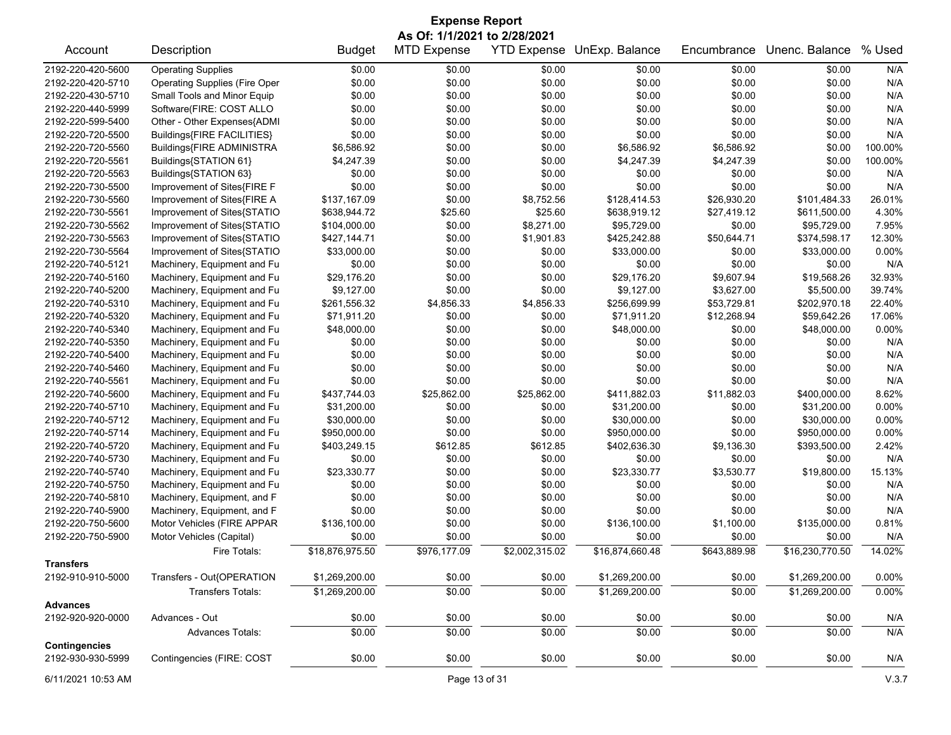| <b>Expense Report</b> |                                      |                 |                                                    |                    |                 |              |                 |         |  |  |
|-----------------------|--------------------------------------|-----------------|----------------------------------------------------|--------------------|-----------------|--------------|-----------------|---------|--|--|
| Account               | Description                          | <b>Budget</b>   | As Of: 1/1/2021 to 2/28/2021<br><b>MTD Expense</b> | <b>YTD Expense</b> | UnExp. Balance  | Encumbrance  | Unenc. Balance  | % Used  |  |  |
| 2192-220-420-5600     | <b>Operating Supplies</b>            | \$0.00          | \$0.00                                             | \$0.00             | \$0.00          | \$0.00       | \$0.00          | N/A     |  |  |
| 2192-220-420-5710     | <b>Operating Supplies (Fire Oper</b> | \$0.00          | \$0.00                                             | \$0.00             | \$0.00          | \$0.00       | \$0.00          | N/A     |  |  |
| 2192-220-430-5710     | Small Tools and Minor Equip          | \$0.00          | \$0.00                                             | \$0.00             | \$0.00          | \$0.00       | \$0.00          | N/A     |  |  |
| 2192-220-440-5999     | Software(FIRE: COST ALLO             | \$0.00          | \$0.00                                             | \$0.00             | \$0.00          | \$0.00       | \$0.00          | N/A     |  |  |
| 2192-220-599-5400     | Other - Other Expenses{ADMI          | \$0.00          | \$0.00                                             | \$0.00             | \$0.00          | \$0.00       | \$0.00          | N/A     |  |  |
| 2192-220-720-5500     | Buildings{FIRE FACILITIES}           | \$0.00          | \$0.00                                             | \$0.00             | \$0.00          | \$0.00       | \$0.00          | N/A     |  |  |
| 2192-220-720-5560     | Buildings{FIRE ADMINISTRA            | \$6,586.92      | \$0.00                                             | \$0.00             | \$6,586.92      | \$6,586.92   | \$0.00          | 100.00% |  |  |
| 2192-220-720-5561     | Buildings{STATION 61}                | \$4,247.39      | \$0.00                                             | \$0.00             | \$4,247.39      | \$4,247.39   | \$0.00          | 100.00% |  |  |
| 2192-220-720-5563     | Buildings{STATION 63}                | \$0.00          | \$0.00                                             | \$0.00             | \$0.00          | \$0.00       | \$0.00          | N/A     |  |  |
| 2192-220-730-5500     | Improvement of Sites{FIRE F          | \$0.00          | \$0.00                                             | \$0.00             | \$0.00          | \$0.00       | \$0.00          | N/A     |  |  |
| 2192-220-730-5560     | Improvement of Sites{FIRE A          | \$137,167.09    | \$0.00                                             | \$8,752.56         | \$128,414.53    | \$26,930.20  | \$101,484.33    | 26.01%  |  |  |
| 2192-220-730-5561     | Improvement of Sites{STATIO          | \$638,944.72    | \$25.60                                            | \$25.60            | \$638,919.12    | \$27,419.12  | \$611,500.00    | 4.30%   |  |  |
| 2192-220-730-5562     | Improvement of Sites{STATIO          | \$104,000.00    | \$0.00                                             | \$8,271.00         | \$95,729.00     | \$0.00       | \$95,729.00     | 7.95%   |  |  |
| 2192-220-730-5563     | Improvement of Sites{STATIO          | \$427,144.71    | \$0.00                                             | \$1,901.83         | \$425,242.88    | \$50,644.71  | \$374,598.17    | 12.30%  |  |  |
| 2192-220-730-5564     | Improvement of Sites{STATIO          | \$33,000.00     | \$0.00                                             | \$0.00             | \$33,000.00     | \$0.00       | \$33,000.00     | 0.00%   |  |  |
| 2192-220-740-5121     | Machinery, Equipment and Fu          | \$0.00          | \$0.00                                             | \$0.00             | \$0.00          | \$0.00       | \$0.00          | N/A     |  |  |
| 2192-220-740-5160     | Machinery, Equipment and Fu          | \$29,176.20     | \$0.00                                             | \$0.00             | \$29,176.20     | \$9,607.94   | \$19,568.26     | 32.93%  |  |  |
| 2192-220-740-5200     | Machinery, Equipment and Fu          | \$9,127.00      | \$0.00                                             | \$0.00             | \$9,127.00      | \$3,627.00   | \$5,500.00      | 39.74%  |  |  |
| 2192-220-740-5310     | Machinery, Equipment and Fu          | \$261,556.32    | \$4,856.33                                         | \$4,856.33         | \$256,699.99    | \$53,729.81  | \$202,970.18    | 22.40%  |  |  |
| 2192-220-740-5320     | Machinery, Equipment and Fu          | \$71,911.20     | \$0.00                                             | \$0.00             | \$71,911.20     | \$12,268.94  | \$59,642.26     | 17.06%  |  |  |
| 2192-220-740-5340     | Machinery, Equipment and Fu          | \$48,000.00     | \$0.00                                             | \$0.00             | \$48,000.00     | \$0.00       | \$48,000.00     | 0.00%   |  |  |
| 2192-220-740-5350     | Machinery, Equipment and Fu          | \$0.00          | \$0.00                                             | \$0.00             | \$0.00          | \$0.00       | \$0.00          | N/A     |  |  |
| 2192-220-740-5400     | Machinery, Equipment and Fu          | \$0.00          | \$0.00                                             | \$0.00             | \$0.00          | \$0.00       | \$0.00          | N/A     |  |  |
|                       |                                      | \$0.00          | \$0.00                                             |                    |                 |              |                 | N/A     |  |  |
| 2192-220-740-5460     | Machinery, Equipment and Fu          |                 |                                                    | \$0.00             | \$0.00          | \$0.00       | \$0.00          |         |  |  |
| 2192-220-740-5561     | Machinery, Equipment and Fu          | \$0.00          | \$0.00                                             | \$0.00             | \$0.00          | \$0.00       | \$0.00          | N/A     |  |  |
| 2192-220-740-5600     | Machinery, Equipment and Fu          | \$437,744.03    | \$25,862.00                                        | \$25,862.00        | \$411,882.03    | \$11,882.03  | \$400,000.00    | 8.62%   |  |  |
| 2192-220-740-5710     | Machinery, Equipment and Fu          | \$31,200.00     | \$0.00                                             | \$0.00             | \$31,200.00     | \$0.00       | \$31,200.00     | 0.00%   |  |  |
| 2192-220-740-5712     | Machinery, Equipment and Fu          | \$30,000.00     | \$0.00                                             | \$0.00             | \$30,000.00     | \$0.00       | \$30,000.00     | 0.00%   |  |  |
| 2192-220-740-5714     | Machinery, Equipment and Fu          | \$950,000.00    | \$0.00                                             | \$0.00             | \$950,000.00    | \$0.00       | \$950,000.00    | 0.00%   |  |  |
| 2192-220-740-5720     | Machinery, Equipment and Fu          | \$403,249.15    | \$612.85                                           | \$612.85           | \$402,636.30    | \$9,136.30   | \$393,500.00    | 2.42%   |  |  |
| 2192-220-740-5730     | Machinery, Equipment and Fu          | \$0.00          | \$0.00                                             | \$0.00             | \$0.00          | \$0.00       | \$0.00          | N/A     |  |  |
| 2192-220-740-5740     | Machinery, Equipment and Fu          | \$23,330.77     | \$0.00                                             | \$0.00             | \$23,330.77     | \$3,530.77   | \$19,800.00     | 15.13%  |  |  |
| 2192-220-740-5750     | Machinery, Equipment and Fu          | \$0.00          | \$0.00                                             | \$0.00             | \$0.00          | \$0.00       | \$0.00          | N/A     |  |  |
| 2192-220-740-5810     | Machinery, Equipment, and F          | \$0.00          | \$0.00                                             | \$0.00             | \$0.00          | \$0.00       | \$0.00          | N/A     |  |  |
| 2192-220-740-5900     | Machinery, Equipment, and F          | \$0.00          | \$0.00                                             | \$0.00             | \$0.00          | \$0.00       | \$0.00          | N/A     |  |  |
| 2192-220-750-5600     | Motor Vehicles (FIRE APPAR           | \$136,100.00    | \$0.00                                             | \$0.00             | \$136,100.00    | \$1,100.00   | \$135,000.00    | 0.81%   |  |  |
| 2192-220-750-5900     | Motor Vehicles (Capital)             | \$0.00          | \$0.00                                             | \$0.00             | \$0.00          | \$0.00       | \$0.00          | N/A     |  |  |
| <b>Transfers</b>      | Fire Totals:                         | \$18,876,975.50 | \$976,177.09                                       | \$2,002,315.02     | \$16,874,660.48 | \$643,889.98 | \$16,230,770.50 | 14.02%  |  |  |
| 2192-910-910-5000     | Transfers - Out{OPERATION            | \$1,269,200.00  | \$0.00                                             | \$0.00             | \$1,269,200.00  | \$0.00       | \$1,269,200.00  | 0.00%   |  |  |
|                       | <b>Transfers Totals:</b>             | \$1,269,200.00  | \$0.00                                             | \$0.00             | \$1,269,200.00  | \$0.00       | \$1,269,200.00  | 0.00%   |  |  |
| <b>Advances</b>       |                                      |                 |                                                    |                    |                 |              |                 |         |  |  |
| 2192-920-920-0000     | Advances - Out                       | \$0.00          | \$0.00                                             | \$0.00             | \$0.00          | \$0.00       | \$0.00          | N/A     |  |  |
|                       | Advances Totals:                     | \$0.00          | \$0.00                                             | \$0.00             | \$0.00          | \$0.00       | \$0.00          | N/A     |  |  |
| <b>Contingencies</b>  |                                      |                 |                                                    |                    |                 |              |                 |         |  |  |
| 2192-930-930-5999     | Contingencies (FIRE: COST            | \$0.00          | \$0.00                                             | \$0.00             | \$0.00          | \$0.00       | \$0.00          | N/A     |  |  |

6/11/2021 10:53 AM Page 13 of 31 V.3.7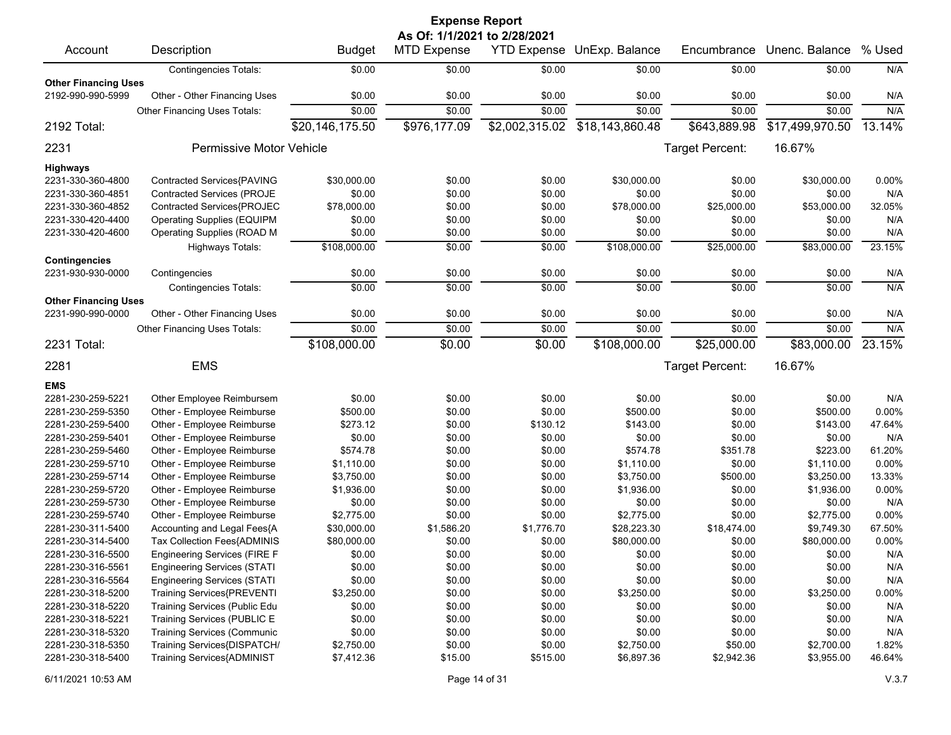| <b>Expense Report</b>                            |                                     |                 |                    |                |                            |                 |                 |        |  |  |  |
|--------------------------------------------------|-------------------------------------|-----------------|--------------------|----------------|----------------------------|-----------------|-----------------|--------|--|--|--|
| As Of: 1/1/2021 to 2/28/2021                     |                                     |                 |                    |                |                            |                 |                 |        |  |  |  |
| Account                                          | Description                         | <b>Budget</b>   | <b>MTD Expense</b> |                | YTD Expense UnExp. Balance | Encumbrance     | Unenc. Balance  | % Used |  |  |  |
|                                                  | <b>Contingencies Totals:</b>        | \$0.00          | \$0.00             | \$0.00         | \$0.00                     | \$0.00          | \$0.00          | N/A    |  |  |  |
| <b>Other Financing Uses</b><br>2192-990-990-5999 | Other - Other Financing Uses        | \$0.00          | \$0.00             | \$0.00         | \$0.00                     | \$0.00          | \$0.00          | N/A    |  |  |  |
|                                                  | Other Financing Uses Totals:        | \$0.00          | \$0.00             | \$0.00         | \$0.00                     | \$0.00          | \$0.00          | N/A    |  |  |  |
| 2192 Total:                                      |                                     | \$20,146,175.50 | \$976,177.09       | \$2,002,315.02 | \$18,143,860.48            | \$643,889.98    | \$17,499,970.50 | 13.14% |  |  |  |
| 2231                                             | Permissive Motor Vehicle            |                 |                    |                |                            | Target Percent: | 16.67%          |        |  |  |  |
| <b>Highways</b>                                  |                                     |                 |                    |                |                            |                 |                 |        |  |  |  |
| 2231-330-360-4800                                | Contracted Services{PAVING          | \$30,000.00     | \$0.00             | \$0.00         | \$30,000.00                | \$0.00          | \$30,000.00     | 0.00%  |  |  |  |
| 2231-330-360-4851                                | <b>Contracted Services (PROJE</b>   | \$0.00          | \$0.00             | \$0.00         | \$0.00                     | \$0.00          | \$0.00          | N/A    |  |  |  |
| 2231-330-360-4852                                | Contracted Services{PROJEC          | \$78,000.00     | \$0.00             | \$0.00         | \$78,000.00                | \$25,000.00     | \$53,000.00     | 32.05% |  |  |  |
| 2231-330-420-4400                                | <b>Operating Supplies (EQUIPM</b>   | \$0.00          | \$0.00             | \$0.00         | \$0.00                     | \$0.00          | \$0.00          | N/A    |  |  |  |
| 2231-330-420-4600                                | <b>Operating Supplies (ROAD M</b>   | \$0.00          | \$0.00             | \$0.00         | \$0.00                     | \$0.00          | \$0.00          | N/A    |  |  |  |
|                                                  | Highways Totals:                    | \$108,000.00    | \$0.00             | \$0.00         | \$108,000.00               | \$25,000.00     | \$83,000.00     | 23.15% |  |  |  |
| <b>Contingencies</b>                             |                                     |                 |                    |                |                            |                 |                 |        |  |  |  |
| 2231-930-930-0000                                | Contingencies                       | \$0.00          | \$0.00             | \$0.00         | \$0.00                     | \$0.00          | \$0.00          | N/A    |  |  |  |
| <b>Other Financing Uses</b>                      | <b>Contingencies Totals:</b>        | \$0.00          | \$0.00             | \$0.00         | \$0.00                     | \$0.00          | \$0.00          | N/A    |  |  |  |
| 2231-990-990-0000                                | Other - Other Financing Uses        | \$0.00          | \$0.00             | \$0.00         | \$0.00                     | \$0.00          | \$0.00          | N/A    |  |  |  |
|                                                  | Other Financing Uses Totals:        | \$0.00          | \$0.00             | \$0.00         | \$0.00                     | \$0.00          | \$0.00          | N/A    |  |  |  |
| 2231 Total:                                      |                                     | \$108,000.00    | \$0.00             | \$0.00         | \$108,000.00               | \$25,000.00     | \$83,000.00     | 23.15% |  |  |  |
| 2281                                             | <b>EMS</b>                          |                 |                    |                |                            | Target Percent: | 16.67%          |        |  |  |  |
| <b>EMS</b>                                       |                                     |                 |                    |                |                            |                 |                 |        |  |  |  |
| 2281-230-259-5221                                | Other Employee Reimbursem           | \$0.00          | \$0.00             | \$0.00         | \$0.00                     | \$0.00          | \$0.00          | N/A    |  |  |  |
| 2281-230-259-5350                                | Other - Employee Reimburse          | \$500.00        | \$0.00             | \$0.00         | \$500.00                   | \$0.00          | \$500.00        | 0.00%  |  |  |  |
| 2281-230-259-5400                                | Other - Employee Reimburse          | \$273.12        | \$0.00             | \$130.12       | \$143.00                   | \$0.00          | \$143.00        | 47.64% |  |  |  |
| 2281-230-259-5401                                | Other - Employee Reimburse          | \$0.00          | \$0.00             | \$0.00         | \$0.00                     | \$0.00          | \$0.00          | N/A    |  |  |  |
| 2281-230-259-5460                                | Other - Employee Reimburse          | \$574.78        | \$0.00             | \$0.00         | \$574.78                   | \$351.78        | \$223.00        | 61.20% |  |  |  |
| 2281-230-259-5710                                | Other - Employee Reimburse          | \$1,110.00      | \$0.00             | \$0.00         | \$1,110.00                 | \$0.00          | \$1,110.00      | 0.00%  |  |  |  |
| 2281-230-259-5714                                | Other - Employee Reimburse          | \$3,750.00      | \$0.00             | \$0.00         | \$3,750.00                 | \$500.00        | \$3,250.00      | 13.33% |  |  |  |
| 2281-230-259-5720                                | Other - Employee Reimburse          | \$1,936.00      | \$0.00             | \$0.00         | \$1,936.00                 | \$0.00          | \$1,936.00      | 0.00%  |  |  |  |
| 2281-230-259-5730                                | Other - Employee Reimburse          | \$0.00          | \$0.00             | \$0.00         | \$0.00                     | \$0.00          | \$0.00          | N/A    |  |  |  |
| 2281-230-259-5740                                | Other - Employee Reimburse          | \$2,775.00      | \$0.00             | \$0.00         | \$2,775.00                 | \$0.00          | \$2,775.00      | 0.00%  |  |  |  |
| 2281-230-311-5400                                | Accounting and Legal Fees{A         | \$30,000.00     | \$1,586.20         | \$1,776.70     | \$28,223.30                | \$18,474.00     | \$9,749.30      | 67.50% |  |  |  |
| 2281-230-314-5400                                | Tax Collection Fees{ADMINIS         | \$80,000.00     | \$0.00             | \$0.00         | \$80,000.00                | \$0.00          | \$80,000.00     | 0.00%  |  |  |  |
| 2281-230-316-5500                                | <b>Engineering Services (FIRE F</b> | \$0.00          | \$0.00             | \$0.00         | \$0.00                     | \$0.00          | \$0.00          | N/A    |  |  |  |
| 2281-230-316-5561                                | <b>Engineering Services (STATI</b>  | \$0.00          | \$0.00             | \$0.00         | \$0.00                     | \$0.00          | \$0.00          | N/A    |  |  |  |
| 2281-230-316-5564                                | <b>Engineering Services (STATI</b>  | \$0.00          | \$0.00             | \$0.00         | \$0.00                     | \$0.00          | \$0.00          | N/A    |  |  |  |
| 2281-230-318-5200                                | Training Services{PREVENTI          | \$3,250.00      | \$0.00             | \$0.00         | \$3,250.00                 | \$0.00          | \$3,250.00      | 0.00%  |  |  |  |
| 2281-230-318-5220                                | Training Services (Public Edu       | \$0.00          | \$0.00             | \$0.00         | \$0.00                     | \$0.00          | \$0.00          | N/A    |  |  |  |
| 2281-230-318-5221                                | Training Services (PUBLIC E         | \$0.00          | \$0.00             | \$0.00         | \$0.00                     | \$0.00          | \$0.00          | N/A    |  |  |  |
| 2281-230-318-5320                                | <b>Training Services (Communic</b>  | \$0.00          | \$0.00             | \$0.00         | \$0.00                     | \$0.00          | \$0.00          | N/A    |  |  |  |
| 2281-230-318-5350                                | Training Services{DISPATCH/         | \$2,750.00      | \$0.00             | \$0.00         | \$2,750.00                 | \$50.00         | \$2,700.00      | 1.82%  |  |  |  |
| 2281-230-318-5400                                | Training Services{ADMINIST          | \$7,412.36      | \$15.00            | \$515.00       | \$6,897.36                 | \$2,942.36      | \$3,955.00      | 46.64% |  |  |  |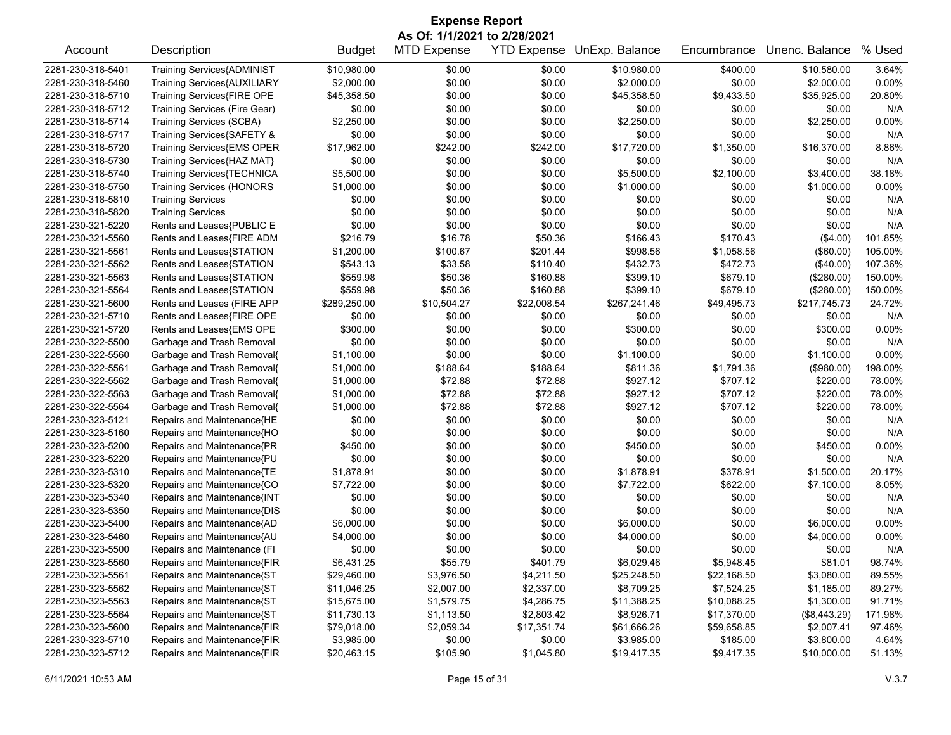| <b>Expense Report</b>        |                                   |               |                    |             |                            |             |                |         |  |  |
|------------------------------|-----------------------------------|---------------|--------------------|-------------|----------------------------|-------------|----------------|---------|--|--|
| As Of: 1/1/2021 to 2/28/2021 |                                   |               |                    |             |                            |             |                |         |  |  |
| Account                      | Description                       | <b>Budget</b> | <b>MTD Expense</b> |             | YTD Expense UnExp. Balance | Encumbrance | Unenc. Balance | % Used  |  |  |
| 2281-230-318-5401            | <b>Training Services{ADMINIST</b> | \$10,980.00   | \$0.00             | \$0.00      | \$10,980.00                | \$400.00    | \$10,580.00    | 3.64%   |  |  |
| 2281-230-318-5460            | Training Services{AUXILIARY       | \$2,000.00    | \$0.00             | \$0.00      | \$2,000.00                 | \$0.00      | \$2,000.00     | 0.00%   |  |  |
| 2281-230-318-5710            | Training Services{FIRE OPE        | \$45,358.50   | \$0.00             | \$0.00      | \$45,358.50                | \$9,433.50  | \$35,925.00    | 20.80%  |  |  |
| 2281-230-318-5712            | Training Services (Fire Gear)     | \$0.00        | \$0.00             | \$0.00      | \$0.00                     | \$0.00      | \$0.00         | N/A     |  |  |
| 2281-230-318-5714            | <b>Training Services (SCBA)</b>   | \$2,250.00    | \$0.00             | \$0.00      | \$2,250.00                 | \$0.00      | \$2,250.00     | 0.00%   |  |  |
| 2281-230-318-5717            | Training Services{SAFETY &        | \$0.00        | \$0.00             | \$0.00      | \$0.00                     | \$0.00      | \$0.00         | N/A     |  |  |
| 2281-230-318-5720            | Training Services{EMS OPER        | \$17,962.00   | \$242.00           | \$242.00    | \$17,720.00                | \$1,350.00  | \$16,370.00    | 8.86%   |  |  |
| 2281-230-318-5730            | Training Services{HAZ MAT}        | \$0.00        | \$0.00             | \$0.00      | \$0.00                     | \$0.00      | \$0.00         | N/A     |  |  |
| 2281-230-318-5740            | Training Services{TECHNICA        | \$5,500.00    | \$0.00             | \$0.00      | \$5,500.00                 | \$2,100.00  | \$3,400.00     | 38.18%  |  |  |
| 2281-230-318-5750            | <b>Training Services (HONORS</b>  | \$1,000.00    | \$0.00             | \$0.00      | \$1,000.00                 | \$0.00      | \$1,000.00     | 0.00%   |  |  |
| 2281-230-318-5810            | <b>Training Services</b>          | \$0.00        | \$0.00             | \$0.00      | \$0.00                     | \$0.00      | \$0.00         | N/A     |  |  |
| 2281-230-318-5820            | <b>Training Services</b>          | \$0.00        | \$0.00             | \$0.00      | \$0.00                     | \$0.00      | \$0.00         | N/A     |  |  |
| 2281-230-321-5220            | Rents and Leases{PUBLIC E         | \$0.00        | \$0.00             | \$0.00      | \$0.00                     | \$0.00      | \$0.00         | N/A     |  |  |
| 2281-230-321-5560            | Rents and Leases{FIRE ADM         | \$216.79      | \$16.78            | \$50.36     | \$166.43                   | \$170.43    | (\$4.00)       | 101.85% |  |  |
| 2281-230-321-5561            | Rents and Leases{STATION          | \$1,200.00    | \$100.67           | \$201.44    | \$998.56                   | \$1,058.56  | (\$60.00)      | 105.00% |  |  |
| 2281-230-321-5562            | Rents and Leases{STATION          | \$543.13      | \$33.58            | \$110.40    | \$432.73                   | \$472.73    | (\$40.00)      | 107.36% |  |  |
| 2281-230-321-5563            | Rents and Leases{STATION          | \$559.98      | \$50.36            | \$160.88    | \$399.10                   | \$679.10    | (\$280.00)     | 150.00% |  |  |
| 2281-230-321-5564            | Rents and Leases{STATION          | \$559.98      | \$50.36            | \$160.88    | \$399.10                   | \$679.10    | (\$280.00)     | 150.00% |  |  |
| 2281-230-321-5600            | Rents and Leases (FIRE APP        | \$289,250.00  | \$10,504.27        | \$22,008.54 | \$267,241.46               | \$49,495.73 | \$217,745.73   | 24.72%  |  |  |
| 2281-230-321-5710            | Rents and Leases{FIRE OPE         | \$0.00        | \$0.00             | \$0.00      | \$0.00                     | \$0.00      | \$0.00         | N/A     |  |  |
| 2281-230-321-5720            | Rents and Leases{EMS OPE          | \$300.00      | \$0.00             | \$0.00      | \$300.00                   | \$0.00      | \$300.00       | 0.00%   |  |  |
| 2281-230-322-5500            | Garbage and Trash Removal         | \$0.00        | \$0.00             | \$0.00      | \$0.00                     | \$0.00      | \$0.00         | N/A     |  |  |
| 2281-230-322-5560            | Garbage and Trash Removal{        | \$1,100.00    | \$0.00             | \$0.00      | \$1,100.00                 | \$0.00      | \$1,100.00     | 0.00%   |  |  |
| 2281-230-322-5561            | Garbage and Trash Removal{        | \$1,000.00    | \$188.64           | \$188.64    | \$811.36                   | \$1,791.36  | (\$980.00)     | 198.00% |  |  |
| 2281-230-322-5562            | Garbage and Trash Removal{        | \$1,000.00    | \$72.88            | \$72.88     | \$927.12                   | \$707.12    | \$220.00       | 78.00%  |  |  |
| 2281-230-322-5563            | Garbage and Trash Removal{        | \$1,000.00    | \$72.88            | \$72.88     | \$927.12                   | \$707.12    | \$220.00       | 78.00%  |  |  |
| 2281-230-322-5564            | Garbage and Trash Removal{        | \$1,000.00    | \$72.88            | \$72.88     | \$927.12                   | \$707.12    | \$220.00       | 78.00%  |  |  |
| 2281-230-323-5121            | Repairs and Maintenance{HE        | \$0.00        | \$0.00             | \$0.00      | \$0.00                     | \$0.00      | \$0.00         | N/A     |  |  |
| 2281-230-323-5160            | Repairs and Maintenance{HO        | \$0.00        | \$0.00             | \$0.00      | \$0.00                     | \$0.00      | \$0.00         | N/A     |  |  |
| 2281-230-323-5200            | Repairs and Maintenance{PR        | \$450.00      | \$0.00             | \$0.00      | \$450.00                   | \$0.00      | \$450.00       | 0.00%   |  |  |
| 2281-230-323-5220            | Repairs and Maintenance{PU        | \$0.00        | \$0.00             | \$0.00      | \$0.00                     | \$0.00      | \$0.00         | N/A     |  |  |
| 2281-230-323-5310            | Repairs and Maintenance{TE        | \$1,878.91    | \$0.00             | \$0.00      | \$1,878.91                 | \$378.91    | \$1,500.00     | 20.17%  |  |  |
| 2281-230-323-5320            | Repairs and Maintenance{CO        | \$7,722.00    | \$0.00             | \$0.00      | \$7,722.00                 | \$622.00    | \$7,100.00     | 8.05%   |  |  |
| 2281-230-323-5340            | Repairs and Maintenance{INT       | \$0.00        | \$0.00             | \$0.00      | \$0.00                     | \$0.00      | \$0.00         | N/A     |  |  |
| 2281-230-323-5350            | Repairs and Maintenance{DIS       | \$0.00        | \$0.00             | \$0.00      | \$0.00                     | \$0.00      | \$0.00         | N/A     |  |  |
| 2281-230-323-5400            | Repairs and Maintenance{AD        | \$6,000.00    | \$0.00             | \$0.00      | \$6,000.00                 | \$0.00      | \$6,000.00     | 0.00%   |  |  |
| 2281-230-323-5460            | Repairs and Maintenance{AU        | \$4,000.00    | \$0.00             | \$0.00      | \$4,000.00                 | \$0.00      | \$4,000.00     | 0.00%   |  |  |
| 2281-230-323-5500            | Repairs and Maintenance (FI       | \$0.00        | \$0.00             | \$0.00      | \$0.00                     | \$0.00      | \$0.00         | N/A     |  |  |
| 2281-230-323-5560            | Repairs and Maintenance{FIR       | \$6,431.25    | \$55.79            | \$401.79    | \$6,029.46                 | \$5,948.45  | \$81.01        | 98.74%  |  |  |
| 2281-230-323-5561            | Repairs and Maintenance{ST        | \$29,460.00   | \$3,976.50         | \$4,211.50  | \$25,248.50                | \$22,168.50 | \$3,080.00     | 89.55%  |  |  |
| 2281-230-323-5562            | Repairs and Maintenance{ST        | \$11,046.25   | \$2,007.00         | \$2,337.00  | \$8,709.25                 | \$7,524.25  | \$1,185.00     | 89.27%  |  |  |
| 2281-230-323-5563            | Repairs and Maintenance{ST        | \$15,675.00   | \$1,579.75         | \$4,286.75  | \$11,388.25                | \$10,088.25 | \$1,300.00     | 91.71%  |  |  |
| 2281-230-323-5564            | Repairs and Maintenance{ST        | \$11,730.13   | \$1,113.50         | \$2,803.42  | \$8,926.71                 | \$17,370.00 | (\$8,443.29)   | 171.98% |  |  |
| 2281-230-323-5600            | Repairs and Maintenance{FIR       | \$79,018.00   | \$2,059.34         | \$17,351.74 | \$61,666.26                | \$59,658.85 | \$2,007.41     | 97.46%  |  |  |
| 2281-230-323-5710            | Repairs and Maintenance{FIR       | \$3,985.00    | \$0.00             | \$0.00      | \$3,985.00                 | \$185.00    | \$3,800.00     | 4.64%   |  |  |
| 2281-230-323-5712            | Repairs and Maintenance{FIR       | \$20,463.15   | \$105.90           | \$1,045.80  | \$19,417.35                | \$9,417.35  | \$10,000.00    | 51.13%  |  |  |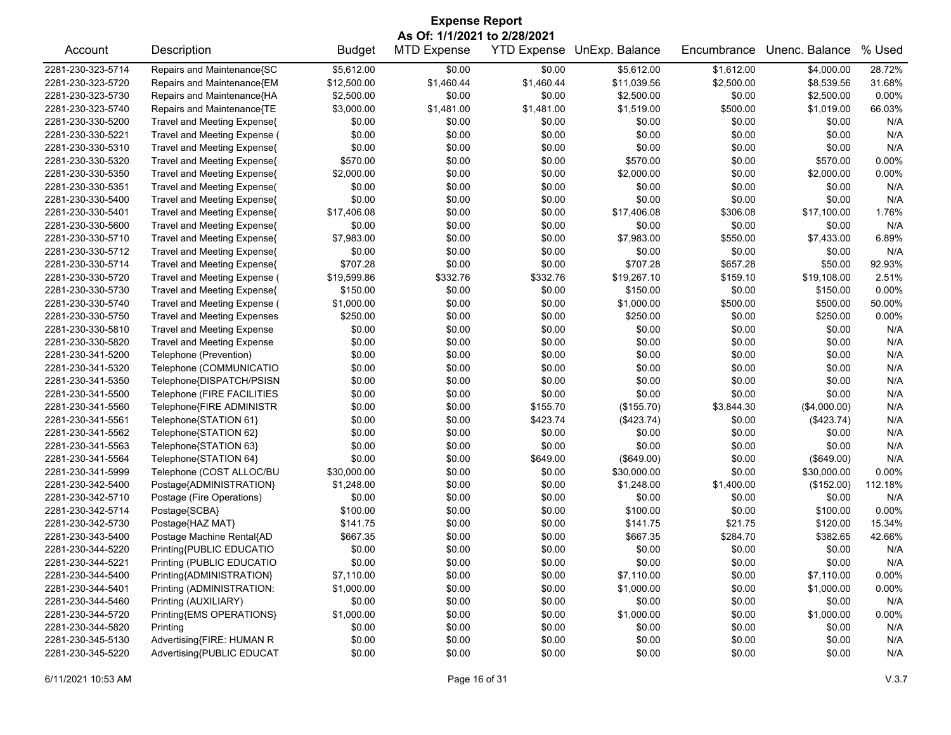| <b>Expense Report</b><br>As Of: 1/1/2021 to 2/28/2021 |                                    |               |                    |            |                                   |             |                |         |  |  |
|-------------------------------------------------------|------------------------------------|---------------|--------------------|------------|-----------------------------------|-------------|----------------|---------|--|--|
| Account                                               | Description                        | <b>Budget</b> | <b>MTD Expense</b> |            | <b>YTD Expense UnExp. Balance</b> | Encumbrance | Unenc. Balance | % Used  |  |  |
| 2281-230-323-5714                                     | Repairs and Maintenance{SC         | \$5,612.00    | \$0.00             | \$0.00     | \$5,612.00                        | \$1,612.00  | \$4,000.00     | 28.72%  |  |  |
| 2281-230-323-5720                                     | Repairs and Maintenance{EM         | \$12,500.00   | \$1,460.44         | \$1,460.44 | \$11,039.56                       | \$2,500.00  | \$8,539.56     | 31.68%  |  |  |
| 2281-230-323-5730                                     | Repairs and Maintenance{HA         | \$2,500.00    | \$0.00             | \$0.00     | \$2,500.00                        | \$0.00      | \$2,500.00     | 0.00%   |  |  |
| 2281-230-323-5740                                     | Repairs and Maintenance{TE         | \$3,000.00    | \$1,481.00         | \$1,481.00 | \$1,519.00                        | \$500.00    | \$1,019.00     | 66.03%  |  |  |
| 2281-230-330-5200                                     | Travel and Meeting Expense{        | \$0.00        | \$0.00             | \$0.00     | \$0.00                            | \$0.00      | \$0.00         | N/A     |  |  |
| 2281-230-330-5221                                     | Travel and Meeting Expense (       | \$0.00        | \$0.00             | \$0.00     | \$0.00                            | \$0.00      | \$0.00         | N/A     |  |  |
| 2281-230-330-5310                                     | Travel and Meeting Expense{        | \$0.00        | \$0.00             | \$0.00     | \$0.00                            | \$0.00      | \$0.00         | N/A     |  |  |
| 2281-230-330-5320                                     | Travel and Meeting Expense{        | \$570.00      | \$0.00             | \$0.00     | \$570.00                          | \$0.00      | \$570.00       | 0.00%   |  |  |
| 2281-230-330-5350                                     | Travel and Meeting Expense{        | \$2,000.00    | \$0.00             | \$0.00     | \$2,000.00                        | \$0.00      | \$2,000.00     | 0.00%   |  |  |
| 2281-230-330-5351                                     | <b>Travel and Meeting Expense(</b> | \$0.00        | \$0.00             | \$0.00     | \$0.00                            | \$0.00      | \$0.00         | N/A     |  |  |
| 2281-230-330-5400                                     | Travel and Meeting Expense{        | \$0.00        | \$0.00             | \$0.00     | \$0.00                            | \$0.00      | \$0.00         | N/A     |  |  |
| 2281-230-330-5401                                     | Travel and Meeting Expense{        | \$17,406.08   | \$0.00             | \$0.00     | \$17,406.08                       | \$306.08    | \$17,100.00    | 1.76%   |  |  |
| 2281-230-330-5600                                     | Travel and Meeting Expense{        | \$0.00        | \$0.00             | \$0.00     | \$0.00                            | \$0.00      | \$0.00         | N/A     |  |  |
| 2281-230-330-5710                                     | Travel and Meeting Expense{        | \$7,983.00    | \$0.00             | \$0.00     | \$7,983.00                        | \$550.00    | \$7,433.00     | 6.89%   |  |  |
| 2281-230-330-5712                                     | Travel and Meeting Expense{        | \$0.00        | \$0.00             | \$0.00     | \$0.00                            | \$0.00      | \$0.00         | N/A     |  |  |
| 2281-230-330-5714                                     | Travel and Meeting Expense{        | \$707.28      | \$0.00             | \$0.00     | \$707.28                          | \$657.28    | \$50.00        | 92.93%  |  |  |
| 2281-230-330-5720                                     | Travel and Meeting Expense (       | \$19,599.86   | \$332.76           | \$332.76   | \$19,267.10                       | \$159.10    | \$19,108.00    | 2.51%   |  |  |
| 2281-230-330-5730                                     | Travel and Meeting Expense{        | \$150.00      | \$0.00             | \$0.00     | \$150.00                          | \$0.00      | \$150.00       | 0.00%   |  |  |
| 2281-230-330-5740                                     | Travel and Meeting Expense (       | \$1,000.00    | \$0.00             | \$0.00     | \$1,000.00                        | \$500.00    | \$500.00       | 50.00%  |  |  |
| 2281-230-330-5750                                     | <b>Travel and Meeting Expenses</b> | \$250.00      | \$0.00             | \$0.00     | \$250.00                          | \$0.00      | \$250.00       | 0.00%   |  |  |
| 2281-230-330-5810                                     | <b>Travel and Meeting Expense</b>  | \$0.00        | \$0.00             | \$0.00     | \$0.00                            | \$0.00      | \$0.00         | N/A     |  |  |
| 2281-230-330-5820                                     | <b>Travel and Meeting Expense</b>  | \$0.00        | \$0.00             | \$0.00     | \$0.00                            | \$0.00      | \$0.00         | N/A     |  |  |
| 2281-230-341-5200                                     | Telephone (Prevention)             | \$0.00        | \$0.00             | \$0.00     | \$0.00                            | \$0.00      | \$0.00         | N/A     |  |  |
| 2281-230-341-5320                                     | Telephone (COMMUNICATIO            | \$0.00        | \$0.00             | \$0.00     | \$0.00                            | \$0.00      | \$0.00         | N/A     |  |  |
| 2281-230-341-5350                                     | Telephone{DISPATCH/PSISN           | \$0.00        | \$0.00             | \$0.00     | \$0.00                            | \$0.00      | \$0.00         | N/A     |  |  |
| 2281-230-341-5500                                     | Telephone (FIRE FACILITIES         | \$0.00        | \$0.00             | \$0.00     | \$0.00                            | \$0.00      | \$0.00         | N/A     |  |  |
| 2281-230-341-5560                                     | Telephone{FIRE ADMINISTR           | \$0.00        | \$0.00             | \$155.70   | (\$155.70)                        | \$3,844.30  | (\$4,000.00)   | N/A     |  |  |
| 2281-230-341-5561                                     | Telephone{STATION 61}              | \$0.00        | \$0.00             | \$423.74   | (\$423.74)                        | \$0.00      | (\$423.74)     | N/A     |  |  |
| 2281-230-341-5562                                     | Telephone{STATION 62}              | \$0.00        | \$0.00             | \$0.00     | \$0.00                            | \$0.00      | \$0.00         | N/A     |  |  |
| 2281-230-341-5563                                     | Telephone{STATION 63}              | \$0.00        | \$0.00             | \$0.00     | \$0.00                            | \$0.00      | \$0.00         | N/A     |  |  |
| 2281-230-341-5564                                     | Telephone{STATION 64}              | \$0.00        | \$0.00             | \$649.00   | (\$649.00)                        | \$0.00      | (\$649.00)     | N/A     |  |  |
| 2281-230-341-5999                                     | Telephone (COST ALLOC/BU           | \$30,000.00   | \$0.00             | \$0.00     | \$30,000.00                       | \$0.00      | \$30,000.00    | 0.00%   |  |  |
| 2281-230-342-5400                                     | Postage{ADMINISTRATION}            | \$1,248.00    | \$0.00             | \$0.00     | \$1,248.00                        | \$1,400.00  | (\$152.00)     | 112.18% |  |  |
| 2281-230-342-5710                                     | Postage (Fire Operations)          | \$0.00        | \$0.00             | \$0.00     | \$0.00                            | \$0.00      | \$0.00         | N/A     |  |  |
| 2281-230-342-5714                                     | Postage{SCBA}                      | \$100.00      | \$0.00             | \$0.00     | \$100.00                          | \$0.00      | \$100.00       | 0.00%   |  |  |
| 2281-230-342-5730                                     | Postage{HAZ MAT}                   | \$141.75      | \$0.00             | \$0.00     | \$141.75                          | \$21.75     | \$120.00       | 15.34%  |  |  |
| 2281-230-343-5400                                     | Postage Machine Rental{AD          | \$667.35      | \$0.00             | \$0.00     | \$667.35                          | \$284.70    | \$382.65       | 42.66%  |  |  |
| 2281-230-344-5220                                     | Printing{PUBLIC EDUCATIO           | \$0.00        | \$0.00             | \$0.00     | \$0.00                            | \$0.00      | \$0.00         | N/A     |  |  |
| 2281-230-344-5221                                     | Printing (PUBLIC EDUCATIO          | \$0.00        | \$0.00             | \$0.00     | \$0.00                            | \$0.00      | \$0.00         | N/A     |  |  |
| 2281-230-344-5400                                     | Printing{ADMINISTRATION}           | \$7,110.00    | \$0.00             | \$0.00     | \$7,110.00                        | \$0.00      | \$7,110.00     | 0.00%   |  |  |
| 2281-230-344-5401                                     | Printing (ADMINISTRATION:          | \$1,000.00    | \$0.00             | \$0.00     | \$1,000.00                        | \$0.00      | \$1,000.00     | 0.00%   |  |  |
| 2281-230-344-5460                                     | Printing (AUXILIARY)               | \$0.00        | \$0.00             | \$0.00     | \$0.00                            | \$0.00      | \$0.00         | N/A     |  |  |
| 2281-230-344-5720                                     | Printing{EMS OPERATIONS}           | \$1,000.00    | \$0.00             | \$0.00     | \$1,000.00                        | \$0.00      | \$1,000.00     | 0.00%   |  |  |
| 2281-230-344-5820                                     | Printing                           | \$0.00        | \$0.00             | \$0.00     | \$0.00                            | \$0.00      | \$0.00         | N/A     |  |  |
| 2281-230-345-5130                                     | Advertising{FIRE: HUMAN R          | \$0.00        | \$0.00             | \$0.00     | \$0.00                            | \$0.00      | \$0.00         | N/A     |  |  |
| 2281-230-345-5220                                     | Advertising{PUBLIC EDUCAT          | \$0.00        | \$0.00             | \$0.00     | \$0.00                            | \$0.00      | \$0.00         | N/A     |  |  |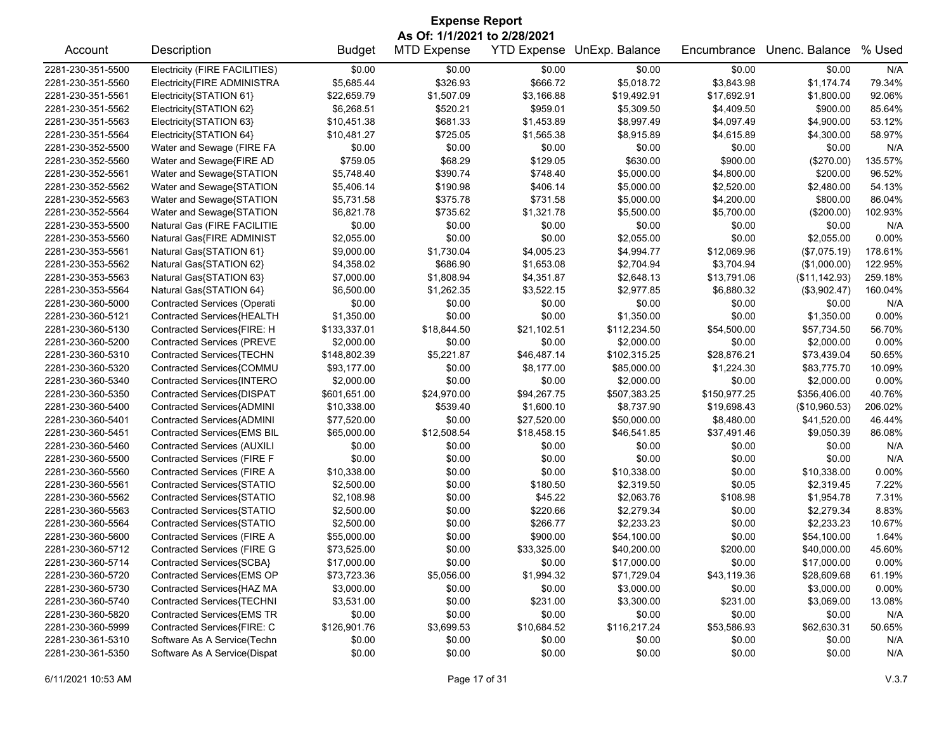| <b>Expense Report</b> |                                     |               |                              |             |                            |              |                |         |  |  |
|-----------------------|-------------------------------------|---------------|------------------------------|-------------|----------------------------|--------------|----------------|---------|--|--|
|                       |                                     |               | As Of: 1/1/2021 to 2/28/2021 |             |                            |              |                |         |  |  |
| Account               | Description                         | <b>Budget</b> | <b>MTD Expense</b>           |             | YTD Expense UnExp. Balance | Encumbrance  | Unenc. Balance | % Used  |  |  |
| 2281-230-351-5500     | Electricity (FIRE FACILITIES)       | \$0.00        | \$0.00                       | \$0.00      | \$0.00                     | \$0.00       | \$0.00         | N/A     |  |  |
| 2281-230-351-5560     | Electricity{FIRE ADMINISTRA         | \$5,685.44    | \$326.93                     | \$666.72    | \$5,018.72                 | \$3,843.98   | \$1,174.74     | 79.34%  |  |  |
| 2281-230-351-5561     | Electricity{STATION 61}             | \$22,659.79   | \$1,507.09                   | \$3,166.88  | \$19,492.91                | \$17,692.91  | \$1,800.00     | 92.06%  |  |  |
| 2281-230-351-5562     | Electricity{STATION 62}             | \$6,268.51    | \$520.21                     | \$959.01    | \$5,309.50                 | \$4,409.50   | \$900.00       | 85.64%  |  |  |
| 2281-230-351-5563     | Electricity{STATION 63}             | \$10,451.38   | \$681.33                     | \$1,453.89  | \$8,997.49                 | \$4,097.49   | \$4,900.00     | 53.12%  |  |  |
| 2281-230-351-5564     | Electricity{STATION 64}             | \$10,481.27   | \$725.05                     | \$1,565.38  | \$8,915.89                 | \$4,615.89   | \$4,300.00     | 58.97%  |  |  |
| 2281-230-352-5500     | Water and Sewage (FIRE FA           | \$0.00        | \$0.00                       | \$0.00      | \$0.00                     | \$0.00       | \$0.00         | N/A     |  |  |
| 2281-230-352-5560     | Water and Sewage{FIRE AD            | \$759.05      | \$68.29                      | \$129.05    | \$630.00                   | \$900.00     | (\$270.00)     | 135.57% |  |  |
| 2281-230-352-5561     | Water and Sewage{STATION            | \$5,748.40    | \$390.74                     | \$748.40    | \$5,000.00                 | \$4,800.00   | \$200.00       | 96.52%  |  |  |
| 2281-230-352-5562     | Water and Sewage{STATION            | \$5,406.14    | \$190.98                     | \$406.14    | \$5,000.00                 | \$2,520.00   | \$2,480.00     | 54.13%  |  |  |
| 2281-230-352-5563     | Water and Sewage{STATION            | \$5,731.58    | \$375.78                     | \$731.58    | \$5,000.00                 | \$4,200.00   | \$800.00       | 86.04%  |  |  |
| 2281-230-352-5564     | Water and Sewage{STATION            | \$6,821.78    | \$735.62                     | \$1,321.78  | \$5,500.00                 | \$5,700.00   | (\$200.00)     | 102.93% |  |  |
| 2281-230-353-5500     | Natural Gas (FIRE FACILITIE         | \$0.00        | \$0.00                       | \$0.00      | \$0.00                     | \$0.00       | \$0.00         | N/A     |  |  |
| 2281-230-353-5560     | Natural Gas{FIRE ADMINIST           | \$2,055.00    | \$0.00                       | \$0.00      | \$2,055.00                 | \$0.00       | \$2,055.00     | 0.00%   |  |  |
| 2281-230-353-5561     | Natural Gas{STATION 61}             | \$9,000.00    | \$1,730.04                   | \$4,005.23  | \$4,994.77                 | \$12,069.96  | (\$7,075.19)   | 178.61% |  |  |
| 2281-230-353-5562     | Natural Gas{STATION 62}             | \$4,358.02    | \$686.90                     | \$1,653.08  | \$2,704.94                 | \$3,704.94   | (\$1,000.00)   | 122.95% |  |  |
| 2281-230-353-5563     | Natural Gas{STATION 63}             | \$7,000.00    | \$1,808.94                   | \$4,351.87  | \$2,648.13                 | \$13,791.06  | (\$11, 142.93) | 259.18% |  |  |
| 2281-230-353-5564     | Natural Gas{STATION 64}             | \$6,500.00    | \$1,262.35                   | \$3,522.15  | \$2,977.85                 | \$6,880.32   | (\$3,902.47)   | 160.04% |  |  |
| 2281-230-360-5000     | <b>Contracted Services (Operati</b> | \$0.00        | \$0.00                       | \$0.00      | \$0.00                     | \$0.00       | \$0.00         | N/A     |  |  |
| 2281-230-360-5121     | Contracted Services{HEALTH          | \$1,350.00    | \$0.00                       | \$0.00      | \$1,350.00                 | \$0.00       | \$1,350.00     | 0.00%   |  |  |
| 2281-230-360-5130     | Contracted Services{FIRE: H         | \$133,337.01  | \$18,844.50                  | \$21,102.51 | \$112,234.50               | \$54,500.00  | \$57,734.50    | 56.70%  |  |  |
| 2281-230-360-5200     | <b>Contracted Services (PREVE</b>   | \$2,000.00    | \$0.00                       | \$0.00      | \$2,000.00                 | \$0.00       | \$2,000.00     | 0.00%   |  |  |
| 2281-230-360-5310     | Contracted Services{TECHN           | \$148,802.39  | \$5,221.87                   | \$46,487.14 | \$102,315.25               | \$28,876.21  | \$73,439.04    | 50.65%  |  |  |
| 2281-230-360-5320     | Contracted Services{COMMU           | \$93,177.00   | \$0.00                       | \$8,177.00  | \$85,000.00                | \$1,224.30   | \$83,775.70    | 10.09%  |  |  |
| 2281-230-360-5340     | Contracted Services{INTERO          | \$2,000.00    | \$0.00                       | \$0.00      | \$2,000.00                 | \$0.00       | \$2,000.00     | 0.00%   |  |  |
| 2281-230-360-5350     | Contracted Services{DISPAT          | \$601,651.00  | \$24,970.00                  | \$94,267.75 | \$507,383.25               | \$150,977.25 | \$356,406.00   | 40.76%  |  |  |
| 2281-230-360-5400     | Contracted Services{ADMINI          | \$10,338.00   | \$539.40                     | \$1,600.10  | \$8,737.90                 | \$19,698.43  | (\$10,960.53)  | 206.02% |  |  |
| 2281-230-360-5401     | Contracted Services{ADMINI          | \$77,520.00   | \$0.00                       | \$27,520.00 | \$50,000.00                | \$8,480.00   | \$41,520.00    | 46.44%  |  |  |
|                       |                                     |               |                              |             |                            |              |                | 86.08%  |  |  |
| 2281-230-360-5451     | Contracted Services{EMS BIL         | \$65,000.00   | \$12,508.54                  | \$18,458.15 | \$46,541.85                | \$37,491.46  | \$9,050.39     |         |  |  |
| 2281-230-360-5460     | <b>Contracted Services (AUXILI</b>  | \$0.00        | \$0.00                       | \$0.00      | \$0.00                     | \$0.00       | \$0.00         | N/A     |  |  |
| 2281-230-360-5500     | Contracted Services (FIRE F         | \$0.00        | \$0.00                       | \$0.00      | \$0.00                     | \$0.00       | \$0.00         | N/A     |  |  |
| 2281-230-360-5560     | Contracted Services (FIRE A         | \$10,338.00   | \$0.00                       | \$0.00      | \$10,338.00                | \$0.00       | \$10,338.00    | 0.00%   |  |  |
| 2281-230-360-5561     | Contracted Services{STATIO          | \$2,500.00    | \$0.00                       | \$180.50    | \$2,319.50                 | \$0.05       | \$2,319.45     | 7.22%   |  |  |
| 2281-230-360-5562     | Contracted Services{STATIO          | \$2,108.98    | \$0.00                       | \$45.22     | \$2,063.76                 | \$108.98     | \$1,954.78     | 7.31%   |  |  |
| 2281-230-360-5563     | Contracted Services{STATIO          | \$2,500.00    | \$0.00                       | \$220.66    | \$2,279.34                 | \$0.00       | \$2,279.34     | 8.83%   |  |  |
| 2281-230-360-5564     | Contracted Services{STATIO          | \$2,500.00    | \$0.00                       | \$266.77    | \$2,233.23                 | \$0.00       | \$2,233.23     | 10.67%  |  |  |
| 2281-230-360-5600     | Contracted Services (FIRE A         | \$55,000.00   | \$0.00                       | \$900.00    | \$54,100.00                | \$0.00       | \$54,100.00    | 1.64%   |  |  |
| 2281-230-360-5712     | <b>Contracted Services (FIRE G</b>  | \$73,525.00   | \$0.00                       | \$33,325.00 | \$40,200.00                | \$200.00     | \$40,000.00    | 45.60%  |  |  |
| 2281-230-360-5714     | Contracted Services{SCBA}           | \$17,000.00   | \$0.00                       | \$0.00      | \$17,000.00                | \$0.00       | \$17,000.00    | 0.00%   |  |  |
| 2281-230-360-5720     | Contracted Services{EMS OP          | \$73,723.36   | \$5,056.00                   | \$1,994.32  | \$71,729.04                | \$43,119.36  | \$28,609.68    | 61.19%  |  |  |
| 2281-230-360-5730     | Contracted Services{HAZ MA          | \$3,000.00    | \$0.00                       | \$0.00      | \$3,000.00                 | \$0.00       | \$3,000.00     | 0.00%   |  |  |
| 2281-230-360-5740     | Contracted Services{TECHNI          | \$3,531.00    | \$0.00                       | \$231.00    | \$3,300.00                 | \$231.00     | \$3,069.00     | 13.08%  |  |  |
| 2281-230-360-5820     | Contracted Services{EMS TR          | \$0.00        | \$0.00                       | \$0.00      | \$0.00                     | \$0.00       | \$0.00         | N/A     |  |  |
| 2281-230-360-5999     | Contracted Services{FIRE: C         | \$126,901.76  | \$3,699.53                   | \$10,684.52 | \$116,217.24               | \$53,586.93  | \$62,630.31    | 50.65%  |  |  |
| 2281-230-361-5310     | Software As A Service(Techn         | \$0.00        | \$0.00                       | \$0.00      | \$0.00                     | \$0.00       | \$0.00         | N/A     |  |  |
| 2281-230-361-5350     | Software As A Service(Dispat        | \$0.00        | \$0.00                       | \$0.00      | \$0.00                     | \$0.00       | \$0.00         | N/A     |  |  |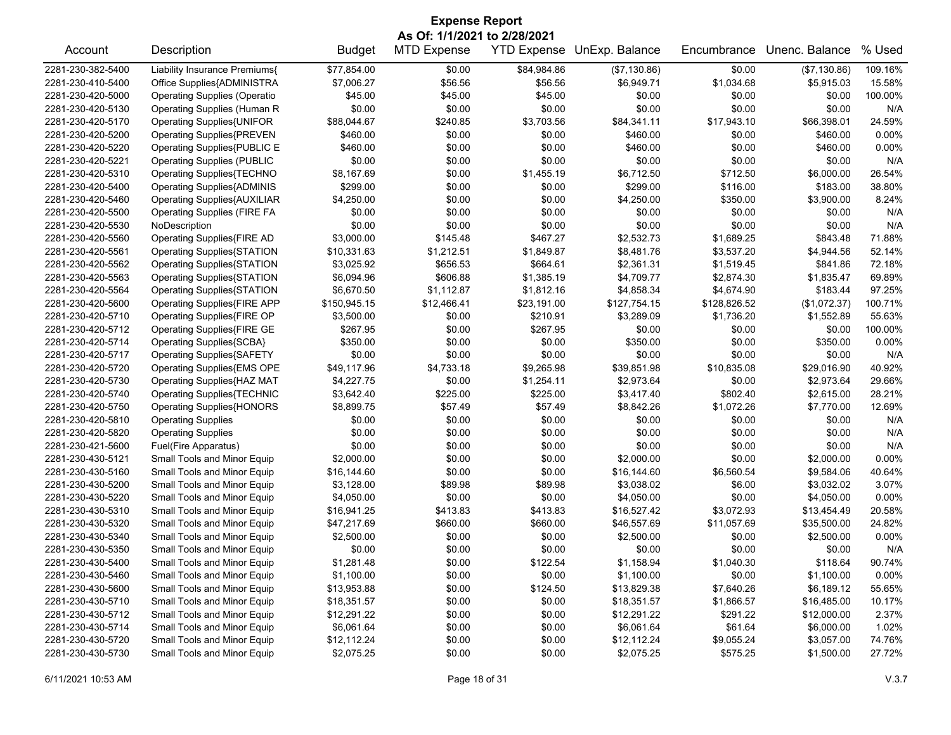| <b>Expense Report</b>        |                                     |               |                    |                    |                |              |                |          |  |  |  |
|------------------------------|-------------------------------------|---------------|--------------------|--------------------|----------------|--------------|----------------|----------|--|--|--|
| As Of: 1/1/2021 to 2/28/2021 |                                     |               |                    |                    |                |              |                |          |  |  |  |
| Account                      | Description                         | <b>Budget</b> | <b>MTD Expense</b> | <b>YTD Expense</b> | UnExp. Balance | Encumbrance  | Unenc. Balance | % Used   |  |  |  |
| 2281-230-382-5400            | Liability Insurance Premiums{       | \$77,854.00   | \$0.00             | \$84,984.86        | (\$7,130.86)   | \$0.00       | (\$7,130.86)   | 109.16%  |  |  |  |
| 2281-230-410-5400            | Office Supplies{ADMINISTRA          | \$7,006.27    | \$56.56            | \$56.56            | \$6,949.71     | \$1,034.68   | \$5,915.03     | 15.58%   |  |  |  |
| 2281-230-420-5000            | <b>Operating Supplies (Operatio</b> | \$45.00       | \$45.00            | \$45.00            | \$0.00         | \$0.00       | \$0.00         | 100.00%  |  |  |  |
| 2281-230-420-5130            | Operating Supplies (Human R         | \$0.00        | \$0.00             | \$0.00             | \$0.00         | \$0.00       | \$0.00         | N/A      |  |  |  |
| 2281-230-420-5170            | <b>Operating Supplies{UNIFOR</b>    | \$88,044.67   | \$240.85           | \$3,703.56         | \$84,341.11    | \$17,943.10  | \$66,398.01    | 24.59%   |  |  |  |
| 2281-230-420-5200            | <b>Operating Supplies{PREVEN</b>    | \$460.00      | \$0.00             | \$0.00             | \$460.00       | \$0.00       | \$460.00       | $0.00\%$ |  |  |  |
| 2281-230-420-5220            | Operating Supplies{PUBLIC E         | \$460.00      | \$0.00             | \$0.00             | \$460.00       | \$0.00       | \$460.00       | 0.00%    |  |  |  |
| 2281-230-420-5221            | <b>Operating Supplies (PUBLIC</b>   | \$0.00        | \$0.00             | \$0.00             | \$0.00         | \$0.00       | \$0.00         | N/A      |  |  |  |
| 2281-230-420-5310            | Operating Supplies{TECHNO           | \$8,167.69    | \$0.00             | \$1,455.19         | \$6,712.50     | \$712.50     | \$6,000.00     | 26.54%   |  |  |  |
| 2281-230-420-5400            | <b>Operating Supplies{ADMINIS</b>   | \$299.00      | \$0.00             | \$0.00             | \$299.00       | \$116.00     | \$183.00       | 38.80%   |  |  |  |
| 2281-230-420-5460            | <b>Operating Supplies{AUXILIAR</b>  | \$4,250.00    | \$0.00             | \$0.00             | \$4,250.00     | \$350.00     | \$3,900.00     | 8.24%    |  |  |  |
| 2281-230-420-5500            | <b>Operating Supplies (FIRE FA</b>  | \$0.00        | \$0.00             | \$0.00             | \$0.00         | \$0.00       | \$0.00         | N/A      |  |  |  |
| 2281-230-420-5530            | NoDescription                       | \$0.00        | \$0.00             | \$0.00             | \$0.00         | \$0.00       | \$0.00         | N/A      |  |  |  |
| 2281-230-420-5560            | Operating Supplies{FIRE AD          | \$3,000.00    | \$145.48           | \$467.27           | \$2,532.73     | \$1,689.25   | \$843.48       | 71.88%   |  |  |  |
| 2281-230-420-5561            | <b>Operating Supplies{STATION</b>   | \$10,331.63   | \$1,212.51         | \$1,849.87         | \$8,481.76     | \$3,537.20   | \$4,944.56     | 52.14%   |  |  |  |
| 2281-230-420-5562            | Operating Supplies{STATION          | \$3,025.92    | \$656.53           | \$664.61           | \$2,361.31     | \$1,519.45   | \$841.86       | 72.18%   |  |  |  |
| 2281-230-420-5563            | Operating Supplies{STATION          | \$6,094.96    | \$606.88           | \$1,385.19         | \$4,709.77     | \$2,874.30   | \$1,835.47     | 69.89%   |  |  |  |
| 2281-230-420-5564            | Operating Supplies{STATION          | \$6,670.50    | \$1,112.87         | \$1,812.16         | \$4,858.34     | \$4,674.90   | \$183.44       | 97.25%   |  |  |  |
| 2281-230-420-5600            | <b>Operating Supplies{FIRE APP</b>  | \$150,945.15  | \$12,466.41        | \$23,191.00        | \$127,754.15   | \$128,826.52 | (\$1,072.37)   | 100.71%  |  |  |  |
| 2281-230-420-5710            | Operating Supplies{FIRE OP          | \$3,500.00    | \$0.00             | \$210.91           | \$3,289.09     | \$1,736.20   | \$1,552.89     | 55.63%   |  |  |  |
| 2281-230-420-5712            | Operating Supplies{FIRE GE          | \$267.95      | \$0.00             | \$267.95           | \$0.00         | \$0.00       | \$0.00         | 100.00%  |  |  |  |
| 2281-230-420-5714            | Operating Supplies{SCBA}            | \$350.00      | \$0.00             | \$0.00             | \$350.00       | \$0.00       | \$350.00       | $0.00\%$ |  |  |  |
| 2281-230-420-5717            | <b>Operating Supplies{SAFETY</b>    | \$0.00        | \$0.00             | \$0.00             | \$0.00         | \$0.00       | \$0.00         | N/A      |  |  |  |
| 2281-230-420-5720            | Operating Supplies{EMS OPE          | \$49,117.96   | \$4,733.18         | \$9,265.98         | \$39,851.98    | \$10,835.08  | \$29,016.90    | 40.92%   |  |  |  |
| 2281-230-420-5730            | Operating Supplies{HAZ MAT          | \$4,227.75    | \$0.00             | \$1,254.11         | \$2,973.64     | \$0.00       | \$2,973.64     | 29.66%   |  |  |  |
| 2281-230-420-5740            | <b>Operating Supplies{TECHNIC</b>   | \$3,642.40    | \$225.00           | \$225.00           | \$3,417.40     | \$802.40     | \$2,615.00     | 28.21%   |  |  |  |
| 2281-230-420-5750            | <b>Operating Supplies{HONORS</b>    | \$8,899.75    | \$57.49            | \$57.49            | \$8,842.26     | \$1,072.26   | \$7,770.00     | 12.69%   |  |  |  |
| 2281-230-420-5810            | <b>Operating Supplies</b>           | \$0.00        | \$0.00             | \$0.00             | \$0.00         | \$0.00       | \$0.00         | N/A      |  |  |  |
| 2281-230-420-5820            | <b>Operating Supplies</b>           | \$0.00        | \$0.00             | \$0.00             | \$0.00         | \$0.00       | \$0.00         | N/A      |  |  |  |
| 2281-230-421-5600            | Fuel(Fire Apparatus)                | \$0.00        | \$0.00             | \$0.00             | \$0.00         | \$0.00       | \$0.00         | N/A      |  |  |  |
| 2281-230-430-5121            | Small Tools and Minor Equip         | \$2,000.00    | \$0.00             | \$0.00             | \$2,000.00     | \$0.00       | \$2,000.00     | 0.00%    |  |  |  |
| 2281-230-430-5160            | Small Tools and Minor Equip         | \$16,144.60   | \$0.00             | \$0.00             | \$16,144.60    | \$6,560.54   | \$9,584.06     | 40.64%   |  |  |  |
| 2281-230-430-5200            | Small Tools and Minor Equip         | \$3,128.00    | \$89.98            | \$89.98            | \$3,038.02     | \$6.00       | \$3,032.02     | 3.07%    |  |  |  |
| 2281-230-430-5220            | Small Tools and Minor Equip         | \$4,050.00    | \$0.00             | \$0.00             | \$4,050.00     | \$0.00       | \$4,050.00     | 0.00%    |  |  |  |
| 2281-230-430-5310            | Small Tools and Minor Equip         | \$16,941.25   | \$413.83           | \$413.83           | \$16,527.42    | \$3,072.93   | \$13,454.49    | 20.58%   |  |  |  |
| 2281-230-430-5320            | Small Tools and Minor Equip         | \$47,217.69   | \$660.00           | \$660.00           | \$46,557.69    | \$11,057.69  | \$35,500.00    | 24.82%   |  |  |  |
| 2281-230-430-5340            | Small Tools and Minor Equip         | \$2,500.00    | \$0.00             | \$0.00             | \$2,500.00     | \$0.00       | \$2,500.00     | $0.00\%$ |  |  |  |
| 2281-230-430-5350            | Small Tools and Minor Equip         | \$0.00        | \$0.00             | \$0.00             | \$0.00         | \$0.00       | \$0.00         | N/A      |  |  |  |
| 2281-230-430-5400            | Small Tools and Minor Equip         | \$1,281.48    | \$0.00             | \$122.54           | \$1,158.94     | \$1,040.30   | \$118.64       | 90.74%   |  |  |  |
| 2281-230-430-5460            | Small Tools and Minor Equip         | \$1,100.00    | \$0.00             | \$0.00             | \$1,100.00     | \$0.00       | \$1,100.00     | 0.00%    |  |  |  |
| 2281-230-430-5600            | Small Tools and Minor Equip         | \$13,953.88   | \$0.00             | \$124.50           | \$13,829.38    | \$7,640.26   | \$6,189.12     | 55.65%   |  |  |  |
| 2281-230-430-5710            | Small Tools and Minor Equip         | \$18,351.57   | \$0.00             | \$0.00             | \$18,351.57    | \$1,866.57   | \$16,485.00    | 10.17%   |  |  |  |
| 2281-230-430-5712            | Small Tools and Minor Equip         | \$12,291.22   | \$0.00             | \$0.00             | \$12,291.22    | \$291.22     | \$12,000.00    | 2.37%    |  |  |  |
| 2281-230-430-5714            | Small Tools and Minor Equip         | \$6,061.64    | \$0.00             | \$0.00             | \$6,061.64     | \$61.64      | \$6,000.00     | 1.02%    |  |  |  |
| 2281-230-430-5720            | Small Tools and Minor Equip         | \$12,112.24   | \$0.00             | \$0.00             | \$12,112.24    | \$9,055.24   | \$3,057.00     | 74.76%   |  |  |  |
| 2281-230-430-5730            | Small Tools and Minor Equip         | \$2,075.25    | \$0.00             | \$0.00             | \$2,075.25     | \$575.25     | \$1,500.00     | 27.72%   |  |  |  |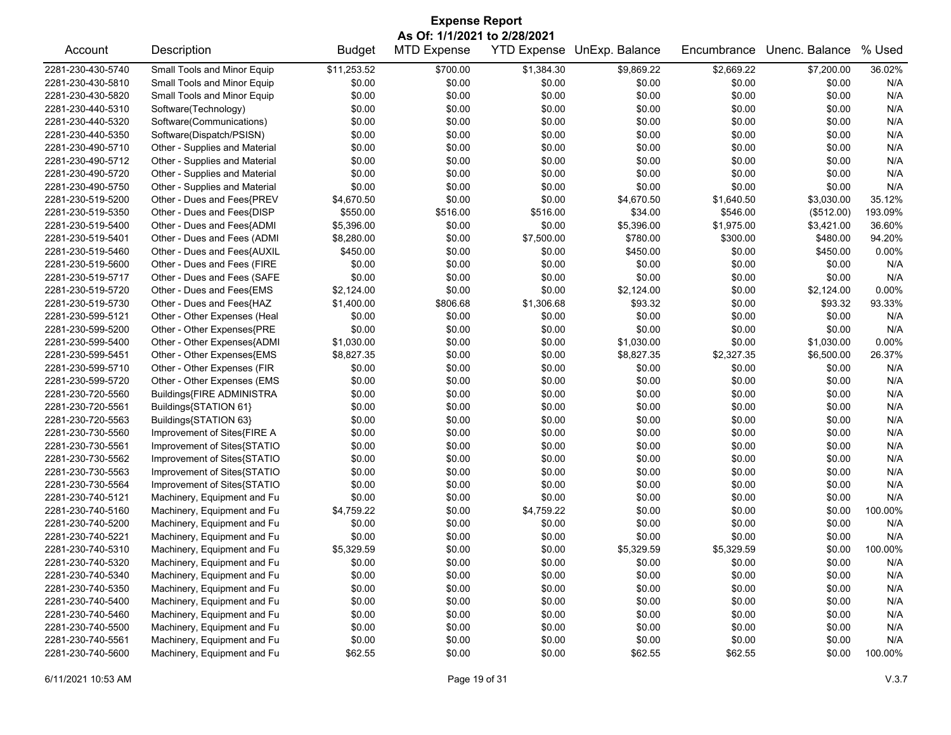| As Of: 1/1/2021 to 2/28/2021                                                                                                           |          |  |  |  |  |  |  |  |  |
|----------------------------------------------------------------------------------------------------------------------------------------|----------|--|--|--|--|--|--|--|--|
| <b>YTD Expense</b><br>UnExp. Balance<br>Unenc. Balance<br>Account<br>Description<br><b>Budget</b><br><b>MTD Expense</b><br>Encumbrance | % Used   |  |  |  |  |  |  |  |  |
| 2281-230-430-5740<br>Small Tools and Minor Equip<br>\$11,253.52<br>\$700.00<br>\$1,384.30<br>\$9,869.22<br>\$2,669.22<br>\$7,200.00    | 36.02%   |  |  |  |  |  |  |  |  |
| 2281-230-430-5810<br>Small Tools and Minor Equip<br>\$0.00<br>\$0.00<br>\$0.00<br>\$0.00<br>\$0.00<br>\$0.00                           | N/A      |  |  |  |  |  |  |  |  |
| \$0.00<br>\$0.00<br>\$0.00<br>\$0.00<br>\$0.00<br>\$0.00<br>2281-230-430-5820<br>Small Tools and Minor Equip                           | N/A      |  |  |  |  |  |  |  |  |
| \$0.00<br>\$0.00<br>\$0.00<br>\$0.00<br>2281-230-440-5310<br>Software(Technology)<br>\$0.00<br>\$0.00                                  | N/A      |  |  |  |  |  |  |  |  |
| Software(Communications)<br>2281-230-440-5320<br>\$0.00<br>\$0.00<br>\$0.00<br>\$0.00<br>\$0.00<br>\$0.00                              | N/A      |  |  |  |  |  |  |  |  |
| \$0.00<br>\$0.00<br>2281-230-440-5350<br>Software(Dispatch/PSISN)<br>\$0.00<br>\$0.00<br>\$0.00<br>\$0.00                              | N/A      |  |  |  |  |  |  |  |  |
| 2281-230-490-5710<br>Other - Supplies and Material<br>\$0.00<br>\$0.00<br>\$0.00<br>\$0.00<br>\$0.00<br>\$0.00                         | N/A      |  |  |  |  |  |  |  |  |
| \$0.00<br>\$0.00<br>\$0.00<br>2281-230-490-5712<br>Other - Supplies and Material<br>\$0.00<br>\$0.00<br>\$0.00                         | N/A      |  |  |  |  |  |  |  |  |
| Other - Supplies and Material<br>\$0.00<br>\$0.00<br>\$0.00<br>\$0.00<br>2281-230-490-5720<br>\$0.00<br>\$0.00                         | N/A      |  |  |  |  |  |  |  |  |
| \$0.00<br>2281-230-490-5750<br>Other - Supplies and Material<br>\$0.00<br>\$0.00<br>\$0.00<br>\$0.00<br>\$0.00                         | N/A      |  |  |  |  |  |  |  |  |
| \$0.00<br>\$0.00<br>2281-230-519-5200<br>Other - Dues and Fees{PREV<br>\$4,670.50<br>\$4,670.50<br>\$1,640.50<br>\$3,030.00            | 35.12%   |  |  |  |  |  |  |  |  |
| 2281-230-519-5350<br>Other - Dues and Fees{DISP<br>\$550.00<br>\$516.00<br>\$516.00<br>\$34.00<br>\$546.00<br>(\$512.00)               | 193.09%  |  |  |  |  |  |  |  |  |
| Other - Dues and Fees{ADMI<br>\$5,396.00<br>\$0.00<br>2281-230-519-5400<br>\$0.00<br>\$5,396.00<br>\$1,975.00<br>\$3,421.00            | 36.60%   |  |  |  |  |  |  |  |  |
| Other - Dues and Fees (ADMI<br>\$780.00<br>\$300.00<br>\$480.00<br>2281-230-519-5401<br>\$8,280.00<br>\$0.00<br>\$7,500.00             | 94.20%   |  |  |  |  |  |  |  |  |
| Other - Dues and Fees{AUXIL<br>2281-230-519-5460<br>\$450.00<br>\$0.00<br>\$0.00<br>\$450.00<br>\$0.00<br>\$450.00                     | 0.00%    |  |  |  |  |  |  |  |  |
| \$0.00<br>\$0.00<br>\$0.00<br>2281-230-519-5600<br>Other - Dues and Fees (FIRE<br>\$0.00<br>\$0.00<br>\$0.00                           | N/A      |  |  |  |  |  |  |  |  |
| \$0.00<br>\$0.00<br>2281-230-519-5717<br>Other - Dues and Fees (SAFE<br>\$0.00<br>\$0.00<br>\$0.00<br>\$0.00                           | N/A      |  |  |  |  |  |  |  |  |
|                                                                                                                                        | 0.00%    |  |  |  |  |  |  |  |  |
| \$2,124.00<br>\$0.00<br>\$0.00<br>\$2,124.00<br>2281-230-519-5720<br>Other - Dues and Fees{EMS<br>\$0.00<br>\$2,124.00                 |          |  |  |  |  |  |  |  |  |
| Other - Dues and Fees{HAZ<br>\$1,400.00<br>\$806.68<br>\$1,306.68<br>\$93.32<br>\$93.32<br>2281-230-519-5730<br>\$0.00                 | 93.33%   |  |  |  |  |  |  |  |  |
| Other - Other Expenses (Heal<br>2281-230-599-5121<br>\$0.00<br>\$0.00<br>\$0.00<br>\$0.00<br>\$0.00<br>\$0.00                          | N/A      |  |  |  |  |  |  |  |  |
| \$0.00<br>\$0.00<br>\$0.00<br>2281-230-599-5200<br>Other - Other Expenses{PRE<br>\$0.00<br>\$0.00<br>\$0.00                            | N/A      |  |  |  |  |  |  |  |  |
| 2281-230-599-5400<br>Other - Other Expenses{ADMI<br>\$1,030.00<br>\$0.00<br>\$0.00<br>\$1,030.00<br>\$0.00<br>\$1,030.00               | $0.00\%$ |  |  |  |  |  |  |  |  |
| Other - Other Expenses{EMS<br>\$8,827.35<br>\$0.00<br>\$0.00<br>\$6,500.00<br>2281-230-599-5451<br>\$8,827.35<br>\$2,327.35            | 26.37%   |  |  |  |  |  |  |  |  |
| Other - Other Expenses (FIR<br>\$0.00<br>\$0.00<br>\$0.00<br>\$0.00<br>2281-230-599-5710<br>\$0.00<br>\$0.00                           | N/A      |  |  |  |  |  |  |  |  |
| 2281-230-599-5720<br>Other - Other Expenses (EMS<br>\$0.00<br>\$0.00<br>\$0.00<br>\$0.00<br>\$0.00<br>\$0.00                           | N/A      |  |  |  |  |  |  |  |  |
| \$0.00<br>\$0.00<br>2281-230-720-5560<br>Buildings{FIRE ADMINISTRA<br>\$0.00<br>\$0.00<br>\$0.00<br>\$0.00                             | N/A      |  |  |  |  |  |  |  |  |
| 2281-230-720-5561<br>Buildings{STATION 61}<br>\$0.00<br>\$0.00<br>\$0.00<br>\$0.00<br>\$0.00<br>\$0.00                                 | N/A      |  |  |  |  |  |  |  |  |
| Buildings{STATION 63}<br>\$0.00<br>\$0.00<br>\$0.00<br>2281-230-720-5563<br>\$0.00<br>\$0.00<br>\$0.00                                 | N/A      |  |  |  |  |  |  |  |  |
| \$0.00<br>\$0.00<br>\$0.00<br>\$0.00<br>2281-230-730-5560<br>Improvement of Sites{FIRE A<br>\$0.00<br>\$0.00                           | N/A      |  |  |  |  |  |  |  |  |
| 2281-230-730-5561<br>Improvement of Sites{STATIO<br>\$0.00<br>\$0.00<br>\$0.00<br>\$0.00<br>\$0.00<br>\$0.00                           | N/A      |  |  |  |  |  |  |  |  |
| 2281-230-730-5562<br>Improvement of Sites{STATIO<br>\$0.00<br>\$0.00<br>\$0.00<br>\$0.00<br>\$0.00<br>\$0.00                           | N/A      |  |  |  |  |  |  |  |  |
| 2281-230-730-5563<br>Improvement of Sites{STATIO<br>\$0.00<br>\$0.00<br>\$0.00<br>\$0.00<br>\$0.00<br>\$0.00                           | N/A      |  |  |  |  |  |  |  |  |
| Improvement of Sites{STATIO<br>\$0.00<br>\$0.00<br>2281-230-730-5564<br>\$0.00<br>\$0.00<br>\$0.00<br>\$0.00                           | N/A      |  |  |  |  |  |  |  |  |
| \$0.00<br>\$0.00<br>2281-230-740-5121<br>Machinery, Equipment and Fu<br>\$0.00<br>\$0.00<br>\$0.00<br>\$0.00                           | N/A      |  |  |  |  |  |  |  |  |
| 2281-230-740-5160<br>Machinery, Equipment and Fu<br>\$4,759.22<br>\$0.00<br>\$4,759.22<br>\$0.00<br>\$0.00<br>\$0.00                   | 100.00%  |  |  |  |  |  |  |  |  |
| 2281-230-740-5200<br>Machinery, Equipment and Fu<br>\$0.00<br>\$0.00<br>\$0.00<br>\$0.00<br>\$0.00<br>\$0.00                           | N/A      |  |  |  |  |  |  |  |  |
| \$0.00<br>2281-230-740-5221<br>Machinery, Equipment and Fu<br>\$0.00<br>\$0.00<br>\$0.00<br>\$0.00<br>\$0.00                           | N/A      |  |  |  |  |  |  |  |  |
| \$5,329.59<br>\$0.00<br>\$0.00<br>\$5,329.59<br>\$5,329.59<br>\$0.00<br>2281-230-740-5310<br>Machinery, Equipment and Fu               | 100.00%  |  |  |  |  |  |  |  |  |
| 2281-230-740-5320<br>\$0.00<br>\$0.00<br>\$0.00<br>\$0.00<br>\$0.00<br>\$0.00<br>Machinery, Equipment and Fu                           | N/A      |  |  |  |  |  |  |  |  |
| 2281-230-740-5340<br>Machinery, Equipment and Fu<br>\$0.00<br>\$0.00<br>\$0.00<br>\$0.00<br>\$0.00<br>\$0.00                           | N/A      |  |  |  |  |  |  |  |  |
| Machinery, Equipment and Fu<br>\$0.00<br>\$0.00<br>\$0.00<br>\$0.00<br>\$0.00<br>\$0.00<br>2281-230-740-5350                           | N/A      |  |  |  |  |  |  |  |  |
| 2281-230-740-5400<br>Machinery, Equipment and Fu<br>\$0.00<br>\$0.00<br>\$0.00<br>\$0.00<br>\$0.00<br>\$0.00                           | N/A      |  |  |  |  |  |  |  |  |
| 2281-230-740-5460<br>Machinery, Equipment and Fu<br>\$0.00<br>\$0.00<br>\$0.00<br>\$0.00<br>\$0.00<br>\$0.00                           | N/A      |  |  |  |  |  |  |  |  |
| 2281-230-740-5500<br>Machinery, Equipment and Fu<br>\$0.00<br>\$0.00<br>\$0.00<br>\$0.00<br>\$0.00<br>\$0.00                           | N/A      |  |  |  |  |  |  |  |  |
| 2281-230-740-5561<br>Machinery, Equipment and Fu<br>\$0.00<br>\$0.00<br>\$0.00<br>\$0.00<br>\$0.00<br>\$0.00                           | N/A      |  |  |  |  |  |  |  |  |
| Machinery, Equipment and Fu<br>\$62.55<br>\$0.00<br>\$62.55<br>\$62.55<br>2281-230-740-5600<br>\$0.00<br>\$0.00                        | 100.00%  |  |  |  |  |  |  |  |  |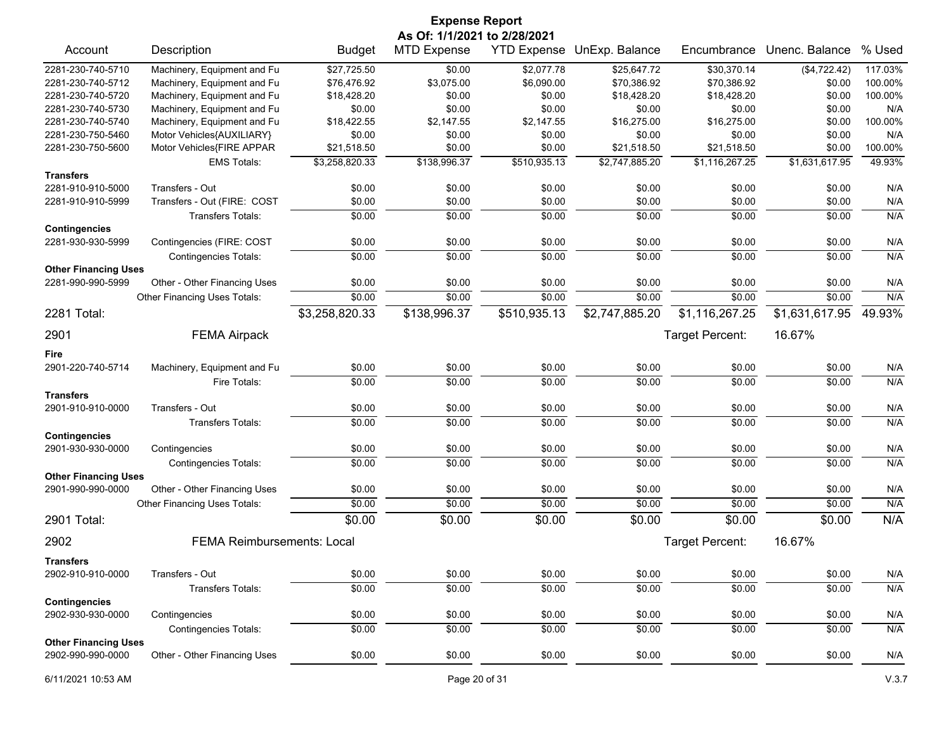|                             |                                   |                | <b>Expense Report</b><br>As Of: 1/1/2021 to 2/28/2021 |              |                            |                 |                |         |
|-----------------------------|-----------------------------------|----------------|-------------------------------------------------------|--------------|----------------------------|-----------------|----------------|---------|
| Account                     | Description                       | <b>Budget</b>  | <b>MTD Expense</b>                                    |              | YTD Expense UnExp. Balance | Encumbrance     | Unenc. Balance | % Used  |
| 2281-230-740-5710           | Machinery, Equipment and Fu       | \$27,725.50    | \$0.00                                                | \$2,077.78   | \$25,647.72                | \$30,370.14     | (\$4,722.42)   | 117.03% |
| 2281-230-740-5712           | Machinery, Equipment and Fu       | \$76,476.92    | \$3,075.00                                            | \$6,090.00   | \$70,386.92                | \$70,386.92     | \$0.00         | 100.00% |
| 2281-230-740-5720           | Machinery, Equipment and Fu       | \$18,428.20    | \$0.00                                                | \$0.00       | \$18,428.20                | \$18,428.20     | \$0.00         | 100.00% |
| 2281-230-740-5730           | Machinery, Equipment and Fu       | \$0.00         | \$0.00                                                | \$0.00       | \$0.00                     | \$0.00          | \$0.00         | N/A     |
| 2281-230-740-5740           | Machinery, Equipment and Fu       | \$18,422.55    | \$2,147.55                                            | \$2,147.55   | \$16,275.00                | \$16,275.00     | \$0.00         | 100.00% |
| 2281-230-750-5460           | Motor Vehicles{AUXILIARY}         | \$0.00         | \$0.00                                                | \$0.00       | \$0.00                     | \$0.00          | \$0.00         | N/A     |
| 2281-230-750-5600           | Motor Vehicles{FIRE APPAR         | \$21,518.50    | \$0.00                                                | \$0.00       | \$21,518.50                | \$21,518.50     | \$0.00         | 100.00% |
|                             | <b>EMS Totals:</b>                | \$3,258,820.33 | \$138,996.37                                          | \$510,935.13 | \$2,747,885.20             | \$1,116,267.25  | \$1,631,617.95 | 49.93%  |
| <b>Transfers</b>            |                                   |                |                                                       |              |                            |                 |                |         |
| 2281-910-910-5000           | Transfers - Out                   | \$0.00         | \$0.00                                                | \$0.00       | \$0.00                     | \$0.00          | \$0.00         | N/A     |
| 2281-910-910-5999           | Transfers - Out (FIRE: COST       | \$0.00         | \$0.00                                                | \$0.00       | \$0.00                     | \$0.00          | \$0.00         | N/A     |
| <b>Contingencies</b>        | <b>Transfers Totals:</b>          | \$0.00         | \$0.00                                                | \$0.00       | \$0.00                     | \$0.00          | \$0.00         | N/A     |
| 2281-930-930-5999           | Contingencies (FIRE: COST         | \$0.00         | \$0.00                                                | \$0.00       | \$0.00                     | \$0.00          | \$0.00         | N/A     |
|                             | <b>Contingencies Totals:</b>      | \$0.00         | \$0.00                                                | \$0.00       | \$0.00                     | \$0.00          | \$0.00         | N/A     |
| <b>Other Financing Uses</b> |                                   |                |                                                       |              |                            |                 |                |         |
| 2281-990-990-5999           | Other - Other Financing Uses      | \$0.00         | \$0.00                                                | \$0.00       | \$0.00                     | \$0.00          | \$0.00         | N/A     |
|                             | Other Financing Uses Totals:      | \$0.00         | \$0.00                                                | \$0.00       | \$0.00                     | \$0.00          | \$0.00         | N/A     |
| 2281 Total:                 |                                   | \$3,258,820.33 | \$138,996.37                                          | \$510,935.13 | \$2,747,885.20             | \$1,116,267.25  | \$1,631,617.95 | 49.93%  |
| 2901                        | <b>FEMA Airpack</b>               |                |                                                       |              |                            | Target Percent: | 16.67%         |         |
| Fire                        |                                   |                |                                                       |              |                            |                 |                |         |
| 2901-220-740-5714           | Machinery, Equipment and Fu       | \$0.00         | \$0.00                                                | \$0.00       | \$0.00                     | \$0.00          | \$0.00         | N/A     |
|                             | Fire Totals:                      | \$0.00         | \$0.00                                                | \$0.00       | \$0.00                     | \$0.00          | \$0.00         | N/A     |
| <b>Transfers</b>            |                                   |                |                                                       |              |                            |                 |                |         |
| 2901-910-910-0000           | Transfers - Out                   | \$0.00         | \$0.00                                                | \$0.00       | \$0.00                     | \$0.00          | \$0.00         | N/A     |
|                             | <b>Transfers Totals:</b>          | \$0.00         | \$0.00                                                | \$0.00       | \$0.00                     | \$0.00          | \$0.00         | N/A     |
| <b>Contingencies</b>        |                                   |                |                                                       |              |                            |                 |                |         |
| 2901-930-930-0000           | Contingencies                     | \$0.00         | \$0.00                                                | \$0.00       | \$0.00                     | \$0.00          | \$0.00         | N/A     |
|                             | <b>Contingencies Totals:</b>      | \$0.00         | \$0.00                                                | \$0.00       | \$0.00                     | \$0.00          | \$0.00         | N/A     |
| <b>Other Financing Uses</b> |                                   |                |                                                       |              |                            |                 |                |         |
| 2901-990-990-0000           | Other - Other Financing Uses      | \$0.00         | \$0.00                                                | \$0.00       | \$0.00                     | \$0.00          | \$0.00         | N/A     |
|                             | Other Financing Uses Totals:      | \$0.00         | \$0.00                                                | \$0.00       | \$0.00                     | \$0.00          | \$0.00         | N/A     |
| 2901 Total:                 |                                   | \$0.00         | \$0.00                                                | \$0.00       | \$0.00                     | \$0.00          | \$0.00         | N/A     |
| 2902                        | <b>FEMA Reimbursements: Local</b> |                |                                                       |              |                            | Target Percent: | 16.67%         |         |
| <b>Transfers</b>            |                                   |                |                                                       |              |                            |                 |                |         |
| 2902-910-910-0000           | Transfers - Out                   | \$0.00         | \$0.00                                                | \$0.00       | \$0.00                     | \$0.00          | \$0.00         | N/A     |
|                             | Transfers Totals:                 | \$0.00         | \$0.00                                                | \$0.00       | \$0.00                     | \$0.00          | \$0.00         | N/A     |
| <b>Contingencies</b>        |                                   |                |                                                       |              |                            |                 |                |         |
| 2902-930-930-0000           | Contingencies                     | \$0.00         | \$0.00                                                | \$0.00       | \$0.00                     | \$0.00          | \$0.00         | N/A     |
|                             | <b>Contingencies Totals:</b>      | \$0.00         | \$0.00                                                | \$0.00       | \$0.00                     | \$0.00          | \$0.00         | N/A     |
| <b>Other Financing Uses</b> |                                   |                |                                                       |              |                            |                 |                |         |
| 2902-990-990-0000           | Other - Other Financing Uses      | \$0.00         | \$0.00                                                | \$0.00       | \$0.00                     | \$0.00          | \$0.00         | N/A     |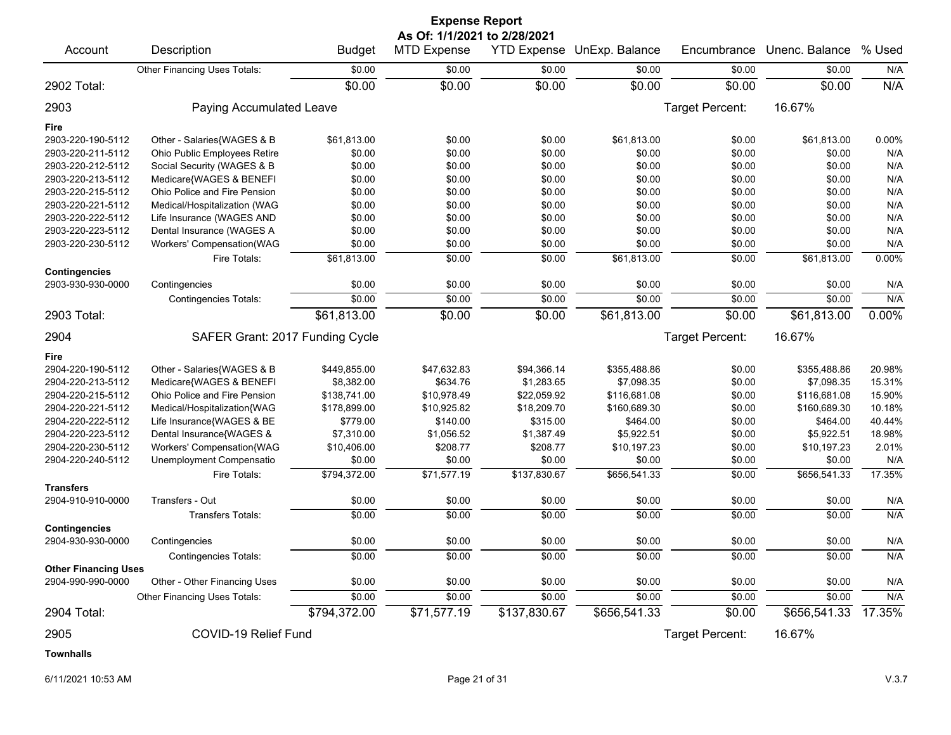|                                           |                                 |               | <b>Expense Report</b>                              |                    |                |                 |                |        |
|-------------------------------------------|---------------------------------|---------------|----------------------------------------------------|--------------------|----------------|-----------------|----------------|--------|
| Account                                   | Description                     |               | As Of: 1/1/2021 to 2/28/2021<br><b>MTD Expense</b> | <b>YTD Expense</b> | UnExp. Balance | Encumbrance     | Unenc. Balance | % Used |
|                                           |                                 | <b>Budget</b> |                                                    |                    |                |                 |                |        |
|                                           | Other Financing Uses Totals:    | \$0.00        | \$0.00                                             | \$0.00             | \$0.00         | \$0.00          | \$0.00         | N/A    |
| 2902 Total:                               |                                 | \$0.00        | \$0.00                                             | \$0.00             | \$0.00         | \$0.00          | \$0.00         | N/A    |
| 2903                                      | Paying Accumulated Leave        |               |                                                    |                    |                | Target Percent: | 16.67%         |        |
| Fire                                      |                                 |               |                                                    |                    |                |                 |                |        |
| 2903-220-190-5112                         | Other - Salaries{WAGES & B      | \$61,813.00   | \$0.00                                             | \$0.00             | \$61,813.00    | \$0.00          | \$61,813.00    | 0.00%  |
| 2903-220-211-5112                         | Ohio Public Employees Retire    | \$0.00        | \$0.00                                             | \$0.00             | \$0.00         | \$0.00          | \$0.00         | N/A    |
| 2903-220-212-5112                         | Social Security (WAGES & B      | \$0.00        | \$0.00                                             | \$0.00             | \$0.00         | \$0.00          | \$0.00         | N/A    |
| 2903-220-213-5112                         | Medicare{WAGES & BENEFI         | \$0.00        | \$0.00                                             | \$0.00             | \$0.00         | \$0.00          | \$0.00         | N/A    |
| 2903-220-215-5112                         | Ohio Police and Fire Pension    | \$0.00        | \$0.00                                             | \$0.00             | \$0.00         | \$0.00          | \$0.00         | N/A    |
| 2903-220-221-5112                         | Medical/Hospitalization (WAG    | \$0.00        | \$0.00                                             | \$0.00             | \$0.00         | \$0.00          | \$0.00         | N/A    |
| 2903-220-222-5112                         | Life Insurance (WAGES AND       | \$0.00        | \$0.00                                             | \$0.00             | \$0.00         | \$0.00          | \$0.00         | N/A    |
| 2903-220-223-5112                         | Dental Insurance (WAGES A       | \$0.00        | \$0.00                                             | \$0.00             | \$0.00         | \$0.00          | \$0.00         | N/A    |
| 2903-220-230-5112                         | Workers' Compensation(WAG       | \$0.00        | \$0.00                                             | \$0.00             | \$0.00         | \$0.00          | \$0.00         | N/A    |
|                                           | Fire Totals:                    | \$61,813.00   | \$0.00                                             | \$0.00             | \$61,813.00    | \$0.00          | \$61,813.00    | 0.00%  |
| <b>Contingencies</b>                      |                                 |               |                                                    |                    |                |                 |                |        |
| 2903-930-930-0000                         | Contingencies                   | \$0.00        | \$0.00                                             | \$0.00             | \$0.00         | \$0.00          | \$0.00         | N/A    |
|                                           | <b>Contingencies Totals:</b>    | \$0.00        | \$0.00                                             | \$0.00             | \$0.00         | \$0.00          | \$0.00         | N/A    |
| 2903 Total:                               |                                 | \$61,813.00   | \$0.00                                             | \$0.00             | \$61,813.00    | \$0.00          | \$61,813.00    | 0.00%  |
| 2904                                      | SAFER Grant: 2017 Funding Cycle |               |                                                    |                    |                | Target Percent: | 16.67%         |        |
| Fire                                      |                                 |               |                                                    |                    |                |                 |                |        |
| 2904-220-190-5112                         | Other - Salaries{WAGES & B      | \$449,855.00  | \$47,632.83                                        | \$94,366.14        | \$355,488.86   | \$0.00          | \$355,488.86   | 20.98% |
| 2904-220-213-5112                         | Medicare{WAGES & BENEFI         | \$8,382.00    | \$634.76                                           | \$1,283.65         | \$7,098.35     | \$0.00          | \$7,098.35     | 15.31% |
| 2904-220-215-5112                         | Ohio Police and Fire Pension    | \$138,741.00  | \$10,978.49                                        | \$22,059.92        | \$116,681.08   | \$0.00          | \$116,681.08   | 15.90% |
| 2904-220-221-5112                         | Medical/Hospitalization{WAG     | \$178,899.00  | \$10,925.82                                        | \$18,209.70        | \$160,689.30   | \$0.00          | \$160,689.30   | 10.18% |
| 2904-220-222-5112                         | Life Insurance{WAGES & BE       | \$779.00      | \$140.00                                           | \$315.00           | \$464.00       | \$0.00          | \$464.00       | 40.44% |
| 2904-220-223-5112                         | Dental Insurance{WAGES &        | \$7,310.00    | \$1,056.52                                         | \$1,387.49         | \$5,922.51     | \$0.00          | \$5,922.51     | 18.98% |
| 2904-220-230-5112                         | Workers' Compensation{WAG       | \$10,406.00   | \$208.77                                           | \$208.77           | \$10,197.23    | \$0.00          | \$10,197.23    | 2.01%  |
| 2904-220-240-5112                         | Unemployment Compensatio        | \$0.00        | \$0.00                                             | \$0.00             | \$0.00         | \$0.00          | \$0.00         | N/A    |
|                                           | Fire Totals:                    | \$794,372.00  | \$71,577.19                                        | \$137,830.67       | \$656,541.33   | \$0.00          | \$656,541.33   | 17.35% |
| <b>Transfers</b>                          |                                 |               |                                                    |                    |                |                 |                |        |
| 2904-910-910-0000                         | Transfers - Out                 | \$0.00        | \$0.00                                             | \$0.00             | \$0.00         | \$0.00          | \$0.00         | N/A    |
|                                           | Transfers Totals:               | \$0.00        | \$0.00                                             | \$0.00             | \$0.00         | \$0.00          | \$0.00         | N/A    |
| <b>Contingencies</b><br>2904-930-930-0000 | Contingencies                   | \$0.00        | \$0.00                                             | \$0.00             | \$0.00         | \$0.00          | \$0.00         | N/A    |
|                                           | <b>Contingencies Totals:</b>    | \$0.00        | \$0.00                                             | \$0.00             | \$0.00         | \$0.00          | \$0.00         | N/A    |
| <b>Other Financing Uses</b>               |                                 |               |                                                    |                    |                |                 |                |        |
| 2904-990-990-0000                         | Other - Other Financing Uses    | \$0.00        | \$0.00                                             | \$0.00             | \$0.00         | \$0.00          | \$0.00         | N/A    |
|                                           | Other Financing Uses Totals:    | \$0.00        | \$0.00                                             | \$0.00             | \$0.00         | \$0.00          | \$0.00         | N/A    |
| 2904 Total:                               |                                 | \$794,372.00  | \$71,577.19                                        | \$137,830.67       | \$656,541.33   | \$0.00          | \$656,541.33   | 17.35% |
| 2905                                      | COVID-19 Relief Fund            |               |                                                    |                    |                | Target Percent: | 16.67%         |        |
| <b>Townhalls</b>                          |                                 |               |                                                    |                    |                |                 |                |        |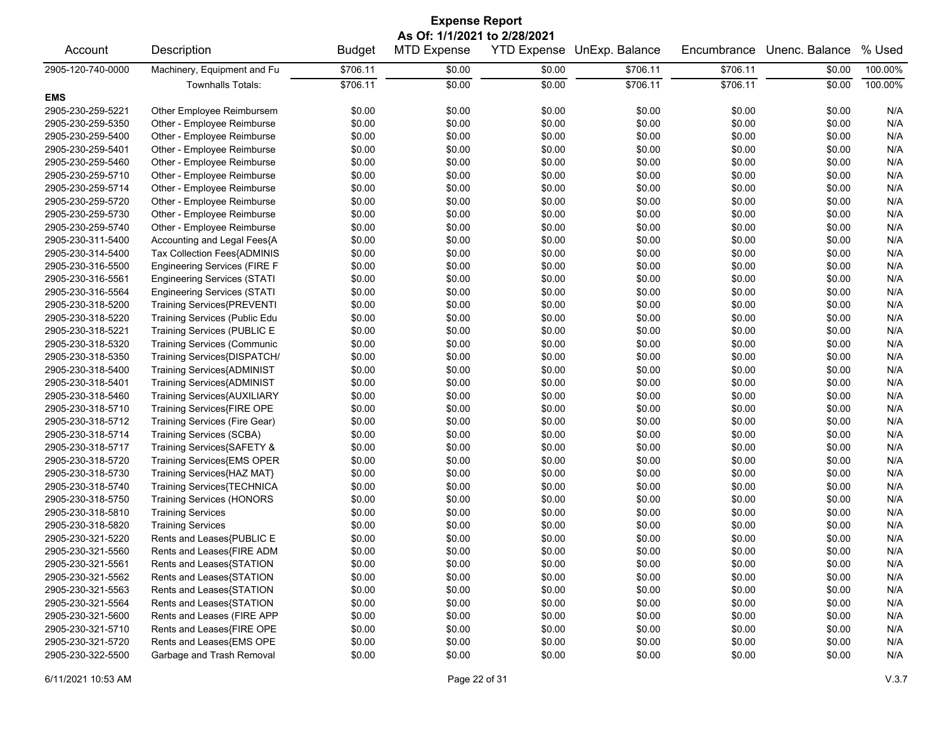| <b>Expense Report</b><br>As Of: 1/1/2021 to 2/28/2021 |                                    |          |        |        |          |          |        |         |  |  |
|-------------------------------------------------------|------------------------------------|----------|--------|--------|----------|----------|--------|---------|--|--|
|                                                       |                                    |          |        |        |          |          |        |         |  |  |
| 2905-120-740-0000                                     | Machinery, Equipment and Fu        | \$706.11 | \$0.00 | \$0.00 | \$706.11 | \$706.11 | \$0.00 | 100.00% |  |  |
|                                                       | <b>Townhalls Totals:</b>           | \$706.11 | \$0.00 | \$0.00 | \$706.11 | \$706.11 | \$0.00 | 100.00% |  |  |
| <b>EMS</b>                                            |                                    |          |        |        |          |          |        |         |  |  |
| 2905-230-259-5221                                     | Other Employee Reimbursem          | \$0.00   | \$0.00 | \$0.00 | \$0.00   | \$0.00   | \$0.00 | N/A     |  |  |
| 2905-230-259-5350                                     | Other - Employee Reimburse         | \$0.00   | \$0.00 | \$0.00 | \$0.00   | \$0.00   | \$0.00 | N/A     |  |  |
| 2905-230-259-5400                                     | Other - Employee Reimburse         | \$0.00   | \$0.00 | \$0.00 | \$0.00   | \$0.00   | \$0.00 | N/A     |  |  |
| 2905-230-259-5401                                     | Other - Employee Reimburse         | \$0.00   | \$0.00 | \$0.00 | \$0.00   | \$0.00   | \$0.00 | N/A     |  |  |
| 2905-230-259-5460                                     | Other - Employee Reimburse         | \$0.00   | \$0.00 | \$0.00 | \$0.00   | \$0.00   | \$0.00 | N/A     |  |  |
| 2905-230-259-5710                                     | Other - Employee Reimburse         | \$0.00   | \$0.00 | \$0.00 | \$0.00   | \$0.00   | \$0.00 | N/A     |  |  |
| 2905-230-259-5714                                     | Other - Employee Reimburse         | \$0.00   | \$0.00 | \$0.00 | \$0.00   | \$0.00   | \$0.00 | N/A     |  |  |
| 2905-230-259-5720                                     | Other - Employee Reimburse         | \$0.00   | \$0.00 | \$0.00 | \$0.00   | \$0.00   | \$0.00 | N/A     |  |  |
| 2905-230-259-5730                                     | Other - Employee Reimburse         | \$0.00   | \$0.00 | \$0.00 | \$0.00   | \$0.00   | \$0.00 | N/A     |  |  |
| 2905-230-259-5740                                     | Other - Employee Reimburse         | \$0.00   | \$0.00 | \$0.00 | \$0.00   | \$0.00   | \$0.00 | N/A     |  |  |
| 2905-230-311-5400                                     | Accounting and Legal Fees{A        | \$0.00   | \$0.00 | \$0.00 | \$0.00   | \$0.00   | \$0.00 | N/A     |  |  |
| 2905-230-314-5400                                     | Tax Collection Fees{ADMINIS        | \$0.00   | \$0.00 | \$0.00 | \$0.00   | \$0.00   | \$0.00 | N/A     |  |  |
| 2905-230-316-5500                                     | Engineering Services (FIRE F       | \$0.00   | \$0.00 | \$0.00 | \$0.00   | \$0.00   | \$0.00 | N/A     |  |  |
| 2905-230-316-5561                                     | <b>Engineering Services (STATI</b> | \$0.00   | \$0.00 | \$0.00 | \$0.00   | \$0.00   | \$0.00 | N/A     |  |  |
| 2905-230-316-5564                                     | <b>Engineering Services (STATI</b> | \$0.00   | \$0.00 | \$0.00 | \$0.00   | \$0.00   | \$0.00 | N/A     |  |  |
| 2905-230-318-5200                                     | <b>Training Services{PREVENTI</b>  | \$0.00   | \$0.00 | \$0.00 | \$0.00   | \$0.00   | \$0.00 | N/A     |  |  |
| 2905-230-318-5220                                     | Training Services (Public Edu      | \$0.00   | \$0.00 | \$0.00 | \$0.00   | \$0.00   | \$0.00 | N/A     |  |  |
| 2905-230-318-5221                                     | Training Services (PUBLIC E        | \$0.00   | \$0.00 | \$0.00 | \$0.00   | \$0.00   | \$0.00 | N/A     |  |  |
| 2905-230-318-5320                                     | <b>Training Services (Communic</b> | \$0.00   | \$0.00 | \$0.00 | \$0.00   | \$0.00   | \$0.00 | N/A     |  |  |
| 2905-230-318-5350                                     | Training Services{DISPATCH/        | \$0.00   | \$0.00 | \$0.00 | \$0.00   | \$0.00   | \$0.00 | N/A     |  |  |
| 2905-230-318-5400                                     | Training Services{ADMINIST         | \$0.00   | \$0.00 | \$0.00 | \$0.00   | \$0.00   | \$0.00 | N/A     |  |  |
| 2905-230-318-5401                                     | Training Services{ADMINIST         | \$0.00   | \$0.00 | \$0.00 | \$0.00   | \$0.00   | \$0.00 | N/A     |  |  |
| 2905-230-318-5460                                     | Training Services{AUXILIARY        | \$0.00   | \$0.00 | \$0.00 | \$0.00   | \$0.00   | \$0.00 | N/A     |  |  |
| 2905-230-318-5710                                     | Training Services{FIRE OPE         | \$0.00   | \$0.00 | \$0.00 | \$0.00   | \$0.00   | \$0.00 | N/A     |  |  |
| 2905-230-318-5712                                     | Training Services (Fire Gear)      | \$0.00   | \$0.00 | \$0.00 | \$0.00   | \$0.00   | \$0.00 | N/A     |  |  |
| 2905-230-318-5714                                     | <b>Training Services (SCBA)</b>    | \$0.00   | \$0.00 | \$0.00 | \$0.00   | \$0.00   | \$0.00 | N/A     |  |  |
| 2905-230-318-5717                                     | Training Services{SAFETY &         | \$0.00   | \$0.00 | \$0.00 | \$0.00   | \$0.00   | \$0.00 | N/A     |  |  |
| 2905-230-318-5720                                     | Training Services{EMS OPER         | \$0.00   | \$0.00 | \$0.00 | \$0.00   | \$0.00   | \$0.00 | N/A     |  |  |
| 2905-230-318-5730                                     | Training Services{HAZ MAT}         | \$0.00   | \$0.00 | \$0.00 | \$0.00   | \$0.00   | \$0.00 | N/A     |  |  |
| 2905-230-318-5740                                     | Training Services{TECHNICA         | \$0.00   | \$0.00 | \$0.00 | \$0.00   | \$0.00   | \$0.00 | N/A     |  |  |
| 2905-230-318-5750                                     | <b>Training Services (HONORS</b>   | \$0.00   | \$0.00 | \$0.00 | \$0.00   | \$0.00   | \$0.00 | N/A     |  |  |
| 2905-230-318-5810                                     | <b>Training Services</b>           | \$0.00   | \$0.00 | \$0.00 | \$0.00   | \$0.00   | \$0.00 | N/A     |  |  |
| 2905-230-318-5820                                     | <b>Training Services</b>           | \$0.00   | \$0.00 | \$0.00 | \$0.00   | \$0.00   | \$0.00 | N/A     |  |  |
| 2905-230-321-5220                                     | Rents and Leases{PUBLIC E          | \$0.00   | \$0.00 | \$0.00 | \$0.00   | \$0.00   | \$0.00 | N/A     |  |  |
| 2905-230-321-5560                                     | Rents and Leases{FIRE ADM          | \$0.00   | \$0.00 | \$0.00 | \$0.00   | \$0.00   | \$0.00 | N/A     |  |  |
| 2905-230-321-5561                                     | Rents and Leases{STATION           | \$0.00   | \$0.00 | \$0.00 | \$0.00   | \$0.00   | \$0.00 | N/A     |  |  |
| 2905-230-321-5562                                     | Rents and Leases{STATION           | \$0.00   | \$0.00 | \$0.00 | \$0.00   | \$0.00   | \$0.00 | N/A     |  |  |
| 2905-230-321-5563                                     | Rents and Leases{STATION           | \$0.00   | \$0.00 | \$0.00 | \$0.00   | \$0.00   | \$0.00 | N/A     |  |  |
| 2905-230-321-5564                                     | Rents and Leases{STATION           | \$0.00   | \$0.00 | \$0.00 | \$0.00   | \$0.00   | \$0.00 | N/A     |  |  |
| 2905-230-321-5600                                     | Rents and Leases (FIRE APP         | \$0.00   | \$0.00 | \$0.00 | \$0.00   | \$0.00   | \$0.00 | N/A     |  |  |
| 2905-230-321-5710                                     | Rents and Leases{FIRE OPE          | \$0.00   | \$0.00 | \$0.00 | \$0.00   | \$0.00   | \$0.00 | N/A     |  |  |
| 2905-230-321-5720                                     | Rents and Leases{EMS OPE           | \$0.00   | \$0.00 | \$0.00 | \$0.00   | \$0.00   | \$0.00 | N/A     |  |  |
| 2905-230-322-5500                                     | Garbage and Trash Removal          | \$0.00   | \$0.00 | \$0.00 | \$0.00   | \$0.00   | \$0.00 | N/A     |  |  |
|                                                       |                                    |          |        |        |          |          |        |         |  |  |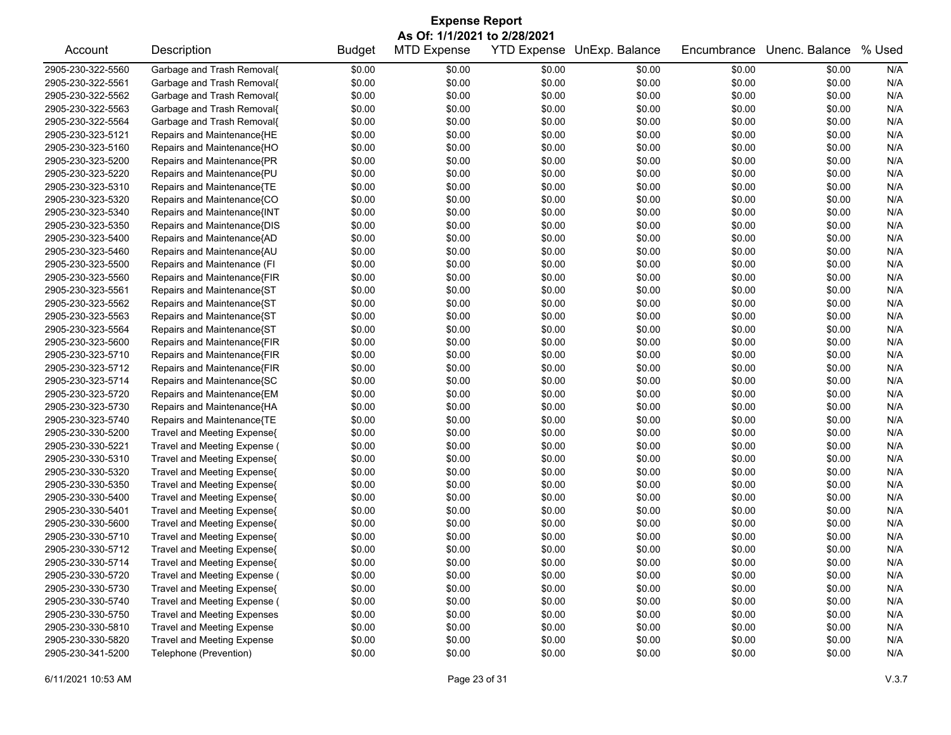| As Of: 1/1/2021 to 2/28/2021<br>Description<br><b>MTD Expense</b><br><b>YTD Expense</b><br>UnExp. Balance<br>Unenc. Balance<br>% Used<br>Account<br><b>Budget</b><br>Encumbrance<br>2905-230-322-5560<br>Garbage and Trash Removal{<br>\$0.00<br>\$0.00<br>\$0.00<br>\$0.00<br>N/A<br>\$0.00<br>\$0.00<br>\$0.00<br>\$0.00<br>\$0.00<br>\$0.00<br>\$0.00<br>2905-230-322-5561<br>Garbage and Trash Removal{<br>\$0.00<br>N/A<br>Garbage and Trash Removal{<br>\$0.00<br>\$0.00<br>\$0.00<br>\$0.00<br>N/A<br>2905-230-322-5562<br>\$0.00<br>\$0.00<br>2905-230-322-5563<br>Garbage and Trash Removal{<br>\$0.00<br>\$0.00<br>\$0.00<br>\$0.00<br>\$0.00<br>N/A<br>\$0.00<br>Garbage and Trash Removal{<br>\$0.00<br>\$0.00<br>\$0.00<br>N/A<br>2905-230-322-5564<br>\$0.00<br>\$0.00<br>\$0.00<br>\$0.00<br>\$0.00<br>\$0.00<br>N/A<br>2905-230-323-5121<br>Repairs and Maintenance{HE<br>\$0.00<br>\$0.00<br>\$0.00<br>N/A<br>2905-230-323-5160<br>Repairs and Maintenance{HO<br>\$0.00<br>\$0.00<br>\$0.00<br>\$0.00<br>\$0.00<br>\$0.00<br>\$0.00<br>\$0.00<br>N/A<br>2905-230-323-5200<br>Repairs and Maintenance{PR<br>\$0.00<br>\$0.00<br>\$0.00<br>\$0.00<br>2905-230-323-5220<br>Repairs and Maintenance{PU<br>\$0.00<br>\$0.00<br>\$0.00<br>\$0.00<br>N/A<br>\$0.00<br>\$0.00<br>Repairs and Maintenance{TE<br>\$0.00<br>\$0.00<br>N/A<br>2905-230-323-5310<br>\$0.00<br>\$0.00<br>\$0.00<br>\$0.00<br>\$0.00<br>\$0.00<br>\$0.00<br>N/A<br>2905-230-323-5320<br>Repairs and Maintenance{CO<br>\$0.00<br>\$0.00<br>\$0.00<br>\$0.00<br>N/A<br>2905-230-323-5340<br>Repairs and Maintenance{INT<br>\$0.00<br>\$0.00<br>\$0.00<br>\$0.00<br>\$0.00<br>2905-230-323-5350<br>Repairs and Maintenance{DIS<br>\$0.00<br>\$0.00<br>\$0.00<br>N/A<br>\$0.00<br>\$0.00<br>\$0.00<br>2905-230-323-5400<br>Repairs and Maintenance{AD<br>\$0.00<br>\$0.00<br>\$0.00<br>\$0.00<br>\$0.00<br>N/A<br>\$0.00<br>Repairs and Maintenance{AU<br>\$0.00<br>\$0.00<br>\$0.00<br>N/A<br>2905-230-323-5460<br>\$0.00<br>\$0.00<br>\$0.00<br>\$0.00<br>\$0.00<br>\$0.00<br>N/A<br>2905-230-323-5500<br>Repairs and Maintenance (FI<br>\$0.00<br>\$0.00<br>\$0.00<br>N/A<br>2905-230-323-5560<br>Repairs and Maintenance{FIR<br>\$0.00<br>\$0.00<br>\$0.00<br>\$0.00<br>\$0.00<br>\$0.00<br>Repairs and Maintenance{ST<br>\$0.00<br>\$0.00<br>N/A<br>2905-230-323-5561<br>\$0.00<br>\$0.00<br>\$0.00<br>\$0.00<br>2905-230-323-5562<br>Repairs and Maintenance{ST<br>\$0.00<br>\$0.00<br>\$0.00<br>N/A<br>\$0.00<br>\$0.00<br>\$0.00<br>Repairs and Maintenance{ST<br>\$0.00<br>\$0.00<br>N/A<br>2905-230-323-5563<br>\$0.00<br>\$0.00<br>\$0.00<br>\$0.00<br>\$0.00<br>\$0.00<br>\$0.00<br>N/A<br>2905-230-323-5564<br>Repairs and Maintenance{ST<br>\$0.00<br>\$0.00<br>\$0.00<br>\$0.00<br>N/A<br>2905-230-323-5600<br>Repairs and Maintenance{FIR<br>\$0.00<br>\$0.00<br>\$0.00<br>\$0.00<br>\$0.00<br>\$0.00<br>\$0.00<br>\$0.00<br>N/A<br>2905-230-323-5710<br>Repairs and Maintenance{FIR<br>\$0.00<br>\$0.00<br>\$0.00<br>2905-230-323-5712<br>Repairs and Maintenance{FIR<br>\$0.00<br>\$0.00<br>\$0.00<br>\$0.00<br>N/A<br>\$0.00<br>\$0.00<br>Repairs and Maintenance{SC<br>\$0.00<br>\$0.00<br>\$0.00<br>N/A<br>2905-230-323-5714<br>\$0.00<br>\$0.00<br>\$0.00<br>\$0.00<br>\$0.00<br>\$0.00<br>N/A<br>2905-230-323-5720<br>Repairs and Maintenance{EM<br>\$0.00<br>\$0.00<br>\$0.00<br>N/A<br>2905-230-323-5730<br>Repairs and Maintenance{HA<br>\$0.00<br>\$0.00<br>\$0.00<br>\$0.00<br>\$0.00<br>\$0.00<br>Repairs and Maintenance{TE<br>\$0.00<br>\$0.00<br>\$0.00<br>N/A<br>2905-230-323-5740<br>\$0.00<br>\$0.00<br>\$0.00<br>2905-230-330-5200<br>Travel and Meeting Expense{<br>\$0.00<br>\$0.00<br>\$0.00<br>\$0.00<br>N/A<br>\$0.00<br>\$0.00<br>Travel and Meeting Expense (<br>\$0.00<br>\$0.00<br>\$0.00<br>N/A<br>2905-230-330-5221<br>\$0.00<br>\$0.00<br>\$0.00<br>\$0.00<br>\$0.00<br>\$0.00<br>N/A<br>Travel and Meeting Expense{<br>\$0.00<br>\$0.00<br>\$0.00<br>2905-230-330-5310<br>\$0.00<br>2905-230-330-5320<br>Travel and Meeting Expense{<br>\$0.00<br>\$0.00<br>\$0.00<br>\$0.00<br>\$0.00<br>N/A<br>\$0.00<br>\$0.00<br>N/A<br>2905-230-330-5350<br>Travel and Meeting Expense{<br>\$0.00<br>\$0.00<br>\$0.00<br>\$0.00<br>2905-230-330-5400<br>Travel and Meeting Expense{<br>\$0.00<br>\$0.00<br>\$0.00<br>N/A<br>\$0.00<br>\$0.00<br>\$0.00<br>\$0.00<br>\$0.00<br>2905-230-330-5401<br>Travel and Meeting Expense{<br>\$0.00<br>\$0.00<br>\$0.00<br>\$0.00<br>N/A<br>\$0.00<br>\$0.00<br>N/A<br>2905-230-330-5600<br>Travel and Meeting Expense{<br>\$0.00<br>\$0.00<br>\$0.00<br>\$0.00<br>\$0.00<br>\$0.00<br>N/A<br>2905-230-330-5710<br>Travel and Meeting Expense{<br>\$0.00<br>\$0.00<br>\$0.00<br>\$0.00<br>\$0.00<br>2905-230-330-5712<br>\$0.00<br>\$0.00<br>\$0.00<br>\$0.00<br>\$0.00<br>N/A<br>Travel and Meeting Expense{<br>\$0.00<br>\$0.00<br>\$0.00<br>\$0.00<br>\$0.00<br>N/A<br>2905-230-330-5714<br>Travel and Meeting Expense{<br>\$0.00<br>Travel and Meeting Expense (<br>\$0.00<br>\$0.00<br>\$0.00<br>\$0.00<br>2905-230-330-5720<br>\$0.00<br>\$0.00<br>N/A<br>\$0.00<br>\$0.00<br>2905-230-330-5730<br>Travel and Meeting Expense{<br>\$0.00<br>\$0.00<br>\$0.00<br>\$0.00<br>N/A<br>2905-230-330-5740<br>Travel and Meeting Expense (<br>\$0.00<br>\$0.00<br>\$0.00<br>\$0.00<br>\$0.00<br>\$0.00<br>N/A<br><b>Travel and Meeting Expenses</b><br>\$0.00<br>\$0.00<br>2905-230-330-5750<br>\$0.00<br>\$0.00<br>\$0.00<br>\$0.00<br>N/A<br>2905-230-330-5810<br><b>Travel and Meeting Expense</b><br>\$0.00<br>\$0.00<br>\$0.00<br>\$0.00<br>\$0.00<br>\$0.00<br>N/A<br><b>Travel and Meeting Expense</b><br>2905-230-330-5820<br>\$0.00<br>\$0.00<br>\$0.00<br>\$0.00<br>\$0.00<br>\$0.00<br>N/A<br>\$0.00 | <b>Expense Report</b> |                        |        |        |        |        |        |  |     |  |  |
|------------------------------------------------------------------------------------------------------------------------------------------------------------------------------------------------------------------------------------------------------------------------------------------------------------------------------------------------------------------------------------------------------------------------------------------------------------------------------------------------------------------------------------------------------------------------------------------------------------------------------------------------------------------------------------------------------------------------------------------------------------------------------------------------------------------------------------------------------------------------------------------------------------------------------------------------------------------------------------------------------------------------------------------------------------------------------------------------------------------------------------------------------------------------------------------------------------------------------------------------------------------------------------------------------------------------------------------------------------------------------------------------------------------------------------------------------------------------------------------------------------------------------------------------------------------------------------------------------------------------------------------------------------------------------------------------------------------------------------------------------------------------------------------------------------------------------------------------------------------------------------------------------------------------------------------------------------------------------------------------------------------------------------------------------------------------------------------------------------------------------------------------------------------------------------------------------------------------------------------------------------------------------------------------------------------------------------------------------------------------------------------------------------------------------------------------------------------------------------------------------------------------------------------------------------------------------------------------------------------------------------------------------------------------------------------------------------------------------------------------------------------------------------------------------------------------------------------------------------------------------------------------------------------------------------------------------------------------------------------------------------------------------------------------------------------------------------------------------------------------------------------------------------------------------------------------------------------------------------------------------------------------------------------------------------------------------------------------------------------------------------------------------------------------------------------------------------------------------------------------------------------------------------------------------------------------------------------------------------------------------------------------------------------------------------------------------------------------------------------------------------------------------------------------------------------------------------------------------------------------------------------------------------------------------------------------------------------------------------------------------------------------------------------------------------------------------------------------------------------------------------------------------------------------------------------------------------------------------------------------------------------------------------------------------------------------------------------------------------------------------------------------------------------------------------------------------------------------------------------------------------------------------------------------------------------------------------------------------------------------------------------------------------------------------------------------------------------------------------------------------------------------------------------------------------------------------------------------------------------------------------------------------------------------------------------------------------------------------------------------------------------------------------------------------------------------------------------------------------------------------------------------------------------------------------------------------------------------------------------------------------------------------------------------------------------------------------------------------------------------------------------------------------------------------------------------------------------------------------------------------------------------------------------------------------------------------------------------------------------------------------------------------------------------------------------------------------------------------------------------------------------------|-----------------------|------------------------|--------|--------|--------|--------|--------|--|-----|--|--|
|                                                                                                                                                                                                                                                                                                                                                                                                                                                                                                                                                                                                                                                                                                                                                                                                                                                                                                                                                                                                                                                                                                                                                                                                                                                                                                                                                                                                                                                                                                                                                                                                                                                                                                                                                                                                                                                                                                                                                                                                                                                                                                                                                                                                                                                                                                                                                                                                                                                                                                                                                                                                                                                                                                                                                                                                                                                                                                                                                                                                                                                                                                                                                                                                                                                                                                                                                                                                                                                                                                                                                                                                                                                                                                                                                                                                                                                                                                                                                                                                                                                                                                                                                                                                                                                                                                                                                                                                                                                                                                                                                                                                                                                                                                                                                                                                                                                                                                                                                                                                                                                                                                                                                                                                                                                                                                                                                                                                                                                                                                                                                                                                                                                                                                                                                                        |                       |                        |        |        |        |        |        |  |     |  |  |
|                                                                                                                                                                                                                                                                                                                                                                                                                                                                                                                                                                                                                                                                                                                                                                                                                                                                                                                                                                                                                                                                                                                                                                                                                                                                                                                                                                                                                                                                                                                                                                                                                                                                                                                                                                                                                                                                                                                                                                                                                                                                                                                                                                                                                                                                                                                                                                                                                                                                                                                                                                                                                                                                                                                                                                                                                                                                                                                                                                                                                                                                                                                                                                                                                                                                                                                                                                                                                                                                                                                                                                                                                                                                                                                                                                                                                                                                                                                                                                                                                                                                                                                                                                                                                                                                                                                                                                                                                                                                                                                                                                                                                                                                                                                                                                                                                                                                                                                                                                                                                                                                                                                                                                                                                                                                                                                                                                                                                                                                                                                                                                                                                                                                                                                                                                        |                       |                        |        |        |        |        |        |  |     |  |  |
|                                                                                                                                                                                                                                                                                                                                                                                                                                                                                                                                                                                                                                                                                                                                                                                                                                                                                                                                                                                                                                                                                                                                                                                                                                                                                                                                                                                                                                                                                                                                                                                                                                                                                                                                                                                                                                                                                                                                                                                                                                                                                                                                                                                                                                                                                                                                                                                                                                                                                                                                                                                                                                                                                                                                                                                                                                                                                                                                                                                                                                                                                                                                                                                                                                                                                                                                                                                                                                                                                                                                                                                                                                                                                                                                                                                                                                                                                                                                                                                                                                                                                                                                                                                                                                                                                                                                                                                                                                                                                                                                                                                                                                                                                                                                                                                                                                                                                                                                                                                                                                                                                                                                                                                                                                                                                                                                                                                                                                                                                                                                                                                                                                                                                                                                                                        |                       |                        |        |        |        |        |        |  |     |  |  |
|                                                                                                                                                                                                                                                                                                                                                                                                                                                                                                                                                                                                                                                                                                                                                                                                                                                                                                                                                                                                                                                                                                                                                                                                                                                                                                                                                                                                                                                                                                                                                                                                                                                                                                                                                                                                                                                                                                                                                                                                                                                                                                                                                                                                                                                                                                                                                                                                                                                                                                                                                                                                                                                                                                                                                                                                                                                                                                                                                                                                                                                                                                                                                                                                                                                                                                                                                                                                                                                                                                                                                                                                                                                                                                                                                                                                                                                                                                                                                                                                                                                                                                                                                                                                                                                                                                                                                                                                                                                                                                                                                                                                                                                                                                                                                                                                                                                                                                                                                                                                                                                                                                                                                                                                                                                                                                                                                                                                                                                                                                                                                                                                                                                                                                                                                                        |                       |                        |        |        |        |        |        |  |     |  |  |
|                                                                                                                                                                                                                                                                                                                                                                                                                                                                                                                                                                                                                                                                                                                                                                                                                                                                                                                                                                                                                                                                                                                                                                                                                                                                                                                                                                                                                                                                                                                                                                                                                                                                                                                                                                                                                                                                                                                                                                                                                                                                                                                                                                                                                                                                                                                                                                                                                                                                                                                                                                                                                                                                                                                                                                                                                                                                                                                                                                                                                                                                                                                                                                                                                                                                                                                                                                                                                                                                                                                                                                                                                                                                                                                                                                                                                                                                                                                                                                                                                                                                                                                                                                                                                                                                                                                                                                                                                                                                                                                                                                                                                                                                                                                                                                                                                                                                                                                                                                                                                                                                                                                                                                                                                                                                                                                                                                                                                                                                                                                                                                                                                                                                                                                                                                        |                       |                        |        |        |        |        |        |  |     |  |  |
|                                                                                                                                                                                                                                                                                                                                                                                                                                                                                                                                                                                                                                                                                                                                                                                                                                                                                                                                                                                                                                                                                                                                                                                                                                                                                                                                                                                                                                                                                                                                                                                                                                                                                                                                                                                                                                                                                                                                                                                                                                                                                                                                                                                                                                                                                                                                                                                                                                                                                                                                                                                                                                                                                                                                                                                                                                                                                                                                                                                                                                                                                                                                                                                                                                                                                                                                                                                                                                                                                                                                                                                                                                                                                                                                                                                                                                                                                                                                                                                                                                                                                                                                                                                                                                                                                                                                                                                                                                                                                                                                                                                                                                                                                                                                                                                                                                                                                                                                                                                                                                                                                                                                                                                                                                                                                                                                                                                                                                                                                                                                                                                                                                                                                                                                                                        |                       |                        |        |        |        |        |        |  |     |  |  |
|                                                                                                                                                                                                                                                                                                                                                                                                                                                                                                                                                                                                                                                                                                                                                                                                                                                                                                                                                                                                                                                                                                                                                                                                                                                                                                                                                                                                                                                                                                                                                                                                                                                                                                                                                                                                                                                                                                                                                                                                                                                                                                                                                                                                                                                                                                                                                                                                                                                                                                                                                                                                                                                                                                                                                                                                                                                                                                                                                                                                                                                                                                                                                                                                                                                                                                                                                                                                                                                                                                                                                                                                                                                                                                                                                                                                                                                                                                                                                                                                                                                                                                                                                                                                                                                                                                                                                                                                                                                                                                                                                                                                                                                                                                                                                                                                                                                                                                                                                                                                                                                                                                                                                                                                                                                                                                                                                                                                                                                                                                                                                                                                                                                                                                                                                                        |                       |                        |        |        |        |        |        |  |     |  |  |
|                                                                                                                                                                                                                                                                                                                                                                                                                                                                                                                                                                                                                                                                                                                                                                                                                                                                                                                                                                                                                                                                                                                                                                                                                                                                                                                                                                                                                                                                                                                                                                                                                                                                                                                                                                                                                                                                                                                                                                                                                                                                                                                                                                                                                                                                                                                                                                                                                                                                                                                                                                                                                                                                                                                                                                                                                                                                                                                                                                                                                                                                                                                                                                                                                                                                                                                                                                                                                                                                                                                                                                                                                                                                                                                                                                                                                                                                                                                                                                                                                                                                                                                                                                                                                                                                                                                                                                                                                                                                                                                                                                                                                                                                                                                                                                                                                                                                                                                                                                                                                                                                                                                                                                                                                                                                                                                                                                                                                                                                                                                                                                                                                                                                                                                                                                        |                       |                        |        |        |        |        |        |  |     |  |  |
|                                                                                                                                                                                                                                                                                                                                                                                                                                                                                                                                                                                                                                                                                                                                                                                                                                                                                                                                                                                                                                                                                                                                                                                                                                                                                                                                                                                                                                                                                                                                                                                                                                                                                                                                                                                                                                                                                                                                                                                                                                                                                                                                                                                                                                                                                                                                                                                                                                                                                                                                                                                                                                                                                                                                                                                                                                                                                                                                                                                                                                                                                                                                                                                                                                                                                                                                                                                                                                                                                                                                                                                                                                                                                                                                                                                                                                                                                                                                                                                                                                                                                                                                                                                                                                                                                                                                                                                                                                                                                                                                                                                                                                                                                                                                                                                                                                                                                                                                                                                                                                                                                                                                                                                                                                                                                                                                                                                                                                                                                                                                                                                                                                                                                                                                                                        |                       |                        |        |        |        |        |        |  |     |  |  |
|                                                                                                                                                                                                                                                                                                                                                                                                                                                                                                                                                                                                                                                                                                                                                                                                                                                                                                                                                                                                                                                                                                                                                                                                                                                                                                                                                                                                                                                                                                                                                                                                                                                                                                                                                                                                                                                                                                                                                                                                                                                                                                                                                                                                                                                                                                                                                                                                                                                                                                                                                                                                                                                                                                                                                                                                                                                                                                                                                                                                                                                                                                                                                                                                                                                                                                                                                                                                                                                                                                                                                                                                                                                                                                                                                                                                                                                                                                                                                                                                                                                                                                                                                                                                                                                                                                                                                                                                                                                                                                                                                                                                                                                                                                                                                                                                                                                                                                                                                                                                                                                                                                                                                                                                                                                                                                                                                                                                                                                                                                                                                                                                                                                                                                                                                                        |                       |                        |        |        |        |        |        |  |     |  |  |
|                                                                                                                                                                                                                                                                                                                                                                                                                                                                                                                                                                                                                                                                                                                                                                                                                                                                                                                                                                                                                                                                                                                                                                                                                                                                                                                                                                                                                                                                                                                                                                                                                                                                                                                                                                                                                                                                                                                                                                                                                                                                                                                                                                                                                                                                                                                                                                                                                                                                                                                                                                                                                                                                                                                                                                                                                                                                                                                                                                                                                                                                                                                                                                                                                                                                                                                                                                                                                                                                                                                                                                                                                                                                                                                                                                                                                                                                                                                                                                                                                                                                                                                                                                                                                                                                                                                                                                                                                                                                                                                                                                                                                                                                                                                                                                                                                                                                                                                                                                                                                                                                                                                                                                                                                                                                                                                                                                                                                                                                                                                                                                                                                                                                                                                                                                        |                       |                        |        |        |        |        |        |  |     |  |  |
|                                                                                                                                                                                                                                                                                                                                                                                                                                                                                                                                                                                                                                                                                                                                                                                                                                                                                                                                                                                                                                                                                                                                                                                                                                                                                                                                                                                                                                                                                                                                                                                                                                                                                                                                                                                                                                                                                                                                                                                                                                                                                                                                                                                                                                                                                                                                                                                                                                                                                                                                                                                                                                                                                                                                                                                                                                                                                                                                                                                                                                                                                                                                                                                                                                                                                                                                                                                                                                                                                                                                                                                                                                                                                                                                                                                                                                                                                                                                                                                                                                                                                                                                                                                                                                                                                                                                                                                                                                                                                                                                                                                                                                                                                                                                                                                                                                                                                                                                                                                                                                                                                                                                                                                                                                                                                                                                                                                                                                                                                                                                                                                                                                                                                                                                                                        |                       |                        |        |        |        |        |        |  |     |  |  |
|                                                                                                                                                                                                                                                                                                                                                                                                                                                                                                                                                                                                                                                                                                                                                                                                                                                                                                                                                                                                                                                                                                                                                                                                                                                                                                                                                                                                                                                                                                                                                                                                                                                                                                                                                                                                                                                                                                                                                                                                                                                                                                                                                                                                                                                                                                                                                                                                                                                                                                                                                                                                                                                                                                                                                                                                                                                                                                                                                                                                                                                                                                                                                                                                                                                                                                                                                                                                                                                                                                                                                                                                                                                                                                                                                                                                                                                                                                                                                                                                                                                                                                                                                                                                                                                                                                                                                                                                                                                                                                                                                                                                                                                                                                                                                                                                                                                                                                                                                                                                                                                                                                                                                                                                                                                                                                                                                                                                                                                                                                                                                                                                                                                                                                                                                                        |                       |                        |        |        |        |        |        |  |     |  |  |
|                                                                                                                                                                                                                                                                                                                                                                                                                                                                                                                                                                                                                                                                                                                                                                                                                                                                                                                                                                                                                                                                                                                                                                                                                                                                                                                                                                                                                                                                                                                                                                                                                                                                                                                                                                                                                                                                                                                                                                                                                                                                                                                                                                                                                                                                                                                                                                                                                                                                                                                                                                                                                                                                                                                                                                                                                                                                                                                                                                                                                                                                                                                                                                                                                                                                                                                                                                                                                                                                                                                                                                                                                                                                                                                                                                                                                                                                                                                                                                                                                                                                                                                                                                                                                                                                                                                                                                                                                                                                                                                                                                                                                                                                                                                                                                                                                                                                                                                                                                                                                                                                                                                                                                                                                                                                                                                                                                                                                                                                                                                                                                                                                                                                                                                                                                        |                       |                        |        |        |        |        |        |  |     |  |  |
|                                                                                                                                                                                                                                                                                                                                                                                                                                                                                                                                                                                                                                                                                                                                                                                                                                                                                                                                                                                                                                                                                                                                                                                                                                                                                                                                                                                                                                                                                                                                                                                                                                                                                                                                                                                                                                                                                                                                                                                                                                                                                                                                                                                                                                                                                                                                                                                                                                                                                                                                                                                                                                                                                                                                                                                                                                                                                                                                                                                                                                                                                                                                                                                                                                                                                                                                                                                                                                                                                                                                                                                                                                                                                                                                                                                                                                                                                                                                                                                                                                                                                                                                                                                                                                                                                                                                                                                                                                                                                                                                                                                                                                                                                                                                                                                                                                                                                                                                                                                                                                                                                                                                                                                                                                                                                                                                                                                                                                                                                                                                                                                                                                                                                                                                                                        |                       |                        |        |        |        |        |        |  |     |  |  |
|                                                                                                                                                                                                                                                                                                                                                                                                                                                                                                                                                                                                                                                                                                                                                                                                                                                                                                                                                                                                                                                                                                                                                                                                                                                                                                                                                                                                                                                                                                                                                                                                                                                                                                                                                                                                                                                                                                                                                                                                                                                                                                                                                                                                                                                                                                                                                                                                                                                                                                                                                                                                                                                                                                                                                                                                                                                                                                                                                                                                                                                                                                                                                                                                                                                                                                                                                                                                                                                                                                                                                                                                                                                                                                                                                                                                                                                                                                                                                                                                                                                                                                                                                                                                                                                                                                                                                                                                                                                                                                                                                                                                                                                                                                                                                                                                                                                                                                                                                                                                                                                                                                                                                                                                                                                                                                                                                                                                                                                                                                                                                                                                                                                                                                                                                                        |                       |                        |        |        |        |        |        |  |     |  |  |
|                                                                                                                                                                                                                                                                                                                                                                                                                                                                                                                                                                                                                                                                                                                                                                                                                                                                                                                                                                                                                                                                                                                                                                                                                                                                                                                                                                                                                                                                                                                                                                                                                                                                                                                                                                                                                                                                                                                                                                                                                                                                                                                                                                                                                                                                                                                                                                                                                                                                                                                                                                                                                                                                                                                                                                                                                                                                                                                                                                                                                                                                                                                                                                                                                                                                                                                                                                                                                                                                                                                                                                                                                                                                                                                                                                                                                                                                                                                                                                                                                                                                                                                                                                                                                                                                                                                                                                                                                                                                                                                                                                                                                                                                                                                                                                                                                                                                                                                                                                                                                                                                                                                                                                                                                                                                                                                                                                                                                                                                                                                                                                                                                                                                                                                                                                        |                       |                        |        |        |        |        |        |  |     |  |  |
|                                                                                                                                                                                                                                                                                                                                                                                                                                                                                                                                                                                                                                                                                                                                                                                                                                                                                                                                                                                                                                                                                                                                                                                                                                                                                                                                                                                                                                                                                                                                                                                                                                                                                                                                                                                                                                                                                                                                                                                                                                                                                                                                                                                                                                                                                                                                                                                                                                                                                                                                                                                                                                                                                                                                                                                                                                                                                                                                                                                                                                                                                                                                                                                                                                                                                                                                                                                                                                                                                                                                                                                                                                                                                                                                                                                                                                                                                                                                                                                                                                                                                                                                                                                                                                                                                                                                                                                                                                                                                                                                                                                                                                                                                                                                                                                                                                                                                                                                                                                                                                                                                                                                                                                                                                                                                                                                                                                                                                                                                                                                                                                                                                                                                                                                                                        |                       |                        |        |        |        |        |        |  |     |  |  |
|                                                                                                                                                                                                                                                                                                                                                                                                                                                                                                                                                                                                                                                                                                                                                                                                                                                                                                                                                                                                                                                                                                                                                                                                                                                                                                                                                                                                                                                                                                                                                                                                                                                                                                                                                                                                                                                                                                                                                                                                                                                                                                                                                                                                                                                                                                                                                                                                                                                                                                                                                                                                                                                                                                                                                                                                                                                                                                                                                                                                                                                                                                                                                                                                                                                                                                                                                                                                                                                                                                                                                                                                                                                                                                                                                                                                                                                                                                                                                                                                                                                                                                                                                                                                                                                                                                                                                                                                                                                                                                                                                                                                                                                                                                                                                                                                                                                                                                                                                                                                                                                                                                                                                                                                                                                                                                                                                                                                                                                                                                                                                                                                                                                                                                                                                                        |                       |                        |        |        |        |        |        |  |     |  |  |
|                                                                                                                                                                                                                                                                                                                                                                                                                                                                                                                                                                                                                                                                                                                                                                                                                                                                                                                                                                                                                                                                                                                                                                                                                                                                                                                                                                                                                                                                                                                                                                                                                                                                                                                                                                                                                                                                                                                                                                                                                                                                                                                                                                                                                                                                                                                                                                                                                                                                                                                                                                                                                                                                                                                                                                                                                                                                                                                                                                                                                                                                                                                                                                                                                                                                                                                                                                                                                                                                                                                                                                                                                                                                                                                                                                                                                                                                                                                                                                                                                                                                                                                                                                                                                                                                                                                                                                                                                                                                                                                                                                                                                                                                                                                                                                                                                                                                                                                                                                                                                                                                                                                                                                                                                                                                                                                                                                                                                                                                                                                                                                                                                                                                                                                                                                        |                       |                        |        |        |        |        |        |  |     |  |  |
|                                                                                                                                                                                                                                                                                                                                                                                                                                                                                                                                                                                                                                                                                                                                                                                                                                                                                                                                                                                                                                                                                                                                                                                                                                                                                                                                                                                                                                                                                                                                                                                                                                                                                                                                                                                                                                                                                                                                                                                                                                                                                                                                                                                                                                                                                                                                                                                                                                                                                                                                                                                                                                                                                                                                                                                                                                                                                                                                                                                                                                                                                                                                                                                                                                                                                                                                                                                                                                                                                                                                                                                                                                                                                                                                                                                                                                                                                                                                                                                                                                                                                                                                                                                                                                                                                                                                                                                                                                                                                                                                                                                                                                                                                                                                                                                                                                                                                                                                                                                                                                                                                                                                                                                                                                                                                                                                                                                                                                                                                                                                                                                                                                                                                                                                                                        |                       |                        |        |        |        |        |        |  |     |  |  |
|                                                                                                                                                                                                                                                                                                                                                                                                                                                                                                                                                                                                                                                                                                                                                                                                                                                                                                                                                                                                                                                                                                                                                                                                                                                                                                                                                                                                                                                                                                                                                                                                                                                                                                                                                                                                                                                                                                                                                                                                                                                                                                                                                                                                                                                                                                                                                                                                                                                                                                                                                                                                                                                                                                                                                                                                                                                                                                                                                                                                                                                                                                                                                                                                                                                                                                                                                                                                                                                                                                                                                                                                                                                                                                                                                                                                                                                                                                                                                                                                                                                                                                                                                                                                                                                                                                                                                                                                                                                                                                                                                                                                                                                                                                                                                                                                                                                                                                                                                                                                                                                                                                                                                                                                                                                                                                                                                                                                                                                                                                                                                                                                                                                                                                                                                                        |                       |                        |        |        |        |        |        |  |     |  |  |
|                                                                                                                                                                                                                                                                                                                                                                                                                                                                                                                                                                                                                                                                                                                                                                                                                                                                                                                                                                                                                                                                                                                                                                                                                                                                                                                                                                                                                                                                                                                                                                                                                                                                                                                                                                                                                                                                                                                                                                                                                                                                                                                                                                                                                                                                                                                                                                                                                                                                                                                                                                                                                                                                                                                                                                                                                                                                                                                                                                                                                                                                                                                                                                                                                                                                                                                                                                                                                                                                                                                                                                                                                                                                                                                                                                                                                                                                                                                                                                                                                                                                                                                                                                                                                                                                                                                                                                                                                                                                                                                                                                                                                                                                                                                                                                                                                                                                                                                                                                                                                                                                                                                                                                                                                                                                                                                                                                                                                                                                                                                                                                                                                                                                                                                                                                        |                       |                        |        |        |        |        |        |  |     |  |  |
|                                                                                                                                                                                                                                                                                                                                                                                                                                                                                                                                                                                                                                                                                                                                                                                                                                                                                                                                                                                                                                                                                                                                                                                                                                                                                                                                                                                                                                                                                                                                                                                                                                                                                                                                                                                                                                                                                                                                                                                                                                                                                                                                                                                                                                                                                                                                                                                                                                                                                                                                                                                                                                                                                                                                                                                                                                                                                                                                                                                                                                                                                                                                                                                                                                                                                                                                                                                                                                                                                                                                                                                                                                                                                                                                                                                                                                                                                                                                                                                                                                                                                                                                                                                                                                                                                                                                                                                                                                                                                                                                                                                                                                                                                                                                                                                                                                                                                                                                                                                                                                                                                                                                                                                                                                                                                                                                                                                                                                                                                                                                                                                                                                                                                                                                                                        |                       |                        |        |        |        |        |        |  |     |  |  |
|                                                                                                                                                                                                                                                                                                                                                                                                                                                                                                                                                                                                                                                                                                                                                                                                                                                                                                                                                                                                                                                                                                                                                                                                                                                                                                                                                                                                                                                                                                                                                                                                                                                                                                                                                                                                                                                                                                                                                                                                                                                                                                                                                                                                                                                                                                                                                                                                                                                                                                                                                                                                                                                                                                                                                                                                                                                                                                                                                                                                                                                                                                                                                                                                                                                                                                                                                                                                                                                                                                                                                                                                                                                                                                                                                                                                                                                                                                                                                                                                                                                                                                                                                                                                                                                                                                                                                                                                                                                                                                                                                                                                                                                                                                                                                                                                                                                                                                                                                                                                                                                                                                                                                                                                                                                                                                                                                                                                                                                                                                                                                                                                                                                                                                                                                                        |                       |                        |        |        |        |        |        |  |     |  |  |
|                                                                                                                                                                                                                                                                                                                                                                                                                                                                                                                                                                                                                                                                                                                                                                                                                                                                                                                                                                                                                                                                                                                                                                                                                                                                                                                                                                                                                                                                                                                                                                                                                                                                                                                                                                                                                                                                                                                                                                                                                                                                                                                                                                                                                                                                                                                                                                                                                                                                                                                                                                                                                                                                                                                                                                                                                                                                                                                                                                                                                                                                                                                                                                                                                                                                                                                                                                                                                                                                                                                                                                                                                                                                                                                                                                                                                                                                                                                                                                                                                                                                                                                                                                                                                                                                                                                                                                                                                                                                                                                                                                                                                                                                                                                                                                                                                                                                                                                                                                                                                                                                                                                                                                                                                                                                                                                                                                                                                                                                                                                                                                                                                                                                                                                                                                        |                       |                        |        |        |        |        |        |  |     |  |  |
|                                                                                                                                                                                                                                                                                                                                                                                                                                                                                                                                                                                                                                                                                                                                                                                                                                                                                                                                                                                                                                                                                                                                                                                                                                                                                                                                                                                                                                                                                                                                                                                                                                                                                                                                                                                                                                                                                                                                                                                                                                                                                                                                                                                                                                                                                                                                                                                                                                                                                                                                                                                                                                                                                                                                                                                                                                                                                                                                                                                                                                                                                                                                                                                                                                                                                                                                                                                                                                                                                                                                                                                                                                                                                                                                                                                                                                                                                                                                                                                                                                                                                                                                                                                                                                                                                                                                                                                                                                                                                                                                                                                                                                                                                                                                                                                                                                                                                                                                                                                                                                                                                                                                                                                                                                                                                                                                                                                                                                                                                                                                                                                                                                                                                                                                                                        |                       |                        |        |        |        |        |        |  |     |  |  |
|                                                                                                                                                                                                                                                                                                                                                                                                                                                                                                                                                                                                                                                                                                                                                                                                                                                                                                                                                                                                                                                                                                                                                                                                                                                                                                                                                                                                                                                                                                                                                                                                                                                                                                                                                                                                                                                                                                                                                                                                                                                                                                                                                                                                                                                                                                                                                                                                                                                                                                                                                                                                                                                                                                                                                                                                                                                                                                                                                                                                                                                                                                                                                                                                                                                                                                                                                                                                                                                                                                                                                                                                                                                                                                                                                                                                                                                                                                                                                                                                                                                                                                                                                                                                                                                                                                                                                                                                                                                                                                                                                                                                                                                                                                                                                                                                                                                                                                                                                                                                                                                                                                                                                                                                                                                                                                                                                                                                                                                                                                                                                                                                                                                                                                                                                                        |                       |                        |        |        |        |        |        |  |     |  |  |
|                                                                                                                                                                                                                                                                                                                                                                                                                                                                                                                                                                                                                                                                                                                                                                                                                                                                                                                                                                                                                                                                                                                                                                                                                                                                                                                                                                                                                                                                                                                                                                                                                                                                                                                                                                                                                                                                                                                                                                                                                                                                                                                                                                                                                                                                                                                                                                                                                                                                                                                                                                                                                                                                                                                                                                                                                                                                                                                                                                                                                                                                                                                                                                                                                                                                                                                                                                                                                                                                                                                                                                                                                                                                                                                                                                                                                                                                                                                                                                                                                                                                                                                                                                                                                                                                                                                                                                                                                                                                                                                                                                                                                                                                                                                                                                                                                                                                                                                                                                                                                                                                                                                                                                                                                                                                                                                                                                                                                                                                                                                                                                                                                                                                                                                                                                        |                       |                        |        |        |        |        |        |  |     |  |  |
|                                                                                                                                                                                                                                                                                                                                                                                                                                                                                                                                                                                                                                                                                                                                                                                                                                                                                                                                                                                                                                                                                                                                                                                                                                                                                                                                                                                                                                                                                                                                                                                                                                                                                                                                                                                                                                                                                                                                                                                                                                                                                                                                                                                                                                                                                                                                                                                                                                                                                                                                                                                                                                                                                                                                                                                                                                                                                                                                                                                                                                                                                                                                                                                                                                                                                                                                                                                                                                                                                                                                                                                                                                                                                                                                                                                                                                                                                                                                                                                                                                                                                                                                                                                                                                                                                                                                                                                                                                                                                                                                                                                                                                                                                                                                                                                                                                                                                                                                                                                                                                                                                                                                                                                                                                                                                                                                                                                                                                                                                                                                                                                                                                                                                                                                                                        |                       |                        |        |        |        |        |        |  |     |  |  |
|                                                                                                                                                                                                                                                                                                                                                                                                                                                                                                                                                                                                                                                                                                                                                                                                                                                                                                                                                                                                                                                                                                                                                                                                                                                                                                                                                                                                                                                                                                                                                                                                                                                                                                                                                                                                                                                                                                                                                                                                                                                                                                                                                                                                                                                                                                                                                                                                                                                                                                                                                                                                                                                                                                                                                                                                                                                                                                                                                                                                                                                                                                                                                                                                                                                                                                                                                                                                                                                                                                                                                                                                                                                                                                                                                                                                                                                                                                                                                                                                                                                                                                                                                                                                                                                                                                                                                                                                                                                                                                                                                                                                                                                                                                                                                                                                                                                                                                                                                                                                                                                                                                                                                                                                                                                                                                                                                                                                                                                                                                                                                                                                                                                                                                                                                                        |                       |                        |        |        |        |        |        |  |     |  |  |
|                                                                                                                                                                                                                                                                                                                                                                                                                                                                                                                                                                                                                                                                                                                                                                                                                                                                                                                                                                                                                                                                                                                                                                                                                                                                                                                                                                                                                                                                                                                                                                                                                                                                                                                                                                                                                                                                                                                                                                                                                                                                                                                                                                                                                                                                                                                                                                                                                                                                                                                                                                                                                                                                                                                                                                                                                                                                                                                                                                                                                                                                                                                                                                                                                                                                                                                                                                                                                                                                                                                                                                                                                                                                                                                                                                                                                                                                                                                                                                                                                                                                                                                                                                                                                                                                                                                                                                                                                                                                                                                                                                                                                                                                                                                                                                                                                                                                                                                                                                                                                                                                                                                                                                                                                                                                                                                                                                                                                                                                                                                                                                                                                                                                                                                                                                        |                       |                        |        |        |        |        |        |  |     |  |  |
|                                                                                                                                                                                                                                                                                                                                                                                                                                                                                                                                                                                                                                                                                                                                                                                                                                                                                                                                                                                                                                                                                                                                                                                                                                                                                                                                                                                                                                                                                                                                                                                                                                                                                                                                                                                                                                                                                                                                                                                                                                                                                                                                                                                                                                                                                                                                                                                                                                                                                                                                                                                                                                                                                                                                                                                                                                                                                                                                                                                                                                                                                                                                                                                                                                                                                                                                                                                                                                                                                                                                                                                                                                                                                                                                                                                                                                                                                                                                                                                                                                                                                                                                                                                                                                                                                                                                                                                                                                                                                                                                                                                                                                                                                                                                                                                                                                                                                                                                                                                                                                                                                                                                                                                                                                                                                                                                                                                                                                                                                                                                                                                                                                                                                                                                                                        |                       |                        |        |        |        |        |        |  |     |  |  |
|                                                                                                                                                                                                                                                                                                                                                                                                                                                                                                                                                                                                                                                                                                                                                                                                                                                                                                                                                                                                                                                                                                                                                                                                                                                                                                                                                                                                                                                                                                                                                                                                                                                                                                                                                                                                                                                                                                                                                                                                                                                                                                                                                                                                                                                                                                                                                                                                                                                                                                                                                                                                                                                                                                                                                                                                                                                                                                                                                                                                                                                                                                                                                                                                                                                                                                                                                                                                                                                                                                                                                                                                                                                                                                                                                                                                                                                                                                                                                                                                                                                                                                                                                                                                                                                                                                                                                                                                                                                                                                                                                                                                                                                                                                                                                                                                                                                                                                                                                                                                                                                                                                                                                                                                                                                                                                                                                                                                                                                                                                                                                                                                                                                                                                                                                                        |                       |                        |        |        |        |        |        |  |     |  |  |
|                                                                                                                                                                                                                                                                                                                                                                                                                                                                                                                                                                                                                                                                                                                                                                                                                                                                                                                                                                                                                                                                                                                                                                                                                                                                                                                                                                                                                                                                                                                                                                                                                                                                                                                                                                                                                                                                                                                                                                                                                                                                                                                                                                                                                                                                                                                                                                                                                                                                                                                                                                                                                                                                                                                                                                                                                                                                                                                                                                                                                                                                                                                                                                                                                                                                                                                                                                                                                                                                                                                                                                                                                                                                                                                                                                                                                                                                                                                                                                                                                                                                                                                                                                                                                                                                                                                                                                                                                                                                                                                                                                                                                                                                                                                                                                                                                                                                                                                                                                                                                                                                                                                                                                                                                                                                                                                                                                                                                                                                                                                                                                                                                                                                                                                                                                        |                       |                        |        |        |        |        |        |  |     |  |  |
|                                                                                                                                                                                                                                                                                                                                                                                                                                                                                                                                                                                                                                                                                                                                                                                                                                                                                                                                                                                                                                                                                                                                                                                                                                                                                                                                                                                                                                                                                                                                                                                                                                                                                                                                                                                                                                                                                                                                                                                                                                                                                                                                                                                                                                                                                                                                                                                                                                                                                                                                                                                                                                                                                                                                                                                                                                                                                                                                                                                                                                                                                                                                                                                                                                                                                                                                                                                                                                                                                                                                                                                                                                                                                                                                                                                                                                                                                                                                                                                                                                                                                                                                                                                                                                                                                                                                                                                                                                                                                                                                                                                                                                                                                                                                                                                                                                                                                                                                                                                                                                                                                                                                                                                                                                                                                                                                                                                                                                                                                                                                                                                                                                                                                                                                                                        |                       |                        |        |        |        |        |        |  |     |  |  |
|                                                                                                                                                                                                                                                                                                                                                                                                                                                                                                                                                                                                                                                                                                                                                                                                                                                                                                                                                                                                                                                                                                                                                                                                                                                                                                                                                                                                                                                                                                                                                                                                                                                                                                                                                                                                                                                                                                                                                                                                                                                                                                                                                                                                                                                                                                                                                                                                                                                                                                                                                                                                                                                                                                                                                                                                                                                                                                                                                                                                                                                                                                                                                                                                                                                                                                                                                                                                                                                                                                                                                                                                                                                                                                                                                                                                                                                                                                                                                                                                                                                                                                                                                                                                                                                                                                                                                                                                                                                                                                                                                                                                                                                                                                                                                                                                                                                                                                                                                                                                                                                                                                                                                                                                                                                                                                                                                                                                                                                                                                                                                                                                                                                                                                                                                                        |                       |                        |        |        |        |        |        |  |     |  |  |
|                                                                                                                                                                                                                                                                                                                                                                                                                                                                                                                                                                                                                                                                                                                                                                                                                                                                                                                                                                                                                                                                                                                                                                                                                                                                                                                                                                                                                                                                                                                                                                                                                                                                                                                                                                                                                                                                                                                                                                                                                                                                                                                                                                                                                                                                                                                                                                                                                                                                                                                                                                                                                                                                                                                                                                                                                                                                                                                                                                                                                                                                                                                                                                                                                                                                                                                                                                                                                                                                                                                                                                                                                                                                                                                                                                                                                                                                                                                                                                                                                                                                                                                                                                                                                                                                                                                                                                                                                                                                                                                                                                                                                                                                                                                                                                                                                                                                                                                                                                                                                                                                                                                                                                                                                                                                                                                                                                                                                                                                                                                                                                                                                                                                                                                                                                        |                       |                        |        |        |        |        |        |  |     |  |  |
|                                                                                                                                                                                                                                                                                                                                                                                                                                                                                                                                                                                                                                                                                                                                                                                                                                                                                                                                                                                                                                                                                                                                                                                                                                                                                                                                                                                                                                                                                                                                                                                                                                                                                                                                                                                                                                                                                                                                                                                                                                                                                                                                                                                                                                                                                                                                                                                                                                                                                                                                                                                                                                                                                                                                                                                                                                                                                                                                                                                                                                                                                                                                                                                                                                                                                                                                                                                                                                                                                                                                                                                                                                                                                                                                                                                                                                                                                                                                                                                                                                                                                                                                                                                                                                                                                                                                                                                                                                                                                                                                                                                                                                                                                                                                                                                                                                                                                                                                                                                                                                                                                                                                                                                                                                                                                                                                                                                                                                                                                                                                                                                                                                                                                                                                                                        |                       |                        |        |        |        |        |        |  |     |  |  |
|                                                                                                                                                                                                                                                                                                                                                                                                                                                                                                                                                                                                                                                                                                                                                                                                                                                                                                                                                                                                                                                                                                                                                                                                                                                                                                                                                                                                                                                                                                                                                                                                                                                                                                                                                                                                                                                                                                                                                                                                                                                                                                                                                                                                                                                                                                                                                                                                                                                                                                                                                                                                                                                                                                                                                                                                                                                                                                                                                                                                                                                                                                                                                                                                                                                                                                                                                                                                                                                                                                                                                                                                                                                                                                                                                                                                                                                                                                                                                                                                                                                                                                                                                                                                                                                                                                                                                                                                                                                                                                                                                                                                                                                                                                                                                                                                                                                                                                                                                                                                                                                                                                                                                                                                                                                                                                                                                                                                                                                                                                                                                                                                                                                                                                                                                                        |                       |                        |        |        |        |        |        |  |     |  |  |
|                                                                                                                                                                                                                                                                                                                                                                                                                                                                                                                                                                                                                                                                                                                                                                                                                                                                                                                                                                                                                                                                                                                                                                                                                                                                                                                                                                                                                                                                                                                                                                                                                                                                                                                                                                                                                                                                                                                                                                                                                                                                                                                                                                                                                                                                                                                                                                                                                                                                                                                                                                                                                                                                                                                                                                                                                                                                                                                                                                                                                                                                                                                                                                                                                                                                                                                                                                                                                                                                                                                                                                                                                                                                                                                                                                                                                                                                                                                                                                                                                                                                                                                                                                                                                                                                                                                                                                                                                                                                                                                                                                                                                                                                                                                                                                                                                                                                                                                                                                                                                                                                                                                                                                                                                                                                                                                                                                                                                                                                                                                                                                                                                                                                                                                                                                        |                       |                        |        |        |        |        |        |  |     |  |  |
|                                                                                                                                                                                                                                                                                                                                                                                                                                                                                                                                                                                                                                                                                                                                                                                                                                                                                                                                                                                                                                                                                                                                                                                                                                                                                                                                                                                                                                                                                                                                                                                                                                                                                                                                                                                                                                                                                                                                                                                                                                                                                                                                                                                                                                                                                                                                                                                                                                                                                                                                                                                                                                                                                                                                                                                                                                                                                                                                                                                                                                                                                                                                                                                                                                                                                                                                                                                                                                                                                                                                                                                                                                                                                                                                                                                                                                                                                                                                                                                                                                                                                                                                                                                                                                                                                                                                                                                                                                                                                                                                                                                                                                                                                                                                                                                                                                                                                                                                                                                                                                                                                                                                                                                                                                                                                                                                                                                                                                                                                                                                                                                                                                                                                                                                                                        |                       |                        |        |        |        |        |        |  |     |  |  |
|                                                                                                                                                                                                                                                                                                                                                                                                                                                                                                                                                                                                                                                                                                                                                                                                                                                                                                                                                                                                                                                                                                                                                                                                                                                                                                                                                                                                                                                                                                                                                                                                                                                                                                                                                                                                                                                                                                                                                                                                                                                                                                                                                                                                                                                                                                                                                                                                                                                                                                                                                                                                                                                                                                                                                                                                                                                                                                                                                                                                                                                                                                                                                                                                                                                                                                                                                                                                                                                                                                                                                                                                                                                                                                                                                                                                                                                                                                                                                                                                                                                                                                                                                                                                                                                                                                                                                                                                                                                                                                                                                                                                                                                                                                                                                                                                                                                                                                                                                                                                                                                                                                                                                                                                                                                                                                                                                                                                                                                                                                                                                                                                                                                                                                                                                                        |                       |                        |        |        |        |        |        |  |     |  |  |
|                                                                                                                                                                                                                                                                                                                                                                                                                                                                                                                                                                                                                                                                                                                                                                                                                                                                                                                                                                                                                                                                                                                                                                                                                                                                                                                                                                                                                                                                                                                                                                                                                                                                                                                                                                                                                                                                                                                                                                                                                                                                                                                                                                                                                                                                                                                                                                                                                                                                                                                                                                                                                                                                                                                                                                                                                                                                                                                                                                                                                                                                                                                                                                                                                                                                                                                                                                                                                                                                                                                                                                                                                                                                                                                                                                                                                                                                                                                                                                                                                                                                                                                                                                                                                                                                                                                                                                                                                                                                                                                                                                                                                                                                                                                                                                                                                                                                                                                                                                                                                                                                                                                                                                                                                                                                                                                                                                                                                                                                                                                                                                                                                                                                                                                                                                        |                       |                        |        |        |        |        |        |  |     |  |  |
|                                                                                                                                                                                                                                                                                                                                                                                                                                                                                                                                                                                                                                                                                                                                                                                                                                                                                                                                                                                                                                                                                                                                                                                                                                                                                                                                                                                                                                                                                                                                                                                                                                                                                                                                                                                                                                                                                                                                                                                                                                                                                                                                                                                                                                                                                                                                                                                                                                                                                                                                                                                                                                                                                                                                                                                                                                                                                                                                                                                                                                                                                                                                                                                                                                                                                                                                                                                                                                                                                                                                                                                                                                                                                                                                                                                                                                                                                                                                                                                                                                                                                                                                                                                                                                                                                                                                                                                                                                                                                                                                                                                                                                                                                                                                                                                                                                                                                                                                                                                                                                                                                                                                                                                                                                                                                                                                                                                                                                                                                                                                                                                                                                                                                                                                                                        |                       |                        |        |        |        |        |        |  |     |  |  |
|                                                                                                                                                                                                                                                                                                                                                                                                                                                                                                                                                                                                                                                                                                                                                                                                                                                                                                                                                                                                                                                                                                                                                                                                                                                                                                                                                                                                                                                                                                                                                                                                                                                                                                                                                                                                                                                                                                                                                                                                                                                                                                                                                                                                                                                                                                                                                                                                                                                                                                                                                                                                                                                                                                                                                                                                                                                                                                                                                                                                                                                                                                                                                                                                                                                                                                                                                                                                                                                                                                                                                                                                                                                                                                                                                                                                                                                                                                                                                                                                                                                                                                                                                                                                                                                                                                                                                                                                                                                                                                                                                                                                                                                                                                                                                                                                                                                                                                                                                                                                                                                                                                                                                                                                                                                                                                                                                                                                                                                                                                                                                                                                                                                                                                                                                                        |                       |                        |        |        |        |        |        |  |     |  |  |
|                                                                                                                                                                                                                                                                                                                                                                                                                                                                                                                                                                                                                                                                                                                                                                                                                                                                                                                                                                                                                                                                                                                                                                                                                                                                                                                                                                                                                                                                                                                                                                                                                                                                                                                                                                                                                                                                                                                                                                                                                                                                                                                                                                                                                                                                                                                                                                                                                                                                                                                                                                                                                                                                                                                                                                                                                                                                                                                                                                                                                                                                                                                                                                                                                                                                                                                                                                                                                                                                                                                                                                                                                                                                                                                                                                                                                                                                                                                                                                                                                                                                                                                                                                                                                                                                                                                                                                                                                                                                                                                                                                                                                                                                                                                                                                                                                                                                                                                                                                                                                                                                                                                                                                                                                                                                                                                                                                                                                                                                                                                                                                                                                                                                                                                                                                        |                       |                        |        |        |        |        |        |  |     |  |  |
|                                                                                                                                                                                                                                                                                                                                                                                                                                                                                                                                                                                                                                                                                                                                                                                                                                                                                                                                                                                                                                                                                                                                                                                                                                                                                                                                                                                                                                                                                                                                                                                                                                                                                                                                                                                                                                                                                                                                                                                                                                                                                                                                                                                                                                                                                                                                                                                                                                                                                                                                                                                                                                                                                                                                                                                                                                                                                                                                                                                                                                                                                                                                                                                                                                                                                                                                                                                                                                                                                                                                                                                                                                                                                                                                                                                                                                                                                                                                                                                                                                                                                                                                                                                                                                                                                                                                                                                                                                                                                                                                                                                                                                                                                                                                                                                                                                                                                                                                                                                                                                                                                                                                                                                                                                                                                                                                                                                                                                                                                                                                                                                                                                                                                                                                                                        | 2905-230-341-5200     | Telephone (Prevention) | \$0.00 | \$0.00 | \$0.00 | \$0.00 | \$0.00 |  | N/A |  |  |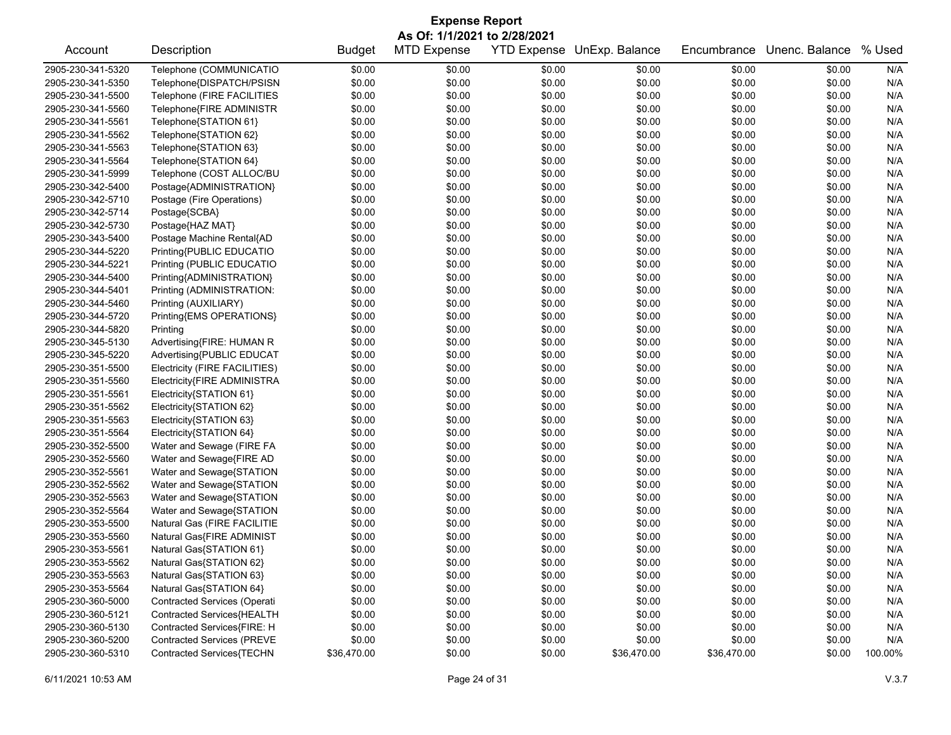| <b>Expense Report</b><br>As Of: 1/1/2021 to 2/28/2021 |                                     |             |        |        |             |             |        |         |  |  |
|-------------------------------------------------------|-------------------------------------|-------------|--------|--------|-------------|-------------|--------|---------|--|--|
|                                                       |                                     |             |        |        |             |             |        |         |  |  |
| 2905-230-341-5320                                     | Telephone (COMMUNICATIO             | \$0.00      | \$0.00 | \$0.00 | \$0.00      | \$0.00      | \$0.00 | N/A     |  |  |
| 2905-230-341-5350                                     | Telephone{DISPATCH/PSISN            | \$0.00      | \$0.00 | \$0.00 | \$0.00      | \$0.00      | \$0.00 | N/A     |  |  |
| 2905-230-341-5500                                     | Telephone (FIRE FACILITIES          | \$0.00      | \$0.00 | \$0.00 | \$0.00      | \$0.00      | \$0.00 | N/A     |  |  |
| 2905-230-341-5560                                     | Telephone{FIRE ADMINISTR            | \$0.00      | \$0.00 | \$0.00 | \$0.00      | \$0.00      | \$0.00 | N/A     |  |  |
| 2905-230-341-5561                                     | Telephone{STATION 61}               | \$0.00      | \$0.00 | \$0.00 | \$0.00      | \$0.00      | \$0.00 | N/A     |  |  |
| 2905-230-341-5562                                     | Telephone{STATION 62}               | \$0.00      | \$0.00 | \$0.00 | \$0.00      | \$0.00      | \$0.00 | N/A     |  |  |
| 2905-230-341-5563                                     | Telephone{STATION 63}               | \$0.00      | \$0.00 | \$0.00 | \$0.00      | \$0.00      | \$0.00 | N/A     |  |  |
| 2905-230-341-5564                                     | Telephone{STATION 64}               | \$0.00      | \$0.00 | \$0.00 | \$0.00      | \$0.00      | \$0.00 | N/A     |  |  |
| 2905-230-341-5999                                     | Telephone (COST ALLOC/BU            | \$0.00      | \$0.00 | \$0.00 | \$0.00      | \$0.00      | \$0.00 | N/A     |  |  |
| 2905-230-342-5400                                     | Postage{ADMINISTRATION}             | \$0.00      | \$0.00 | \$0.00 | \$0.00      | \$0.00      | \$0.00 | N/A     |  |  |
| 2905-230-342-5710                                     | Postage (Fire Operations)           | \$0.00      | \$0.00 | \$0.00 | \$0.00      | \$0.00      | \$0.00 | N/A     |  |  |
| 2905-230-342-5714                                     | Postage{SCBA}                       | \$0.00      | \$0.00 | \$0.00 | \$0.00      | \$0.00      | \$0.00 | N/A     |  |  |
| 2905-230-342-5730                                     | Postage{HAZ MAT}                    | \$0.00      | \$0.00 | \$0.00 | \$0.00      | \$0.00      | \$0.00 | N/A     |  |  |
| 2905-230-343-5400                                     | Postage Machine Rental{AD           | \$0.00      | \$0.00 | \$0.00 | \$0.00      | \$0.00      | \$0.00 | N/A     |  |  |
| 2905-230-344-5220                                     | Printing{PUBLIC EDUCATIO            | \$0.00      | \$0.00 | \$0.00 | \$0.00      | \$0.00      | \$0.00 | N/A     |  |  |
| 2905-230-344-5221                                     | Printing (PUBLIC EDUCATIO           | \$0.00      | \$0.00 | \$0.00 | \$0.00      | \$0.00      | \$0.00 | N/A     |  |  |
| 2905-230-344-5400                                     | Printing{ADMINISTRATION}            | \$0.00      | \$0.00 | \$0.00 | \$0.00      | \$0.00      | \$0.00 | N/A     |  |  |
| 2905-230-344-5401                                     | Printing (ADMINISTRATION:           | \$0.00      | \$0.00 | \$0.00 | \$0.00      | \$0.00      | \$0.00 | N/A     |  |  |
| 2905-230-344-5460                                     | Printing (AUXILIARY)                | \$0.00      | \$0.00 | \$0.00 | \$0.00      | \$0.00      | \$0.00 | N/A     |  |  |
| 2905-230-344-5720                                     | Printing{EMS OPERATIONS}            | \$0.00      | \$0.00 | \$0.00 | \$0.00      | \$0.00      | \$0.00 | N/A     |  |  |
| 2905-230-344-5820                                     | Printing                            | \$0.00      | \$0.00 | \$0.00 | \$0.00      | \$0.00      | \$0.00 | N/A     |  |  |
| 2905-230-345-5130                                     | Advertising{FIRE: HUMAN R           | \$0.00      | \$0.00 | \$0.00 | \$0.00      | \$0.00      | \$0.00 | N/A     |  |  |
| 2905-230-345-5220                                     | Advertising{PUBLIC EDUCAT           | \$0.00      | \$0.00 | \$0.00 | \$0.00      | \$0.00      | \$0.00 | N/A     |  |  |
| 2905-230-351-5500                                     | Electricity (FIRE FACILITIES)       | \$0.00      | \$0.00 | \$0.00 | \$0.00      | \$0.00      | \$0.00 | N/A     |  |  |
| 2905-230-351-5560                                     | Electricity{FIRE ADMINISTRA         | \$0.00      | \$0.00 | \$0.00 | \$0.00      | \$0.00      | \$0.00 | N/A     |  |  |
| 2905-230-351-5561                                     | Electricity{STATION 61}             | \$0.00      | \$0.00 | \$0.00 | \$0.00      | \$0.00      | \$0.00 | N/A     |  |  |
| 2905-230-351-5562                                     | Electricity{STATION 62}             | \$0.00      | \$0.00 | \$0.00 | \$0.00      | \$0.00      | \$0.00 | N/A     |  |  |
| 2905-230-351-5563                                     | Electricity{STATION 63}             | \$0.00      | \$0.00 | \$0.00 | \$0.00      | \$0.00      | \$0.00 | N/A     |  |  |
| 2905-230-351-5564                                     | Electricity{STATION 64}             | \$0.00      | \$0.00 | \$0.00 | \$0.00      | \$0.00      | \$0.00 | N/A     |  |  |
| 2905-230-352-5500                                     | Water and Sewage (FIRE FA           | \$0.00      | \$0.00 | \$0.00 | \$0.00      | \$0.00      | \$0.00 | N/A     |  |  |
| 2905-230-352-5560                                     | Water and Sewage{FIRE AD            | \$0.00      | \$0.00 | \$0.00 | \$0.00      | \$0.00      | \$0.00 | N/A     |  |  |
| 2905-230-352-5561                                     | Water and Sewage{STATION            | \$0.00      | \$0.00 | \$0.00 | \$0.00      | \$0.00      | \$0.00 | N/A     |  |  |
| 2905-230-352-5562                                     | Water and Sewage{STATION            | \$0.00      | \$0.00 | \$0.00 | \$0.00      | \$0.00      | \$0.00 | N/A     |  |  |
| 2905-230-352-5563                                     | Water and Sewage{STATION            | \$0.00      | \$0.00 | \$0.00 | \$0.00      | \$0.00      | \$0.00 | N/A     |  |  |
| 2905-230-352-5564                                     | Water and Sewage{STATION            | \$0.00      | \$0.00 | \$0.00 | \$0.00      | \$0.00      | \$0.00 | N/A     |  |  |
| 2905-230-353-5500                                     | Natural Gas (FIRE FACILITIE         | \$0.00      | \$0.00 | \$0.00 | \$0.00      | \$0.00      | \$0.00 | N/A     |  |  |
| 2905-230-353-5560                                     | Natural Gas{FIRE ADMINIST           | \$0.00      | \$0.00 | \$0.00 | \$0.00      | \$0.00      | \$0.00 | N/A     |  |  |
| 2905-230-353-5561                                     | Natural Gas{STATION 61}             | \$0.00      | \$0.00 | \$0.00 | \$0.00      | \$0.00      | \$0.00 | N/A     |  |  |
| 2905-230-353-5562                                     | Natural Gas{STATION 62}             | \$0.00      | \$0.00 | \$0.00 | \$0.00      | \$0.00      | \$0.00 | N/A     |  |  |
| 2905-230-353-5563                                     | Natural Gas{STATION 63}             | \$0.00      | \$0.00 | \$0.00 | \$0.00      | \$0.00      | \$0.00 | N/A     |  |  |
| 2905-230-353-5564                                     | Natural Gas{STATION 64}             | \$0.00      | \$0.00 | \$0.00 | \$0.00      | \$0.00      | \$0.00 | N/A     |  |  |
| 2905-230-360-5000                                     | <b>Contracted Services (Operati</b> | \$0.00      | \$0.00 | \$0.00 | \$0.00      | \$0.00      | \$0.00 | N/A     |  |  |
| 2905-230-360-5121                                     | Contracted Services{HEALTH          | \$0.00      | \$0.00 | \$0.00 | \$0.00      | \$0.00      | \$0.00 | N/A     |  |  |
| 2905-230-360-5130                                     | Contracted Services{FIRE: H         | \$0.00      | \$0.00 | \$0.00 | \$0.00      | \$0.00      | \$0.00 | N/A     |  |  |
| 2905-230-360-5200                                     | <b>Contracted Services (PREVE</b>   | \$0.00      | \$0.00 | \$0.00 | \$0.00      | \$0.00      | \$0.00 | N/A     |  |  |
| 2905-230-360-5310                                     | Contracted Services{TECHN           | \$36,470.00 | \$0.00 | \$0.00 | \$36,470.00 | \$36,470.00 | \$0.00 | 100.00% |  |  |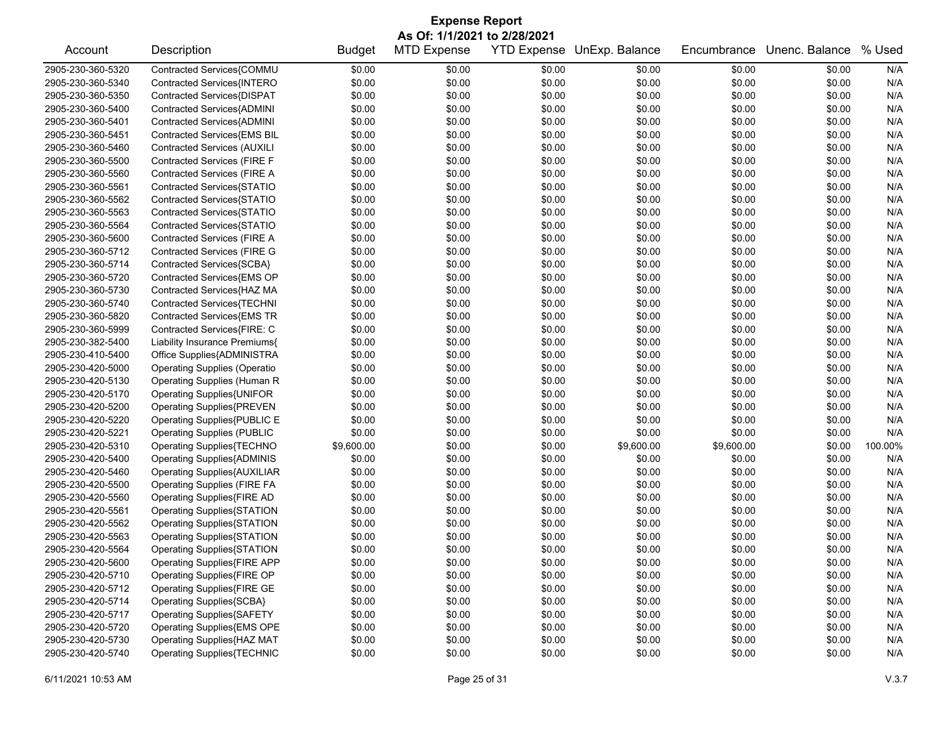| As Of: 1/1/2021 to 2/28/2021<br>Description<br><b>MTD Expense</b><br>YTD Expense UnExp. Balance<br>Unenc. Balance<br>% Used<br>Account<br><b>Budget</b><br>Encumbrance<br>Contracted Services{COMMU<br>\$0.00<br>\$0.00<br>\$0.00<br>\$0.00<br>\$0.00<br>\$0.00<br>N/A<br>\$0.00<br>\$0.00<br>\$0.00<br>\$0.00<br>\$0.00<br>\$0.00<br>Contracted Services{INTERO<br>N/A<br>Contracted Services{DISPAT<br>\$0.00<br>\$0.00<br>\$0.00<br>\$0.00<br>\$0.00<br>\$0.00<br>N/A<br>Contracted Services{ADMINI<br>\$0.00<br>\$0.00<br>\$0.00<br>\$0.00<br>N/A<br>\$0.00<br>\$0.00<br>Contracted Services{ADMINI<br>\$0.00<br>N/A<br>\$0.00<br>\$0.00<br>\$0.00<br>\$0.00<br>\$0.00<br>\$0.00<br>\$0.00<br>\$0.00<br>N/A<br>Contracted Services{EMS BIL<br>\$0.00<br>\$0.00<br>\$0.00<br>\$0.00<br>\$0.00<br>N/A<br>2905-230-360-5460<br><b>Contracted Services (AUXILI</b><br>\$0.00<br>\$0.00<br>\$0.00<br>\$0.00<br>Contracted Services (FIRE F<br>\$0.00<br>\$0.00<br>\$0.00<br>\$0.00<br>2905-230-360-5500<br>\$0.00<br>\$0.00<br>N/A<br>Contracted Services (FIRE A<br>\$0.00<br>\$0.00<br>N/A<br>\$0.00<br>\$0.00<br>\$0.00<br>\$0.00<br>Contracted Services{STATIO<br>\$0.00<br>\$0.00<br>\$0.00<br>\$0.00<br>\$0.00<br>\$0.00<br>N/A<br>\$0.00<br>\$0.00<br>\$0.00<br>N/A<br>Contracted Services{STATIO<br>\$0.00<br>\$0.00<br>\$0.00<br>\$0.00<br>\$0.00<br>\$0.00<br>\$0.00<br>N/A<br>2905-230-360-5563<br>Contracted Services{STATIO<br>\$0.00<br>\$0.00<br>Contracted Services{STATIO<br>\$0.00<br>\$0.00<br>\$0.00<br>\$0.00<br>N/A<br>2905-230-360-5564<br>\$0.00<br>\$0.00<br>Contracted Services (FIRE A<br>\$0.00<br>\$0.00<br>\$0.00<br>N/A<br>2905-230-360-5600<br>\$0.00<br>\$0.00<br>\$0.00<br><b>Contracted Services (FIRE G</b><br>\$0.00<br>\$0.00<br>N/A<br>2905-230-360-5712<br>\$0.00<br>\$0.00<br>\$0.00<br>\$0.00<br>\$0.00<br>\$0.00<br>N/A<br>Contracted Services{SCBA}<br>\$0.00<br>\$0.00<br>\$0.00<br>\$0.00<br>2905-230-360-5714<br>Contracted Services{EMS OP<br>\$0.00<br>\$0.00<br>N/A<br>2905-230-360-5720<br>\$0.00<br>\$0.00<br>\$0.00<br>\$0.00<br>Contracted Services{HAZ MA<br>\$0.00<br>\$0.00<br>\$0.00<br>\$0.00<br>2905-230-360-5730<br>\$0.00<br>\$0.00<br>N/A<br>Contracted Services{TECHNI<br>\$0.00<br>\$0.00<br>N/A<br>2905-230-360-5740<br>\$0.00<br>\$0.00<br>\$0.00<br>\$0.00<br>Contracted Services{EMS TR<br>2905-230-360-5820<br>\$0.00<br>\$0.00<br>\$0.00<br>\$0.00<br>\$0.00<br>\$0.00<br>N/A<br>\$0.00<br>\$0.00<br>\$0.00<br>\$0.00<br>N/A<br>2905-230-360-5999<br>Contracted Services{FIRE: C<br>\$0.00<br>\$0.00<br>\$0.00<br>\$0.00<br>\$0.00<br>\$0.00<br>N/A<br>2905-230-382-5400<br>Liability Insurance Premiums{<br>\$0.00<br>\$0.00<br>Office Supplies{ADMINISTRA<br>\$0.00<br>\$0.00<br>\$0.00<br>\$0.00<br>N/A<br>2905-230-410-5400<br>\$0.00<br>\$0.00<br><b>Operating Supplies (Operatio</b><br>\$0.00<br>\$0.00<br>\$0.00<br>N/A<br>2905-230-420-5000<br>\$0.00<br>\$0.00<br>\$0.00<br>\$0.00<br>\$0.00<br>N/A<br>2905-230-420-5130<br>Operating Supplies (Human R<br>\$0.00<br>\$0.00<br>\$0.00<br>\$0.00<br>\$0.00<br>\$0.00<br>\$0.00<br>N/A<br>2905-230-420-5170<br>Operating Supplies{UNIFOR<br>\$0.00<br>\$0.00<br>\$0.00<br>\$0.00<br>\$0.00<br>N/A<br>2905-230-420-5200<br><b>Operating Supplies{PREVEN</b><br>\$0.00<br>\$0.00<br>\$0.00<br>\$0.00<br>\$0.00<br>\$0.00<br>\$0.00<br>\$0.00<br>2905-230-420-5220<br>Operating Supplies{PUBLIC E<br>\$0.00<br>\$0.00<br>N/A<br>\$0.00<br>\$0.00<br>\$0.00<br>\$0.00<br>2905-230-420-5221<br><b>Operating Supplies (PUBLIC</b><br>\$0.00<br>\$0.00<br>N/A<br>\$9,600.00<br>\$9,600.00<br>2905-230-420-5310<br>Operating Supplies{TECHNO<br>\$0.00<br>\$0.00<br>\$9,600.00<br>\$0.00<br>100.00%<br>\$0.00<br>\$0.00<br>\$0.00<br>2905-230-420-5400<br><b>Operating Supplies{ADMINIS</b><br>\$0.00<br>\$0.00<br>\$0.00<br>N/A<br>\$0.00<br>\$0.00<br>\$0.00<br>\$0.00<br>2905-230-420-5460<br><b>Operating Supplies{AUXILIAR</b><br>\$0.00<br>\$0.00<br>N/A<br>\$0.00<br>\$0.00<br>\$0.00<br>\$0.00<br>2905-230-420-5500<br><b>Operating Supplies (FIRE FA</b><br>\$0.00<br>\$0.00<br>N/A<br>Operating Supplies{FIRE AD<br>\$0.00<br>\$0.00<br>N/A<br>2905-230-420-5560<br>\$0.00<br>\$0.00<br>\$0.00<br>\$0.00<br>2905-230-420-5561<br>Operating Supplies{STATION<br>\$0.00<br>\$0.00<br>\$0.00<br>\$0.00<br>\$0.00<br>\$0.00<br>N/A<br>N/A<br>2905-230-420-5562<br>Operating Supplies{STATION<br>\$0.00<br>\$0.00<br>\$0.00<br>\$0.00<br>\$0.00<br>\$0.00<br>\$0.00<br>\$0.00<br>\$0.00<br>\$0.00<br>N/A<br>2905-230-420-5563<br>Operating Supplies{STATION<br>\$0.00<br>\$0.00<br>2905-230-420-5564<br>\$0.00<br>\$0.00<br>\$0.00<br>\$0.00<br>\$0.00<br>\$0.00<br>Operating Supplies{STATION<br>N/A<br>\$0.00<br>\$0.00<br>N/A<br>2905-230-420-5600<br>Operating Supplies{FIRE APP<br>\$0.00<br>\$0.00<br>\$0.00<br>\$0.00<br>\$0.00<br>\$0.00<br>\$0.00<br>\$0.00<br>\$0.00<br>2905-230-420-5710<br>Operating Supplies{FIRE OP<br>\$0.00<br>N/A<br>Operating Supplies{FIRE GE<br>\$0.00<br>\$0.00<br>2905-230-420-5712<br>\$0.00<br>\$0.00<br>\$0.00<br>\$0.00<br>N/A<br>Operating Supplies{SCBA}<br>\$0.00<br>\$0.00<br>2905-230-420-5714<br>\$0.00<br>\$0.00<br>\$0.00<br>\$0.00<br>N/A<br><b>Operating Supplies{SAFETY</b><br>\$0.00<br>\$0.00<br>\$0.00<br>2905-230-420-5717<br>\$0.00<br>\$0.00<br>\$0.00<br>N/A<br>Operating Supplies{EMS OPE<br>\$0.00<br>2905-230-420-5720<br>\$0.00<br>\$0.00<br>\$0.00<br>\$0.00<br>\$0.00<br>N/A<br>Operating Supplies{HAZ MAT<br>2905-230-420-5730<br>\$0.00<br>\$0.00<br>\$0.00<br>\$0.00<br>\$0.00<br>\$0.00<br>N/A |                   | <b>Expense Report</b>             |        |        |        |        |        |        |     |  |  |  |
|-------------------------------------------------------------------------------------------------------------------------------------------------------------------------------------------------------------------------------------------------------------------------------------------------------------------------------------------------------------------------------------------------------------------------------------------------------------------------------------------------------------------------------------------------------------------------------------------------------------------------------------------------------------------------------------------------------------------------------------------------------------------------------------------------------------------------------------------------------------------------------------------------------------------------------------------------------------------------------------------------------------------------------------------------------------------------------------------------------------------------------------------------------------------------------------------------------------------------------------------------------------------------------------------------------------------------------------------------------------------------------------------------------------------------------------------------------------------------------------------------------------------------------------------------------------------------------------------------------------------------------------------------------------------------------------------------------------------------------------------------------------------------------------------------------------------------------------------------------------------------------------------------------------------------------------------------------------------------------------------------------------------------------------------------------------------------------------------------------------------------------------------------------------------------------------------------------------------------------------------------------------------------------------------------------------------------------------------------------------------------------------------------------------------------------------------------------------------------------------------------------------------------------------------------------------------------------------------------------------------------------------------------------------------------------------------------------------------------------------------------------------------------------------------------------------------------------------------------------------------------------------------------------------------------------------------------------------------------------------------------------------------------------------------------------------------------------------------------------------------------------------------------------------------------------------------------------------------------------------------------------------------------------------------------------------------------------------------------------------------------------------------------------------------------------------------------------------------------------------------------------------------------------------------------------------------------------------------------------------------------------------------------------------------------------------------------------------------------------------------------------------------------------------------------------------------------------------------------------------------------------------------------------------------------------------------------------------------------------------------------------------------------------------------------------------------------------------------------------------------------------------------------------------------------------------------------------------------------------------------------------------------------------------------------------------------------------------------------------------------------------------------------------------------------------------------------------------------------------------------------------------------------------------------------------------------------------------------------------------------------------------------------------------------------------------------------------------------------------------------------------------------------------------------------------------------------------------------------------------------------------------------------------------------------------------------------------------------------------------------------------------------------------------------------------------------------------------------------------------------------------------------------------------------------------------------------------------------------------------------------------------------------------------------------------------------------------------------------------------------------------------------------------------------------------------------------------------------------------------------------------------------------------------------------------------------------------------------------|-------------------|-----------------------------------|--------|--------|--------|--------|--------|--------|-----|--|--|--|
|                                                                                                                                                                                                                                                                                                                                                                                                                                                                                                                                                                                                                                                                                                                                                                                                                                                                                                                                                                                                                                                                                                                                                                                                                                                                                                                                                                                                                                                                                                                                                                                                                                                                                                                                                                                                                                                                                                                                                                                                                                                                                                                                                                                                                                                                                                                                                                                                                                                                                                                                                                                                                                                                                                                                                                                                                                                                                                                                                                                                                                                                                                                                                                                                                                                                                                                                                                                                                                                                                                                                                                                                                                                                                                                                                                                                                                                                                                                                                                                                                                                                                                                                                                                                                                                                                                                                                                                                                                                                                                                                                                                                                                                                                                                                                                                                                                                                                                                                                                                                                                                                                                                                                                                                                                                                                                                                                                                                                                                                                                                                                                                                 |                   |                                   |        |        |        |        |        |        |     |  |  |  |
|                                                                                                                                                                                                                                                                                                                                                                                                                                                                                                                                                                                                                                                                                                                                                                                                                                                                                                                                                                                                                                                                                                                                                                                                                                                                                                                                                                                                                                                                                                                                                                                                                                                                                                                                                                                                                                                                                                                                                                                                                                                                                                                                                                                                                                                                                                                                                                                                                                                                                                                                                                                                                                                                                                                                                                                                                                                                                                                                                                                                                                                                                                                                                                                                                                                                                                                                                                                                                                                                                                                                                                                                                                                                                                                                                                                                                                                                                                                                                                                                                                                                                                                                                                                                                                                                                                                                                                                                                                                                                                                                                                                                                                                                                                                                                                                                                                                                                                                                                                                                                                                                                                                                                                                                                                                                                                                                                                                                                                                                                                                                                                                                 |                   |                                   |        |        |        |        |        |        |     |  |  |  |
|                                                                                                                                                                                                                                                                                                                                                                                                                                                                                                                                                                                                                                                                                                                                                                                                                                                                                                                                                                                                                                                                                                                                                                                                                                                                                                                                                                                                                                                                                                                                                                                                                                                                                                                                                                                                                                                                                                                                                                                                                                                                                                                                                                                                                                                                                                                                                                                                                                                                                                                                                                                                                                                                                                                                                                                                                                                                                                                                                                                                                                                                                                                                                                                                                                                                                                                                                                                                                                                                                                                                                                                                                                                                                                                                                                                                                                                                                                                                                                                                                                                                                                                                                                                                                                                                                                                                                                                                                                                                                                                                                                                                                                                                                                                                                                                                                                                                                                                                                                                                                                                                                                                                                                                                                                                                                                                                                                                                                                                                                                                                                                                                 | 2905-230-360-5320 |                                   |        |        |        |        |        |        |     |  |  |  |
|                                                                                                                                                                                                                                                                                                                                                                                                                                                                                                                                                                                                                                                                                                                                                                                                                                                                                                                                                                                                                                                                                                                                                                                                                                                                                                                                                                                                                                                                                                                                                                                                                                                                                                                                                                                                                                                                                                                                                                                                                                                                                                                                                                                                                                                                                                                                                                                                                                                                                                                                                                                                                                                                                                                                                                                                                                                                                                                                                                                                                                                                                                                                                                                                                                                                                                                                                                                                                                                                                                                                                                                                                                                                                                                                                                                                                                                                                                                                                                                                                                                                                                                                                                                                                                                                                                                                                                                                                                                                                                                                                                                                                                                                                                                                                                                                                                                                                                                                                                                                                                                                                                                                                                                                                                                                                                                                                                                                                                                                                                                                                                                                 | 2905-230-360-5340 |                                   |        |        |        |        |        |        |     |  |  |  |
|                                                                                                                                                                                                                                                                                                                                                                                                                                                                                                                                                                                                                                                                                                                                                                                                                                                                                                                                                                                                                                                                                                                                                                                                                                                                                                                                                                                                                                                                                                                                                                                                                                                                                                                                                                                                                                                                                                                                                                                                                                                                                                                                                                                                                                                                                                                                                                                                                                                                                                                                                                                                                                                                                                                                                                                                                                                                                                                                                                                                                                                                                                                                                                                                                                                                                                                                                                                                                                                                                                                                                                                                                                                                                                                                                                                                                                                                                                                                                                                                                                                                                                                                                                                                                                                                                                                                                                                                                                                                                                                                                                                                                                                                                                                                                                                                                                                                                                                                                                                                                                                                                                                                                                                                                                                                                                                                                                                                                                                                                                                                                                                                 | 2905-230-360-5350 |                                   |        |        |        |        |        |        |     |  |  |  |
|                                                                                                                                                                                                                                                                                                                                                                                                                                                                                                                                                                                                                                                                                                                                                                                                                                                                                                                                                                                                                                                                                                                                                                                                                                                                                                                                                                                                                                                                                                                                                                                                                                                                                                                                                                                                                                                                                                                                                                                                                                                                                                                                                                                                                                                                                                                                                                                                                                                                                                                                                                                                                                                                                                                                                                                                                                                                                                                                                                                                                                                                                                                                                                                                                                                                                                                                                                                                                                                                                                                                                                                                                                                                                                                                                                                                                                                                                                                                                                                                                                                                                                                                                                                                                                                                                                                                                                                                                                                                                                                                                                                                                                                                                                                                                                                                                                                                                                                                                                                                                                                                                                                                                                                                                                                                                                                                                                                                                                                                                                                                                                                                 | 2905-230-360-5400 |                                   |        |        |        |        |        |        |     |  |  |  |
|                                                                                                                                                                                                                                                                                                                                                                                                                                                                                                                                                                                                                                                                                                                                                                                                                                                                                                                                                                                                                                                                                                                                                                                                                                                                                                                                                                                                                                                                                                                                                                                                                                                                                                                                                                                                                                                                                                                                                                                                                                                                                                                                                                                                                                                                                                                                                                                                                                                                                                                                                                                                                                                                                                                                                                                                                                                                                                                                                                                                                                                                                                                                                                                                                                                                                                                                                                                                                                                                                                                                                                                                                                                                                                                                                                                                                                                                                                                                                                                                                                                                                                                                                                                                                                                                                                                                                                                                                                                                                                                                                                                                                                                                                                                                                                                                                                                                                                                                                                                                                                                                                                                                                                                                                                                                                                                                                                                                                                                                                                                                                                                                 | 2905-230-360-5401 |                                   |        |        |        |        |        |        |     |  |  |  |
|                                                                                                                                                                                                                                                                                                                                                                                                                                                                                                                                                                                                                                                                                                                                                                                                                                                                                                                                                                                                                                                                                                                                                                                                                                                                                                                                                                                                                                                                                                                                                                                                                                                                                                                                                                                                                                                                                                                                                                                                                                                                                                                                                                                                                                                                                                                                                                                                                                                                                                                                                                                                                                                                                                                                                                                                                                                                                                                                                                                                                                                                                                                                                                                                                                                                                                                                                                                                                                                                                                                                                                                                                                                                                                                                                                                                                                                                                                                                                                                                                                                                                                                                                                                                                                                                                                                                                                                                                                                                                                                                                                                                                                                                                                                                                                                                                                                                                                                                                                                                                                                                                                                                                                                                                                                                                                                                                                                                                                                                                                                                                                                                 | 2905-230-360-5451 |                                   |        |        |        |        |        |        |     |  |  |  |
|                                                                                                                                                                                                                                                                                                                                                                                                                                                                                                                                                                                                                                                                                                                                                                                                                                                                                                                                                                                                                                                                                                                                                                                                                                                                                                                                                                                                                                                                                                                                                                                                                                                                                                                                                                                                                                                                                                                                                                                                                                                                                                                                                                                                                                                                                                                                                                                                                                                                                                                                                                                                                                                                                                                                                                                                                                                                                                                                                                                                                                                                                                                                                                                                                                                                                                                                                                                                                                                                                                                                                                                                                                                                                                                                                                                                                                                                                                                                                                                                                                                                                                                                                                                                                                                                                                                                                                                                                                                                                                                                                                                                                                                                                                                                                                                                                                                                                                                                                                                                                                                                                                                                                                                                                                                                                                                                                                                                                                                                                                                                                                                                 |                   |                                   |        |        |        |        |        |        |     |  |  |  |
|                                                                                                                                                                                                                                                                                                                                                                                                                                                                                                                                                                                                                                                                                                                                                                                                                                                                                                                                                                                                                                                                                                                                                                                                                                                                                                                                                                                                                                                                                                                                                                                                                                                                                                                                                                                                                                                                                                                                                                                                                                                                                                                                                                                                                                                                                                                                                                                                                                                                                                                                                                                                                                                                                                                                                                                                                                                                                                                                                                                                                                                                                                                                                                                                                                                                                                                                                                                                                                                                                                                                                                                                                                                                                                                                                                                                                                                                                                                                                                                                                                                                                                                                                                                                                                                                                                                                                                                                                                                                                                                                                                                                                                                                                                                                                                                                                                                                                                                                                                                                                                                                                                                                                                                                                                                                                                                                                                                                                                                                                                                                                                                                 |                   |                                   |        |        |        |        |        |        |     |  |  |  |
|                                                                                                                                                                                                                                                                                                                                                                                                                                                                                                                                                                                                                                                                                                                                                                                                                                                                                                                                                                                                                                                                                                                                                                                                                                                                                                                                                                                                                                                                                                                                                                                                                                                                                                                                                                                                                                                                                                                                                                                                                                                                                                                                                                                                                                                                                                                                                                                                                                                                                                                                                                                                                                                                                                                                                                                                                                                                                                                                                                                                                                                                                                                                                                                                                                                                                                                                                                                                                                                                                                                                                                                                                                                                                                                                                                                                                                                                                                                                                                                                                                                                                                                                                                                                                                                                                                                                                                                                                                                                                                                                                                                                                                                                                                                                                                                                                                                                                                                                                                                                                                                                                                                                                                                                                                                                                                                                                                                                                                                                                                                                                                                                 | 2905-230-360-5560 |                                   |        |        |        |        |        |        |     |  |  |  |
|                                                                                                                                                                                                                                                                                                                                                                                                                                                                                                                                                                                                                                                                                                                                                                                                                                                                                                                                                                                                                                                                                                                                                                                                                                                                                                                                                                                                                                                                                                                                                                                                                                                                                                                                                                                                                                                                                                                                                                                                                                                                                                                                                                                                                                                                                                                                                                                                                                                                                                                                                                                                                                                                                                                                                                                                                                                                                                                                                                                                                                                                                                                                                                                                                                                                                                                                                                                                                                                                                                                                                                                                                                                                                                                                                                                                                                                                                                                                                                                                                                                                                                                                                                                                                                                                                                                                                                                                                                                                                                                                                                                                                                                                                                                                                                                                                                                                                                                                                                                                                                                                                                                                                                                                                                                                                                                                                                                                                                                                                                                                                                                                 | 2905-230-360-5561 |                                   |        |        |        |        |        |        |     |  |  |  |
|                                                                                                                                                                                                                                                                                                                                                                                                                                                                                                                                                                                                                                                                                                                                                                                                                                                                                                                                                                                                                                                                                                                                                                                                                                                                                                                                                                                                                                                                                                                                                                                                                                                                                                                                                                                                                                                                                                                                                                                                                                                                                                                                                                                                                                                                                                                                                                                                                                                                                                                                                                                                                                                                                                                                                                                                                                                                                                                                                                                                                                                                                                                                                                                                                                                                                                                                                                                                                                                                                                                                                                                                                                                                                                                                                                                                                                                                                                                                                                                                                                                                                                                                                                                                                                                                                                                                                                                                                                                                                                                                                                                                                                                                                                                                                                                                                                                                                                                                                                                                                                                                                                                                                                                                                                                                                                                                                                                                                                                                                                                                                                                                 | 2905-230-360-5562 |                                   |        |        |        |        |        |        |     |  |  |  |
|                                                                                                                                                                                                                                                                                                                                                                                                                                                                                                                                                                                                                                                                                                                                                                                                                                                                                                                                                                                                                                                                                                                                                                                                                                                                                                                                                                                                                                                                                                                                                                                                                                                                                                                                                                                                                                                                                                                                                                                                                                                                                                                                                                                                                                                                                                                                                                                                                                                                                                                                                                                                                                                                                                                                                                                                                                                                                                                                                                                                                                                                                                                                                                                                                                                                                                                                                                                                                                                                                                                                                                                                                                                                                                                                                                                                                                                                                                                                                                                                                                                                                                                                                                                                                                                                                                                                                                                                                                                                                                                                                                                                                                                                                                                                                                                                                                                                                                                                                                                                                                                                                                                                                                                                                                                                                                                                                                                                                                                                                                                                                                                                 |                   |                                   |        |        |        |        |        |        |     |  |  |  |
|                                                                                                                                                                                                                                                                                                                                                                                                                                                                                                                                                                                                                                                                                                                                                                                                                                                                                                                                                                                                                                                                                                                                                                                                                                                                                                                                                                                                                                                                                                                                                                                                                                                                                                                                                                                                                                                                                                                                                                                                                                                                                                                                                                                                                                                                                                                                                                                                                                                                                                                                                                                                                                                                                                                                                                                                                                                                                                                                                                                                                                                                                                                                                                                                                                                                                                                                                                                                                                                                                                                                                                                                                                                                                                                                                                                                                                                                                                                                                                                                                                                                                                                                                                                                                                                                                                                                                                                                                                                                                                                                                                                                                                                                                                                                                                                                                                                                                                                                                                                                                                                                                                                                                                                                                                                                                                                                                                                                                                                                                                                                                                                                 |                   |                                   |        |        |        |        |        |        |     |  |  |  |
|                                                                                                                                                                                                                                                                                                                                                                                                                                                                                                                                                                                                                                                                                                                                                                                                                                                                                                                                                                                                                                                                                                                                                                                                                                                                                                                                                                                                                                                                                                                                                                                                                                                                                                                                                                                                                                                                                                                                                                                                                                                                                                                                                                                                                                                                                                                                                                                                                                                                                                                                                                                                                                                                                                                                                                                                                                                                                                                                                                                                                                                                                                                                                                                                                                                                                                                                                                                                                                                                                                                                                                                                                                                                                                                                                                                                                                                                                                                                                                                                                                                                                                                                                                                                                                                                                                                                                                                                                                                                                                                                                                                                                                                                                                                                                                                                                                                                                                                                                                                                                                                                                                                                                                                                                                                                                                                                                                                                                                                                                                                                                                                                 |                   |                                   |        |        |        |        |        |        |     |  |  |  |
|                                                                                                                                                                                                                                                                                                                                                                                                                                                                                                                                                                                                                                                                                                                                                                                                                                                                                                                                                                                                                                                                                                                                                                                                                                                                                                                                                                                                                                                                                                                                                                                                                                                                                                                                                                                                                                                                                                                                                                                                                                                                                                                                                                                                                                                                                                                                                                                                                                                                                                                                                                                                                                                                                                                                                                                                                                                                                                                                                                                                                                                                                                                                                                                                                                                                                                                                                                                                                                                                                                                                                                                                                                                                                                                                                                                                                                                                                                                                                                                                                                                                                                                                                                                                                                                                                                                                                                                                                                                                                                                                                                                                                                                                                                                                                                                                                                                                                                                                                                                                                                                                                                                                                                                                                                                                                                                                                                                                                                                                                                                                                                                                 |                   |                                   |        |        |        |        |        |        |     |  |  |  |
|                                                                                                                                                                                                                                                                                                                                                                                                                                                                                                                                                                                                                                                                                                                                                                                                                                                                                                                                                                                                                                                                                                                                                                                                                                                                                                                                                                                                                                                                                                                                                                                                                                                                                                                                                                                                                                                                                                                                                                                                                                                                                                                                                                                                                                                                                                                                                                                                                                                                                                                                                                                                                                                                                                                                                                                                                                                                                                                                                                                                                                                                                                                                                                                                                                                                                                                                                                                                                                                                                                                                                                                                                                                                                                                                                                                                                                                                                                                                                                                                                                                                                                                                                                                                                                                                                                                                                                                                                                                                                                                                                                                                                                                                                                                                                                                                                                                                                                                                                                                                                                                                                                                                                                                                                                                                                                                                                                                                                                                                                                                                                                                                 |                   |                                   |        |        |        |        |        |        |     |  |  |  |
|                                                                                                                                                                                                                                                                                                                                                                                                                                                                                                                                                                                                                                                                                                                                                                                                                                                                                                                                                                                                                                                                                                                                                                                                                                                                                                                                                                                                                                                                                                                                                                                                                                                                                                                                                                                                                                                                                                                                                                                                                                                                                                                                                                                                                                                                                                                                                                                                                                                                                                                                                                                                                                                                                                                                                                                                                                                                                                                                                                                                                                                                                                                                                                                                                                                                                                                                                                                                                                                                                                                                                                                                                                                                                                                                                                                                                                                                                                                                                                                                                                                                                                                                                                                                                                                                                                                                                                                                                                                                                                                                                                                                                                                                                                                                                                                                                                                                                                                                                                                                                                                                                                                                                                                                                                                                                                                                                                                                                                                                                                                                                                                                 |                   |                                   |        |        |        |        |        |        |     |  |  |  |
|                                                                                                                                                                                                                                                                                                                                                                                                                                                                                                                                                                                                                                                                                                                                                                                                                                                                                                                                                                                                                                                                                                                                                                                                                                                                                                                                                                                                                                                                                                                                                                                                                                                                                                                                                                                                                                                                                                                                                                                                                                                                                                                                                                                                                                                                                                                                                                                                                                                                                                                                                                                                                                                                                                                                                                                                                                                                                                                                                                                                                                                                                                                                                                                                                                                                                                                                                                                                                                                                                                                                                                                                                                                                                                                                                                                                                                                                                                                                                                                                                                                                                                                                                                                                                                                                                                                                                                                                                                                                                                                                                                                                                                                                                                                                                                                                                                                                                                                                                                                                                                                                                                                                                                                                                                                                                                                                                                                                                                                                                                                                                                                                 |                   |                                   |        |        |        |        |        |        |     |  |  |  |
|                                                                                                                                                                                                                                                                                                                                                                                                                                                                                                                                                                                                                                                                                                                                                                                                                                                                                                                                                                                                                                                                                                                                                                                                                                                                                                                                                                                                                                                                                                                                                                                                                                                                                                                                                                                                                                                                                                                                                                                                                                                                                                                                                                                                                                                                                                                                                                                                                                                                                                                                                                                                                                                                                                                                                                                                                                                                                                                                                                                                                                                                                                                                                                                                                                                                                                                                                                                                                                                                                                                                                                                                                                                                                                                                                                                                                                                                                                                                                                                                                                                                                                                                                                                                                                                                                                                                                                                                                                                                                                                                                                                                                                                                                                                                                                                                                                                                                                                                                                                                                                                                                                                                                                                                                                                                                                                                                                                                                                                                                                                                                                                                 |                   |                                   |        |        |        |        |        |        |     |  |  |  |
|                                                                                                                                                                                                                                                                                                                                                                                                                                                                                                                                                                                                                                                                                                                                                                                                                                                                                                                                                                                                                                                                                                                                                                                                                                                                                                                                                                                                                                                                                                                                                                                                                                                                                                                                                                                                                                                                                                                                                                                                                                                                                                                                                                                                                                                                                                                                                                                                                                                                                                                                                                                                                                                                                                                                                                                                                                                                                                                                                                                                                                                                                                                                                                                                                                                                                                                                                                                                                                                                                                                                                                                                                                                                                                                                                                                                                                                                                                                                                                                                                                                                                                                                                                                                                                                                                                                                                                                                                                                                                                                                                                                                                                                                                                                                                                                                                                                                                                                                                                                                                                                                                                                                                                                                                                                                                                                                                                                                                                                                                                                                                                                                 |                   |                                   |        |        |        |        |        |        |     |  |  |  |
|                                                                                                                                                                                                                                                                                                                                                                                                                                                                                                                                                                                                                                                                                                                                                                                                                                                                                                                                                                                                                                                                                                                                                                                                                                                                                                                                                                                                                                                                                                                                                                                                                                                                                                                                                                                                                                                                                                                                                                                                                                                                                                                                                                                                                                                                                                                                                                                                                                                                                                                                                                                                                                                                                                                                                                                                                                                                                                                                                                                                                                                                                                                                                                                                                                                                                                                                                                                                                                                                                                                                                                                                                                                                                                                                                                                                                                                                                                                                                                                                                                                                                                                                                                                                                                                                                                                                                                                                                                                                                                                                                                                                                                                                                                                                                                                                                                                                                                                                                                                                                                                                                                                                                                                                                                                                                                                                                                                                                                                                                                                                                                                                 |                   |                                   |        |        |        |        |        |        |     |  |  |  |
|                                                                                                                                                                                                                                                                                                                                                                                                                                                                                                                                                                                                                                                                                                                                                                                                                                                                                                                                                                                                                                                                                                                                                                                                                                                                                                                                                                                                                                                                                                                                                                                                                                                                                                                                                                                                                                                                                                                                                                                                                                                                                                                                                                                                                                                                                                                                                                                                                                                                                                                                                                                                                                                                                                                                                                                                                                                                                                                                                                                                                                                                                                                                                                                                                                                                                                                                                                                                                                                                                                                                                                                                                                                                                                                                                                                                                                                                                                                                                                                                                                                                                                                                                                                                                                                                                                                                                                                                                                                                                                                                                                                                                                                                                                                                                                                                                                                                                                                                                                                                                                                                                                                                                                                                                                                                                                                                                                                                                                                                                                                                                                                                 |                   |                                   |        |        |        |        |        |        |     |  |  |  |
|                                                                                                                                                                                                                                                                                                                                                                                                                                                                                                                                                                                                                                                                                                                                                                                                                                                                                                                                                                                                                                                                                                                                                                                                                                                                                                                                                                                                                                                                                                                                                                                                                                                                                                                                                                                                                                                                                                                                                                                                                                                                                                                                                                                                                                                                                                                                                                                                                                                                                                                                                                                                                                                                                                                                                                                                                                                                                                                                                                                                                                                                                                                                                                                                                                                                                                                                                                                                                                                                                                                                                                                                                                                                                                                                                                                                                                                                                                                                                                                                                                                                                                                                                                                                                                                                                                                                                                                                                                                                                                                                                                                                                                                                                                                                                                                                                                                                                                                                                                                                                                                                                                                                                                                                                                                                                                                                                                                                                                                                                                                                                                                                 |                   |                                   |        |        |        |        |        |        |     |  |  |  |
|                                                                                                                                                                                                                                                                                                                                                                                                                                                                                                                                                                                                                                                                                                                                                                                                                                                                                                                                                                                                                                                                                                                                                                                                                                                                                                                                                                                                                                                                                                                                                                                                                                                                                                                                                                                                                                                                                                                                                                                                                                                                                                                                                                                                                                                                                                                                                                                                                                                                                                                                                                                                                                                                                                                                                                                                                                                                                                                                                                                                                                                                                                                                                                                                                                                                                                                                                                                                                                                                                                                                                                                                                                                                                                                                                                                                                                                                                                                                                                                                                                                                                                                                                                                                                                                                                                                                                                                                                                                                                                                                                                                                                                                                                                                                                                                                                                                                                                                                                                                                                                                                                                                                                                                                                                                                                                                                                                                                                                                                                                                                                                                                 |                   |                                   |        |        |        |        |        |        |     |  |  |  |
|                                                                                                                                                                                                                                                                                                                                                                                                                                                                                                                                                                                                                                                                                                                                                                                                                                                                                                                                                                                                                                                                                                                                                                                                                                                                                                                                                                                                                                                                                                                                                                                                                                                                                                                                                                                                                                                                                                                                                                                                                                                                                                                                                                                                                                                                                                                                                                                                                                                                                                                                                                                                                                                                                                                                                                                                                                                                                                                                                                                                                                                                                                                                                                                                                                                                                                                                                                                                                                                                                                                                                                                                                                                                                                                                                                                                                                                                                                                                                                                                                                                                                                                                                                                                                                                                                                                                                                                                                                                                                                                                                                                                                                                                                                                                                                                                                                                                                                                                                                                                                                                                                                                                                                                                                                                                                                                                                                                                                                                                                                                                                                                                 |                   |                                   |        |        |        |        |        |        |     |  |  |  |
|                                                                                                                                                                                                                                                                                                                                                                                                                                                                                                                                                                                                                                                                                                                                                                                                                                                                                                                                                                                                                                                                                                                                                                                                                                                                                                                                                                                                                                                                                                                                                                                                                                                                                                                                                                                                                                                                                                                                                                                                                                                                                                                                                                                                                                                                                                                                                                                                                                                                                                                                                                                                                                                                                                                                                                                                                                                                                                                                                                                                                                                                                                                                                                                                                                                                                                                                                                                                                                                                                                                                                                                                                                                                                                                                                                                                                                                                                                                                                                                                                                                                                                                                                                                                                                                                                                                                                                                                                                                                                                                                                                                                                                                                                                                                                                                                                                                                                                                                                                                                                                                                                                                                                                                                                                                                                                                                                                                                                                                                                                                                                                                                 |                   |                                   |        |        |        |        |        |        |     |  |  |  |
|                                                                                                                                                                                                                                                                                                                                                                                                                                                                                                                                                                                                                                                                                                                                                                                                                                                                                                                                                                                                                                                                                                                                                                                                                                                                                                                                                                                                                                                                                                                                                                                                                                                                                                                                                                                                                                                                                                                                                                                                                                                                                                                                                                                                                                                                                                                                                                                                                                                                                                                                                                                                                                                                                                                                                                                                                                                                                                                                                                                                                                                                                                                                                                                                                                                                                                                                                                                                                                                                                                                                                                                                                                                                                                                                                                                                                                                                                                                                                                                                                                                                                                                                                                                                                                                                                                                                                                                                                                                                                                                                                                                                                                                                                                                                                                                                                                                                                                                                                                                                                                                                                                                                                                                                                                                                                                                                                                                                                                                                                                                                                                                                 |                   |                                   |        |        |        |        |        |        |     |  |  |  |
|                                                                                                                                                                                                                                                                                                                                                                                                                                                                                                                                                                                                                                                                                                                                                                                                                                                                                                                                                                                                                                                                                                                                                                                                                                                                                                                                                                                                                                                                                                                                                                                                                                                                                                                                                                                                                                                                                                                                                                                                                                                                                                                                                                                                                                                                                                                                                                                                                                                                                                                                                                                                                                                                                                                                                                                                                                                                                                                                                                                                                                                                                                                                                                                                                                                                                                                                                                                                                                                                                                                                                                                                                                                                                                                                                                                                                                                                                                                                                                                                                                                                                                                                                                                                                                                                                                                                                                                                                                                                                                                                                                                                                                                                                                                                                                                                                                                                                                                                                                                                                                                                                                                                                                                                                                                                                                                                                                                                                                                                                                                                                                                                 |                   |                                   |        |        |        |        |        |        |     |  |  |  |
|                                                                                                                                                                                                                                                                                                                                                                                                                                                                                                                                                                                                                                                                                                                                                                                                                                                                                                                                                                                                                                                                                                                                                                                                                                                                                                                                                                                                                                                                                                                                                                                                                                                                                                                                                                                                                                                                                                                                                                                                                                                                                                                                                                                                                                                                                                                                                                                                                                                                                                                                                                                                                                                                                                                                                                                                                                                                                                                                                                                                                                                                                                                                                                                                                                                                                                                                                                                                                                                                                                                                                                                                                                                                                                                                                                                                                                                                                                                                                                                                                                                                                                                                                                                                                                                                                                                                                                                                                                                                                                                                                                                                                                                                                                                                                                                                                                                                                                                                                                                                                                                                                                                                                                                                                                                                                                                                                                                                                                                                                                                                                                                                 |                   |                                   |        |        |        |        |        |        |     |  |  |  |
|                                                                                                                                                                                                                                                                                                                                                                                                                                                                                                                                                                                                                                                                                                                                                                                                                                                                                                                                                                                                                                                                                                                                                                                                                                                                                                                                                                                                                                                                                                                                                                                                                                                                                                                                                                                                                                                                                                                                                                                                                                                                                                                                                                                                                                                                                                                                                                                                                                                                                                                                                                                                                                                                                                                                                                                                                                                                                                                                                                                                                                                                                                                                                                                                                                                                                                                                                                                                                                                                                                                                                                                                                                                                                                                                                                                                                                                                                                                                                                                                                                                                                                                                                                                                                                                                                                                                                                                                                                                                                                                                                                                                                                                                                                                                                                                                                                                                                                                                                                                                                                                                                                                                                                                                                                                                                                                                                                                                                                                                                                                                                                                                 |                   |                                   |        |        |        |        |        |        |     |  |  |  |
|                                                                                                                                                                                                                                                                                                                                                                                                                                                                                                                                                                                                                                                                                                                                                                                                                                                                                                                                                                                                                                                                                                                                                                                                                                                                                                                                                                                                                                                                                                                                                                                                                                                                                                                                                                                                                                                                                                                                                                                                                                                                                                                                                                                                                                                                                                                                                                                                                                                                                                                                                                                                                                                                                                                                                                                                                                                                                                                                                                                                                                                                                                                                                                                                                                                                                                                                                                                                                                                                                                                                                                                                                                                                                                                                                                                                                                                                                                                                                                                                                                                                                                                                                                                                                                                                                                                                                                                                                                                                                                                                                                                                                                                                                                                                                                                                                                                                                                                                                                                                                                                                                                                                                                                                                                                                                                                                                                                                                                                                                                                                                                                                 |                   |                                   |        |        |        |        |        |        |     |  |  |  |
|                                                                                                                                                                                                                                                                                                                                                                                                                                                                                                                                                                                                                                                                                                                                                                                                                                                                                                                                                                                                                                                                                                                                                                                                                                                                                                                                                                                                                                                                                                                                                                                                                                                                                                                                                                                                                                                                                                                                                                                                                                                                                                                                                                                                                                                                                                                                                                                                                                                                                                                                                                                                                                                                                                                                                                                                                                                                                                                                                                                                                                                                                                                                                                                                                                                                                                                                                                                                                                                                                                                                                                                                                                                                                                                                                                                                                                                                                                                                                                                                                                                                                                                                                                                                                                                                                                                                                                                                                                                                                                                                                                                                                                                                                                                                                                                                                                                                                                                                                                                                                                                                                                                                                                                                                                                                                                                                                                                                                                                                                                                                                                                                 |                   |                                   |        |        |        |        |        |        |     |  |  |  |
|                                                                                                                                                                                                                                                                                                                                                                                                                                                                                                                                                                                                                                                                                                                                                                                                                                                                                                                                                                                                                                                                                                                                                                                                                                                                                                                                                                                                                                                                                                                                                                                                                                                                                                                                                                                                                                                                                                                                                                                                                                                                                                                                                                                                                                                                                                                                                                                                                                                                                                                                                                                                                                                                                                                                                                                                                                                                                                                                                                                                                                                                                                                                                                                                                                                                                                                                                                                                                                                                                                                                                                                                                                                                                                                                                                                                                                                                                                                                                                                                                                                                                                                                                                                                                                                                                                                                                                                                                                                                                                                                                                                                                                                                                                                                                                                                                                                                                                                                                                                                                                                                                                                                                                                                                                                                                                                                                                                                                                                                                                                                                                                                 |                   |                                   |        |        |        |        |        |        |     |  |  |  |
|                                                                                                                                                                                                                                                                                                                                                                                                                                                                                                                                                                                                                                                                                                                                                                                                                                                                                                                                                                                                                                                                                                                                                                                                                                                                                                                                                                                                                                                                                                                                                                                                                                                                                                                                                                                                                                                                                                                                                                                                                                                                                                                                                                                                                                                                                                                                                                                                                                                                                                                                                                                                                                                                                                                                                                                                                                                                                                                                                                                                                                                                                                                                                                                                                                                                                                                                                                                                                                                                                                                                                                                                                                                                                                                                                                                                                                                                                                                                                                                                                                                                                                                                                                                                                                                                                                                                                                                                                                                                                                                                                                                                                                                                                                                                                                                                                                                                                                                                                                                                                                                                                                                                                                                                                                                                                                                                                                                                                                                                                                                                                                                                 |                   |                                   |        |        |        |        |        |        |     |  |  |  |
|                                                                                                                                                                                                                                                                                                                                                                                                                                                                                                                                                                                                                                                                                                                                                                                                                                                                                                                                                                                                                                                                                                                                                                                                                                                                                                                                                                                                                                                                                                                                                                                                                                                                                                                                                                                                                                                                                                                                                                                                                                                                                                                                                                                                                                                                                                                                                                                                                                                                                                                                                                                                                                                                                                                                                                                                                                                                                                                                                                                                                                                                                                                                                                                                                                                                                                                                                                                                                                                                                                                                                                                                                                                                                                                                                                                                                                                                                                                                                                                                                                                                                                                                                                                                                                                                                                                                                                                                                                                                                                                                                                                                                                                                                                                                                                                                                                                                                                                                                                                                                                                                                                                                                                                                                                                                                                                                                                                                                                                                                                                                                                                                 |                   |                                   |        |        |        |        |        |        |     |  |  |  |
|                                                                                                                                                                                                                                                                                                                                                                                                                                                                                                                                                                                                                                                                                                                                                                                                                                                                                                                                                                                                                                                                                                                                                                                                                                                                                                                                                                                                                                                                                                                                                                                                                                                                                                                                                                                                                                                                                                                                                                                                                                                                                                                                                                                                                                                                                                                                                                                                                                                                                                                                                                                                                                                                                                                                                                                                                                                                                                                                                                                                                                                                                                                                                                                                                                                                                                                                                                                                                                                                                                                                                                                                                                                                                                                                                                                                                                                                                                                                                                                                                                                                                                                                                                                                                                                                                                                                                                                                                                                                                                                                                                                                                                                                                                                                                                                                                                                                                                                                                                                                                                                                                                                                                                                                                                                                                                                                                                                                                                                                                                                                                                                                 |                   |                                   |        |        |        |        |        |        |     |  |  |  |
|                                                                                                                                                                                                                                                                                                                                                                                                                                                                                                                                                                                                                                                                                                                                                                                                                                                                                                                                                                                                                                                                                                                                                                                                                                                                                                                                                                                                                                                                                                                                                                                                                                                                                                                                                                                                                                                                                                                                                                                                                                                                                                                                                                                                                                                                                                                                                                                                                                                                                                                                                                                                                                                                                                                                                                                                                                                                                                                                                                                                                                                                                                                                                                                                                                                                                                                                                                                                                                                                                                                                                                                                                                                                                                                                                                                                                                                                                                                                                                                                                                                                                                                                                                                                                                                                                                                                                                                                                                                                                                                                                                                                                                                                                                                                                                                                                                                                                                                                                                                                                                                                                                                                                                                                                                                                                                                                                                                                                                                                                                                                                                                                 |                   |                                   |        |        |        |        |        |        |     |  |  |  |
|                                                                                                                                                                                                                                                                                                                                                                                                                                                                                                                                                                                                                                                                                                                                                                                                                                                                                                                                                                                                                                                                                                                                                                                                                                                                                                                                                                                                                                                                                                                                                                                                                                                                                                                                                                                                                                                                                                                                                                                                                                                                                                                                                                                                                                                                                                                                                                                                                                                                                                                                                                                                                                                                                                                                                                                                                                                                                                                                                                                                                                                                                                                                                                                                                                                                                                                                                                                                                                                                                                                                                                                                                                                                                                                                                                                                                                                                                                                                                                                                                                                                                                                                                                                                                                                                                                                                                                                                                                                                                                                                                                                                                                                                                                                                                                                                                                                                                                                                                                                                                                                                                                                                                                                                                                                                                                                                                                                                                                                                                                                                                                                                 |                   |                                   |        |        |        |        |        |        |     |  |  |  |
|                                                                                                                                                                                                                                                                                                                                                                                                                                                                                                                                                                                                                                                                                                                                                                                                                                                                                                                                                                                                                                                                                                                                                                                                                                                                                                                                                                                                                                                                                                                                                                                                                                                                                                                                                                                                                                                                                                                                                                                                                                                                                                                                                                                                                                                                                                                                                                                                                                                                                                                                                                                                                                                                                                                                                                                                                                                                                                                                                                                                                                                                                                                                                                                                                                                                                                                                                                                                                                                                                                                                                                                                                                                                                                                                                                                                                                                                                                                                                                                                                                                                                                                                                                                                                                                                                                                                                                                                                                                                                                                                                                                                                                                                                                                                                                                                                                                                                                                                                                                                                                                                                                                                                                                                                                                                                                                                                                                                                                                                                                                                                                                                 |                   |                                   |        |        |        |        |        |        |     |  |  |  |
|                                                                                                                                                                                                                                                                                                                                                                                                                                                                                                                                                                                                                                                                                                                                                                                                                                                                                                                                                                                                                                                                                                                                                                                                                                                                                                                                                                                                                                                                                                                                                                                                                                                                                                                                                                                                                                                                                                                                                                                                                                                                                                                                                                                                                                                                                                                                                                                                                                                                                                                                                                                                                                                                                                                                                                                                                                                                                                                                                                                                                                                                                                                                                                                                                                                                                                                                                                                                                                                                                                                                                                                                                                                                                                                                                                                                                                                                                                                                                                                                                                                                                                                                                                                                                                                                                                                                                                                                                                                                                                                                                                                                                                                                                                                                                                                                                                                                                                                                                                                                                                                                                                                                                                                                                                                                                                                                                                                                                                                                                                                                                                                                 |                   |                                   |        |        |        |        |        |        |     |  |  |  |
|                                                                                                                                                                                                                                                                                                                                                                                                                                                                                                                                                                                                                                                                                                                                                                                                                                                                                                                                                                                                                                                                                                                                                                                                                                                                                                                                                                                                                                                                                                                                                                                                                                                                                                                                                                                                                                                                                                                                                                                                                                                                                                                                                                                                                                                                                                                                                                                                                                                                                                                                                                                                                                                                                                                                                                                                                                                                                                                                                                                                                                                                                                                                                                                                                                                                                                                                                                                                                                                                                                                                                                                                                                                                                                                                                                                                                                                                                                                                                                                                                                                                                                                                                                                                                                                                                                                                                                                                                                                                                                                                                                                                                                                                                                                                                                                                                                                                                                                                                                                                                                                                                                                                                                                                                                                                                                                                                                                                                                                                                                                                                                                                 |                   |                                   |        |        |        |        |        |        |     |  |  |  |
|                                                                                                                                                                                                                                                                                                                                                                                                                                                                                                                                                                                                                                                                                                                                                                                                                                                                                                                                                                                                                                                                                                                                                                                                                                                                                                                                                                                                                                                                                                                                                                                                                                                                                                                                                                                                                                                                                                                                                                                                                                                                                                                                                                                                                                                                                                                                                                                                                                                                                                                                                                                                                                                                                                                                                                                                                                                                                                                                                                                                                                                                                                                                                                                                                                                                                                                                                                                                                                                                                                                                                                                                                                                                                                                                                                                                                                                                                                                                                                                                                                                                                                                                                                                                                                                                                                                                                                                                                                                                                                                                                                                                                                                                                                                                                                                                                                                                                                                                                                                                                                                                                                                                                                                                                                                                                                                                                                                                                                                                                                                                                                                                 |                   |                                   |        |        |        |        |        |        |     |  |  |  |
|                                                                                                                                                                                                                                                                                                                                                                                                                                                                                                                                                                                                                                                                                                                                                                                                                                                                                                                                                                                                                                                                                                                                                                                                                                                                                                                                                                                                                                                                                                                                                                                                                                                                                                                                                                                                                                                                                                                                                                                                                                                                                                                                                                                                                                                                                                                                                                                                                                                                                                                                                                                                                                                                                                                                                                                                                                                                                                                                                                                                                                                                                                                                                                                                                                                                                                                                                                                                                                                                                                                                                                                                                                                                                                                                                                                                                                                                                                                                                                                                                                                                                                                                                                                                                                                                                                                                                                                                                                                                                                                                                                                                                                                                                                                                                                                                                                                                                                                                                                                                                                                                                                                                                                                                                                                                                                                                                                                                                                                                                                                                                                                                 |                   |                                   |        |        |        |        |        |        |     |  |  |  |
|                                                                                                                                                                                                                                                                                                                                                                                                                                                                                                                                                                                                                                                                                                                                                                                                                                                                                                                                                                                                                                                                                                                                                                                                                                                                                                                                                                                                                                                                                                                                                                                                                                                                                                                                                                                                                                                                                                                                                                                                                                                                                                                                                                                                                                                                                                                                                                                                                                                                                                                                                                                                                                                                                                                                                                                                                                                                                                                                                                                                                                                                                                                                                                                                                                                                                                                                                                                                                                                                                                                                                                                                                                                                                                                                                                                                                                                                                                                                                                                                                                                                                                                                                                                                                                                                                                                                                                                                                                                                                                                                                                                                                                                                                                                                                                                                                                                                                                                                                                                                                                                                                                                                                                                                                                                                                                                                                                                                                                                                                                                                                                                                 |                   |                                   |        |        |        |        |        |        |     |  |  |  |
|                                                                                                                                                                                                                                                                                                                                                                                                                                                                                                                                                                                                                                                                                                                                                                                                                                                                                                                                                                                                                                                                                                                                                                                                                                                                                                                                                                                                                                                                                                                                                                                                                                                                                                                                                                                                                                                                                                                                                                                                                                                                                                                                                                                                                                                                                                                                                                                                                                                                                                                                                                                                                                                                                                                                                                                                                                                                                                                                                                                                                                                                                                                                                                                                                                                                                                                                                                                                                                                                                                                                                                                                                                                                                                                                                                                                                                                                                                                                                                                                                                                                                                                                                                                                                                                                                                                                                                                                                                                                                                                                                                                                                                                                                                                                                                                                                                                                                                                                                                                                                                                                                                                                                                                                                                                                                                                                                                                                                                                                                                                                                                                                 |                   |                                   |        |        |        |        |        |        |     |  |  |  |
|                                                                                                                                                                                                                                                                                                                                                                                                                                                                                                                                                                                                                                                                                                                                                                                                                                                                                                                                                                                                                                                                                                                                                                                                                                                                                                                                                                                                                                                                                                                                                                                                                                                                                                                                                                                                                                                                                                                                                                                                                                                                                                                                                                                                                                                                                                                                                                                                                                                                                                                                                                                                                                                                                                                                                                                                                                                                                                                                                                                                                                                                                                                                                                                                                                                                                                                                                                                                                                                                                                                                                                                                                                                                                                                                                                                                                                                                                                                                                                                                                                                                                                                                                                                                                                                                                                                                                                                                                                                                                                                                                                                                                                                                                                                                                                                                                                                                                                                                                                                                                                                                                                                                                                                                                                                                                                                                                                                                                                                                                                                                                                                                 | 2905-230-420-5740 | <b>Operating Supplies{TECHNIC</b> | \$0.00 | \$0.00 | \$0.00 | \$0.00 | \$0.00 | \$0.00 | N/A |  |  |  |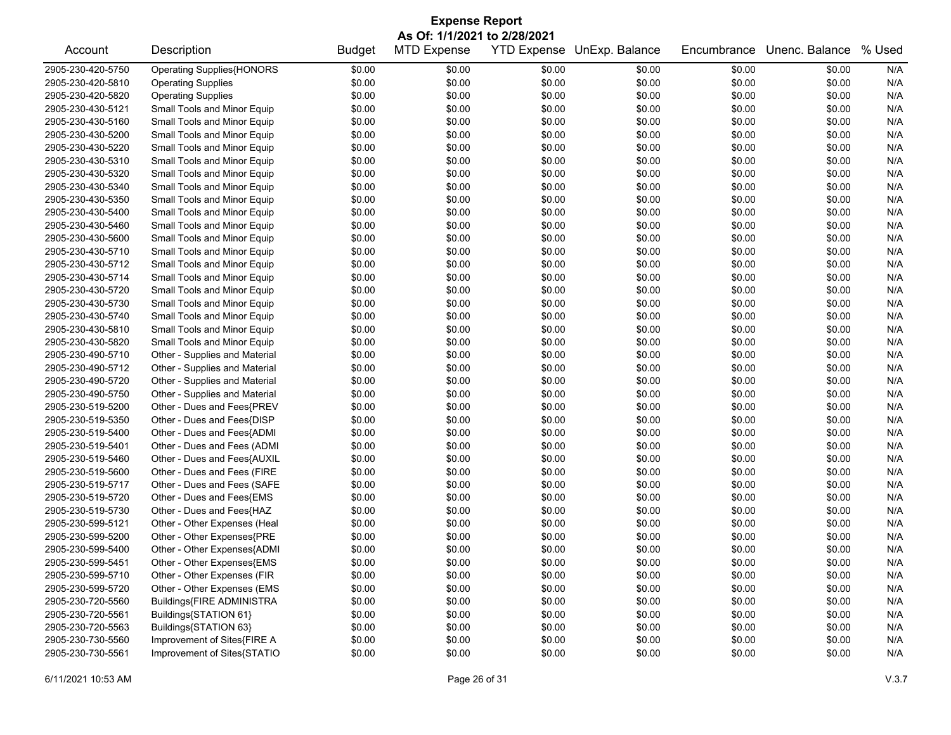|                                        | <b>Expense Report</b>                                |               |                              |        |                            |                  |                |        |  |  |
|----------------------------------------|------------------------------------------------------|---------------|------------------------------|--------|----------------------------|------------------|----------------|--------|--|--|
|                                        |                                                      |               | As Of: 1/1/2021 to 2/28/2021 |        |                            |                  |                |        |  |  |
| Account                                | Description                                          | <b>Budget</b> | <b>MTD Expense</b>           |        | YTD Expense UnExp. Balance | Encumbrance      | Unenc. Balance | % Used |  |  |
| 2905-230-420-5750                      | <b>Operating Supplies{HONORS</b>                     | \$0.00        | \$0.00                       | \$0.00 | \$0.00                     | \$0.00           | \$0.00         | N/A    |  |  |
| 2905-230-420-5810                      | <b>Operating Supplies</b>                            | \$0.00        | \$0.00                       | \$0.00 | \$0.00                     | \$0.00           | \$0.00         | N/A    |  |  |
| 2905-230-420-5820                      | <b>Operating Supplies</b>                            | \$0.00        | \$0.00                       | \$0.00 | \$0.00                     | \$0.00           | \$0.00         | N/A    |  |  |
| 2905-230-430-5121                      | Small Tools and Minor Equip                          | \$0.00        | \$0.00                       | \$0.00 | \$0.00                     | \$0.00           | \$0.00         | N/A    |  |  |
| 2905-230-430-5160                      | Small Tools and Minor Equip                          | \$0.00        | \$0.00                       | \$0.00 | \$0.00                     | \$0.00           | \$0.00         | N/A    |  |  |
| 2905-230-430-5200                      | Small Tools and Minor Equip                          | \$0.00        | \$0.00                       | \$0.00 | \$0.00                     | \$0.00           | \$0.00         | N/A    |  |  |
| 2905-230-430-5220                      | Small Tools and Minor Equip                          | \$0.00        | \$0.00                       | \$0.00 | \$0.00                     | \$0.00           | \$0.00         | N/A    |  |  |
| 2905-230-430-5310                      | Small Tools and Minor Equip                          | \$0.00        | \$0.00                       | \$0.00 | \$0.00                     | \$0.00           | \$0.00         | N/A    |  |  |
| 2905-230-430-5320                      | Small Tools and Minor Equip                          | \$0.00        | \$0.00                       | \$0.00 | \$0.00                     | \$0.00           | \$0.00         | N/A    |  |  |
| 2905-230-430-5340                      | Small Tools and Minor Equip                          | \$0.00        | \$0.00                       | \$0.00 | \$0.00                     | \$0.00           | \$0.00         | N/A    |  |  |
| 2905-230-430-5350                      | Small Tools and Minor Equip                          | \$0.00        | \$0.00                       | \$0.00 | \$0.00                     | \$0.00           | \$0.00         | N/A    |  |  |
| 2905-230-430-5400                      | Small Tools and Minor Equip                          | \$0.00        | \$0.00                       | \$0.00 | \$0.00                     | \$0.00           | \$0.00         | N/A    |  |  |
| 2905-230-430-5460                      | Small Tools and Minor Equip                          | \$0.00        | \$0.00                       | \$0.00 | \$0.00                     | \$0.00           | \$0.00         | N/A    |  |  |
| 2905-230-430-5600                      | Small Tools and Minor Equip                          | \$0.00        | \$0.00                       | \$0.00 | \$0.00                     | \$0.00           | \$0.00         | N/A    |  |  |
| 2905-230-430-5710                      | Small Tools and Minor Equip                          | \$0.00        | \$0.00                       | \$0.00 | \$0.00                     | \$0.00           | \$0.00         | N/A    |  |  |
| 2905-230-430-5712                      | Small Tools and Minor Equip                          | \$0.00        | \$0.00                       | \$0.00 | \$0.00                     | \$0.00           | \$0.00         | N/A    |  |  |
| 2905-230-430-5714                      | Small Tools and Minor Equip                          | \$0.00        | \$0.00                       | \$0.00 | \$0.00                     | \$0.00           | \$0.00         | N/A    |  |  |
| 2905-230-430-5720                      | Small Tools and Minor Equip                          | \$0.00        | \$0.00                       | \$0.00 | \$0.00                     | \$0.00           | \$0.00         | N/A    |  |  |
| 2905-230-430-5730                      | Small Tools and Minor Equip                          | \$0.00        | \$0.00                       | \$0.00 | \$0.00                     | \$0.00           | \$0.00         | N/A    |  |  |
| 2905-230-430-5740                      | Small Tools and Minor Equip                          | \$0.00        | \$0.00                       | \$0.00 | \$0.00                     | \$0.00           | \$0.00         | N/A    |  |  |
| 2905-230-430-5810                      | Small Tools and Minor Equip                          | \$0.00        | \$0.00                       | \$0.00 | \$0.00                     | \$0.00           | \$0.00         | N/A    |  |  |
| 2905-230-430-5820                      | Small Tools and Minor Equip                          | \$0.00        | \$0.00                       | \$0.00 | \$0.00                     | \$0.00           | \$0.00         | N/A    |  |  |
| 2905-230-490-5710                      | Other - Supplies and Material                        | \$0.00        | \$0.00                       | \$0.00 | \$0.00                     | \$0.00           | \$0.00         | N/A    |  |  |
| 2905-230-490-5712                      | Other - Supplies and Material                        | \$0.00        | \$0.00                       | \$0.00 | \$0.00                     | \$0.00           | \$0.00         | N/A    |  |  |
| 2905-230-490-5720                      | Other - Supplies and Material                        | \$0.00        | \$0.00                       | \$0.00 | \$0.00                     | \$0.00           | \$0.00         | N/A    |  |  |
| 2905-230-490-5750                      | Other - Supplies and Material                        | \$0.00        | \$0.00                       | \$0.00 | \$0.00                     | \$0.00           | \$0.00         | N/A    |  |  |
| 2905-230-519-5200                      | Other - Dues and Fees{PREV                           | \$0.00        | \$0.00                       | \$0.00 | \$0.00                     | \$0.00           | \$0.00         | N/A    |  |  |
| 2905-230-519-5350                      | Other - Dues and Fees{DISP                           | \$0.00        | \$0.00                       | \$0.00 | \$0.00                     | \$0.00           | \$0.00         | N/A    |  |  |
| 2905-230-519-5400                      | Other - Dues and Fees{ADMI                           | \$0.00        | \$0.00                       | \$0.00 | \$0.00                     | \$0.00           | \$0.00         | N/A    |  |  |
| 2905-230-519-5401                      | Other - Dues and Fees (ADMI                          | \$0.00        | \$0.00                       | \$0.00 | \$0.00                     | \$0.00           | \$0.00         | N/A    |  |  |
| 2905-230-519-5460                      | Other - Dues and Fees{AUXIL                          | \$0.00        | \$0.00                       | \$0.00 | \$0.00                     | \$0.00           | \$0.00         | N/A    |  |  |
| 2905-230-519-5600                      | Other - Dues and Fees (FIRE                          | \$0.00        | \$0.00                       | \$0.00 | \$0.00                     | \$0.00           | \$0.00         | N/A    |  |  |
| 2905-230-519-5717                      | Other - Dues and Fees (SAFE                          | \$0.00        | \$0.00                       | \$0.00 | \$0.00                     | \$0.00           | \$0.00         | N/A    |  |  |
| 2905-230-519-5720                      | Other - Dues and Fees{EMS                            | \$0.00        | \$0.00                       | \$0.00 | \$0.00                     | \$0.00           | \$0.00         | N/A    |  |  |
| 2905-230-519-5730                      | Other - Dues and Fees{HAZ                            | \$0.00        | \$0.00                       | \$0.00 | \$0.00                     | \$0.00           | \$0.00         | N/A    |  |  |
| 2905-230-599-5121                      | Other - Other Expenses (Heal                         | \$0.00        | \$0.00                       | \$0.00 | \$0.00                     | \$0.00           | \$0.00         | N/A    |  |  |
| 2905-230-599-5200                      | Other - Other Expenses{PRE                           | \$0.00        | \$0.00                       | \$0.00 | \$0.00                     | \$0.00           | \$0.00         | N/A    |  |  |
| 2905-230-599-5400                      | Other - Other Expenses{ADMI                          | \$0.00        | \$0.00                       | \$0.00 | \$0.00                     | \$0.00           | \$0.00         | N/A    |  |  |
| 2905-230-599-5451                      | Other - Other Expenses{EMS                           | \$0.00        | \$0.00                       | \$0.00 | \$0.00                     | \$0.00           | \$0.00         | N/A    |  |  |
| 2905-230-599-5710                      | Other - Other Expenses (FIR                          | \$0.00        | \$0.00                       | \$0.00 |                            |                  | \$0.00         | N/A    |  |  |
| 2905-230-599-5720                      | Other - Other Expenses (EMS                          | \$0.00        | \$0.00                       | \$0.00 | \$0.00<br>\$0.00           | \$0.00<br>\$0.00 | \$0.00         | N/A    |  |  |
|                                        |                                                      |               |                              |        |                            |                  |                |        |  |  |
| 2905-230-720-5560<br>2905-230-720-5561 | Buildings{FIRE ADMINISTRA                            | \$0.00        | \$0.00                       | \$0.00 | \$0.00                     | \$0.00           | \$0.00         | N/A    |  |  |
|                                        | Buildings{STATION 61}                                | \$0.00        | \$0.00                       | \$0.00 | \$0.00                     | \$0.00           | \$0.00         | N/A    |  |  |
| 2905-230-720-5563                      | Buildings{STATION 63}<br>Improvement of Sites{FIRE A | \$0.00        | \$0.00                       | \$0.00 | \$0.00                     | \$0.00           | \$0.00         | N/A    |  |  |
| 2905-230-730-5560<br>2905-230-730-5561 |                                                      | \$0.00        | \$0.00                       | \$0.00 | \$0.00                     | \$0.00           | \$0.00         | N/A    |  |  |
|                                        | Improvement of Sites{STATIO                          | \$0.00        | \$0.00                       | \$0.00 | \$0.00                     | \$0.00           | \$0.00         | N/A    |  |  |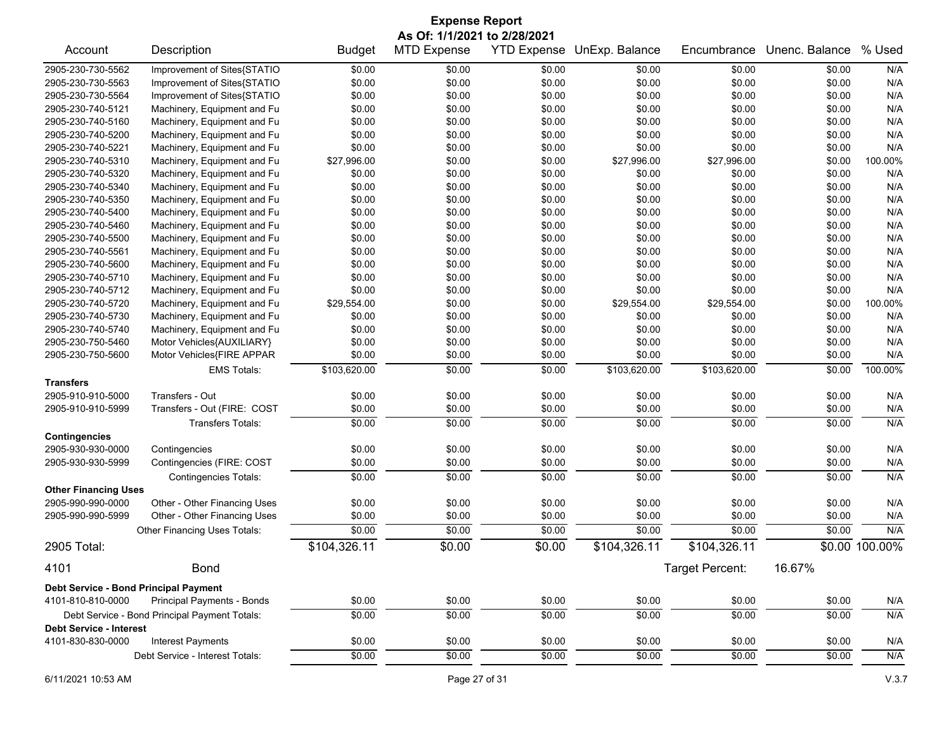|                                       | <b>Expense Report</b>                         |               |                                                    |                    |                |                 |                |                |  |
|---------------------------------------|-----------------------------------------------|---------------|----------------------------------------------------|--------------------|----------------|-----------------|----------------|----------------|--|
| Account                               | Description                                   | <b>Budget</b> | As Of: 1/1/2021 to 2/28/2021<br><b>MTD Expense</b> | <b>YTD Expense</b> | UnExp. Balance | Encumbrance     | Unenc. Balance | % Used         |  |
|                                       |                                               |               |                                                    |                    |                |                 |                |                |  |
| 2905-230-730-5562                     | Improvement of Sites{STATIO                   | \$0.00        | \$0.00                                             | \$0.00             | \$0.00         | \$0.00          | \$0.00         | N/A            |  |
| 2905-230-730-5563                     | Improvement of Sites{STATIO                   | \$0.00        | \$0.00                                             | \$0.00             | \$0.00         | \$0.00          | \$0.00         | N/A            |  |
| 2905-230-730-5564                     | Improvement of Sites{STATIO                   | \$0.00        | \$0.00                                             | \$0.00             | \$0.00         | \$0.00          | \$0.00         | N/A            |  |
| 2905-230-740-5121                     | Machinery, Equipment and Fu                   | \$0.00        | \$0.00                                             | \$0.00             | \$0.00         | \$0.00          | \$0.00         | N/A            |  |
| 2905-230-740-5160                     | Machinery, Equipment and Fu                   | \$0.00        | \$0.00                                             | \$0.00             | \$0.00         | \$0.00          | \$0.00         | N/A            |  |
| 2905-230-740-5200                     | Machinery, Equipment and Fu                   | \$0.00        | \$0.00                                             | \$0.00             | \$0.00         | \$0.00          | \$0.00         | N/A            |  |
| 2905-230-740-5221                     | Machinery, Equipment and Fu                   | \$0.00        | \$0.00                                             | \$0.00             | \$0.00         | \$0.00          | \$0.00         | N/A            |  |
| 2905-230-740-5310                     | Machinery, Equipment and Fu                   | \$27,996.00   | \$0.00                                             | \$0.00             | \$27,996.00    | \$27,996.00     | \$0.00         | 100.00%        |  |
| 2905-230-740-5320                     | Machinery, Equipment and Fu                   | \$0.00        | \$0.00                                             | \$0.00             | \$0.00         | \$0.00          | \$0.00         | N/A            |  |
| 2905-230-740-5340                     | Machinery, Equipment and Fu                   | \$0.00        | \$0.00                                             | \$0.00             | \$0.00         | \$0.00          | \$0.00         | N/A            |  |
| 2905-230-740-5350                     | Machinery, Equipment and Fu                   | \$0.00        | \$0.00                                             | \$0.00             | \$0.00         | \$0.00          | \$0.00         | N/A            |  |
| 2905-230-740-5400                     | Machinery, Equipment and Fu                   | \$0.00        | \$0.00                                             | \$0.00             | \$0.00         | \$0.00          | \$0.00         | N/A            |  |
| 2905-230-740-5460                     | Machinery, Equipment and Fu                   | \$0.00        | \$0.00                                             | \$0.00             | \$0.00         | \$0.00          | \$0.00         | N/A            |  |
| 2905-230-740-5500                     | Machinery, Equipment and Fu                   | \$0.00        | \$0.00                                             | \$0.00             | \$0.00         | \$0.00          | \$0.00         | N/A            |  |
| 2905-230-740-5561                     | Machinery, Equipment and Fu                   | \$0.00        | \$0.00                                             | \$0.00             | \$0.00         | \$0.00          | \$0.00         | N/A            |  |
| 2905-230-740-5600                     | Machinery, Equipment and Fu                   | \$0.00        | \$0.00                                             | \$0.00             | \$0.00         | \$0.00          | \$0.00         | N/A            |  |
| 2905-230-740-5710                     | Machinery, Equipment and Fu                   | \$0.00        | \$0.00                                             | \$0.00             | \$0.00         | \$0.00          | \$0.00         | N/A            |  |
| 2905-230-740-5712                     | Machinery, Equipment and Fu                   | \$0.00        | \$0.00                                             | \$0.00             | \$0.00         | \$0.00          | \$0.00         | N/A            |  |
| 2905-230-740-5720                     | Machinery, Equipment and Fu                   | \$29,554.00   | \$0.00                                             | \$0.00             | \$29,554.00    | \$29,554.00     | \$0.00         | 100.00%        |  |
| 2905-230-740-5730                     | Machinery, Equipment and Fu                   | \$0.00        | \$0.00                                             | \$0.00             | \$0.00         | \$0.00          | \$0.00         | N/A            |  |
| 2905-230-740-5740                     | Machinery, Equipment and Fu                   | \$0.00        | \$0.00                                             | \$0.00             | \$0.00         | \$0.00          | \$0.00         | N/A            |  |
| 2905-230-750-5460                     | Motor Vehicles{AUXILIARY}                     | \$0.00        | \$0.00                                             | \$0.00             | \$0.00         | \$0.00          | \$0.00         | N/A            |  |
| 2905-230-750-5600                     | Motor Vehicles{FIRE APPAR                     | \$0.00        | \$0.00                                             | \$0.00             | \$0.00         | \$0.00          | \$0.00         | N/A            |  |
|                                       | <b>EMS Totals:</b>                            | \$103,620.00  | \$0.00                                             | \$0.00             | \$103,620.00   | \$103,620.00    | \$0.00         | 100.00%        |  |
| <b>Transfers</b>                      |                                               |               |                                                    |                    |                |                 |                |                |  |
| 2905-910-910-5000                     | Transfers - Out                               | \$0.00        | \$0.00                                             | \$0.00             | \$0.00         | \$0.00          | \$0.00         | N/A            |  |
| 2905-910-910-5999                     | Transfers - Out (FIRE: COST                   | \$0.00        | \$0.00                                             | \$0.00             | \$0.00         | \$0.00          | \$0.00         | N/A            |  |
|                                       | <b>Transfers Totals:</b>                      | \$0.00        | \$0.00                                             | \$0.00             | \$0.00         | \$0.00          | \$0.00         | N/A            |  |
| <b>Contingencies</b>                  |                                               |               |                                                    |                    |                |                 |                |                |  |
| 2905-930-930-0000                     | Contingencies                                 | \$0.00        | \$0.00                                             | \$0.00             | \$0.00         | \$0.00          | \$0.00         | N/A            |  |
| 2905-930-930-5999                     | Contingencies (FIRE: COST                     | \$0.00        | \$0.00                                             | \$0.00             | \$0.00         | \$0.00          | \$0.00         | N/A            |  |
|                                       | <b>Contingencies Totals:</b>                  | \$0.00        | \$0.00                                             | \$0.00             | \$0.00         | \$0.00          | \$0.00         | N/A            |  |
| <b>Other Financing Uses</b>           |                                               |               |                                                    |                    |                |                 |                |                |  |
| 2905-990-990-0000                     | Other - Other Financing Uses                  | \$0.00        | \$0.00                                             | \$0.00             | \$0.00         | \$0.00          | \$0.00         | N/A            |  |
| 2905-990-990-5999                     | Other - Other Financing Uses                  | \$0.00        | \$0.00                                             | \$0.00             | \$0.00         | \$0.00          | \$0.00         | N/A            |  |
|                                       | Other Financing Uses Totals:                  | \$0.00        | \$0.00                                             | \$0.00             | \$0.00         | \$0.00          | \$0.00         | N/A            |  |
| 2905 Total:                           |                                               | \$104,326.11  | \$0.00                                             | \$0.00             | \$104,326.11   | \$104,326.11    |                | \$0.00 100.00% |  |
| 4101                                  | <b>Bond</b>                                   |               |                                                    |                    |                | Target Percent: | 16.67%         |                |  |
| Debt Service - Bond Principal Payment |                                               |               |                                                    |                    |                |                 |                |                |  |
| 4101-810-810-0000                     | Principal Payments - Bonds                    | \$0.00        | \$0.00                                             | \$0.00             | \$0.00         | \$0.00          | \$0.00         | N/A            |  |
|                                       | Debt Service - Bond Principal Payment Totals: | \$0.00        | \$0.00                                             | \$0.00             | \$0.00         | \$0.00          | \$0.00         | N/A            |  |
| <b>Debt Service - Interest</b>        |                                               |               |                                                    |                    |                |                 |                |                |  |
| 4101-830-830-0000                     | Interest Payments                             | \$0.00        | \$0.00                                             | \$0.00             | \$0.00         | \$0.00          | \$0.00         | N/A            |  |
|                                       | Debt Service - Interest Totals:               | \$0.00        | \$0.00                                             | \$0.00             | \$0.00         | \$0.00          | \$0.00         | N/A            |  |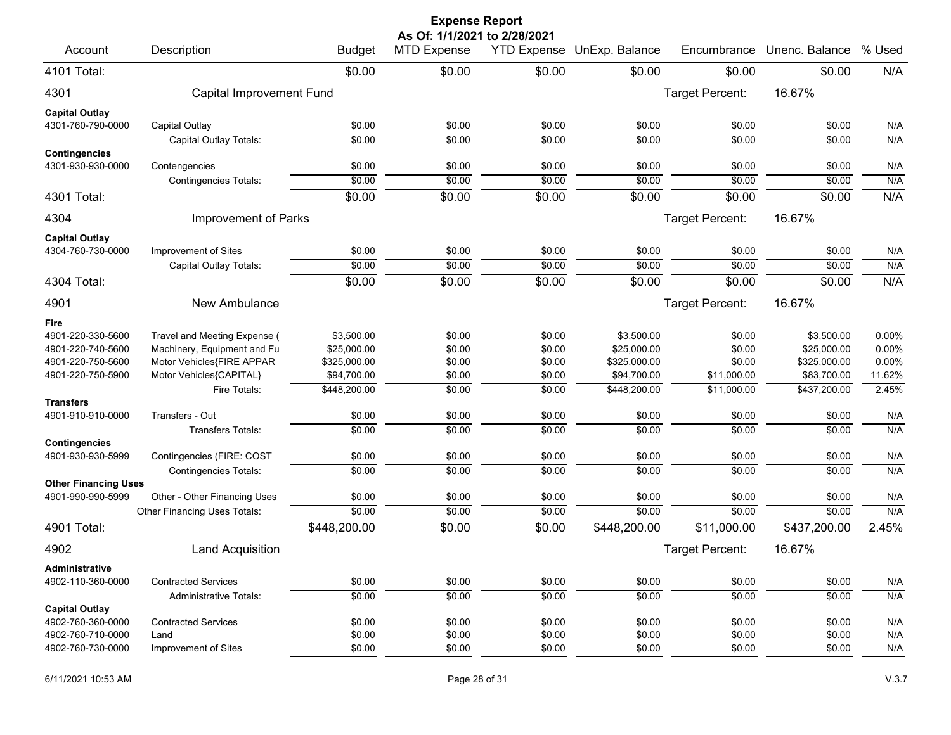| <b>Expense Report</b>                     |                                               |                  |                                                    |                  |                            |                  |                  |            |  |
|-------------------------------------------|-----------------------------------------------|------------------|----------------------------------------------------|------------------|----------------------------|------------------|------------------|------------|--|
| Account                                   | Description                                   | <b>Budget</b>    | As Of: 1/1/2021 to 2/28/2021<br><b>MTD Expense</b> |                  | YTD Expense UnExp. Balance | Encumbrance      | Unenc. Balance   | % Used     |  |
| 4101 Total:                               |                                               | \$0.00           | \$0.00                                             | \$0.00           | \$0.00                     | \$0.00           | \$0.00           | N/A        |  |
| 4301                                      | Capital Improvement Fund                      |                  |                                                    |                  |                            | Target Percent:  | 16.67%           |            |  |
| <b>Capital Outlay</b>                     |                                               |                  |                                                    |                  |                            |                  |                  |            |  |
| 4301-760-790-0000                         | Capital Outlay                                | \$0.00           | \$0.00                                             | \$0.00           | \$0.00                     | \$0.00           | \$0.00           | N/A        |  |
|                                           | Capital Outlay Totals:                        | \$0.00           | \$0.00                                             | \$0.00           | \$0.00                     | \$0.00           | \$0.00           | N/A        |  |
| <b>Contingencies</b><br>4301-930-930-0000 |                                               | \$0.00           | \$0.00                                             | \$0.00           | \$0.00                     | \$0.00           | \$0.00           | N/A        |  |
|                                           | Contengencies<br><b>Contingencies Totals:</b> | \$0.00           | \$0.00                                             | \$0.00           | \$0.00                     | \$0.00           | \$0.00           | N/A        |  |
| 4301 Total:                               |                                               | \$0.00           | \$0.00                                             | \$0.00           | \$0.00                     | \$0.00           | \$0.00           | N/A        |  |
|                                           |                                               |                  |                                                    |                  |                            |                  |                  |            |  |
| 4304                                      | Improvement of Parks                          |                  |                                                    |                  |                            | Target Percent:  | 16.67%           |            |  |
| <b>Capital Outlay</b>                     |                                               |                  |                                                    |                  |                            |                  |                  |            |  |
| 4304-760-730-0000                         | Improvement of Sites                          | \$0.00           | \$0.00                                             | \$0.00           | \$0.00                     | \$0.00           | \$0.00           | N/A        |  |
|                                           | Capital Outlay Totals:                        | \$0.00           | \$0.00                                             | \$0.00           | \$0.00                     | \$0.00           | \$0.00           | N/A        |  |
| 4304 Total:                               |                                               | \$0.00           | \$0.00                                             | \$0.00           | \$0.00                     | \$0.00           | \$0.00           | N/A        |  |
| 4901                                      | New Ambulance                                 |                  |                                                    |                  |                            | Target Percent:  | 16.67%           |            |  |
| Fire                                      |                                               |                  |                                                    |                  |                            |                  |                  |            |  |
| 4901-220-330-5600                         | Travel and Meeting Expense (                  | \$3,500.00       | \$0.00                                             | \$0.00           | \$3,500.00                 | \$0.00           | \$3,500.00       | 0.00%      |  |
| 4901-220-740-5600                         | Machinery, Equipment and Fu                   | \$25,000.00      | \$0.00                                             | \$0.00           | \$25,000.00                | \$0.00           | \$25,000.00      | 0.00%      |  |
| 4901-220-750-5600                         | Motor Vehicles{FIRE APPAR                     | \$325,000.00     | \$0.00                                             | \$0.00           | \$325,000.00               | \$0.00           | \$325,000.00     | 0.00%      |  |
| 4901-220-750-5900                         | Motor Vehicles{CAPITAL}                       | \$94,700.00      | \$0.00                                             | \$0.00           | \$94,700.00                | \$11,000.00      | \$83,700.00      | 11.62%     |  |
|                                           | Fire Totals:                                  | \$448,200.00     | \$0.00                                             | \$0.00           | \$448,200.00               | \$11,000.00      | \$437,200.00     | 2.45%      |  |
| <b>Transfers</b>                          |                                               |                  |                                                    |                  |                            |                  |                  |            |  |
| 4901-910-910-0000                         | Transfers - Out                               | \$0.00           | \$0.00                                             | \$0.00           | \$0.00                     | \$0.00           | \$0.00           | N/A        |  |
| <b>Contingencies</b>                      | <b>Transfers Totals:</b>                      | \$0.00           | \$0.00                                             | \$0.00           | \$0.00                     | \$0.00           | \$0.00           | N/A        |  |
| 4901-930-930-5999                         | Contingencies (FIRE: COST                     | \$0.00           | \$0.00                                             | \$0.00           | \$0.00                     | \$0.00           | \$0.00           | N/A        |  |
|                                           | <b>Contingencies Totals:</b>                  | \$0.00           | \$0.00                                             | \$0.00           | \$0.00                     | \$0.00           | \$0.00           | N/A        |  |
| <b>Other Financing Uses</b>               |                                               |                  |                                                    |                  |                            |                  |                  |            |  |
| 4901-990-990-5999                         | Other - Other Financing Uses                  | \$0.00           | \$0.00                                             | \$0.00           | \$0.00                     | \$0.00           | \$0.00           | N/A        |  |
|                                           | Other Financing Uses Totals:                  | \$0.00           | \$0.00                                             | \$0.00           | \$0.00                     | \$0.00           | \$0.00           | N/A        |  |
| 4901 Total:                               |                                               | \$448,200.00     | \$0.00                                             | \$0.00           | \$448,200.00               | \$11,000.00      | \$437,200.00     | 2.45%      |  |
| 4902                                      | Land Acquisition                              |                  |                                                    |                  |                            | Target Percent:  | 16.67%           |            |  |
| <b>Administrative</b>                     |                                               |                  |                                                    |                  |                            |                  |                  |            |  |
| 4902-110-360-0000                         | <b>Contracted Services</b>                    | \$0.00           | \$0.00                                             | \$0.00           | \$0.00                     | \$0.00           | \$0.00           | N/A        |  |
|                                           | <b>Administrative Totals:</b>                 | \$0.00           | \$0.00                                             | \$0.00           | \$0.00                     | \$0.00           | \$0.00           | N/A        |  |
| <b>Capital Outlay</b>                     |                                               |                  |                                                    |                  |                            |                  |                  |            |  |
| 4902-760-360-0000<br>4902-760-710-0000    | <b>Contracted Services</b><br>Land            | \$0.00<br>\$0.00 | \$0.00<br>\$0.00                                   | \$0.00<br>\$0.00 | \$0.00<br>\$0.00           | \$0.00<br>\$0.00 | \$0.00<br>\$0.00 | N/A<br>N/A |  |
| 4902-760-730-0000                         | Improvement of Sites                          | \$0.00           | \$0.00                                             | \$0.00           | \$0.00                     | \$0.00           | \$0.00           | N/A        |  |
|                                           |                                               |                  |                                                    |                  |                            |                  |                  |            |  |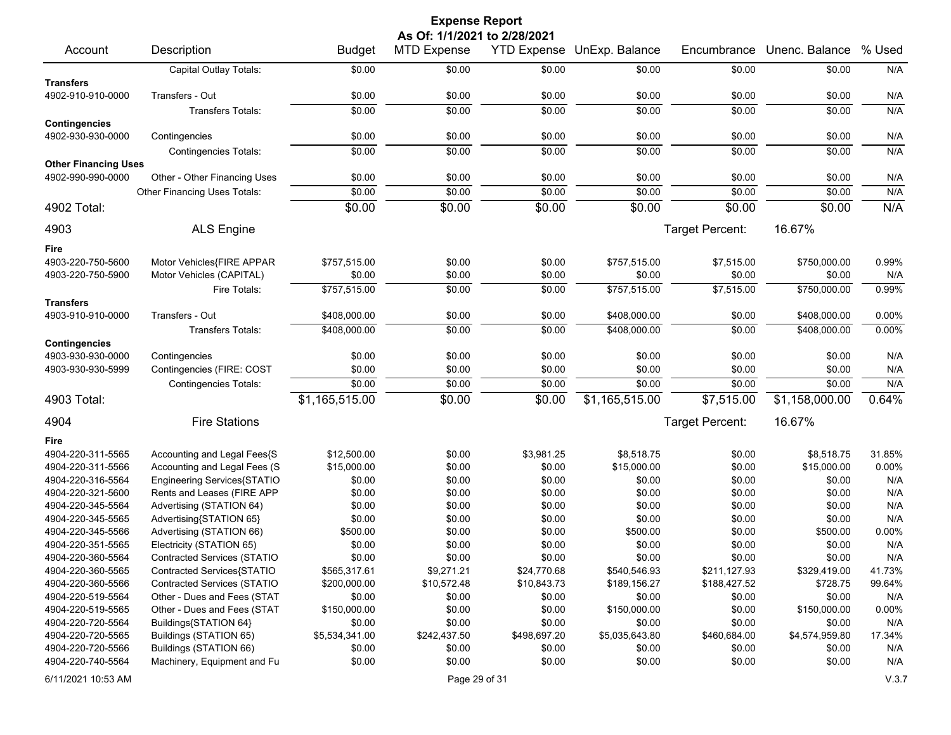|                             |                                    |                | <b>Expense Report</b>        |                    |                |                 |                |          |
|-----------------------------|------------------------------------|----------------|------------------------------|--------------------|----------------|-----------------|----------------|----------|
|                             |                                    |                | As Of: 1/1/2021 to 2/28/2021 |                    |                |                 |                |          |
| Account                     | Description                        | <b>Budget</b>  | MTD Expense                  | <b>YTD Expense</b> | UnExp. Balance | Encumbrance     | Unenc. Balance | % Used   |
|                             | Capital Outlay Totals:             | \$0.00         | \$0.00                       | \$0.00             | \$0.00         | \$0.00          | \$0.00         | N/A      |
| <b>Transfers</b>            |                                    |                |                              |                    |                |                 |                |          |
| 4902-910-910-0000           | Transfers - Out                    | \$0.00         | \$0.00                       | \$0.00             | \$0.00         | \$0.00          | \$0.00         | N/A      |
|                             | <b>Transfers Totals:</b>           | \$0.00         | \$0.00                       | \$0.00             | \$0.00         | \$0.00          | \$0.00         | N/A      |
| <b>Contingencies</b>        |                                    |                |                              |                    |                |                 |                |          |
| 4902-930-930-0000           | Contingencies                      | \$0.00         | \$0.00                       | \$0.00             | \$0.00         | \$0.00          | \$0.00         | N/A      |
|                             | <b>Contingencies Totals:</b>       | \$0.00         | \$0.00                       | \$0.00             | \$0.00         | \$0.00          | \$0.00         | N/A      |
| <b>Other Financing Uses</b> |                                    |                |                              |                    |                |                 |                |          |
| 4902-990-990-0000           | Other - Other Financing Uses       | \$0.00         | \$0.00                       | \$0.00             | \$0.00         | \$0.00          | \$0.00         | N/A      |
|                             | Other Financing Uses Totals:       | \$0.00         | \$0.00                       | \$0.00             | \$0.00         | \$0.00          | \$0.00         | N/A      |
| 4902 Total:                 |                                    | \$0.00         | \$0.00                       | \$0.00             | \$0.00         | \$0.00          | \$0.00         | N/A      |
| 4903                        | <b>ALS Engine</b>                  |                |                              |                    |                | Target Percent: | 16.67%         |          |
| Fire                        |                                    |                |                              |                    |                |                 |                |          |
| 4903-220-750-5600           | Motor Vehicles{FIRE APPAR          | \$757,515.00   | \$0.00                       | \$0.00             | \$757,515.00   | \$7,515.00      | \$750,000.00   | 0.99%    |
| 4903-220-750-5900           | Motor Vehicles (CAPITAL)           | \$0.00         | \$0.00                       | \$0.00             | \$0.00         | \$0.00          | \$0.00         | N/A      |
|                             | Fire Totals:                       | \$757,515.00   | \$0.00                       | \$0.00             | \$757,515.00   | \$7,515.00      | \$750,000.00   | 0.99%    |
| <b>Transfers</b>            |                                    |                |                              |                    |                |                 |                |          |
| 4903-910-910-0000           | Transfers - Out                    | \$408,000.00   | \$0.00                       | \$0.00             | \$408,000.00   | \$0.00          | \$408,000.00   | 0.00%    |
|                             | Transfers Totals:                  | \$408,000.00   | \$0.00                       | \$0.00             | \$408,000.00   | \$0.00          | \$408,000.00   | 0.00%    |
| <b>Contingencies</b>        |                                    |                |                              |                    |                |                 |                |          |
| 4903-930-930-0000           | Contingencies                      | \$0.00         | \$0.00                       | \$0.00             | \$0.00         | \$0.00          | \$0.00         | N/A      |
| 4903-930-930-5999           | Contingencies (FIRE: COST          | \$0.00         | \$0.00                       | \$0.00             | \$0.00         | \$0.00          | \$0.00         | N/A      |
|                             | <b>Contingencies Totals:</b>       | \$0.00         | \$0.00                       | \$0.00             | \$0.00         | \$0.00          | \$0.00         | N/A      |
| 4903 Total:                 |                                    | \$1,165,515.00 | \$0.00                       | \$0.00             | \$1,165,515.00 | \$7,515.00      | \$1,158,000.00 | 0.64%    |
|                             |                                    |                |                              |                    |                |                 |                |          |
| 4904                        | <b>Fire Stations</b>               |                |                              |                    |                | Target Percent: | 16.67%         |          |
| Fire                        |                                    |                |                              |                    |                |                 |                |          |
| 4904-220-311-5565           | Accounting and Legal Fees{S        | \$12,500.00    | \$0.00                       | \$3,981.25         | \$8,518.75     | \$0.00          | \$8,518.75     | 31.85%   |
| 4904-220-311-5566           | Accounting and Legal Fees (S       | \$15,000.00    | \$0.00                       | \$0.00             | \$15,000.00    | \$0.00          | \$15,000.00    | 0.00%    |
| 4904-220-316-5564           | Engineering Services{STATIO        | \$0.00         | \$0.00                       | \$0.00             | \$0.00         | \$0.00          | \$0.00         | N/A      |
| 4904-220-321-5600           | Rents and Leases (FIRE APP         | \$0.00         | \$0.00                       | \$0.00             | \$0.00         | \$0.00          | \$0.00         | N/A      |
| 4904-220-345-5564           | Advertising (STATION 64)           | \$0.00         | \$0.00                       | \$0.00             | \$0.00         | \$0.00          | \$0.00         | N/A      |
| 4904-220-345-5565           | Advertising{STATION 65}            | \$0.00         | \$0.00                       | \$0.00             | \$0.00         | \$0.00          | \$0.00         | N/A      |
| 4904-220-345-5566           | Advertising (STATION 66)           | \$500.00       | \$0.00                       | \$0.00             | \$500.00       | \$0.00          | \$500.00       | 0.00%    |
| 4904-220-351-5565           | Electricity (STATION 65)           | \$0.00         | \$0.00                       | \$0.00             | \$0.00         | \$0.00          | \$0.00         | N/A      |
| 4904-220-360-5564           | Contracted Services (STATIO        | \$0.00         | \$0.00                       | \$0.00             | \$0.00         | \$0.00          | \$0.00         | N/A      |
| 4904-220-360-5565           | Contracted Services{STATIO         | \$565,317.61   | \$9,271.21                   | \$24,770.68        | \$540,546.93   | \$211,127.93    | \$329,419.00   | 41.73%   |
| 4904-220-360-5566           | <b>Contracted Services (STATIO</b> | \$200,000.00   | \$10,572.48                  | \$10,843.73        | \$189,156.27   | \$188,427.52    | \$728.75       | 99.64%   |
| 4904-220-519-5564           | Other - Dues and Fees (STAT        | \$0.00         | \$0.00                       | \$0.00             | \$0.00         | \$0.00          | \$0.00         | N/A      |
| 4904-220-519-5565           | Other - Dues and Fees (STAT        | \$150,000.00   | \$0.00                       | \$0.00             | \$150,000.00   | \$0.00          | \$150,000.00   | $0.00\%$ |
| 4904-220-720-5564           | Buildings{STATION 64}              | \$0.00         | \$0.00                       | \$0.00             | \$0.00         | \$0.00          | \$0.00         | N/A      |
| 4904-220-720-5565           | Buildings (STATION 65)             | \$5,534,341.00 | \$242,437.50                 | \$498,697.20       | \$5,035,643.80 | \$460,684.00    | \$4,574,959.80 | 17.34%   |
| 4904-220-720-5566           | Buildings (STATION 66)             | \$0.00         | \$0.00                       | \$0.00             | \$0.00         | \$0.00          | \$0.00         | N/A      |
| 4904-220-740-5564           | Machinery, Equipment and Fu        | \$0.00         | \$0.00                       | \$0.00             | \$0.00         | \$0.00          | \$0.00         | N/A      |
| 6/11/2021 10:53 AM          |                                    |                | Page 29 of 31                |                    |                |                 |                | V.3.7    |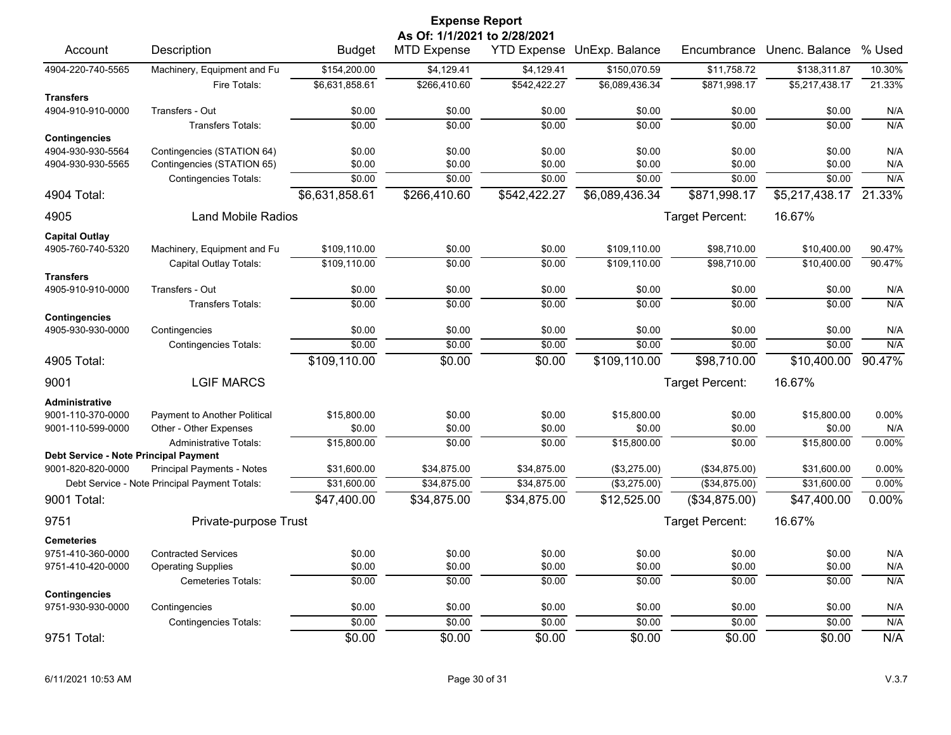|                                                                   |                                               |                | <b>Expense Report</b>                              |              |                            |                 |                |        |
|-------------------------------------------------------------------|-----------------------------------------------|----------------|----------------------------------------------------|--------------|----------------------------|-----------------|----------------|--------|
| Account                                                           | Description                                   | <b>Budget</b>  | As Of: 1/1/2021 to 2/28/2021<br><b>MTD Expense</b> |              | YTD Expense UnExp. Balance | Encumbrance     | Unenc. Balance | % Used |
|                                                                   |                                               |                |                                                    |              |                            |                 |                |        |
| 4904-220-740-5565                                                 | Machinery, Equipment and Fu                   | \$154,200.00   | \$4,129.41                                         | \$4,129.41   | \$150,070.59               | \$11,758.72     | \$138,311.87   | 10.30% |
|                                                                   | Fire Totals:                                  | \$6,631,858.61 | \$266,410.60                                       | \$542,422.27 | \$6,089,436.34             | \$871,998.17    | \$5,217,438.17 | 21.33% |
| <b>Transfers</b><br>4904-910-910-0000                             | Transfers - Out                               | \$0.00         | \$0.00                                             | \$0.00       | \$0.00                     | \$0.00          | \$0.00         | N/A    |
|                                                                   | Transfers Totals:                             | \$0.00         | \$0.00                                             | \$0.00       | \$0.00                     | \$0.00          | \$0.00         | N/A    |
| <b>Contingencies</b>                                              |                                               |                |                                                    |              |                            |                 |                |        |
| 4904-930-930-5564                                                 | Contingencies (STATION 64)                    | \$0.00         | \$0.00                                             | \$0.00       | \$0.00                     | \$0.00          | \$0.00         | N/A    |
| 4904-930-930-5565                                                 | Contingencies (STATION 65)                    | \$0.00         | \$0.00                                             | \$0.00       | \$0.00                     | \$0.00          | \$0.00         | N/A    |
|                                                                   | <b>Contingencies Totals:</b>                  | \$0.00         | \$0.00                                             | \$0.00       | \$0.00                     | \$0.00          | \$0.00         | N/A    |
| 4904 Total:                                                       |                                               | \$6,631,858.61 | \$266,410.60                                       | \$542,422.27 | \$6,089,436.34             | \$871,998.17    | \$5,217,438.17 | 21.33% |
| 4905                                                              | Land Mobile Radios                            |                |                                                    |              |                            | Target Percent: | 16.67%         |        |
| <b>Capital Outlay</b>                                             |                                               |                |                                                    |              |                            |                 |                |        |
| 4905-760-740-5320                                                 | Machinery, Equipment and Fu                   | \$109,110.00   | \$0.00                                             | \$0.00       | \$109,110.00               | \$98,710.00     | \$10,400.00    | 90.47% |
|                                                                   | Capital Outlay Totals:                        | \$109.110.00   | \$0.00                                             | \$0.00       | \$109.110.00               | \$98.710.00     | \$10.400.00    | 90.47% |
| <b>Transfers</b>                                                  |                                               |                |                                                    |              |                            |                 |                |        |
| 4905-910-910-0000                                                 | Transfers - Out                               | \$0.00         | \$0.00                                             | \$0.00       | \$0.00                     | \$0.00          | \$0.00         | N/A    |
|                                                                   | <b>Transfers Totals:</b>                      | \$0.00         | \$0.00                                             | \$0.00       | \$0.00                     | \$0.00          | \$0.00         | N/A    |
| <b>Contingencies</b><br>4905-930-930-0000                         | Contingencies                                 | \$0.00         | \$0.00                                             | \$0.00       | \$0.00                     | \$0.00          | \$0.00         | N/A    |
|                                                                   | <b>Contingencies Totals:</b>                  | \$0.00         | \$0.00                                             | \$0.00       | \$0.00                     | \$0.00          | \$0.00         | N/A    |
| 4905 Total:                                                       |                                               | \$109,110.00   | \$0.00                                             | \$0.00       | \$109,110.00               | \$98,710.00     | \$10,400.00    | 90.47% |
|                                                                   |                                               |                |                                                    |              |                            |                 |                |        |
| 9001                                                              | <b>LGIF MARCS</b>                             |                |                                                    |              |                            | Target Percent: | 16.67%         |        |
| <b>Administrative</b>                                             |                                               |                |                                                    |              |                            |                 |                |        |
| 9001-110-370-0000                                                 | Payment to Another Political                  | \$15,800.00    | \$0.00                                             | \$0.00       | \$15,800.00                | \$0.00          | \$15,800.00    | 0.00%  |
| 9001-110-599-0000                                                 | Other - Other Expenses                        | \$0.00         | \$0.00                                             | \$0.00       | \$0.00                     | \$0.00          | \$0.00         | N/A    |
|                                                                   | <b>Administrative Totals:</b>                 | \$15,800.00    | \$0.00                                             | \$0.00       | \$15,800.00                | \$0.00          | \$15,800.00    | 0.00%  |
| <b>Debt Service - Note Principal Payment</b><br>9001-820-820-0000 | <b>Principal Payments - Notes</b>             | \$31,600.00    | \$34,875.00                                        | \$34,875.00  | (\$3,275.00)               | (\$34,875.00)   | \$31,600.00    | 0.00%  |
|                                                                   | Debt Service - Note Principal Payment Totals: | \$31,600.00    | \$34,875.00                                        | \$34,875.00  | (\$3,275.00)               | ( \$34, 875.00) | \$31,600.00    | 0.00%  |
| 9001 Total:                                                       |                                               | \$47,400.00    | \$34,875.00                                        | \$34,875.00  | \$12,525.00                | (\$34,875.00)   | \$47,400.00    | 0.00%  |
| 9751                                                              | Private-purpose Trust                         |                |                                                    |              |                            | Target Percent: | 16.67%         |        |
| <b>Cemeteries</b>                                                 |                                               |                |                                                    |              |                            |                 |                |        |
| 9751-410-360-0000                                                 | <b>Contracted Services</b>                    | \$0.00         | \$0.00                                             | \$0.00       | \$0.00                     | \$0.00          | \$0.00         | N/A    |
| 9751-410-420-0000                                                 | <b>Operating Supplies</b>                     | \$0.00         | \$0.00                                             | \$0.00       | \$0.00                     | \$0.00          | \$0.00         | N/A    |
|                                                                   | <b>Cemeteries Totals:</b>                     | \$0.00         | \$0.00                                             | \$0.00       | \$0.00                     | \$0.00          | \$0.00         | N/A    |
| <b>Contingencies</b>                                              |                                               |                |                                                    |              |                            |                 |                |        |
| 9751-930-930-0000                                                 | Contingencies                                 | \$0.00         | \$0.00                                             | \$0.00       | \$0.00                     | \$0.00          | \$0.00         | N/A    |
|                                                                   | <b>Contingencies Totals:</b>                  | \$0.00         | \$0.00                                             | \$0.00       | \$0.00                     | \$0.00          | \$0.00         | N/A    |
| 9751 Total:                                                       |                                               | \$0.00         | \$0.00                                             | \$0.00       | \$0.00                     | \$0.00          | \$0.00         | N/A    |